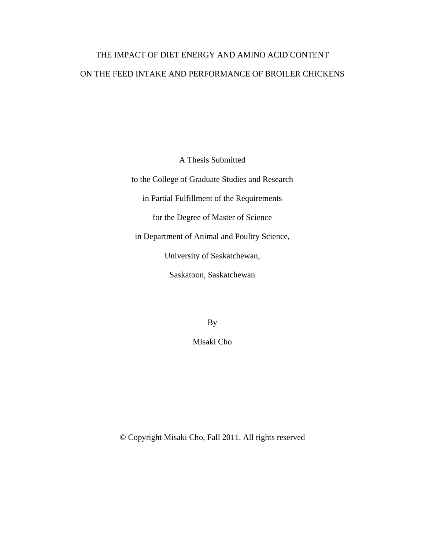# THE IMPACT OF DIET ENERGY AND AMINO ACID CONTENT ON THE FEED INTAKE AND PERFORMANCE OF BROILER CHICKENS

A Thesis Submitted

to the College of Graduate Studies and Research in Partial Fulfillment of the Requirements for the Degree of Master of Science in Department of Animal and Poultry Science, University of Saskatchewan, Saskatoon, Saskatchewan

By

Misaki Cho

© Copyright Misaki Cho, Fall 2011. All rights reserved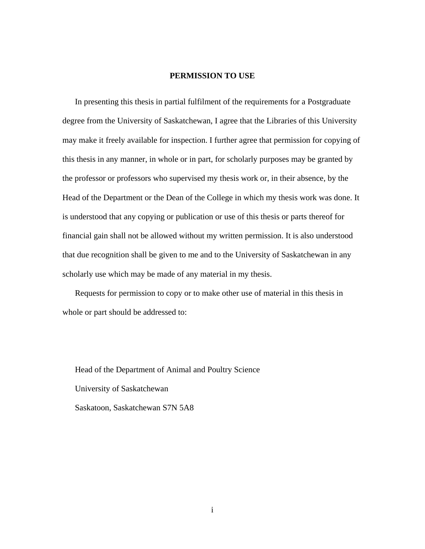#### **PERMISSION TO USE**

<span id="page-1-0"></span>In presenting this thesis in partial fulfilment of the requirements for a Postgraduate degree from the University of Saskatchewan, I agree that the Libraries of this University may make it freely available for inspection. I further agree that permission for copying of this thesis in any manner, in whole or in part, for scholarly purposes may be granted by the professor or professors who supervised my thesis work or, in their absence, by the Head of the Department or the Dean of the College in which my thesis work was done. It is understood that any copying or publication or use of this thesis or parts thereof for financial gain shall not be allowed without my written permission. It is also understood that due recognition shall be given to me and to the University of Saskatchewan in any scholarly use which may be made of any material in my thesis.

Requests for permission to copy or to make other use of material in this thesis in whole or part should be addressed to:

Head of the Department of Animal and Poultry Science University of Saskatchewan Saskatoon, Saskatchewan S7N 5A8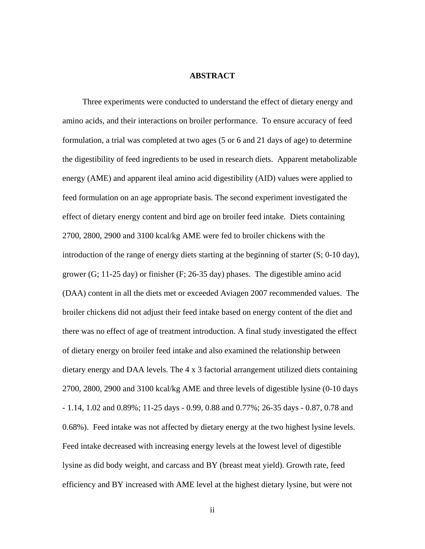#### **ABSTRACT**

<span id="page-2-0"></span>Three experiments were conducted to understand the effect of dietary energy and amino acids, and their interactions on broiler performance. To ensure accuracy of feed formulation, a trial was completed at two ages (5 or 6 and 21 days of age) to determine the digestibility of feed ingredients to be used in research diets. Apparent metabolizable energy (AME) and apparent ileal amino acid digestibility (AID) values were applied to feed formulation on an age appropriate basis. The second experiment investigated the effect of dietary energy content and bird age on broiler feed intake. Diets containing 2700, 2800, 2900 and 3100 kcal/kg AME were fed to broiler chickens with the introduction of the range of energy diets starting at the beginning of starter (S; 0-10 day), grower (G; 11-25 day) or finisher (F; 26-35 day) phases. The digestible amino acid (DAA) content in all the diets met or exceeded Aviagen 2007 recommended values. The broiler chickens did not adjust their feed intake based on energy content of the diet and there was no effect of age of treatment introduction. A final study investigated the effect of dietary energy on broiler feed intake and also examined the relationship between dietary energy and DAA levels. The 4 x 3 factorial arrangement utilized diets containing 2700, 2800, 2900 and 3100 kcal/kg AME and three levels of digestible lysine (0-10 days - 1.14, 1.02 and 0.89%; 11-25 days - 0.99, 0.88 and 0.77%; 26-35 days - 0.87, 0.78 and 0.68%). Feed intake was not affected by dietary energy at the two highest lysine levels. Feed intake decreased with increasing energy levels at the lowest level of digestible lysine as did body weight, and carcass and BY (breast meat yield). Growth rate, feed efficiency and BY increased with AME level at the highest dietary lysine, but were not

ii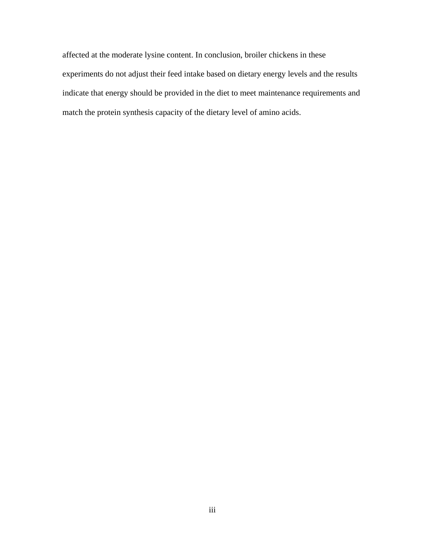affected at the moderate lysine content. In conclusion, broiler chickens in these experiments do not adjust their feed intake based on dietary energy levels and the results indicate that energy should be provided in the diet to meet maintenance requirements and match the protein synthesis capacity of the dietary level of amino acids.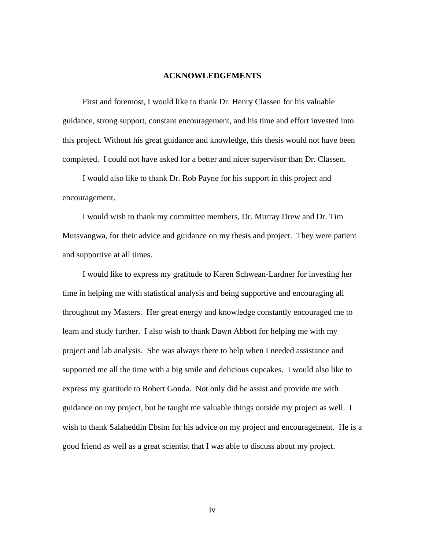#### **ACKNOWLEDGEMENTS**

<span id="page-4-0"></span>First and foremost, I would like to thank Dr. Henry Classen for his valuable guidance, strong support, constant encouragement, and his time and effort invested into this project. Without his great guidance and knowledge, this thesis would not have been completed. I could not have asked for a better and nicer supervisor than Dr. Classen.

I would also like to thank Dr. Rob Payne for his support in this project and encouragement.

I would wish to thank my committee members, Dr. Murray Drew and Dr. Tim Mutsvangwa, for their advice and guidance on my thesis and project. They were patient and supportive at all times.

I would like to express my gratitude to Karen Schwean-Lardner for investing her time in helping me with statistical analysis and being supportive and encouraging all throughout my Masters. Her great energy and knowledge constantly encouraged me to learn and study further. I also wish to thank Dawn Abbott for helping me with my project and lab analysis. She was always there to help when I needed assistance and supported me all the time with a big smile and delicious cupcakes. I would also like to express my gratitude to Robert Gonda. Not only did he assist and provide me with guidance on my project, but he taught me valuable things outside my project as well. I wish to thank Salaheddin Ebsim for his advice on my project and encouragement. He is a good friend as well as a great scientist that I was able to discuss about my project.

iv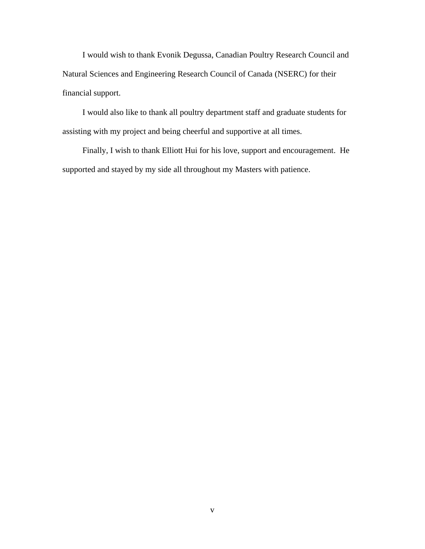I would wish to thank Evonik Degussa, Canadian Poultry Research Council and Natural Sciences and Engineering Research Council of Canada (NSERC) for their financial support.

I would also like to thank all poultry department staff and graduate students for assisting with my project and being cheerful and supportive at all times.

Finally, I wish to thank Elliott Hui for his love, support and encouragement. He supported and stayed by my side all throughout my Masters with patience.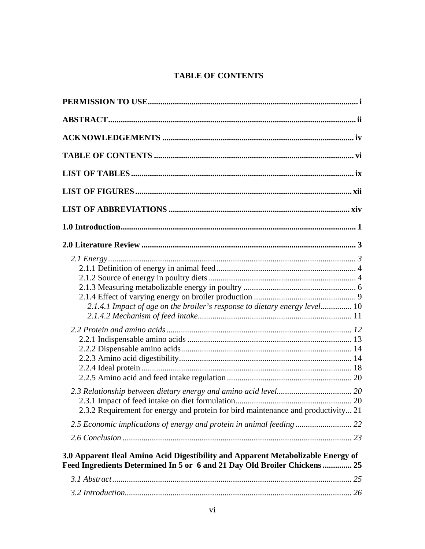# **TABLE OF CONTENTS**

<span id="page-6-0"></span>

| 2.1.4.1 Impact of age on the broiler's response to dietary energy level 10                                                                                    |  |
|---------------------------------------------------------------------------------------------------------------------------------------------------------------|--|
| 2.3.2 Requirement for energy and protein for bird maintenance and productivity 21                                                                             |  |
| 3.0 Apparent Ileal Amino Acid Digestibility and Apparent Metabolizable Energy of<br>Feed Ingredients Determined In 5 or 6 and 21 Day Old Broiler Chickens  25 |  |
|                                                                                                                                                               |  |
|                                                                                                                                                               |  |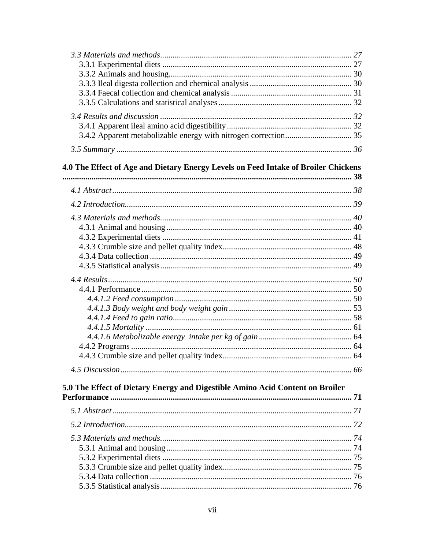| 4.0 The Effect of Age and Dietary Energy Levels on Feed Intake of Broiler Chickens |  |
|------------------------------------------------------------------------------------|--|
|                                                                                    |  |
|                                                                                    |  |
|                                                                                    |  |
|                                                                                    |  |
|                                                                                    |  |
|                                                                                    |  |
|                                                                                    |  |
|                                                                                    |  |
|                                                                                    |  |
|                                                                                    |  |
|                                                                                    |  |
|                                                                                    |  |
|                                                                                    |  |
|                                                                                    |  |
|                                                                                    |  |
|                                                                                    |  |
|                                                                                    |  |
|                                                                                    |  |
|                                                                                    |  |
| 5.0 The Effect of Dietary Energy and Digestible Amino Acid Content on Broiler      |  |
|                                                                                    |  |
|                                                                                    |  |
|                                                                                    |  |
|                                                                                    |  |
|                                                                                    |  |
|                                                                                    |  |
|                                                                                    |  |
|                                                                                    |  |
|                                                                                    |  |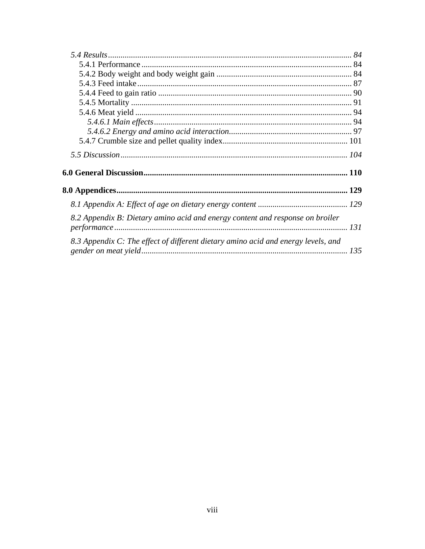| 8.2 Appendix B: Dietary amino acid and energy content and response on broiler     |  |
|-----------------------------------------------------------------------------------|--|
| 8.3 Appendix C: The effect of different dietary amino acid and energy levels, and |  |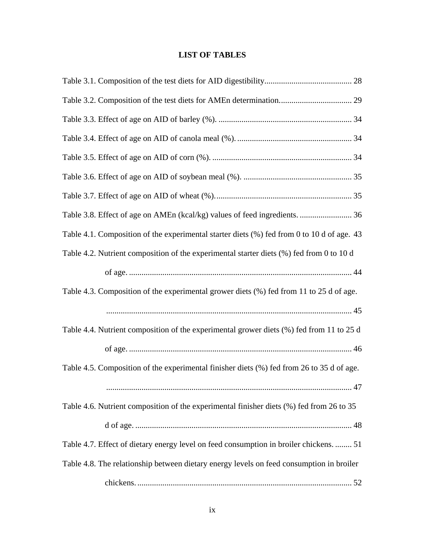# **LIST OF TABLES**

<span id="page-9-0"></span>

| Table 4.1. Composition of the experimental starter diets (%) fed from 0 to 10 d of age. 43 |
|--------------------------------------------------------------------------------------------|
| Table 4.2. Nutrient composition of the experimental starter diets (%) fed from 0 to 10 d   |
|                                                                                            |
| Table 4.3. Composition of the experimental grower diets (%) fed from 11 to 25 d of age.    |
|                                                                                            |
| Table 4.4. Nutrient composition of the experimental grower diets (%) fed from 11 to 25 d   |
|                                                                                            |
| Table 4.5. Composition of the experimental finisher diets (%) fed from 26 to 35 d of age.  |
|                                                                                            |
| Table 4.6. Nutrient composition of the experimental finisher diets (%) fed from 26 to 35   |
|                                                                                            |
| Table 4.7. Effect of dietary energy level on feed consumption in broiler chickens.  51     |
| Table 4.8. The relationship between dietary energy levels on feed consumption in broiler   |
|                                                                                            |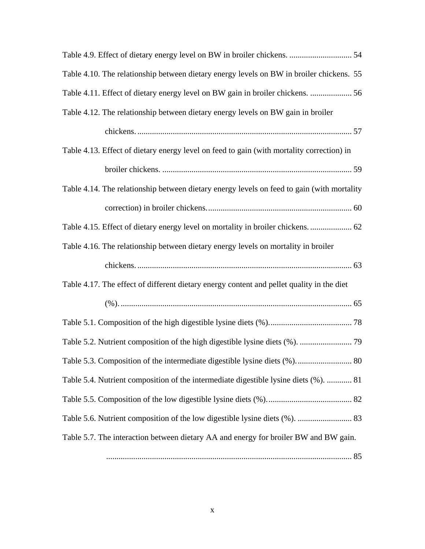| Table 4.9. Effect of dietary energy level on BW in broiler chickens.  54                   |
|--------------------------------------------------------------------------------------------|
| Table 4.10. The relationship between dietary energy levels on BW in broiler chickens. 55   |
| Table 4.11. Effect of dietary energy level on BW gain in broiler chickens.  56             |
| Table 4.12. The relationship between dietary energy levels on BW gain in broiler           |
|                                                                                            |
| Table 4.13. Effect of dietary energy level on feed to gain (with mortality correction) in  |
|                                                                                            |
| Table 4.14. The relationship between dietary energy levels on feed to gain (with mortality |
|                                                                                            |
| Table 4.15. Effect of dietary energy level on mortality in broiler chickens.  62           |
| Table 4.16. The relationship between dietary energy levels on mortality in broiler         |
|                                                                                            |
| Table 4.17. The effect of different dietary energy content and pellet quality in the diet  |
|                                                                                            |
|                                                                                            |
|                                                                                            |
|                                                                                            |
|                                                                                            |
| Table 5.4. Nutrient composition of the intermediate digestible lysine diets (%).  81       |
|                                                                                            |
|                                                                                            |
| Table 5.7. The interaction between dietary AA and energy for broiler BW and BW gain.       |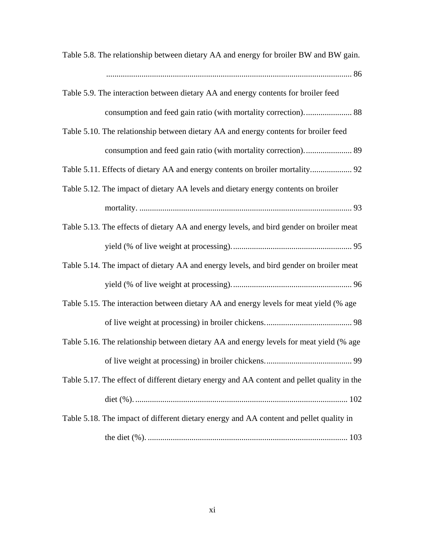| Table 5.8. The relationship between dietary AA and energy for broiler BW and BW gain.       |
|---------------------------------------------------------------------------------------------|
|                                                                                             |
| Table 5.9. The interaction between dietary AA and energy contents for broiler feed          |
|                                                                                             |
| Table 5.10. The relationship between dietary AA and energy contents for broiler feed        |
|                                                                                             |
| Table 5.11. Effects of dietary AA and energy contents on broiler mortality 92               |
| Table 5.12. The impact of dietary AA levels and dietary energy contents on broiler          |
|                                                                                             |
| Table 5.13. The effects of dietary AA and energy levels, and bird gender on broiler meat    |
|                                                                                             |
| Table 5.14. The impact of dietary AA and energy levels, and bird gender on broiler meat     |
|                                                                                             |
| Table 5.15. The interaction between dietary AA and energy levels for meat yield (% age      |
|                                                                                             |
| Table 5.16. The relationship between dietary AA and energy levels for meat yield (% age     |
|                                                                                             |
| Table 5.17. The effect of different dietary energy and AA content and pellet quality in the |
|                                                                                             |
| Table 5.18. The impact of different dietary energy and AA content and pellet quality in     |
|                                                                                             |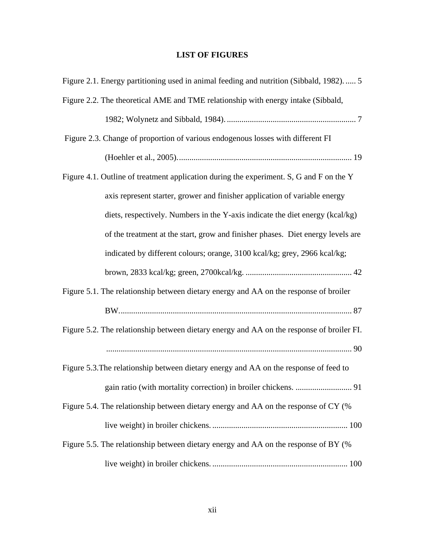# **LIST OF FIGURES**

<span id="page-12-0"></span>

| Figure 2.1. Energy partitioning used in animal feeding and nutrition (Sibbald, 1982).  5  |
|-------------------------------------------------------------------------------------------|
| Figure 2.2. The theoretical AME and TME relationship with energy intake (Sibbald,         |
|                                                                                           |
| Figure 2.3. Change of proportion of various endogenous losses with different FI           |
|                                                                                           |
| Figure 4.1. Outline of treatment application during the experiment. S, G and F on the Y   |
| axis represent starter, grower and finisher application of variable energy                |
| diets, respectively. Numbers in the Y-axis indicate the diet energy (kcal/kg)             |
| of the treatment at the start, grow and finisher phases. Diet energy levels are           |
| indicated by different colours; orange, 3100 kcal/kg; grey, 2966 kcal/kg;                 |
|                                                                                           |
| Figure 5.1. The relationship between dietary energy and AA on the response of broiler     |
|                                                                                           |
| Figure 5.2. The relationship between dietary energy and AA on the response of broiler FI. |
|                                                                                           |
| Figure 5.3. The relationship between dietary energy and AA on the response of feed to     |
| 91                                                                                        |
| Figure 5.4. The relationship between dietary energy and AA on the response of CY (%       |
|                                                                                           |
| Figure 5.5. The relationship between dietary energy and AA on the response of BY (%       |
|                                                                                           |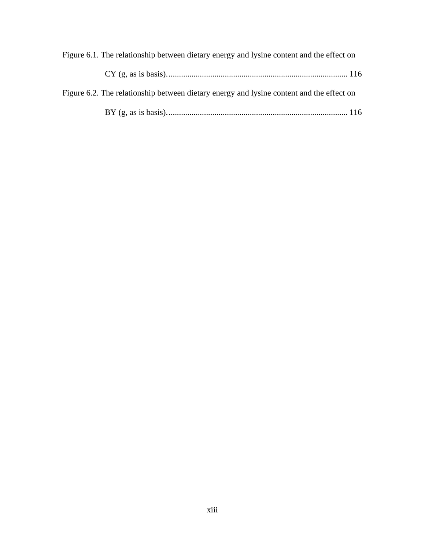| Figure 6.1. The relationship between dietary energy and lysine content and the effect on |  |
|------------------------------------------------------------------------------------------|--|
|                                                                                          |  |
| Figure 6.2. The relationship between dietary energy and lysine content and the effect on |  |
|                                                                                          |  |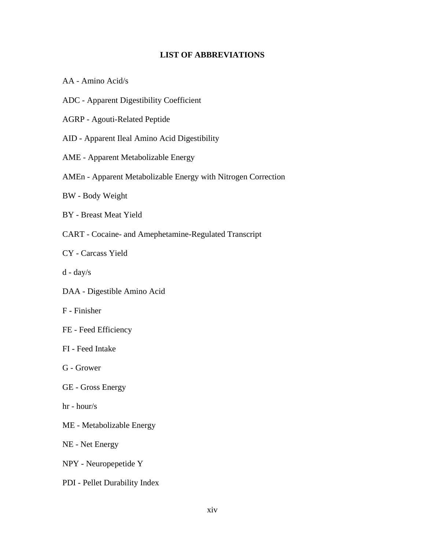# **LIST OF ABBREVIATIONS**

<span id="page-14-0"></span>AA - Amino Acid/s

- ADC Apparent Digestibility Coefficient
- AGRP Agouti-Related Peptide

AID - Apparent Ileal Amino Acid Digestibility

- AME Apparent Metabolizable Energy
- AMEn Apparent Metabolizable Energy with Nitrogen Correction
- BW Body Weight
- BY Breast Meat Yield
- CART Cocaine- and Amephetamine-Regulated Transcript
- CY Carcass Yield
- d day/s
- DAA Digestible Amino Acid
- F Finisher
- FE Feed Efficiency
- FI Feed Intake
- G Grower
- GE Gross Energy
- hr hour/s
- ME Metabolizable Energy
- NE Net Energy
- NPY Neuropepetide Y
- PDI Pellet Durability Index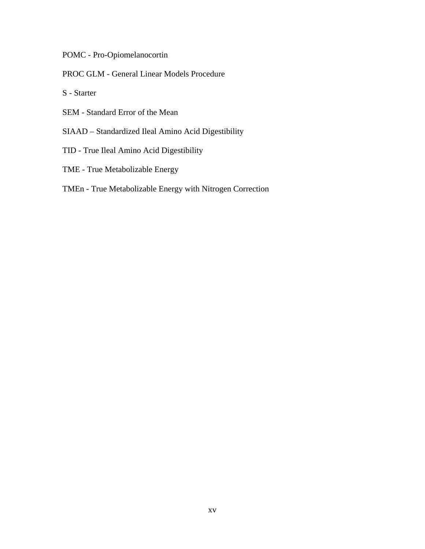POMC - Pro-Opiomelanocortin

PROC GLM - General Linear Models Procedure

S - Starter

- SEM Standard Error of the Mean
- SIAAD Standardized Ileal Amino Acid Digestibility
- TID True Ileal Amino Acid Digestibility
- TME True Metabolizable Energy

# TMEn - True Metabolizable Energy with Nitrogen Correction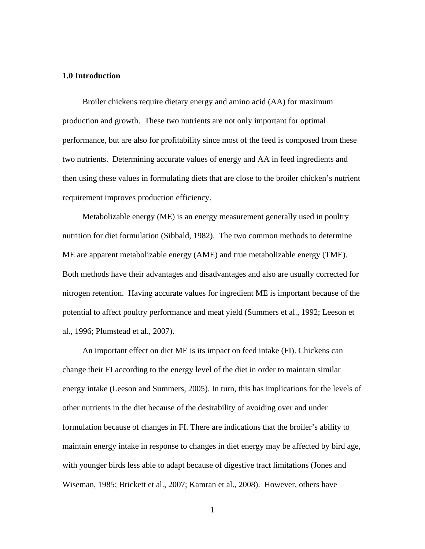## <span id="page-16-0"></span>**1.0 Introduction**

Broiler chickens require dietary energy and amino acid (AA) for maximum production and growth. These two nutrients are not only important for optimal performance, but are also for profitability since most of the feed is composed from these two nutrients. Determining accurate values of energy and AA in feed ingredients and then using these values in formulating diets that are close to the broiler chicken's nutrient requirement improves production efficiency.

Metabolizable energy (ME) is an energy measurement generally used in poultry nutrition for diet formulation (Sibbald, 1982). The two common methods to determine ME are apparent metabolizable energy (AME) and true metabolizable energy (TME). Both methods have their advantages and disadvantages and also are usually corrected for nitrogen retention. Having accurate values for ingredient ME is important because of the potential to affect poultry performance and meat yield (Summers et al., 1992; Leeson et al., 1996; Plumstead et al., 2007).

An important effect on diet ME is its impact on feed intake (FI). Chickens can change their FI according to the energy level of the diet in order to maintain similar energy intake (Leeson and Summers, 2005). In turn, this has implications for the levels of other nutrients in the diet because of the desirability of avoiding over and under formulation because of changes in FI. There are indications that the broiler's ability to maintain energy intake in response to changes in diet energy may be affected by bird age, with younger birds less able to adapt because of digestive tract limitations (Jones and Wiseman, 1985; Brickett et al., 2007; Kamran et al., 2008). However, others have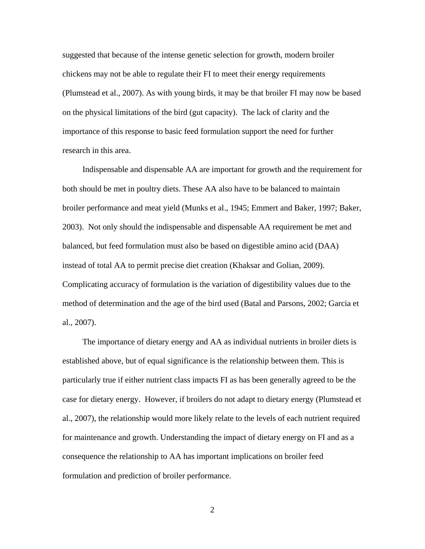suggested that because of the intense genetic selection for growth, modern broiler chickens may not be able to regulate their FI to meet their energy requirements (Plumstead et al., 2007). As with young birds, it may be that broiler FI may now be based on the physical limitations of the bird (gut capacity). The lack of clarity and the importance of this response to basic feed formulation support the need for further research in this area.

Indispensable and dispensable AA are important for growth and the requirement for both should be met in poultry diets. These AA also have to be balanced to maintain broiler performance and meat yield (Munks et al., 1945; Emmert and Baker, 1997; Baker, 2003). Not only should the indispensable and dispensable AA requirement be met and balanced, but feed formulation must also be based on digestible amino acid (DAA) instead of total AA to permit precise diet creation (Khaksar and Golian, 2009). Complicating accuracy of formulation is the variation of digestibility values due to the method of determination and the age of the bird used (Batal and Parsons, 2002; Garcia et al., 2007).

The importance of dietary energy and AA as individual nutrients in broiler diets is established above, but of equal significance is the relationship between them. This is particularly true if either nutrient class impacts FI as has been generally agreed to be the case for dietary energy. However, if broilers do not adapt to dietary energy (Plumstead et al., 2007), the relationship would more likely relate to the levels of each nutrient required for maintenance and growth. Understanding the impact of dietary energy on FI and as a consequence the relationship to AA has important implications on broiler feed formulation and prediction of broiler performance.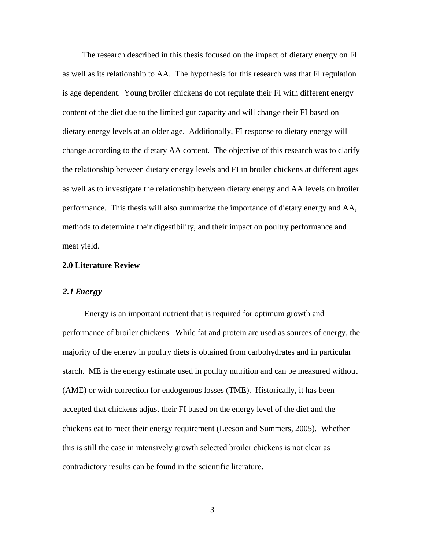The research described in this thesis focused on the impact of dietary energy on FI as well as its relationship to AA. The hypothesis for this research was that FI regulation is age dependent. Young broiler chickens do not regulate their FI with different energy content of the diet due to the limited gut capacity and will change their FI based on dietary energy levels at an older age. Additionally, FI response to dietary energy will change according to the dietary AA content. The objective of this research was to clarify the relationship between dietary energy levels and FI in broiler chickens at different ages as well as to investigate the relationship between dietary energy and AA levels on broiler performance. This thesis will also summarize the importance of dietary energy and AA, methods to determine their digestibility, and their impact on poultry performance and meat yield.

# <span id="page-18-1"></span><span id="page-18-0"></span>**2.0 Literature Review**

# *2.1 Energy*

Energy is an important nutrient that is required for optimum growth and performance of broiler chickens. While fat and protein are used as sources of energy, the majority of the energy in poultry diets is obtained from carbohydrates and in particular starch. ME is the energy estimate used in poultry nutrition and can be measured without (AME) or with correction for endogenous losses (TME). Historically, it has been accepted that chickens adjust their FI based on the energy level of the diet and the chickens eat to meet their energy requirement (Leeson and Summers, 2005). Whether this is still the case in intensively growth selected broiler chickens is not clear as contradictory results can be found in the scientific literature.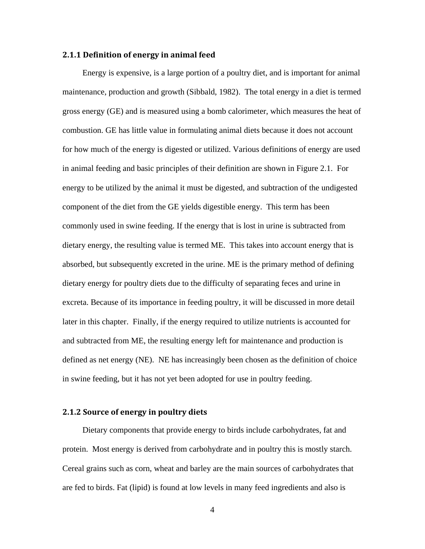## <span id="page-19-0"></span>**2.1.1 Definition of energy in animal feed**

Energy is expensive, is a large portion of a poultry diet, and is important for animal maintenance, production and growth (Sibbald, 1982). The total energy in a diet is termed gross energy (GE) and is measured using a bomb calorimeter, which measures the heat of combustion. GE has little value in formulating animal diets because it does not account for how much of the energy is digested or utilized. Various definitions of energy are used in animal feeding and basic principles of their definition are shown in Figure 2.1. For energy to be utilized by the animal it must be digested, and subtraction of the undigested component of the diet from the GE yields digestible energy. This term has been commonly used in swine feeding. If the energy that is lost in urine is subtracted from dietary energy, the resulting value is termed ME. This takes into account energy that is absorbed, but subsequently excreted in the urine. ME is the primary method of defining dietary energy for poultry diets due to the difficulty of separating feces and urine in excreta. Because of its importance in feeding poultry, it will be discussed in more detail later in this chapter. Finally, if the energy required to utilize nutrients is accounted for and subtracted from ME, the resulting energy left for maintenance and production is defined as net energy (NE). NE has increasingly been chosen as the definition of choice in swine feeding, but it has not yet been adopted for use in poultry feeding.

# <span id="page-19-1"></span>**2.1.2 Source of energy in poultry diets**

Dietary components that provide energy to birds include carbohydrates, fat and protein. Most energy is derived from carbohydrate and in poultry this is mostly starch. Cereal grains such as corn, wheat and barley are the main sources of carbohydrates that are fed to birds. Fat (lipid) is found at low levels in many feed ingredients and also is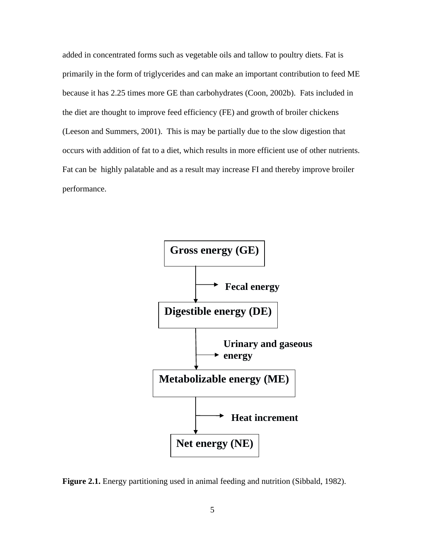added in concentrated forms such as vegetable oils and tallow to poultry diets. Fat is primarily in the form of triglycerides and can make an important contribution to feed ME because it has 2.25 times more GE than carbohydrates (Coon, 2002b). Fats included in the diet are thought to improve feed efficiency (FE) and growth of broiler chickens (Leeson and Summers, 2001). This is may be partially due to the slow digestion that occurs with addition of fat to a diet, which results in more efficient use of other nutrients. Fat can be highly palatable and as a result may increase FI and thereby improve broiler performance.



<span id="page-20-0"></span>**Figure 2.1.** Energy partitioning used in animal feeding and nutrition (Sibbald, 1982).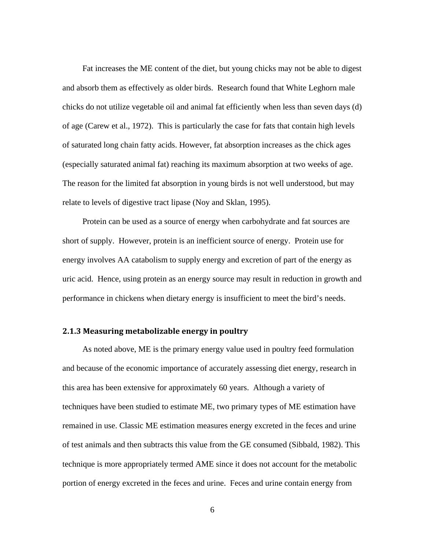Fat increases the ME content of the diet, but young chicks may not be able to digest and absorb them as effectively as older birds. Research found that White Leghorn male chicks do not utilize vegetable oil and animal fat efficiently when less than seven days (d) of age (Carew et al., 1972). This is particularly the case for fats that contain high levels of saturated long chain fatty acids. However, fat absorption increases as the chick ages (especially saturated animal fat) reaching its maximum absorption at two weeks of age. The reason for the limited fat absorption in young birds is not well understood, but may relate to levels of digestive tract lipase (Noy and Sklan, 1995).

Protein can be used as a source of energy when carbohydrate and fat sources are short of supply. However, protein is an inefficient source of energy. Protein use for energy involves AA catabolism to supply energy and excretion of part of the energy as uric acid. Hence, using protein as an energy source may result in reduction in growth and performance in chickens when dietary energy is insufficient to meet the bird's needs.

# <span id="page-21-0"></span>**2.1.3 Measuring metabolizable energy in poultry**

As noted above, ME is the primary energy value used in poultry feed formulation and because of the economic importance of accurately assessing diet energy, research in this area has been extensive for approximately 60 years. Although a variety of techniques have been studied to estimate ME, two primary types of ME estimation have remained in use. Classic ME estimation measures energy excreted in the feces and urine of test animals and then subtracts this value from the GE consumed (Sibbald, 1982). This technique is more appropriately termed AME since it does not account for the metabolic portion of energy excreted in the feces and urine. Feces and urine contain energy from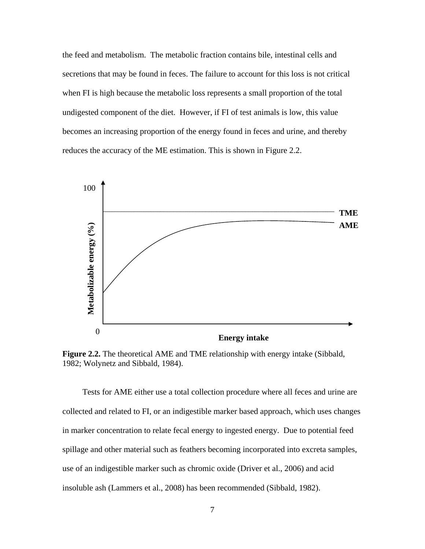the feed and metabolism. The metabolic fraction contains bile, intestinal cells and secretions that may be found in feces. The failure to account for this loss is not critical when FI is high because the metabolic loss represents a small proportion of the total undigested component of the diet. However, if FI of test animals is low, this value becomes an increasing proportion of the energy found in feces and urine, and thereby reduces the accuracy of the ME estimation. This is shown in Figure 2.2.



<span id="page-22-0"></span>**Figure 2.2.** The theoretical AME and TME relationship with energy intake (Sibbald, 1982; Wolynetz and Sibbald, 1984).

Tests for AME either use a total collection procedure where all feces and urine are collected and related to FI, or an indigestible marker based approach, which uses changes in marker concentration to relate fecal energy to ingested energy. Due to potential feed spillage and other material such as feathers becoming incorporated into excreta samples, use of an indigestible marker such as chromic oxide (Driver et al., 2006) and acid insoluble ash (Lammers et al., 2008) has been recommended (Sibbald, 1982).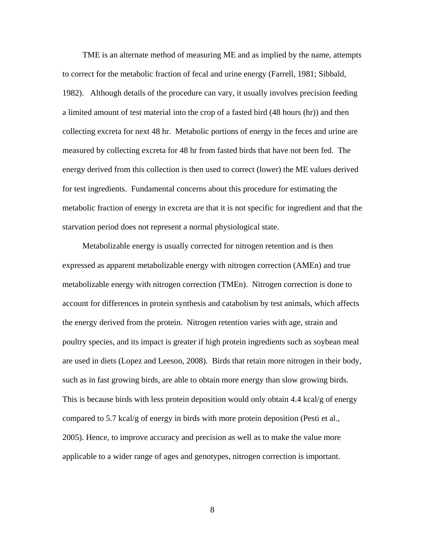TME is an alternate method of measuring ME and as implied by the name, attempts to correct for the metabolic fraction of fecal and urine energy (Farrell, 1981; Sibbald, 1982). Although details of the procedure can vary, it usually involves precision feeding a limited amount of test material into the crop of a fasted bird (48 hours (hr)) and then collecting excreta for next 48 hr. Metabolic portions of energy in the feces and urine are measured by collecting excreta for 48 hr from fasted birds that have not been fed. The energy derived from this collection is then used to correct (lower) the ME values derived for test ingredients. Fundamental concerns about this procedure for estimating the metabolic fraction of energy in excreta are that it is not specific for ingredient and that the starvation period does not represent a normal physiological state.

Metabolizable energy is usually corrected for nitrogen retention and is then expressed as apparent metabolizable energy with nitrogen correction (AMEn) and true metabolizable energy with nitrogen correction (TMEn). Nitrogen correction is done to account for differences in protein synthesis and catabolism by test animals, which affects the energy derived from the protein. Nitrogen retention varies with age, strain and poultry species, and its impact is greater if high protein ingredients such as soybean meal are used in diets (Lopez and Leeson, 2008). Birds that retain more nitrogen in their body, such as in fast growing birds, are able to obtain more energy than slow growing birds. This is because birds with less protein deposition would only obtain 4.4 kcal/g of energy compared to 5.7 kcal/g of energy in birds with more protein deposition (Pesti et al., 2005). Hence, to improve accuracy and precision as well as to make the value more applicable to a wider range of ages and genotypes, nitrogen correction is important.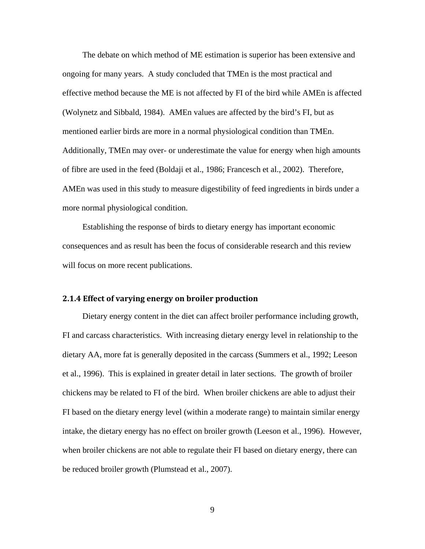The debate on which method of ME estimation is superior has been extensive and ongoing for many years. A study concluded that TMEn is the most practical and effective method because the ME is not affected by FI of the bird while AMEn is affected (Wolynetz and Sibbald, 1984). AMEn values are affected by the bird's FI, but as mentioned earlier birds are more in a normal physiological condition than TMEn. Additionally, TMEn may over- or underestimate the value for energy when high amounts of fibre are used in the feed (Boldaji et al., 1986; Francesch et al., 2002). Therefore, AMEn was used in this study to measure digestibility of feed ingredients in birds under a more normal physiological condition.

Establishing the response of birds to dietary energy has important economic consequences and as result has been the focus of considerable research and this review will focus on more recent publications.

# <span id="page-24-0"></span>**2.1.4 Effect of varying energy on broiler production**

Dietary energy content in the diet can affect broiler performance including growth, FI and carcass characteristics. With increasing dietary energy level in relationship to the dietary AA, more fat is generally deposited in the carcass (Summers et al., 1992; Leeson et al., 1996). This is explained in greater detail in later sections. The growth of broiler chickens may be related to FI of the bird. When broiler chickens are able to adjust their FI based on the dietary energy level (within a moderate range) to maintain similar energy intake, the dietary energy has no effect on broiler growth (Leeson et al., 1996). However, when broiler chickens are not able to regulate their FI based on dietary energy, there can be reduced broiler growth (Plumstead et al., 2007).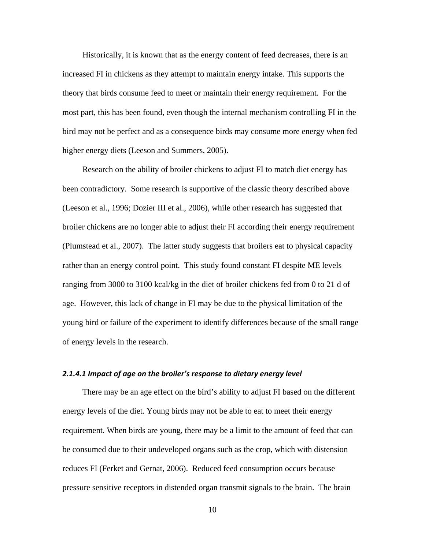Historically, it is known that as the energy content of feed decreases, there is an increased FI in chickens as they attempt to maintain energy intake. This supports the theory that birds consume feed to meet or maintain their energy requirement. For the most part, this has been found, even though the internal mechanism controlling FI in the bird may not be perfect and as a consequence birds may consume more energy when fed higher energy diets (Leeson and Summers, 2005).

Research on the ability of broiler chickens to adjust FI to match diet energy has been contradictory. Some research is supportive of the classic theory described above (Leeson et al., 1996; Dozier III et al., 2006), while other research has suggested that broiler chickens are no longer able to adjust their FI according their energy requirement (Plumstead et al., 2007). The latter study suggests that broilers eat to physical capacity rather than an energy control point. This study found constant FI despite ME levels ranging from 3000 to 3100 kcal/kg in the diet of broiler chickens fed from 0 to 21 d of age. However, this lack of change in FI may be due to the physical limitation of the young bird or failure of the experiment to identify differences because of the small range of energy levels in the research.

## <span id="page-25-0"></span>*2.1.4.1 Impact of age on the broiler's response to dietary energy level*

There may be an age effect on the bird's ability to adjust FI based on the different energy levels of the diet. Young birds may not be able to eat to meet their energy requirement. When birds are young, there may be a limit to the amount of feed that can be consumed due to their undeveloped organs such as the crop, which with distension reduces FI (Ferket and Gernat, 2006). Reduced feed consumption occurs because pressure sensitive receptors in distended organ transmit signals to the brain. The brain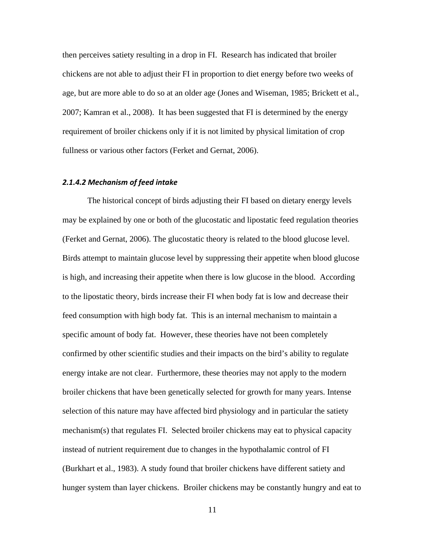then perceives satiety resulting in a drop in FI. Research has indicated that broiler chickens are not able to adjust their FI in proportion to diet energy before two weeks of age, but are more able to do so at an older age (Jones and Wiseman, 1985; Brickett et al., 2007; Kamran et al., 2008). It has been suggested that FI is determined by the energy requirement of broiler chickens only if it is not limited by physical limitation of crop fullness or various other factors (Ferket and Gernat, 2006).

## <span id="page-26-0"></span>*2.1.4.2 Mechanism of feed intake*

The historical concept of birds adjusting their FI based on dietary energy levels may be explained by one or both of the glucostatic and lipostatic feed regulation theories (Ferket and Gernat, 2006). The glucostatic theory is related to the blood glucose level. Birds attempt to maintain glucose level by suppressing their appetite when blood glucose is high, and increasing their appetite when there is low glucose in the blood. According to the lipostatic theory, birds increase their FI when body fat is low and decrease their feed consumption with high body fat. This is an internal mechanism to maintain a specific amount of body fat. However, these theories have not been completely confirmed by other scientific studies and their impacts on the bird's ability to regulate energy intake are not clear. Furthermore, these theories may not apply to the modern broiler chickens that have been genetically selected for growth for many years. Intense selection of this nature may have affected bird physiology and in particular the satiety mechanism(s) that regulates FI. Selected broiler chickens may eat to physical capacity instead of nutrient requirement due to changes in the hypothalamic control of FI (Burkhart et al., 1983). A study found that broiler chickens have different satiety and hunger system than layer chickens. Broiler chickens may be constantly hungry and eat to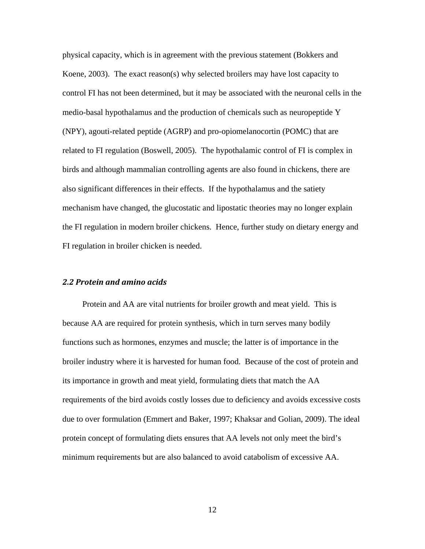physical capacity, which is in agreement with the previous statement (Bokkers and Koene, 2003). The exact reason(s) why selected broilers may have lost capacity to control FI has not been determined, but it may be associated with the neuronal cells in the medio-basal hypothalamus and the production of chemicals such as neuropeptide Y (NPY), agouti-related peptide (AGRP) and pro-opiomelanocortin (POMC) that are related to FI regulation (Boswell, 2005). The hypothalamic control of FI is complex in birds and although mammalian controlling agents are also found in chickens, there are also significant differences in their effects. If the hypothalamus and the satiety mechanism have changed, the glucostatic and lipostatic theories may no longer explain the FI regulation in modern broiler chickens. Hence, further study on dietary energy and FI regulation in broiler chicken is needed.

# <span id="page-27-0"></span>*2.2 Protein and amino acids*

Protein and AA are vital nutrients for broiler growth and meat yield. This is because AA are required for protein synthesis, which in turn serves many bodily functions such as hormones, enzymes and muscle; the latter is of importance in the broiler industry where it is harvested for human food. Because of the cost of protein and its importance in growth and meat yield, formulating diets that match the AA requirements of the bird avoids costly losses due to deficiency and avoids excessive costs due to over formulation (Emmert and Baker, 1997; Khaksar and Golian, 2009). The ideal protein concept of formulating diets ensures that AA levels not only meet the bird's minimum requirements but are also balanced to avoid catabolism of excessive AA.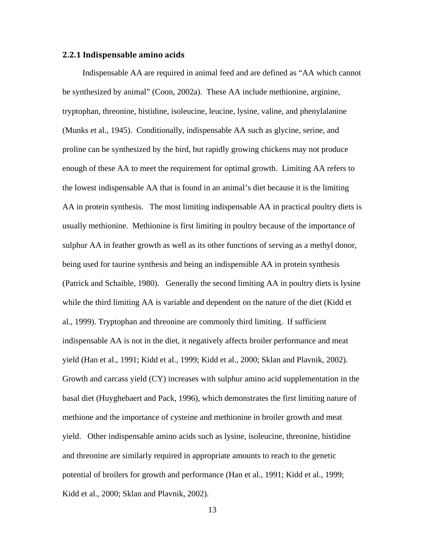#### <span id="page-28-0"></span>**2.2.1 Indispensable amino acids**

Indispensable AA are required in animal feed and are defined as "AA which cannot be synthesized by animal" (Coon, 2002a). These AA include methionine, arginine, tryptophan, threonine, histidine, isoleucine, leucine, lysine, valine, and phenylalanine (Munks et al., 1945). Conditionally, indispensable AA such as glycine, serine, and proline can be synthesized by the bird, but rapidly growing chickens may not produce enough of these AA to meet the requirement for optimal growth. Limiting AA refers to the lowest indispensable AA that is found in an animal's diet because it is the limiting AA in protein synthesis. The most limiting indispensable AA in practical poultry diets is usually methionine. Methionine is first limiting in poultry because of the importance of sulphur AA in feather growth as well as its other functions of serving as a methyl donor, being used for taurine synthesis and being an indispensible AA in protein synthesis (Patrick and Schaible, 1980). Generally the second limiting AA in poultry diets is lysine while the third limiting AA is variable and dependent on the nature of the diet (Kidd et al., 1999). Tryptophan and threonine are commonly third limiting. If sufficient indispensable AA is not in the diet, it negatively affects broiler performance and meat yield (Han et al., 1991; Kidd et al., 1999; Kidd et al., 2000; Sklan and Plavnik, 2002). Growth and carcass yield (CY) increases with sulphur amino acid supplementation in the basal diet (Huyghebaert and Pack, 1996), which demonstrates the first limiting nature of methione and the importance of cysteine and methionine in broiler growth and meat yield. Other indispensable amino acids such as lysine, isoleucine, threonine, histidine and threonine are similarly required in appropriate amounts to reach to the genetic potential of broilers for growth and performance (Han et al., 1991; Kidd et al., 1999; Kidd et al., 2000; Sklan and Plavnik, 2002).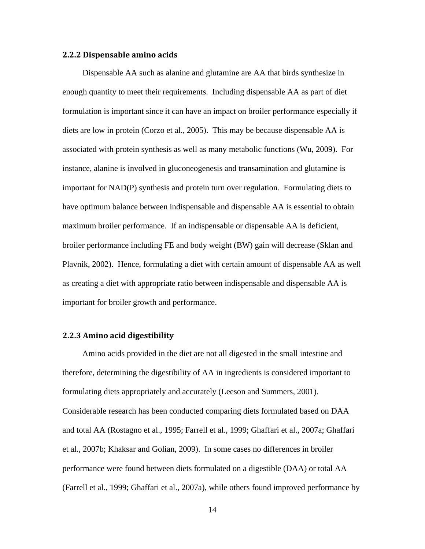#### <span id="page-29-0"></span>**2.2.2 Dispensable amino acids**

Dispensable AA such as alanine and glutamine are AA that birds synthesize in enough quantity to meet their requirements. Including dispensable AA as part of diet formulation is important since it can have an impact on broiler performance especially if diets are low in protein (Corzo et al., 2005). This may be because dispensable AA is associated with protein synthesis as well as many metabolic functions (Wu, 2009). For instance, alanine is involved in gluconeogenesis and transamination and glutamine is important for NAD(P) synthesis and protein turn over regulation. Formulating diets to have optimum balance between indispensable and dispensable AA is essential to obtain maximum broiler performance. If an indispensable or dispensable AA is deficient, broiler performance including FE and body weight (BW) gain will decrease (Sklan and Plavnik, 2002). Hence, formulating a diet with certain amount of dispensable AA as well as creating a diet with appropriate ratio between indispensable and dispensable AA is important for broiler growth and performance.

# <span id="page-29-1"></span>**2.2.3 Amino acid digestibility**

Amino acids provided in the diet are not all digested in the small intestine and therefore, determining the digestibility of AA in ingredients is considered important to formulating diets appropriately and accurately (Leeson and Summers, 2001). Considerable research has been conducted comparing diets formulated based on DAA and total AA (Rostagno et al., 1995; Farrell et al., 1999; Ghaffari et al., 2007a; Ghaffari et al., 2007b; Khaksar and Golian, 2009). In some cases no differences in broiler performance were found between diets formulated on a digestible (DAA) or total AA (Farrell et al., 1999; Ghaffari et al., 2007a), while others found improved performance by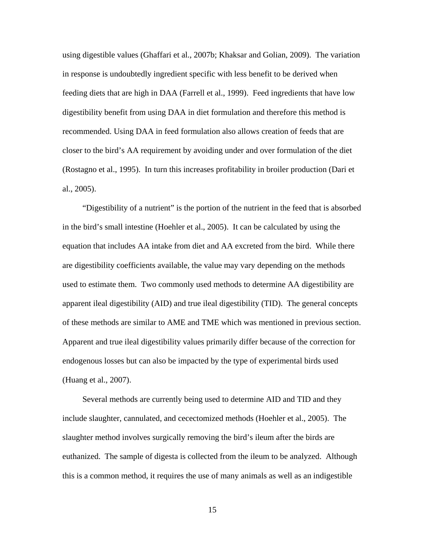using digestible values (Ghaffari et al., 2007b; Khaksar and Golian, 2009). The variation in response is undoubtedly ingredient specific with less benefit to be derived when feeding diets that are high in DAA (Farrell et al., 1999). Feed ingredients that have low digestibility benefit from using DAA in diet formulation and therefore this method is recommended. Using DAA in feed formulation also allows creation of feeds that are closer to the bird's AA requirement by avoiding under and over formulation of the diet (Rostagno et al., 1995). In turn this increases profitability in broiler production (Dari et al., 2005).

"Digestibility of a nutrient" is the portion of the nutrient in the feed that is absorbed in the bird's small intestine (Hoehler et al., 2005). It can be calculated by using the equation that includes AA intake from diet and AA excreted from the bird. While there are digestibility coefficients available, the value may vary depending on the methods used to estimate them. Two commonly used methods to determine AA digestibility are apparent ileal digestibility (AID) and true ileal digestibility (TID). The general concepts of these methods are similar to AME and TME which was mentioned in previous section. Apparent and true ileal digestibility values primarily differ because of the correction for endogenous losses but can also be impacted by the type of experimental birds used (Huang et al., 2007).

Several methods are currently being used to determine AID and TID and they include slaughter, cannulated, and cecectomized methods (Hoehler et al., 2005). The slaughter method involves surgically removing the bird's ileum after the birds are euthanized. The sample of digesta is collected from the ileum to be analyzed. Although this is a common method, it requires the use of many animals as well as an indigestible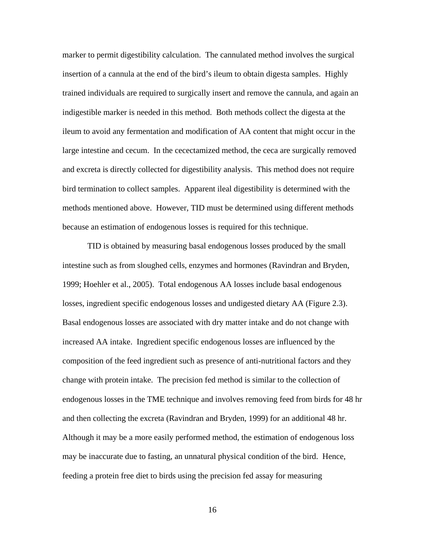marker to permit digestibility calculation. The cannulated method involves the surgical insertion of a cannula at the end of the bird's ileum to obtain digesta samples. Highly trained individuals are required to surgically insert and remove the cannula, and again an indigestible marker is needed in this method. Both methods collect the digesta at the ileum to avoid any fermentation and modification of AA content that might occur in the large intestine and cecum. In the cecectamized method, the ceca are surgically removed and excreta is directly collected for digestibility analysis. This method does not require bird termination to collect samples. Apparent ileal digestibility is determined with the methods mentioned above. However, TID must be determined using different methods because an estimation of endogenous losses is required for this technique.

TID is obtained by measuring basal endogenous losses produced by the small intestine such as from sloughed cells, enzymes and hormones (Ravindran and Bryden, 1999; Hoehler et al., 2005). Total endogenous AA losses include basal endogenous losses, ingredient specific endogenous losses and undigested dietary AA (Figure 2.3). Basal endogenous losses are associated with dry matter intake and do not change with increased AA intake. Ingredient specific endogenous losses are influenced by the composition of the feed ingredient such as presence of anti-nutritional factors and they change with protein intake. The precision fed method is similar to the collection of endogenous losses in the TME technique and involves removing feed from birds for 48 hr and then collecting the excreta (Ravindran and Bryden, 1999) for an additional 48 hr. Although it may be a more easily performed method, the estimation of endogenous loss may be inaccurate due to fasting, an unnatural physical condition of the bird. Hence, feeding a protein free diet to birds using the precision fed assay for measuring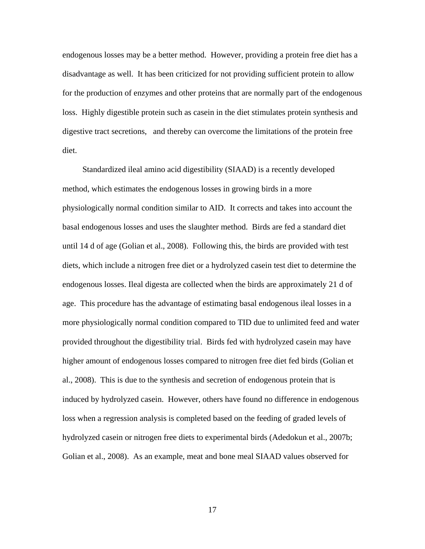endogenous losses may be a better method. However, providing a protein free diet has a disadvantage as well. It has been criticized for not providing sufficient protein to allow for the production of enzymes and other proteins that are normally part of the endogenous loss. Highly digestible protein such as casein in the diet stimulates protein synthesis and digestive tract secretions, and thereby can overcome the limitations of the protein free diet.

Standardized ileal amino acid digestibility (SIAAD) is a recently developed method, which estimates the endogenous losses in growing birds in a more physiologically normal condition similar to AID. It corrects and takes into account the basal endogenous losses and uses the slaughter method. Birds are fed a standard diet until 14 d of age (Golian et al., 2008). Following this, the birds are provided with test diets, which include a nitrogen free diet or a hydrolyzed casein test diet to determine the endogenous losses. Ileal digesta are collected when the birds are approximately 21 d of age. This procedure has the advantage of estimating basal endogenous ileal losses in a more physiologically normal condition compared to TID due to unlimited feed and water provided throughout the digestibility trial. Birds fed with hydrolyzed casein may have higher amount of endogenous losses compared to nitrogen free diet fed birds (Golian et al., 2008). This is due to the synthesis and secretion of endogenous protein that is induced by hydrolyzed casein. However, others have found no difference in endogenous loss when a regression analysis is completed based on the feeding of graded levels of hydrolyzed casein or nitrogen free diets to experimental birds (Adedokun et al., 2007b; Golian et al., 2008). As an example, meat and bone meal SIAAD values observed for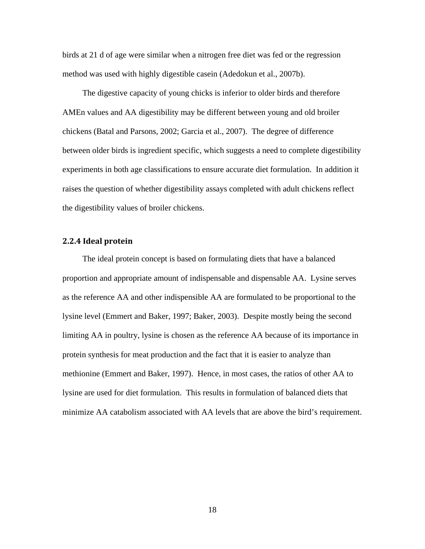birds at 21 d of age were similar when a nitrogen free diet was fed or the regression method was used with highly digestible casein (Adedokun et al., 2007b).

The digestive capacity of young chicks is inferior to older birds and therefore AMEn values and AA digestibility may be different between young and old broiler chickens (Batal and Parsons, 2002; Garcia et al., 2007). The degree of difference between older birds is ingredient specific, which suggests a need to complete digestibility experiments in both age classifications to ensure accurate diet formulation. In addition it raises the question of whether digestibility assays completed with adult chickens reflect the digestibility values of broiler chickens.

## <span id="page-33-0"></span>**2.2.4 Ideal protein**

The ideal protein concept is based on formulating diets that have a balanced proportion and appropriate amount of indispensable and dispensable AA. Lysine serves as the reference AA and other indispensible AA are formulated to be proportional to the lysine level (Emmert and Baker, 1997; Baker, 2003). Despite mostly being the second limiting AA in poultry, lysine is chosen as the reference AA because of its importance in protein synthesis for meat production and the fact that it is easier to analyze than methionine (Emmert and Baker, 1997). Hence, in most cases, the ratios of other AA to lysine are used for diet formulation. This results in formulation of balanced diets that minimize AA catabolism associated with AA levels that are above the bird's requirement.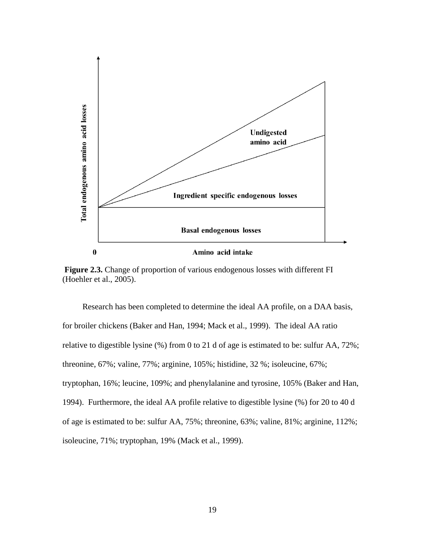

<span id="page-34-0"></span>**Figure 2.3.** Change of proportion of various endogenous losses with different FI (Hoehler et al., 2005).

Research has been completed to determine the ideal AA profile, on a DAA basis, for broiler chickens (Baker and Han, 1994; Mack et al., 1999). The ideal AA ratio relative to digestible lysine (%) from 0 to 21 d of age is estimated to be: sulfur AA, 72%; threonine, 67%; valine, 77%; arginine, 105%; histidine, 32 %; isoleucine, 67%; tryptophan, 16%; leucine, 109%; and phenylalanine and tyrosine, 105% (Baker and Han, 1994). Furthermore, the ideal AA profile relative to digestible lysine (%) for 20 to 40 d of age is estimated to be: sulfur AA, 75%; threonine, 63%; valine, 81%; arginine, 112%; isoleucine, 71%; tryptophan, 19% (Mack et al., 1999).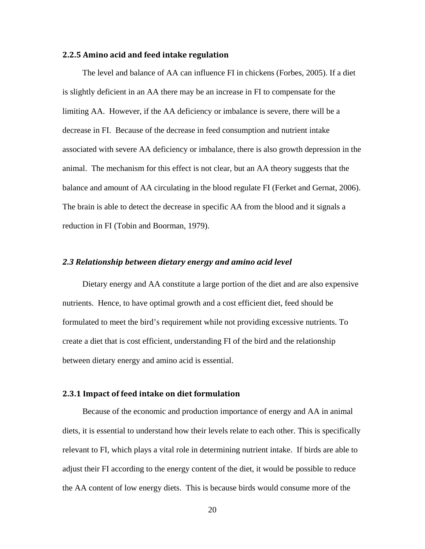## <span id="page-35-0"></span>**2.2.5 Amino acid and feed intake regulation**

The level and balance of AA can influence FI in chickens (Forbes, 2005). If a diet is slightly deficient in an AA there may be an increase in FI to compensate for the limiting AA. However, if the AA deficiency or imbalance is severe, there will be a decrease in FI. Because of the decrease in feed consumption and nutrient intake associated with severe AA deficiency or imbalance, there is also growth depression in the animal. The mechanism for this effect is not clear, but an AA theory suggests that the balance and amount of AA circulating in the blood regulate FI (Ferket and Gernat, 2006). The brain is able to detect the decrease in specific AA from the blood and it signals a reduction in FI (Tobin and Boorman, 1979).

#### <span id="page-35-1"></span>*2.3 Relationship between dietary energy and amino acid level*

Dietary energy and AA constitute a large portion of the diet and are also expensive nutrients. Hence, to have optimal growth and a cost efficient diet, feed should be formulated to meet the bird's requirement while not providing excessive nutrients. To create a diet that is cost efficient, understanding FI of the bird and the relationship between dietary energy and amino acid is essential.

## <span id="page-35-2"></span>**2.3.1 Impact of feed intake on diet formulation**

Because of the economic and production importance of energy and AA in animal diets, it is essential to understand how their levels relate to each other. This is specifically relevant to FI, which plays a vital role in determining nutrient intake. If birds are able to adjust their FI according to the energy content of the diet, it would be possible to reduce the AA content of low energy diets. This is because birds would consume more of the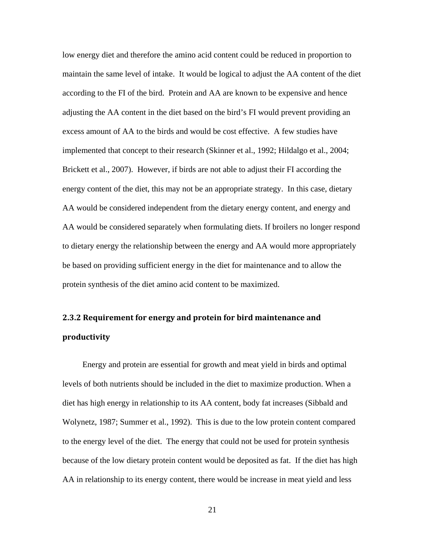low energy diet and therefore the amino acid content could be reduced in proportion to maintain the same level of intake. It would be logical to adjust the AA content of the diet according to the FI of the bird. Protein and AA are known to be expensive and hence adjusting the AA content in the diet based on the bird's FI would prevent providing an excess amount of AA to the birds and would be cost effective. A few studies have implemented that concept to their research (Skinner et al., 1992; Hildalgo et al., 2004; Brickett et al., 2007). However, if birds are not able to adjust their FI according the energy content of the diet, this may not be an appropriate strategy. In this case, dietary AA would be considered independent from the dietary energy content, and energy and AA would be considered separately when formulating diets. If broilers no longer respond to dietary energy the relationship between the energy and AA would more appropriately be based on providing sufficient energy in the diet for maintenance and to allow the protein synthesis of the diet amino acid content to be maximized.

# **2.3.2 Requirement for energy and protein for bird maintenance and productivity**

Energy and protein are essential for growth and meat yield in birds and optimal levels of both nutrients should be included in the diet to maximize production. When a diet has high energy in relationship to its AA content, body fat increases (Sibbald and Wolynetz, 1987; Summer et al., 1992). This is due to the low protein content compared to the energy level of the diet. The energy that could not be used for protein synthesis because of the low dietary protein content would be deposited as fat. If the diet has high AA in relationship to its energy content, there would be increase in meat yield and less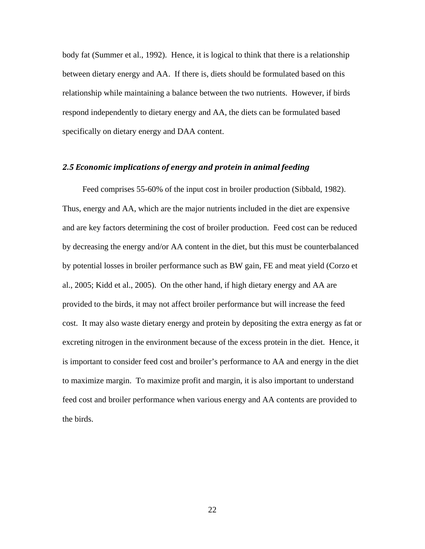body fat (Summer et al., 1992). Hence, it is logical to think that there is a relationship between dietary energy and AA. If there is, diets should be formulated based on this relationship while maintaining a balance between the two nutrients. However, if birds respond independently to dietary energy and AA, the diets can be formulated based specifically on dietary energy and DAA content.

### *2.5 Economic implications of energy and protein in animal feeding*

Feed comprises 55-60% of the input cost in broiler production (Sibbald, 1982). Thus, energy and AA, which are the major nutrients included in the diet are expensive and are key factors determining the cost of broiler production. Feed cost can be reduced by decreasing the energy and/or AA content in the diet, but this must be counterbalanced by potential losses in broiler performance such as BW gain, FE and meat yield (Corzo et al., 2005; Kidd et al., 2005). On the other hand, if high dietary energy and AA are provided to the birds, it may not affect broiler performance but will increase the feed cost. It may also waste dietary energy and protein by depositing the extra energy as fat or excreting nitrogen in the environment because of the excess protein in the diet. Hence, it is important to consider feed cost and broiler's performance to AA and energy in the diet to maximize margin. To maximize profit and margin, it is also important to understand feed cost and broiler performance when various energy and AA contents are provided to the birds.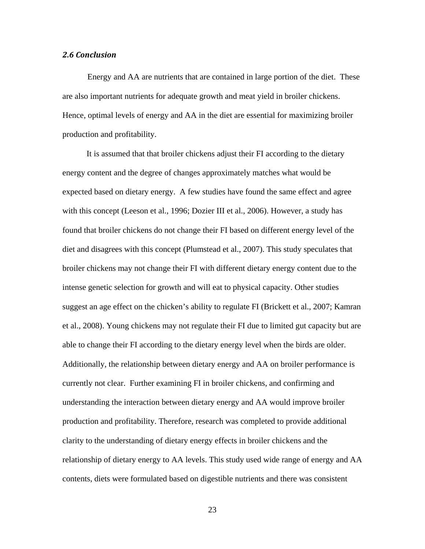#### *2.6 Conclusion*

Energy and AA are nutrients that are contained in large portion of the diet. These are also important nutrients for adequate growth and meat yield in broiler chickens. Hence, optimal levels of energy and AA in the diet are essential for maximizing broiler production and profitability.

 It is assumed that that broiler chickens adjust their FI according to the dietary energy content and the degree of changes approximately matches what would be expected based on dietary energy. A few studies have found the same effect and agree with this concept (Leeson et al., 1996; Dozier III et al., 2006). However, a study has found that broiler chickens do not change their FI based on different energy level of the diet and disagrees with this concept (Plumstead et al., 2007). This study speculates that broiler chickens may not change their FI with different dietary energy content due to the intense genetic selection for growth and will eat to physical capacity. Other studies suggest an age effect on the chicken's ability to regulate FI (Brickett et al., 2007; Kamran et al., 2008). Young chickens may not regulate their FI due to limited gut capacity but are able to change their FI according to the dietary energy level when the birds are older. Additionally, the relationship between dietary energy and AA on broiler performance is currently not clear. Further examining FI in broiler chickens, and confirming and understanding the interaction between dietary energy and AA would improve broiler production and profitability. Therefore, research was completed to provide additional clarity to the understanding of dietary energy effects in broiler chickens and the relationship of dietary energy to AA levels. This study used wide range of energy and AA contents, diets were formulated based on digestible nutrients and there was consistent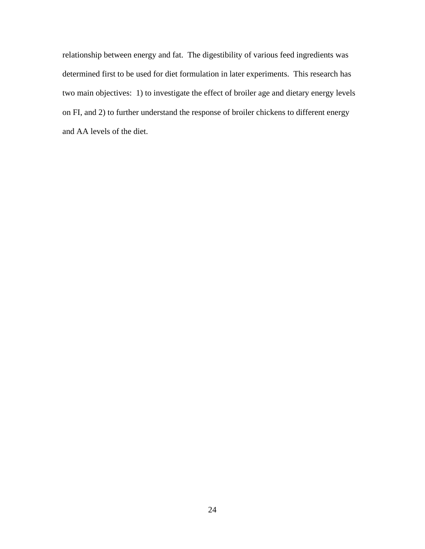relationship between energy and fat. The digestibility of various feed ingredients was determined first to be used for diet formulation in later experiments. This research has two main objectives: 1) to investigate the effect of broiler age and dietary energy levels on FI, and 2) to further understand the response of broiler chickens to different energy and AA levels of the diet.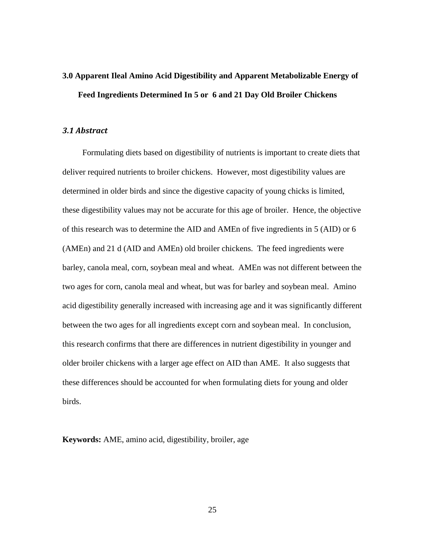# **3.0 Apparent Ileal Amino Acid Digestibility and Apparent Metabolizable Energy of Feed Ingredients Determined In 5 or 6 and 21 Day Old Broiler Chickens**

#### *3.1 Abstract*

Formulating diets based on digestibility of nutrients is important to create diets that deliver required nutrients to broiler chickens. However, most digestibility values are determined in older birds and since the digestive capacity of young chicks is limited, these digestibility values may not be accurate for this age of broiler. Hence, the objective of this research was to determine the AID and AMEn of five ingredients in 5 (AID) or 6 (AMEn) and 21 d (AID and AMEn) old broiler chickens. The feed ingredients were barley, canola meal, corn, soybean meal and wheat. AMEn was not different between the two ages for corn, canola meal and wheat, but was for barley and soybean meal. Amino acid digestibility generally increased with increasing age and it was significantly different between the two ages for all ingredients except corn and soybean meal. In conclusion, this research confirms that there are differences in nutrient digestibility in younger and older broiler chickens with a larger age effect on AID than AME. It also suggests that these differences should be accounted for when formulating diets for young and older birds.

**Keywords:** AME, amino acid, digestibility, broiler, age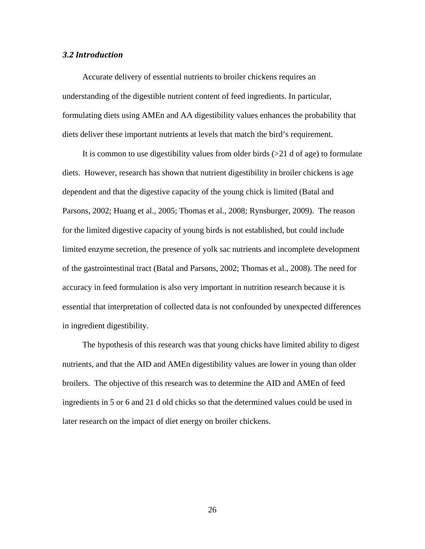#### *3.2 Introduction*

Accurate delivery of essential nutrients to broiler chickens requires an understanding of the digestible nutrient content of feed ingredients. In particular, formulating diets using AMEn and AA digestibility values enhances the probability that diets deliver these important nutrients at levels that match the bird's requirement.

It is common to use digestibility values from older birds  $(>21$  d of age) to formulate diets. However, research has shown that nutrient digestibility in broiler chickens is age dependent and that the digestive capacity of the young chick is limited (Batal and Parsons, 2002; Huang et al., 2005; Thomas et al., 2008; Rynsburger, 2009). The reason for the limited digestive capacity of young birds is not established, but could include limited enzyme secretion, the presence of yolk sac nutrients and incomplete development of the gastrointestinal tract (Batal and Parsons, 2002; Thomas et al., 2008). The need for accuracy in feed formulation is also very important in nutrition research because it is essential that interpretation of collected data is not confounded by unexpected differences in ingredient digestibility.

The hypothesis of this research was that young chicks have limited ability to digest nutrients, and that the AID and AMEn digestibility values are lower in young than older broilers. The objective of this research was to determine the AID and AMEn of feed ingredients in 5 or 6 and 21 d old chicks so that the determined values could be used in later research on the impact of diet energy on broiler chickens.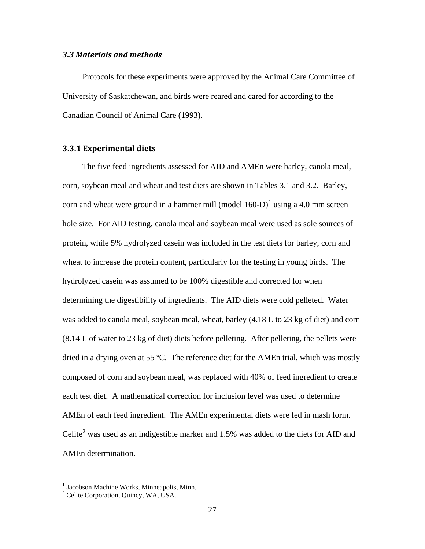#### *3.3 Materials and methods*

Protocols for these experiments were approved by the Animal Care Committee of University of Saskatchewan, and birds were reared and cared for according to the Canadian Council of Animal Care (1993).

## **3.3.1 Experimental diets**

The five feed ingredients assessed for AID and AMEn were barley, canola meal, corn, soybean meal and wheat and test diets are shown in Tables 3.1 and 3.2. Barley, corn and wheat were ground in a hammer mill (model  $160-D$  $160-D$ )<sup>1</sup> using a 4.0 mm screen hole size. For AID testing, canola meal and soybean meal were used as sole sources of protein, while 5% hydrolyzed casein was included in the test diets for barley, corn and wheat to increase the protein content, particularly for the testing in young birds. The hydrolyzed casein was assumed to be 100% digestible and corrected for when determining the digestibility of ingredients. The AID diets were cold pelleted. Water was added to canola meal, soybean meal, wheat, barley (4.18 L to 23 kg of diet) and corn (8.14 L of water to 23 kg of diet) diets before pelleting. After pelleting, the pellets were dried in a drying oven at 55 ºC. The reference diet for the AMEn trial, which was mostly composed of corn and soybean meal, was replaced with 40% of feed ingredient to create each test diet. A mathematical correction for inclusion level was used to determine AMEn of each feed ingredient. The AMEn experimental diets were fed in mash form. Celite<sup>[2](#page-42-1)</sup> was used as an indigestible marker and 1.5% was added to the diets for AID and AMEn determination.

<sup>&</sup>lt;sup>1</sup> Jacobson Machine Works, Minneapolis, Minn.

<span id="page-42-1"></span><span id="page-42-0"></span><sup>2</sup> Celite Corporation, Quincy, WA, USA.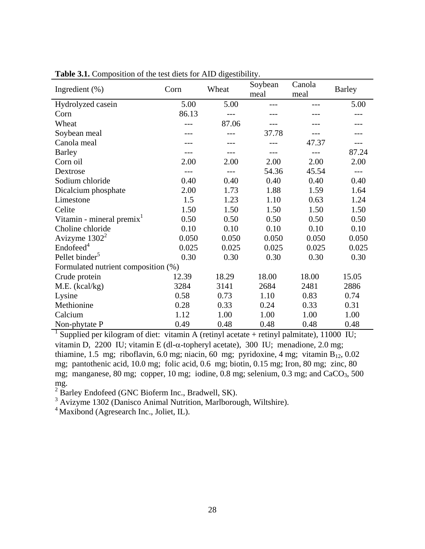| Ingredient $(\%)$                     | Corn  | Wheat | Soybean<br>meal | Canola<br>meal | <b>Barley</b> |
|---------------------------------------|-------|-------|-----------------|----------------|---------------|
| Hydrolyzed casein                     | 5.00  | 5.00  |                 |                | 5.00          |
| Corn                                  | 86.13 |       |                 |                |               |
| Wheat                                 | ---   | 87.06 |                 |                |               |
| Soybean meal                          |       |       | 37.78           |                |               |
| Canola meal                           |       |       |                 | 47.37          |               |
| <b>Barley</b>                         |       |       |                 | ---            | 87.24         |
| Corn oil                              | 2.00  | 2.00  | 2.00            | 2.00           | 2.00          |
| Dextrose                              | ---   |       | 54.36           | 45.54          | $ -$          |
| Sodium chloride                       | 0.40  | 0.40  | 0.40            | 0.40           | 0.40          |
| Dicalcium phosphate                   | 2.00  | 1.73  | 1.88            | 1.59           | 1.64          |
| Limestone                             | 1.5   | 1.23  | 1.10            | 0.63           | 1.24          |
| Celite                                | 1.50  | 1.50  | 1.50            | 1.50           | 1.50          |
| Vitamin - mineral premix <sup>1</sup> | 0.50  | 0.50  | 0.50            | 0.50           | 0.50          |
| Choline chloride                      | 0.10  | 0.10  | 0.10            | 0.10           | 0.10          |
| Avizyme $1302^2$                      | 0.050 | 0.050 | 0.050           | 0.050          | 0.050         |
| Endofeed <sup>4</sup>                 | 0.025 | 0.025 | 0.025           | 0.025          | 0.025         |
| Pellet binder <sup>5</sup>            | 0.30  | 0.30  | 0.30            | 0.30           | 0.30          |
| Formulated nutrient composition (%)   |       |       |                 |                |               |
| Crude protein                         | 12.39 | 18.29 | 18.00           | 18.00          | 15.05         |
| M.E. (kcal/kg)                        | 3284  | 3141  | 2684            | 2481           | 2886          |
| Lysine                                | 0.58  | 0.73  | 1.10            | 0.83           | 0.74          |
| Methionine                            | 0.28  | 0.33  | 0.24            | 0.33           | 0.31          |
| Calcium                               | 1.12  | 1.00  | 1.00            | 1.00           | 1.00          |
| Non-phytate P                         | 0.49  | 0.48  | 0.48            | 0.48           | 0.48          |

**Table 3.1.** Composition of the test diets for AID digestibility.

<sup>1</sup> Supplied per kilogram of diet: vitamin A (retinyl acetate + retinyl palmitate), 11000 IU; vitamin D, 2200 IU; vitamin E (dl-α-topheryl acetate), 300 IU; menadione, 2.0 mg; thiamine, 1.5 mg; riboflavin, 6.0 mg; niacin, 60 mg; pyridoxine, 4 mg; vitamin  $B_{12}$ , 0.02 mg; pantothenic acid, 10.0 mg; folic acid, 0.6 mg; biotin, 0.15 mg; Iron, 80 mg; zinc, 80 mg; manganese, 80 mg; copper, 10 mg; iodine, 0.8 mg; selenium, 0.3 mg; and CaCO<sub>3</sub>, 500 mg.

 $2^{2}$  Barley Endofeed (GNC Bioferm Inc., Bradwell, SK).

 $3$  Avizyme 1302 (Danisco Animal Nutrition, Marlborough, Wiltshire).

4 Maxibond (Agresearch Inc., Joliet, IL).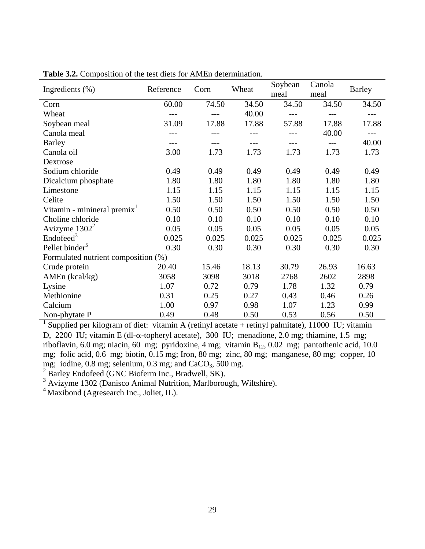| Ingredients $(\%)$                      | Reference | Corn  | Wheat | Soybean<br>meal | Canola<br>meal | <b>Barley</b> |
|-----------------------------------------|-----------|-------|-------|-----------------|----------------|---------------|
| Corn                                    | 60.00     | 74.50 | 34.50 | 34.50           | 34.50          | 34.50         |
| Wheat                                   |           |       | 40.00 | $---$           |                |               |
| Soybean meal                            | 31.09     | 17.88 | 17.88 | 57.88           | 17.88          | 17.88         |
| Canola meal                             |           |       |       |                 | 40.00          |               |
| <b>Barley</b>                           |           |       |       |                 | $---$          | 40.00         |
| Canola oil                              | 3.00      | 1.73  | 1.73  | 1.73            | 1.73           | 1.73          |
| Dextrose                                |           |       |       |                 |                |               |
| Sodium chloride                         | 0.49      | 0.49  | 0.49  | 0.49            | 0.49           | 0.49          |
| Dicalcium phosphate                     | 1.80      | 1.80  | 1.80  | 1.80            | 1.80           | 1.80          |
| Limestone                               | 1.15      | 1.15  | 1.15  | 1.15            | 1.15           | 1.15          |
| Celite                                  | 1.50      | 1.50  | 1.50  | 1.50            | 1.50           | 1.50          |
| Vitamin - minineral premix <sup>1</sup> | 0.50      | 0.50  | 0.50  | 0.50            | 0.50           | 0.50          |
| Choline chloride                        | 0.10      | 0.10  | 0.10  | 0.10            | 0.10           | 0.10          |
| Avizyme $1302^2$                        | 0.05      | 0.05  | 0.05  | 0.05            | 0.05           | 0.05          |
| Endofeed <sup>3</sup>                   | 0.025     | 0.025 | 0.025 | 0.025           | 0.025          | 0.025         |
| Pellet binder <sup>5</sup>              | 0.30      | 0.30  | 0.30  | 0.30            | 0.30           | 0.30          |
| Formulated nutrient composition (%)     |           |       |       |                 |                |               |
| Crude protein                           | 20.40     | 15.46 | 18.13 | 30.79           | 26.93          | 16.63         |
| AMEn (kcal/kg)                          | 3058      | 3098  | 3018  | 2768            | 2602           | 2898          |
| Lysine                                  | 1.07      | 0.72  | 0.79  | 1.78            | 1.32           | 0.79          |
| Methionine                              | 0.31      | 0.25  | 0.27  | 0.43            | 0.46           | 0.26          |
| Calcium                                 | 1.00      | 0.97  | 0.98  | 1.07            | 1.23           | 0.99          |
| Non-phytate P                           | 0.49      | 0.48  | 0.50  | 0.53            | 0.56           | 0.50          |

**Table 3.2.** Composition of the test diets for AMEn determination.

<sup>1</sup> Supplied per kilogram of diet: vitamin A (retinyl acetate + retinyl palmitate), 11000 IU; vitamin D, 2200 IU; vitamin E (dl-α-topheryl acetate), 300 IU; menadione, 2.0 mg; thiamine, 1.5 mg; riboflavin, 6.0 mg; niacin, 60 mg; pyridoxine, 4 mg; vitamin  $B_{12}$ , 0.02 mg; pantothenic acid, 10.0 mg; folic acid, 0.6 mg; biotin, 0.15 mg; Iron, 80 mg; zinc, 80 mg; manganese, 80 mg; copper, 10 mg; iodine,  $0.8$  mg; selenium,  $0.3$  mg; and CaCO<sub>3</sub>, 500 mg.

 $2^{2}$  Barley Endofeed (GNC Bioferm Inc., Bradwell, SK).

 $3$  Avizyme 1302 (Danisco Animal Nutrition, Marlborough, Wiltshire).

4 Maxibond (Agresearch Inc., Joliet, IL).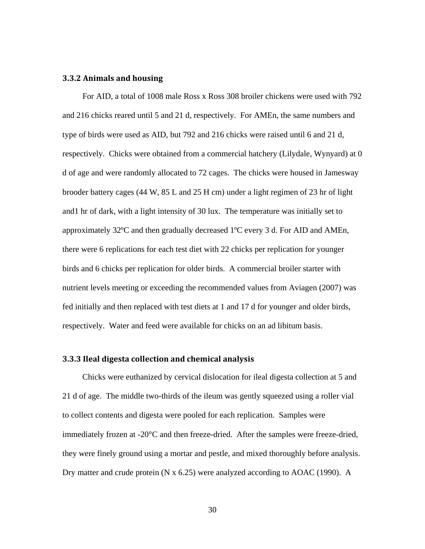#### **3.3.2 Animals and housing**

For AID, a total of 1008 male Ross x Ross 308 broiler chickens were used with 792 and 216 chicks reared until 5 and 21 d, respectively. For AMEn, the same numbers and type of birds were used as AID, but 792 and 216 chicks were raised until 6 and 21 d, respectively. Chicks were obtained from a commercial hatchery (Lilydale, Wynyard) at 0 d of age and were randomly allocated to 72 cages. The chicks were housed in Jamesway brooder battery cages (44 W, 85 L and 25 H cm) under a light regimen of 23 hr of light and1 hr of dark, with a light intensity of 30 lux. The temperature was initially set to approximately 32ºC and then gradually decreased 1ºC every 3 d. For AID and AMEn, there were 6 replications for each test diet with 22 chicks per replication for younger birds and 6 chicks per replication for older birds. A commercial broiler starter with nutrient levels meeting or exceeding the recommended values from Aviagen (2007) was fed initially and then replaced with test diets at 1 and 17 d for younger and older birds, respectively. Water and feed were available for chicks on an ad libitum basis.

#### **3.3.3 Ileal digesta collection and chemical analysis**

Chicks were euthanized by cervical dislocation for ileal digesta collection at 5 and 21 d of age. The middle two-thirds of the ileum was gently squeezed using a roller vial to collect contents and digesta were pooled for each replication. Samples were immediately frozen at -20°C and then freeze-dried. After the samples were freeze-dried, they were finely ground using a mortar and pestle, and mixed thoroughly before analysis. Dry matter and crude protein (N x 6.25) were analyzed according to AOAC (1990). A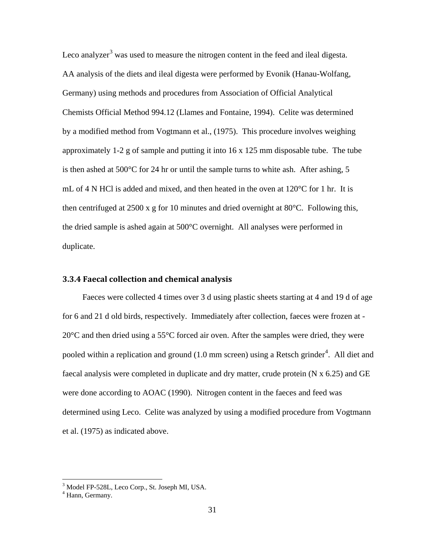Leco analyzer<sup>[3](#page-46-0)</sup> was used to measure the nitrogen content in the feed and ileal digesta. AA analysis of the diets and ileal digesta were performed by Evonik (Hanau-Wolfang, Germany) using methods and procedures from Association of Official Analytical Chemists Official Method 994.12 (Llames and Fontaine, 1994). Celite was determined by a modified method from Vogtmann et al., (1975). This procedure involves weighing approximately 1-2 g of sample and putting it into  $16 \times 125$  mm disposable tube. The tube is then ashed at 500°C for 24 hr or until the sample turns to white ash. After ashing, 5 mL of 4 N HCl is added and mixed, and then heated in the oven at 120°C for 1 hr. It is then centrifuged at 2500 x g for 10 minutes and dried overnight at 80°C. Following this, the dried sample is ashed again at 500°C overnight. All analyses were performed in duplicate.

## **3.3.4 Faecal collection and chemical analysis**

Faeces were collected 4 times over 3 d using plastic sheets starting at 4 and 19 d of age for 6 and 21 d old birds, respectively. Immediately after collection, faeces were frozen at - 20°C and then dried using a 55°C forced air oven. After the samples were dried, they were pooled within a replication and ground  $(1.0 \text{ mm screen})$  using a Retsch grinder<sup>[4](#page-46-1)</sup>. All diet and faecal analysis were completed in duplicate and dry matter, crude protein (N x 6.25) and GE were done according to AOAC (1990). Nitrogen content in the faeces and feed was determined using Leco. Celite was analyzed by using a modified procedure from Vogtmann et al. (1975) as indicated above.

<span id="page-46-0"></span> $3$  Model FP-528L, Leco Corp., St. Joseph MI, USA.  $4$  Hann. Germany.

<span id="page-46-1"></span>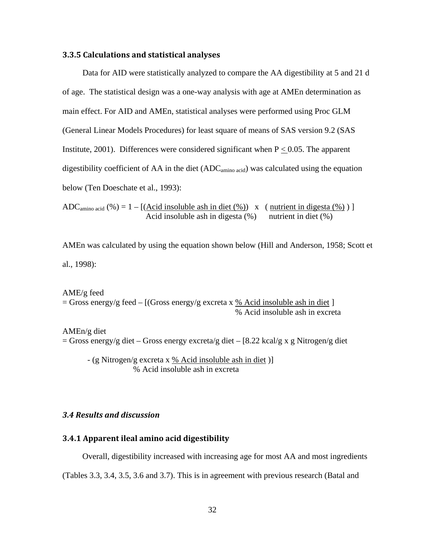#### **3.3.5 Calculations and statistical analyses**

Data for AID were statistically analyzed to compare the AA digestibility at 5 and 21 d of age. The statistical design was a one-way analysis with age at AMEn determination as main effect. For AID and AMEn, statistical analyses were performed using Proc GLM (General Linear Models Procedures) for least square of means of SAS version 9.2 (SAS Institute, 2001). Differences were considered significant when  $P < 0.05$ . The apparent digestibility coefficient of AA in the diet  $(ADC_{\text{amino acid}})$  was calculated using the equation below (Ten Doeschate et al., 1993):

ADC<sub>amino acid</sub>  $(\%) = 1 - [(\text{Acid insoluble ash in diet } (\%)) \times (\text{nutrient in digesta } (\%))]$ Acid insoluble ash in digesta  $(\%)$  nutrient in diet  $(\%)$ 

AMEn was calculated by using the equation shown below (Hill and Anderson, 1958; Scott et al., 1998):

AME/g feed  $=$  Gross energy/g feed  $-$  [(Gross energy/g excreta x % Acid insoluble ash in diet ] % Acid insoluble ash in excreta

AMEn/g diet = Gross energy/g diet – Gross energy excreta/g diet – [8.22 kcal/g x g Nitrogen/g diet

- (g Nitrogen/g excreta x % Acid insoluble ash in diet )] % Acid insoluble ash in excreta

# *3.4 Results and discussion*

# **3.4.1 Apparent ileal amino acid digestibility**

Overall, digestibility increased with increasing age for most AA and most ingredients

(Tables 3.3, 3.4, 3.5, 3.6 and 3.7). This is in agreement with previous research (Batal and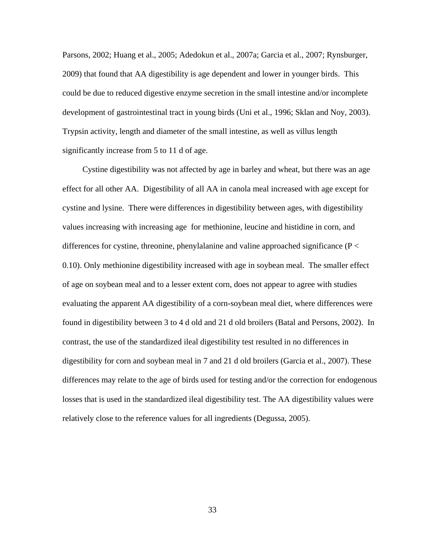Parsons, 2002; Huang et al., 2005; Adedokun et al., 2007a; Garcia et al., 2007; Rynsburger, 2009) that found that AA digestibility is age dependent and lower in younger birds. This could be due to reduced digestive enzyme secretion in the small intestine and/or incomplete development of gastrointestinal tract in young birds (Uni et al., 1996; Sklan and Noy, 2003). Trypsin activity, length and diameter of the small intestine, as well as villus length significantly increase from 5 to 11 d of age.

Cystine digestibility was not affected by age in barley and wheat, but there was an age effect for all other AA. Digestibility of all AA in canola meal increased with age except for cystine and lysine. There were differences in digestibility between ages, with digestibility values increasing with increasing age for methionine, leucine and histidine in corn, and differences for cystine, threonine, phenylalanine and valine approached significance ( $P <$ 0.10). Only methionine digestibility increased with age in soybean meal. The smaller effect of age on soybean meal and to a lesser extent corn, does not appear to agree with studies evaluating the apparent AA digestibility of a corn-soybean meal diet, where differences were found in digestibility between 3 to 4 d old and 21 d old broilers (Batal and Persons, 2002). In contrast, the use of the standardized ileal digestibility test resulted in no differences in digestibility for corn and soybean meal in 7 and 21 d old broilers (Garcia et al., 2007). These differences may relate to the age of birds used for testing and/or the correction for endogenous losses that is used in the standardized ileal digestibility test. The AA digestibility values were relatively close to the reference values for all ingredients (Degussa, 2005).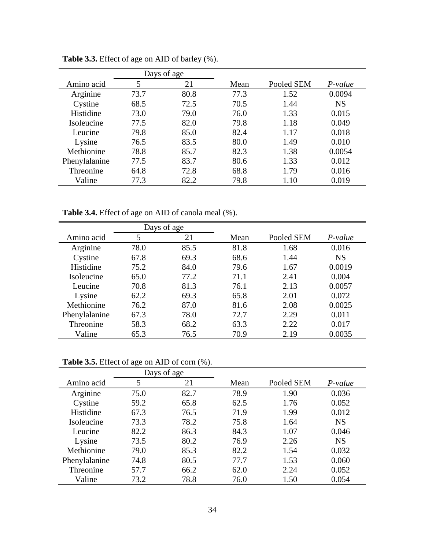|               | Days of age |      |      |            |           |
|---------------|-------------|------|------|------------|-----------|
| Amino acid    | 5           | 21   | Mean | Pooled SEM | $P-value$ |
| Arginine      | 73.7        | 80.8 | 77.3 | 1.52       | 0.0094    |
| Cystine       | 68.5        | 72.5 | 70.5 | 1.44       | <b>NS</b> |
| Histidine     | 73.0        | 79.0 | 76.0 | 1.33       | 0.015     |
| Isoleucine    | 77.5        | 82.0 | 79.8 | 1.18       | 0.049     |
| Leucine       | 79.8        | 85.0 | 82.4 | 1.17       | 0.018     |
| Lysine        | 76.5        | 83.5 | 80.0 | 1.49       | 0.010     |
| Methionine    | 78.8        | 85.7 | 82.3 | 1.38       | 0.0054    |
| Phenylalanine | 77.5        | 83.7 | 80.6 | 1.33       | 0.012     |
| Threonine     | 64.8        | 72.8 | 68.8 | 1.79       | 0.016     |
| Valine        | 77.3        | 82.2 | 79.8 | 1.10       | 0.019     |

**Table 3.3.** Effect of age on AID of barley (%).

**Table 3.4.** Effect of age on AID of canola meal (%).

|               | Days of age |      |      |            |           |
|---------------|-------------|------|------|------------|-----------|
| Amino acid    | 5           | 21   | Mean | Pooled SEM | $P-value$ |
| Arginine      | 78.0        | 85.5 | 81.8 | 1.68       | 0.016     |
| Cystine       | 67.8        | 69.3 | 68.6 | 1.44       | <b>NS</b> |
| Histidine     | 75.2        | 84.0 | 79.6 | 1.67       | 0.0019    |
| Isoleucine    | 65.0        | 77.2 | 71.1 | 2.41       | 0.004     |
| Leucine       | 70.8        | 81.3 | 76.1 | 2.13       | 0.0057    |
| Lysine        | 62.2        | 69.3 | 65.8 | 2.01       | 0.072     |
| Methionine    | 76.2        | 87.0 | 81.6 | 2.08       | 0.0025    |
| Phenylalanine | 67.3        | 78.0 | 72.7 | 2.29       | 0.011     |
| Threonine     | 58.3        | 68.2 | 63.3 | 2.22       | 0.017     |
| Valine        | 65.3        | 76.5 | 70.9 | 2.19       | 0.0035    |

**Table 3.5.** Effect of age on AID of corn (%).

|               | Days of age |      |      |            |           |
|---------------|-------------|------|------|------------|-----------|
| Amino acid    | 5           | 21   | Mean | Pooled SEM | P-value   |
| Arginine      | 75.0        | 82.7 | 78.9 | 1.90       | 0.036     |
| Cystine       | 59.2        | 65.8 | 62.5 | 1.76       | 0.052     |
| Histidine     | 67.3        | 76.5 | 71.9 | 1.99       | 0.012     |
| Isoleucine    | 73.3        | 78.2 | 75.8 | 1.64       | <b>NS</b> |
| Leucine       | 82.2        | 86.3 | 84.3 | 1.07       | 0.046     |
| Lysine        | 73.5        | 80.2 | 76.9 | 2.26       | <b>NS</b> |
| Methionine    | 79.0        | 85.3 | 82.2 | 1.54       | 0.032     |
| Phenylalanine | 74.8        | 80.5 | 77.7 | 1.53       | 0.060     |
| Threonine     | 57.7        | 66.2 | 62.0 | 2.24       | 0.052     |
| Valine        | 73.2        | 78.8 | 76.0 | 1.50       | 0.054     |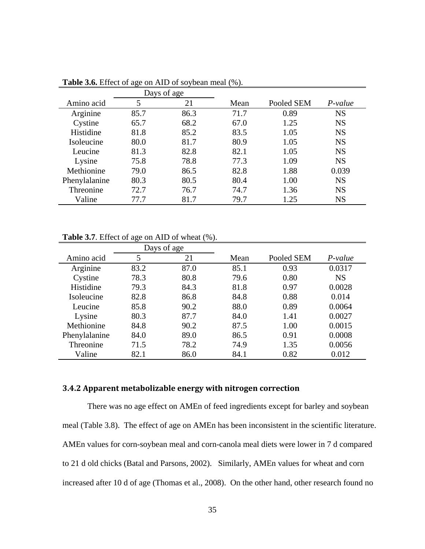|               |      | Days of age |      |            |           |
|---------------|------|-------------|------|------------|-----------|
| Amino acid    | 5    | 21          | Mean | Pooled SEM | P-value   |
| Arginine      | 85.7 | 86.3        | 71.7 | 0.89       | <b>NS</b> |
| Cystine       | 65.7 | 68.2        | 67.0 | 1.25       | <b>NS</b> |
| Histidine     | 81.8 | 85.2        | 83.5 | 1.05       | <b>NS</b> |
| Isoleucine    | 80.0 | 81.7        | 80.9 | 1.05       | <b>NS</b> |
| Leucine       | 81.3 | 82.8        | 82.1 | 1.05       | <b>NS</b> |
| Lysine        | 75.8 | 78.8        | 77.3 | 1.09       | <b>NS</b> |
| Methionine    | 79.0 | 86.5        | 82.8 | 1.88       | 0.039     |
| Phenylalanine | 80.3 | 80.5        | 80.4 | 1.00       | <b>NS</b> |
| Threonine     | 72.7 | 76.7        | 74.7 | 1.36       | <b>NS</b> |
| Valine        | 77.7 | 81.7        | 79.7 | 1.25       | <b>NS</b> |

**Table 3.6.** Effect of age on AID of soybean meal (%).

**Table 3.7**. Effect of age on AID of wheat (%).

|               | Days of age |      |      |            |           |
|---------------|-------------|------|------|------------|-----------|
| Amino acid    | 5           | 21   | Mean | Pooled SEM | $P-value$ |
| Arginine      | 83.2        | 87.0 | 85.1 | 0.93       | 0.0317    |
| Cystine       | 78.3        | 80.8 | 79.6 | 0.80       | <b>NS</b> |
| Histidine     | 79.3        | 84.3 | 81.8 | 0.97       | 0.0028    |
| Isoleucine    | 82.8        | 86.8 | 84.8 | 0.88       | 0.014     |
| Leucine       | 85.8        | 90.2 | 88.0 | 0.89       | 0.0064    |
| Lysine        | 80.3        | 87.7 | 84.0 | 1.41       | 0.0027    |
| Methionine    | 84.8        | 90.2 | 87.5 | 1.00       | 0.0015    |
| Phenylalanine | 84.0        | 89.0 | 86.5 | 0.91       | 0.0008    |
| Threonine     | 71.5        | 78.2 | 74.9 | 1.35       | 0.0056    |
| Valine        | 82.1        | 86.0 | 84.1 | 0.82       | 0.012     |

# **3.4.2 Apparent metabolizable energy with nitrogen correction**

There was no age effect on AMEn of feed ingredients except for barley and soybean meal (Table 3.8). The effect of age on AMEn has been inconsistent in the scientific literature. AMEn values for corn-soybean meal and corn-canola meal diets were lower in 7 d compared to 21 d old chicks (Batal and Parsons, 2002). Similarly, AMEn values for wheat and corn increased after 10 d of age (Thomas et al., 2008). On the other hand, other research found no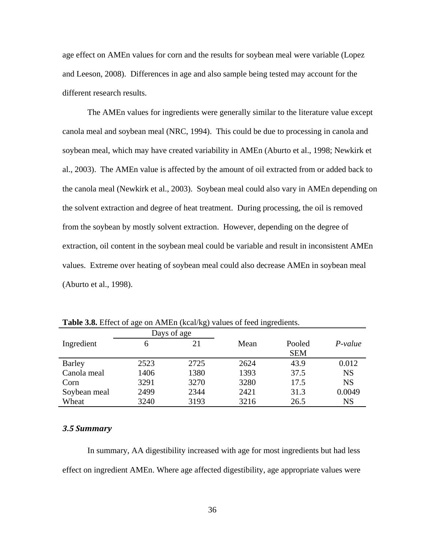age effect on AMEn values for corn and the results for soybean meal were variable (Lopez and Leeson, 2008). Differences in age and also sample being tested may account for the different research results.

The AMEn values for ingredients were generally similar to the literature value except canola meal and soybean meal (NRC, 1994). This could be due to processing in canola and soybean meal, which may have created variability in AMEn (Aburto et al., 1998; Newkirk et al., 2003). The AMEn value is affected by the amount of oil extracted from or added back to the canola meal (Newkirk et al., 2003). Soybean meal could also vary in AMEn depending on the solvent extraction and degree of heat treatment. During processing, the oil is removed from the soybean by mostly solvent extraction. However, depending on the degree of extraction, oil content in the soybean meal could be variable and result in inconsistent AMEn values. Extreme over heating of soybean meal could also decrease AMEn in soybean meal (Aburto et al., 1998).

|              |      | Days of age |      |            |           |
|--------------|------|-------------|------|------------|-----------|
| Ingredient   | 6    |             | Mean | Pooled     | $P-value$ |
|              |      |             |      | <b>SEM</b> |           |
| Barley       | 2523 | 2725        | 2624 | 43.9       | 0.012     |
| Canola meal  | 1406 | 1380        | 1393 | 37.5       | <b>NS</b> |
| Corn         | 3291 | 3270        | 3280 | 17.5       | <b>NS</b> |
| Soybean meal | 2499 | 2344        | 2421 | 31.3       | 0.0049    |
| Wheat        | 3240 | 3193        | 3216 | 26.5       | NS        |

**Table 3.8.** Effect of age on AMEn (kcal/kg) values of feed ingredients.

#### *3.5 Summary*

In summary, AA digestibility increased with age for most ingredients but had less effect on ingredient AMEn. Where age affected digestibility, age appropriate values were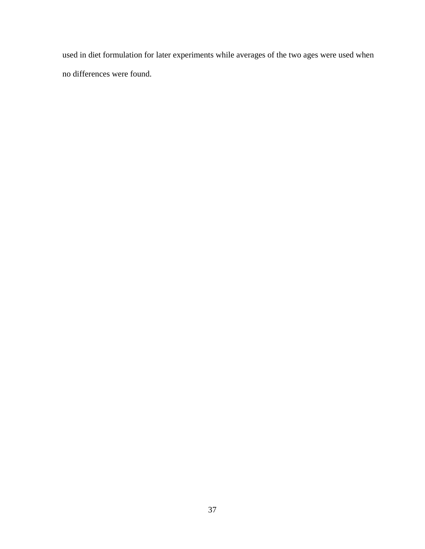used in diet formulation for later experiments while averages of the two ages were used when no differences were found.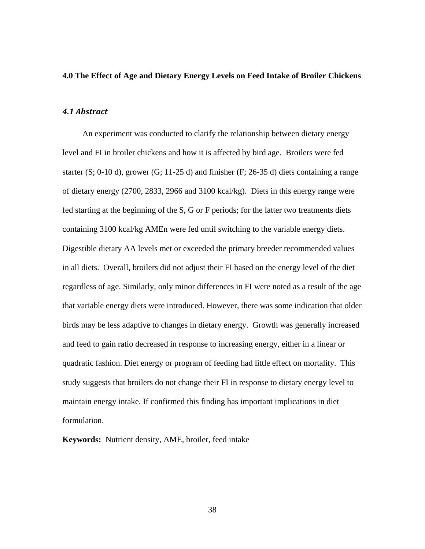#### **4.0 The Effect of Age and Dietary Energy Levels on Feed Intake of Broiler Chickens**

## *4.1 Abstract*

An experiment was conducted to clarify the relationship between dietary energy level and FI in broiler chickens and how it is affected by bird age. Broilers were fed starter  $(S; 0-10 d)$ , grower  $(G; 11-25 d)$  and finisher  $(F; 26-35 d)$  diets containing a range of dietary energy (2700, 2833, 2966 and 3100 kcal/kg). Diets in this energy range were fed starting at the beginning of the S, G or F periods; for the latter two treatments diets containing 3100 kcal/kg AMEn were fed until switching to the variable energy diets. Digestible dietary AA levels met or exceeded the primary breeder recommended values in all diets. Overall, broilers did not adjust their FI based on the energy level of the diet regardless of age. Similarly, only minor differences in FI were noted as a result of the age that variable energy diets were introduced. However, there was some indication that older birds may be less adaptive to changes in dietary energy. Growth was generally increased and feed to gain ratio decreased in response to increasing energy, either in a linear or quadratic fashion. Diet energy or program of feeding had little effect on mortality. This study suggests that broilers do not change their FI in response to dietary energy level to maintain energy intake. If confirmed this finding has important implications in diet formulation.

**Keywords:** Nutrient density, AME, broiler, feed intake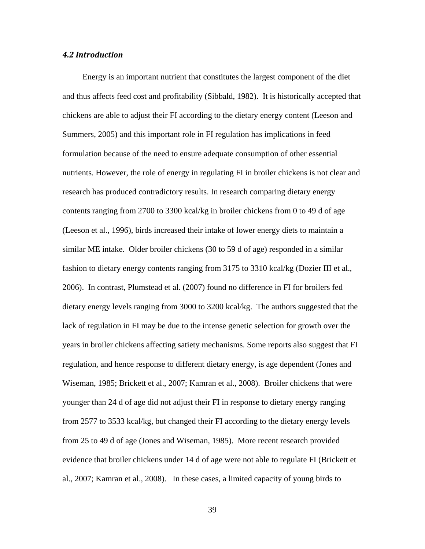#### *4.2 Introduction*

Energy is an important nutrient that constitutes the largest component of the diet and thus affects feed cost and profitability (Sibbald, 1982). It is historically accepted that chickens are able to adjust their FI according to the dietary energy content (Leeson and Summers, 2005) and this important role in FI regulation has implications in feed formulation because of the need to ensure adequate consumption of other essential nutrients. However, the role of energy in regulating FI in broiler chickens is not clear and research has produced contradictory results. In research comparing dietary energy contents ranging from 2700 to 3300 kcal/kg in broiler chickens from 0 to 49 d of age (Leeson et al., 1996), birds increased their intake of lower energy diets to maintain a similar ME intake. Older broiler chickens (30 to 59 d of age) responded in a similar fashion to dietary energy contents ranging from 3175 to 3310 kcal/kg (Dozier III et al., 2006). In contrast, Plumstead et al. (2007) found no difference in FI for broilers fed dietary energy levels ranging from 3000 to 3200 kcal/kg. The authors suggested that the lack of regulation in FI may be due to the intense genetic selection for growth over the years in broiler chickens affecting satiety mechanisms. Some reports also suggest that FI regulation, and hence response to different dietary energy, is age dependent (Jones and Wiseman, 1985; Brickett et al., 2007; Kamran et al., 2008). Broiler chickens that were younger than 24 d of age did not adjust their FI in response to dietary energy ranging from 2577 to 3533 kcal/kg, but changed their FI according to the dietary energy levels from 25 to 49 d of age (Jones and Wiseman, 1985). More recent research provided evidence that broiler chickens under 14 d of age were not able to regulate FI (Brickett et al., 2007; Kamran et al., 2008). In these cases, a limited capacity of young birds to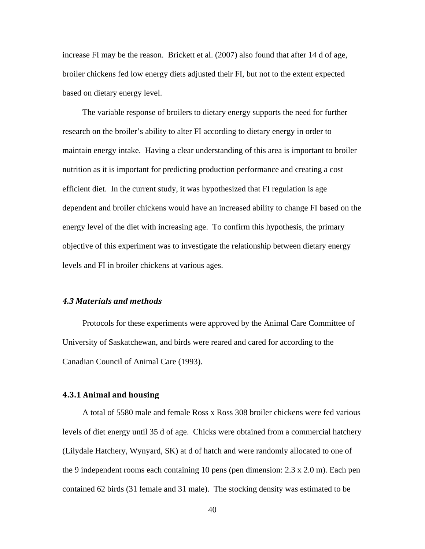increase FI may be the reason. Brickett et al. (2007) also found that after 14 d of age, broiler chickens fed low energy diets adjusted their FI, but not to the extent expected based on dietary energy level.

The variable response of broilers to dietary energy supports the need for further research on the broiler's ability to alter FI according to dietary energy in order to maintain energy intake. Having a clear understanding of this area is important to broiler nutrition as it is important for predicting production performance and creating a cost efficient diet. In the current study, it was hypothesized that FI regulation is age dependent and broiler chickens would have an increased ability to change FI based on the energy level of the diet with increasing age. To confirm this hypothesis, the primary objective of this experiment was to investigate the relationship between dietary energy levels and FI in broiler chickens at various ages.

# *4.3 Materials and methods*

Protocols for these experiments were approved by the Animal Care Committee of University of Saskatchewan, and birds were reared and cared for according to the Canadian Council of Animal Care (1993).

#### **4.3.1 Animal and housing**

A total of 5580 male and female Ross x Ross 308 broiler chickens were fed various levels of diet energy until 35 d of age. Chicks were obtained from a commercial hatchery (Lilydale Hatchery, Wynyard, SK) at d of hatch and were randomly allocated to one of the 9 independent rooms each containing 10 pens (pen dimension: 2.3 x 2.0 m). Each pen contained 62 birds (31 female and 31 male). The stocking density was estimated to be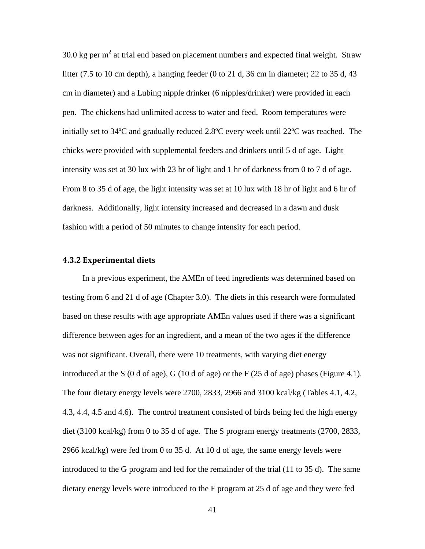30.0 kg per  $m<sup>2</sup>$  at trial end based on placement numbers and expected final weight. Straw litter (7.5 to 10 cm depth), a hanging feeder (0 to 21 d, 36 cm in diameter; 22 to 35 d, 43 cm in diameter) and a Lubing nipple drinker (6 nipples/drinker) were provided in each pen. The chickens had unlimited access to water and feed. Room temperatures were initially set to 34ºC and gradually reduced 2.8ºC every week until 22ºC was reached. The chicks were provided with supplemental feeders and drinkers until 5 d of age. Light intensity was set at 30 lux with 23 hr of light and 1 hr of darkness from 0 to 7 d of age. From 8 to 35 d of age, the light intensity was set at 10 lux with 18 hr of light and 6 hr of darkness. Additionally, light intensity increased and decreased in a dawn and dusk fashion with a period of 50 minutes to change intensity for each period.

#### **4.3.2 Experimental diets**

In a previous experiment, the AMEn of feed ingredients was determined based on testing from 6 and 21 d of age (Chapter 3.0). The diets in this research were formulated based on these results with age appropriate AMEn values used if there was a significant difference between ages for an ingredient, and a mean of the two ages if the difference was not significant. Overall, there were 10 treatments, with varying diet energy introduced at the S (0 d of age), G (10 d of age) or the F (25 d of age) phases (Figure 4.1). The four dietary energy levels were 2700, 2833, 2966 and 3100 kcal/kg (Tables 4.1, 4.2, 4.3, 4.4, 4.5 and 4.6). The control treatment consisted of birds being fed the high energy diet (3100 kcal/kg) from 0 to 35 d of age. The S program energy treatments (2700, 2833, 2966 kcal/kg) were fed from 0 to 35 d. At 10 d of age, the same energy levels were introduced to the G program and fed for the remainder of the trial (11 to 35 d). The same dietary energy levels were introduced to the F program at 25 d of age and they were fed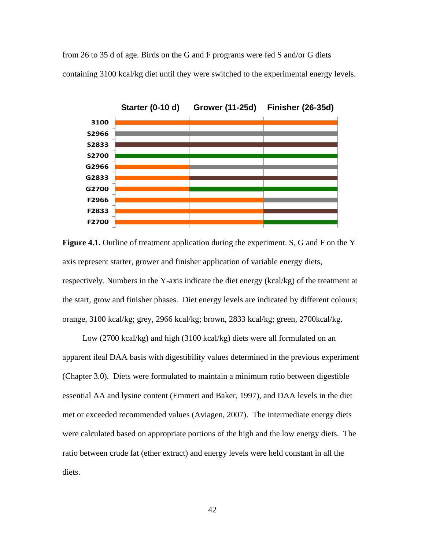from 26 to 35 d of age. Birds on the G and F programs were fed S and/or G diets containing 3100 kcal/kg diet until they were switched to the experimental energy levels.



**Figure 4.1.** Outline of treatment application during the experiment. S, G and F on the Y axis represent starter, grower and finisher application of variable energy diets, respectively. Numbers in the Y-axis indicate the diet energy (kcal/kg) of the treatment at the start, grow and finisher phases. Diet energy levels are indicated by different colours; orange, 3100 kcal/kg; grey, 2966 kcal/kg; brown, 2833 kcal/kg; green, 2700kcal/kg.

Low (2700 kcal/kg) and high (3100 kcal/kg) diets were all formulated on an apparent ileal DAA basis with digestibility values determined in the previous experiment (Chapter 3.0). Diets were formulated to maintain a minimum ratio between digestible essential AA and lysine content (Emmert and Baker, 1997), and DAA levels in the diet met or exceeded recommended values (Aviagen, 2007). The intermediate energy diets were calculated based on appropriate portions of the high and the low energy diets. The ratio between crude fat (ether extract) and energy levels were held constant in all the diets.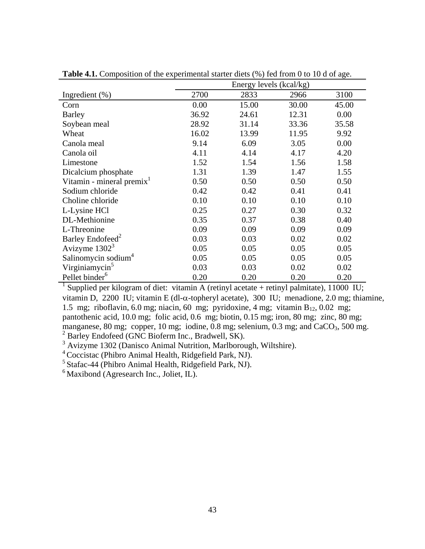|                                       | Energy levels (kcal/kg) |       |       |       |  |
|---------------------------------------|-------------------------|-------|-------|-------|--|
| Ingredient $(\%)$                     | 2700                    | 2833  | 2966  | 3100  |  |
| Corn                                  | 0.00                    | 15.00 | 30.00 | 45.00 |  |
| <b>Barley</b>                         | 36.92                   | 24.61 | 12.31 | 0.00  |  |
| Soybean meal                          | 28.92                   | 31.14 | 33.36 | 35.58 |  |
| Wheat                                 | 16.02                   | 13.99 | 11.95 | 9.92  |  |
| Canola meal                           | 9.14                    | 6.09  | 3.05  | 0.00  |  |
| Canola oil                            | 4.11                    | 4.14  | 4.17  | 4.20  |  |
| Limestone                             | 1.52                    | 1.54  | 1.56  | 1.58  |  |
| Dicalcium phosphate                   | 1.31                    | 1.39  | 1.47  | 1.55  |  |
| Vitamin - mineral premix <sup>1</sup> | 0.50                    | 0.50  | 0.50  | 0.50  |  |
| Sodium chloride                       | 0.42                    | 0.42  | 0.41  | 0.41  |  |
| Choline chloride                      | 0.10                    | 0.10  | 0.10  | 0.10  |  |
| L-Lysine HCl                          | 0.25                    | 0.27  | 0.30  | 0.32  |  |
| DL-Methionine                         | 0.35                    | 0.37  | 0.38  | 0.40  |  |
| L-Threonine                           | 0.09                    | 0.09  | 0.09  | 0.09  |  |
| Barley Endofeed <sup>2</sup>          | 0.03                    | 0.03  | 0.02  | 0.02  |  |
| Avizyme $13023$                       | 0.05                    | 0.05  | 0.05  | 0.05  |  |
| Salinomycin sodium <sup>4</sup>       | 0.05                    | 0.05  | 0.05  | 0.05  |  |
| Virginiamycin <sup>5</sup>            | 0.03                    | 0.03  | 0.02  | 0.02  |  |
| Pellet binder <sup>6</sup>            | 0.20                    | 0.20  | 0.20  | 0.20  |  |

**Table 4.1.** Composition of the experimental starter diets (%) fed from 0 to 10 d of age.

<sup>1</sup> Supplied per kilogram of diet: vitamin A (retinyl acetate + retinyl palmitate), 11000 IU; vitamin D, 2200 IU; vitamin E (dl-α-topheryl acetate), 300 IU; menadione, 2.0 mg; thiamine, 1.5 mg; riboflavin, 6.0 mg; niacin, 60 mg; pyridoxine, 4 mg; vitamin  $B_{12}$ , 0.02 mg; pantothenic acid, 10.0 mg; folic acid, 0.6 mg; biotin, 0.15 mg; iron, 80 mg; zinc, 80 mg; manganese, 80 mg; copper, 10 mg; iodine, 0.8 mg; selenium, 0.3 mg; and  $CaCO<sub>3</sub>$ , 500 mg.  $2^2$  Barley Endofeed (GNC Bioferm Inc., Bradwell, SK).

 $3$  Avizyme 1302 (Danisco Animal Nutrition, Marlborough, Wiltshire).

4 Coccistac (Phibro Animal Health, Ridgefield Park, NJ).

5 Stafac-44 (Phibro Animal Health, Ridgefield Park, NJ).

 $<sup>6</sup>$  Maxibond (Agresearch Inc., Joliet, IL).</sup>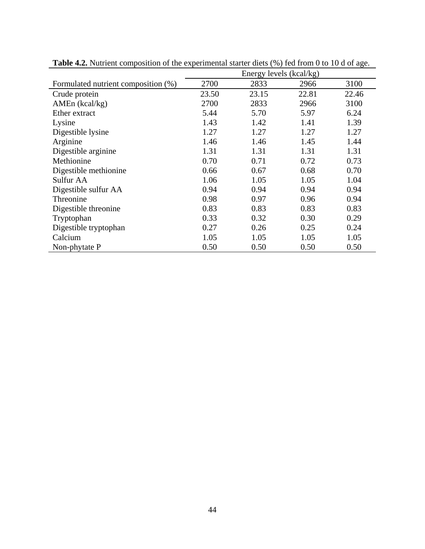|                                     | Energy levels (kcal/kg) |       |       |       |  |
|-------------------------------------|-------------------------|-------|-------|-------|--|
| Formulated nutrient composition (%) | 2700                    | 2833  | 2966  | 3100  |  |
| Crude protein                       | 23.50                   | 23.15 | 22.81 | 22.46 |  |
| AMEn (kcal/kg)                      | 2700                    | 2833  | 2966  | 3100  |  |
| Ether extract                       | 5.44                    | 5.70  | 5.97  | 6.24  |  |
| Lysine                              | 1.43                    | 1.42  | 1.41  | 1.39  |  |
| Digestible lysine                   | 1.27                    | 1.27  | 1.27  | 1.27  |  |
| Arginine                            | 1.46                    | 1.46  | 1.45  | 1.44  |  |
| Digestible arginine                 | 1.31                    | 1.31  | 1.31  | 1.31  |  |
| Methionine                          | 0.70                    | 0.71  | 0.72  | 0.73  |  |
| Digestible methionine               | 0.66                    | 0.67  | 0.68  | 0.70  |  |
| Sulfur AA                           | 1.06                    | 1.05  | 1.05  | 1.04  |  |
| Digestible sulfur AA                | 0.94                    | 0.94  | 0.94  | 0.94  |  |
| Threonine                           | 0.98                    | 0.97  | 0.96  | 0.94  |  |
| Digestible threonine                | 0.83                    | 0.83  | 0.83  | 0.83  |  |
| Tryptophan                          | 0.33                    | 0.32  | 0.30  | 0.29  |  |
| Digestible tryptophan               | 0.27                    | 0.26  | 0.25  | 0.24  |  |
| Calcium                             | 1.05                    | 1.05  | 1.05  | 1.05  |  |
| Non-phytate P                       | 0.50                    | 0.50  | 0.50  | 0.50  |  |

**Table 4.2.** Nutrient composition of the experimental starter diets (%) fed from 0 to 10 d of age.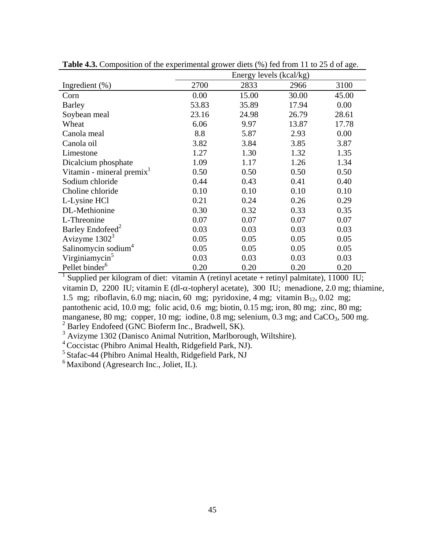|                                       | Energy levels (kcal/kg) |       |       |       |  |
|---------------------------------------|-------------------------|-------|-------|-------|--|
| Ingredient $(\%)$                     | 2700                    | 2833  | 2966  | 3100  |  |
| Corn                                  | 0.00                    | 15.00 | 30.00 | 45.00 |  |
| <b>Barley</b>                         | 53.83                   | 35.89 | 17.94 | 0.00  |  |
| Soybean meal                          | 23.16                   | 24.98 | 26.79 | 28.61 |  |
| Wheat                                 | 6.06                    | 9.97  | 13.87 | 17.78 |  |
| Canola meal                           | 8.8                     | 5.87  | 2.93  | 0.00  |  |
| Canola oil                            | 3.82                    | 3.84  | 3.85  | 3.87  |  |
| Limestone                             | 1.27                    | 1.30  | 1.32  | 1.35  |  |
| Dicalcium phosphate                   | 1.09                    | 1.17  | 1.26  | 1.34  |  |
| Vitamin - mineral premix <sup>1</sup> | 0.50                    | 0.50  | 0.50  | 0.50  |  |
| Sodium chloride                       | 0.44                    | 0.43  | 0.41  | 0.40  |  |
| Choline chloride                      | 0.10                    | 0.10  | 0.10  | 0.10  |  |
| L-Lysine HCl                          | 0.21                    | 0.24  | 0.26  | 0.29  |  |
| DL-Methionine                         | 0.30                    | 0.32  | 0.33  | 0.35  |  |
| L-Threonine                           | 0.07                    | 0.07  | 0.07  | 0.07  |  |
| Barley Endofeed <sup>2</sup>          | 0.03                    | 0.03  | 0.03  | 0.03  |  |
| Avizyme $13023$                       | 0.05                    | 0.05  | 0.05  | 0.05  |  |
| Salinomycin sodium <sup>4</sup>       | 0.05                    | 0.05  | 0.05  | 0.05  |  |
| Virginiamycin <sup>5</sup>            | 0.03                    | 0.03  | 0.03  | 0.03  |  |
| Pellet binder <sup>6</sup>            | 0.20                    | 0.20  | 0.20  | 0.20  |  |

**Table 4.3.** Composition of the experimental grower diets (%) fed from 11 to 25 d of age.

<sup>1</sup> Supplied per kilogram of diet: vitamin A (retinyl acetate + retinyl palmitate), 11000 IU; vitamin D, 2200 IU; vitamin E (dl-α-topheryl acetate), 300 IU; menadione, 2.0 mg; thiamine, 1.5 mg; riboflavin, 6.0 mg; niacin, 60 mg; pyridoxine, 4 mg; vitamin  $B_{12}$ , 0.02 mg; pantothenic acid, 10.0 mg; folic acid, 0.6 mg; biotin, 0.15 mg; iron, 80 mg; zinc, 80 mg; manganese, 80 mg; copper, 10 mg; iodine,  $0.8$  mg; selenium, 0.3 mg; and CaCO<sub>3</sub>, 500 mg. <sup>2</sup> Barley Endofeed (GNC Bioferm Inc., Bradwell, SK).

<sup>3</sup> Avizyme 1302 (Danisco Animal Nutrition, Marlborough, Wiltshire).

4 Coccistac (Phibro Animal Health, Ridgefield Park, NJ).

5 Stafac-44 (Phibro Animal Health, Ridgefield Park, NJ

 $6$  Maxibond (Agresearch Inc., Joliet, IL).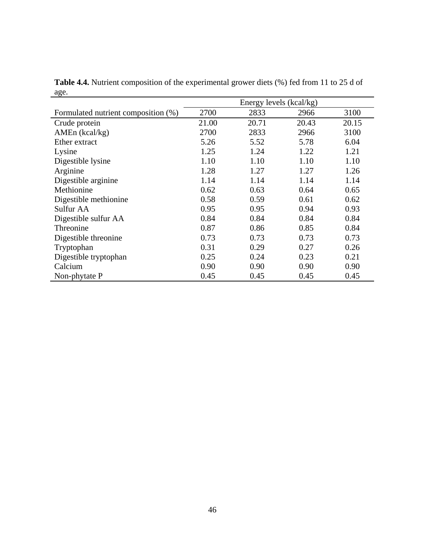|                                     | Energy levels (kcal/kg) |       |       |       |
|-------------------------------------|-------------------------|-------|-------|-------|
| Formulated nutrient composition (%) | 2700                    | 2833  | 2966  | 3100  |
| Crude protein                       | 21.00                   | 20.71 | 20.43 | 20.15 |
| AMEn (kcal/kg)                      | 2700                    | 2833  | 2966  | 3100  |
| Ether extract                       | 5.26                    | 5.52  | 5.78  | 6.04  |
| Lysine                              | 1.25                    | 1.24  | 1.22  | 1.21  |
| Digestible lysine                   | 1.10                    | 1.10  | 1.10  | 1.10  |
| Arginine                            | 1.28                    | 1.27  | 1.27  | 1.26  |
| Digestible arginine                 | 1.14                    | 1.14  | 1.14  | 1.14  |
| Methionine                          | 0.62                    | 0.63  | 0.64  | 0.65  |
| Digestible methionine               | 0.58                    | 0.59  | 0.61  | 0.62  |
| Sulfur AA                           | 0.95                    | 0.95  | 0.94  | 0.93  |
| Digestible sulfur AA                | 0.84                    | 0.84  | 0.84  | 0.84  |
| Threonine                           | 0.87                    | 0.86  | 0.85  | 0.84  |
| Digestible threonine                | 0.73                    | 0.73  | 0.73  | 0.73  |
| Tryptophan                          | 0.31                    | 0.29  | 0.27  | 0.26  |
| Digestible tryptophan               | 0.25                    | 0.24  | 0.23  | 0.21  |
| Calcium                             | 0.90                    | 0.90  | 0.90  | 0.90  |
| Non-phytate P                       | 0.45                    | 0.45  | 0.45  | 0.45  |

**Table 4.4.** Nutrient composition of the experimental grower diets (%) fed from 11 to 25 d of age.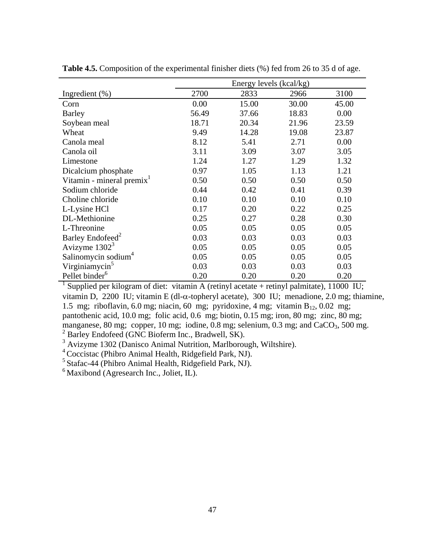|                                       | Energy levels (kcal/kg) |       |       |       |  |  |  |  |
|---------------------------------------|-------------------------|-------|-------|-------|--|--|--|--|
| Ingredient $(\%)$                     | 2700                    | 2833  | 2966  | 3100  |  |  |  |  |
| Corn                                  | 0.00                    | 15.00 | 30.00 | 45.00 |  |  |  |  |
| <b>Barley</b>                         | 56.49                   | 37.66 | 18.83 | 0.00  |  |  |  |  |
| Soybean meal                          | 18.71                   | 20.34 | 21.96 | 23.59 |  |  |  |  |
| Wheat                                 | 9.49                    | 14.28 | 19.08 | 23.87 |  |  |  |  |
| Canola meal                           | 8.12                    | 5.41  | 2.71  | 0.00  |  |  |  |  |
| Canola oil                            | 3.11                    | 3.09  | 3.07  | 3.05  |  |  |  |  |
| Limestone                             | 1.24                    | 1.27  | 1.29  | 1.32  |  |  |  |  |
| Dicalcium phosphate                   | 0.97                    | 1.05  | 1.13  | 1.21  |  |  |  |  |
| Vitamin - mineral premix <sup>1</sup> | 0.50                    | 0.50  | 0.50  | 0.50  |  |  |  |  |
| Sodium chloride                       | 0.44                    | 0.42  | 0.41  | 0.39  |  |  |  |  |
| Choline chloride                      | 0.10                    | 0.10  | 0.10  | 0.10  |  |  |  |  |
| L-Lysine HCl                          | 0.17                    | 0.20  | 0.22  | 0.25  |  |  |  |  |
| DL-Methionine                         | 0.25                    | 0.27  | 0.28  | 0.30  |  |  |  |  |
| L-Threonine                           | 0.05                    | 0.05  | 0.05  | 0.05  |  |  |  |  |
| Barley Endofeed <sup>2</sup>          | 0.03                    | 0.03  | 0.03  | 0.03  |  |  |  |  |
| Avizyme $13023$                       | 0.05                    | 0.05  | 0.05  | 0.05  |  |  |  |  |
| Salinomycin sodium <sup>4</sup>       | 0.05                    | 0.05  | 0.05  | 0.05  |  |  |  |  |
| Virginiamycin <sup>5</sup>            | 0.03                    | 0.03  | 0.03  | 0.03  |  |  |  |  |
| Pellet binder <sup>6</sup>            | 0.20                    | 0.20  | 0.20  | 0.20  |  |  |  |  |

**Table 4.5.** Composition of the experimental finisher diets (%) fed from 26 to 35 d of age.

<sup>1</sup> Supplied per kilogram of diet: vitamin A (retinyl acetate + retinyl palmitate), 11000 IU; vitamin D, 2200 IU; vitamin E (dl-α-topheryl acetate), 300 IU; menadione, 2.0 mg; thiamine, 1.5 mg; riboflavin, 6.0 mg; niacin, 60 mg; pyridoxine, 4 mg; vitamin  $B_{12}$ , 0.02 mg; pantothenic acid, 10.0 mg; folic acid, 0.6 mg; biotin, 0.15 mg; iron, 80 mg; zinc, 80 mg; manganese, 80 mg; copper, 10 mg; iodine,  $0.8$  mg; selenium,  $0.3$  mg; and  $CaCO<sub>3</sub>$ , 500 mg. <sup>2</sup> Barley Endofeed (GNC Bioferm Inc., Bradwell, SK).

 $3$  Avizyme 1302 (Danisco Animal Nutrition, Marlborough, Wiltshire).

<sup>4</sup> Coccistac (Phibro Animal Health, Ridgefield Park, NJ).

<sup>5</sup> Stafac-44 (Phibro Animal Health, Ridgefield Park, NJ).

 $6$  Maxibond (Agresearch Inc., Joliet, IL).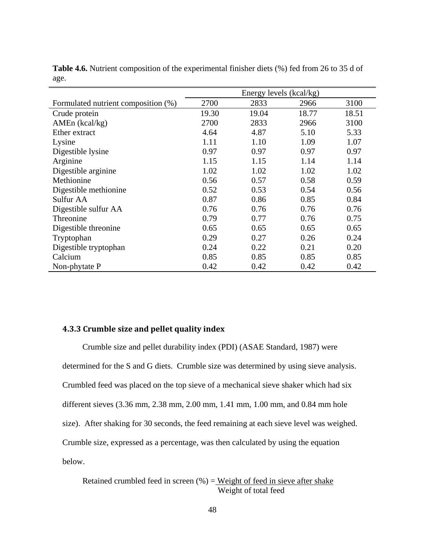|                                     | Energy levels (kcal/kg) |       |       |       |  |  |  |  |
|-------------------------------------|-------------------------|-------|-------|-------|--|--|--|--|
| Formulated nutrient composition (%) | 2700                    | 2833  | 2966  | 3100  |  |  |  |  |
| Crude protein                       | 19.30                   | 19.04 | 18.77 | 18.51 |  |  |  |  |
| AMEn (kcal/kg)                      | 2700                    | 2833  | 2966  | 3100  |  |  |  |  |
| Ether extract                       | 4.64                    | 4.87  | 5.10  | 5.33  |  |  |  |  |
| Lysine                              | 1.11                    | 1.10  | 1.09  | 1.07  |  |  |  |  |
| Digestible lysine                   | 0.97                    | 0.97  | 0.97  | 0.97  |  |  |  |  |
| Arginine                            | 1.15                    | 1.15  | 1.14  | 1.14  |  |  |  |  |
| Digestible arginine                 | 1.02                    | 1.02  | 1.02  | 1.02  |  |  |  |  |
| Methionine                          | 0.56                    | 0.57  | 0.58  | 0.59  |  |  |  |  |
| Digestible methionine               | 0.52                    | 0.53  | 0.54  | 0.56  |  |  |  |  |
| Sulfur AA                           | 0.87                    | 0.86  | 0.85  | 0.84  |  |  |  |  |
| Digestible sulfur AA                | 0.76                    | 0.76  | 0.76  | 0.76  |  |  |  |  |
| Threonine                           | 0.79                    | 0.77  | 0.76  | 0.75  |  |  |  |  |
| Digestible threonine                | 0.65                    | 0.65  | 0.65  | 0.65  |  |  |  |  |
| Tryptophan                          | 0.29                    | 0.27  | 0.26  | 0.24  |  |  |  |  |
| Digestible tryptophan               | 0.24                    | 0.22  | 0.21  | 0.20  |  |  |  |  |
| Calcium                             | 0.85                    | 0.85  | 0.85  | 0.85  |  |  |  |  |
| Non-phytate P                       | 0.42                    | 0.42  | 0.42  | 0.42  |  |  |  |  |

**Table 4.6.** Nutrient composition of the experimental finisher diets (%) fed from 26 to 35 d of age.

## **4.3.3 Crumble size and pellet quality index**

Crumble size and pellet durability index (PDI) (ASAE Standard, 1987) were determined for the S and G diets. Crumble size was determined by using sieve analysis. Crumbled feed was placed on the top sieve of a mechanical sieve shaker which had six different sieves (3.36 mm, 2.38 mm, 2.00 mm, 1.41 mm, 1.00 mm, and 0.84 mm hole size). After shaking for 30 seconds, the feed remaining at each sieve level was weighed. Crumble size, expressed as a percentage, was then calculated by using the equation below.

Retained crumbled feed in screen  $(\% )$  = Weight of feed in sieve after shake Weight of total feed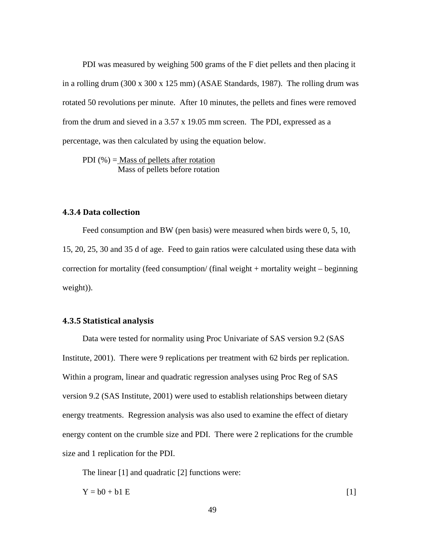PDI was measured by weighing 500 grams of the F diet pellets and then placing it in a rolling drum (300 x 300 x 125 mm) (ASAE Standards, 1987). The rolling drum was rotated 50 revolutions per minute. After 10 minutes, the pellets and fines were removed from the drum and sieved in a 3.57 x 19.05 mm screen. The PDI, expressed as a percentage, was then calculated by using the equation below.

PDI  $(\%)$  = Mass of pellets after rotation Mass of pellets before rotation

# **4.3.4 Data collection**

Feed consumption and BW (pen basis) were measured when birds were 0, 5, 10, 15, 20, 25, 30 and 35 d of age. Feed to gain ratios were calculated using these data with correction for mortality (feed consumption/ (final weight + mortality weight – beginning weight)).

#### **4.3.5 Statistical analysis**

Data were tested for normality using Proc Univariate of SAS version 9.2 (SAS Institute, 2001). There were 9 replications per treatment with 62 birds per replication. Within a program, linear and quadratic regression analyses using Proc Reg of SAS version 9.2 (SAS Institute, 2001) were used to establish relationships between dietary energy treatments. Regression analysis was also used to examine the effect of dietary energy content on the crumble size and PDI. There were 2 replications for the crumble size and 1 replication for the PDI.

The linear [1] and quadratic [2] functions were:

 $Y = b0 + b1 E$  [1]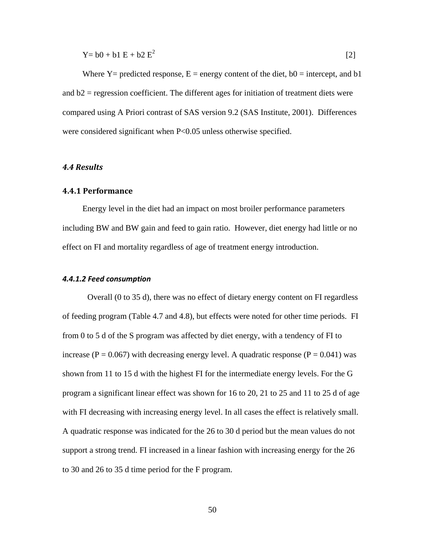$$
Y = b0 + b1 E + b2 E2
$$
 [2]

Where  $Y =$  predicted response,  $E =$  energy content of the diet,  $b0 =$  intercept, and b1 and  $b2$  = regression coefficient. The different ages for initiation of treatment diets were compared using A Priori contrast of SAS version 9.2 (SAS Institute, 2001). Differences were considered significant when P<0.05 unless otherwise specified.

#### *4.4 Results*

### **4.4.1 Performance**

Energy level in the diet had an impact on most broiler performance parameters including BW and BW gain and feed to gain ratio. However, diet energy had little or no effect on FI and mortality regardless of age of treatment energy introduction.

#### *4.4.1.2 Feed consumption*

Overall (0 to 35 d), there was no effect of dietary energy content on FI regardless of feeding program (Table 4.7 and 4.8), but effects were noted for other time periods. FI from 0 to 5 d of the S program was affected by diet energy, with a tendency of FI to increase ( $P = 0.067$ ) with decreasing energy level. A quadratic response ( $P = 0.041$ ) was shown from 11 to 15 d with the highest FI for the intermediate energy levels. For the G program a significant linear effect was shown for 16 to 20, 21 to 25 and 11 to 25 d of age with FI decreasing with increasing energy level. In all cases the effect is relatively small. A quadratic response was indicated for the 26 to 30 d period but the mean values do not support a strong trend. FI increased in a linear fashion with increasing energy for the 26 to 30 and 26 to 35 d time period for the F program.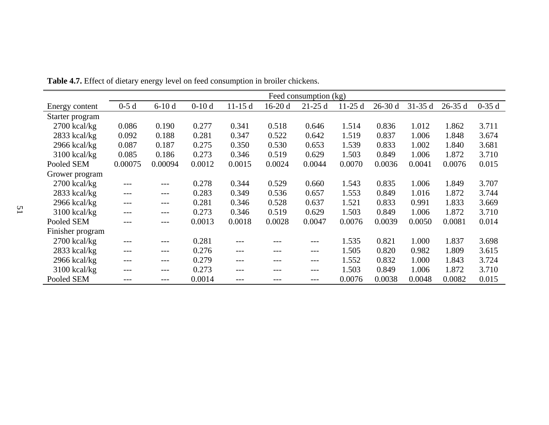|                  | Feed consumption (kg) |         |         |          |          |          |          |          |          |            |         |
|------------------|-----------------------|---------|---------|----------|----------|----------|----------|----------|----------|------------|---------|
| Energy content   | $0-5d$                | $6-10d$ | $0-10d$ | $11-15d$ | $16-20d$ | $21-25d$ | $11-25d$ | $26-30d$ | $31-35d$ | $26 - 35d$ | $0-35d$ |
| Starter program  |                       |         |         |          |          |          |          |          |          |            |         |
| $2700$ kcal/kg   | 0.086                 | 0.190   | 0.277   | 0.341    | 0.518    | 0.646    | 1.514    | 0.836    | 1.012    | 1.862      | 3.711   |
| $2833$ kcal/kg   | 0.092                 | 0.188   | 0.281   | 0.347    | 0.522    | 0.642    | 1.519    | 0.837    | 1.006    | 1.848      | 3.674   |
| $2966$ kcal/kg   | 0.087                 | 0.187   | 0.275   | 0.350    | 0.530    | 0.653    | 1.539    | 0.833    | 1.002    | 1.840      | 3.681   |
| $3100$ kcal/kg   | 0.085                 | 0.186   | 0.273   | 0.346    | 0.519    | 0.629    | 1.503    | 0.849    | 1.006    | 1.872      | 3.710   |
| Pooled SEM       | 0.00075               | 0.00094 | 0.0012  | 0.0015   | 0.0024   | 0.0044   | 0.0070   | 0.0036   | 0.0041   | 0.0076     | 0.015   |
| Grower program   |                       |         |         |          |          |          |          |          |          |            |         |
| $2700$ kcal/kg   | $---$                 | ---     | 0.278   | 0.344    | 0.529    | 0.660    | 1.543    | 0.835    | 1.006    | 1.849      | 3.707   |
| $2833$ kcal/kg   | $---$                 | ---     | 0.283   | 0.349    | 0.536    | 0.657    | 1.553    | 0.849    | 1.016    | 1.872      | 3.744   |
| $2966$ kcal/kg   | $---$                 | ---     | 0.281   | 0.346    | 0.528    | 0.637    | 1.521    | 0.833    | 0.991    | 1.833      | 3.669   |
| $3100$ kcal/kg   | ---                   | ---     | 0.273   | 0.346    | 0.519    | 0.629    | 1.503    | 0.849    | 1.006    | 1.872      | 3.710   |
| Pooled SEM       | ---                   | $---$   | 0.0013  | 0.0018   | 0.0028   | 0.0047   | 0.0076   | 0.0039   | 0.0050   | 0.0081     | 0.014   |
| Finisher program |                       |         |         |          |          |          |          |          |          |            |         |
| $2700$ kcal/kg   | $---$                 | ---     | 0.281   | ---      | ---      | ---      | 1.535    | 0.821    | 1.000    | 1.837      | 3.698   |
| $2833$ kcal/kg   | $---$                 | ---     | 0.276   | $---$    | ---      | $---$    | 1.505    | 0.820    | 0.982    | 1.809      | 3.615   |
| $2966$ kcal/kg   | $---$                 | ---     | 0.279   | ---      | ---      | $---$    | 1.552    | 0.832    | 1.000    | 1.843      | 3.724   |
| $3100$ kcal/kg   | ---                   | ---     | 0.273   | ---      | ---      | $---$    | 1.503    | 0.849    | 1.006    | 1.872      | 3.710   |
| Pooled SEM       | ---                   | ---     | 0.0014  | ---      | ---      | $---$    | 0.0076   | 0.0038   | 0.0048   | 0.0082     | 0.015   |

**Table 4.7.** Effect of dietary energy level on feed consumption in broiler chickens.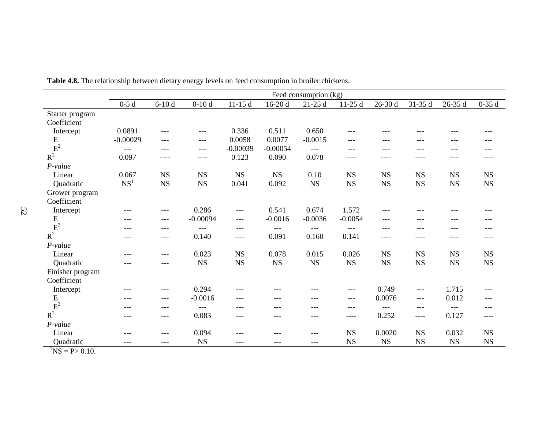|                     | Feed consumption (kg) |           |             |             |             |             |             |             |             |             |             |
|---------------------|-----------------------|-----------|-------------|-------------|-------------|-------------|-------------|-------------|-------------|-------------|-------------|
|                     | $0-5d$                | $6-10d$   | $0-10d$     | $11-15d$    | $16-20d$    | $21-25d$    | $11-25d$    | $26-30d$    | 31-35 d     | 26-35 d     | $0-35d$     |
| Starter program     |                       |           |             |             |             |             |             |             |             |             |             |
| Coefficient         |                       |           |             |             |             |             |             |             |             |             |             |
| Intercept           | 0.0891                | $---$     | $---$       | 0.336       | 0.511       | 0.650       | $---$       | ---         | $---$       | ---         | ---         |
| E                   | $-0.00029$            | ---       | $---$       | 0.0058      | 0.0077      | $-0.0015$   | ---         | ---         | ---         | ---         | ---         |
| $\mbox{E}^2$        | $---$                 | $---$     | $---$       | $-0.00039$  | $-0.00054$  | $---$       | $---$       | ---         | ---         | ---         | ---         |
| $R^2$               | 0.097                 | ----      | ----        | 0.123       | 0.090       | 0.078       | $--- -$     | ----        | ----        | ----        | ----        |
| P-value             |                       |           |             |             |             |             |             |             |             |             |             |
| Linear              | 0.067                 | <b>NS</b> | $_{\rm NS}$ | $_{\rm NS}$ | <b>NS</b>   | 0.10        | $_{\rm NS}$ | $_{\rm NS}$ | <b>NS</b>   | <b>NS</b>   | $_{\rm NS}$ |
| Quadratic           | NS <sup>1</sup>       | NS        | $_{\rm NS}$ | 0.041       | 0.092       | $_{\rm NS}$ | $_{\rm NS}$ | $_{\rm NS}$ | $_{\rm NS}$ | $_{\rm NS}$ | <b>NS</b>   |
| Grower program      |                       |           |             |             |             |             |             |             |             |             |             |
| Coefficient         |                       |           |             |             |             |             |             |             |             |             |             |
| Intercept           | $---$                 | $---$     | 0.286       | $---$       | 0.541       | 0.674       | 1.572       | ---         | ---         | ---         | ---         |
| ${\bf E}$           | $---$                 | $---$     | $-0.00094$  | $---$       | $-0.0016$   | $-0.0036$   | $-0.0054$   | $---$       | $---$       | ---         | ---         |
| $R^2$               | $---$                 | $---$     | $---$       | $---$       | $---$       | $---$       | $---$       | $---$       | ---         | ---         | ---         |
|                     | $---$                 | $---$     | 0.140       | ----        | 0.091       | 0.160       | 0.141       | ----        | ----        | ----        | ----        |
| P-value             |                       |           |             |             |             |             |             |             |             |             |             |
| Linear              | $---$                 | ---       | 0.023       | $_{\rm NS}$ | 0.078       | 0.015       | 0.026       | $_{\rm NS}$ | <b>NS</b>   | <b>NS</b>   | $_{\rm NS}$ |
| Quadratic           | $---$                 | ---       | $_{\rm NS}$ | $_{\rm NS}$ | $_{\rm NS}$ | $_{\rm NS}$ | $_{\rm NS}$ | $_{\rm NS}$ | $_{\rm NS}$ | $_{\rm NS}$ | $_{\rm NS}$ |
| Finisher program    |                       |           |             |             |             |             |             |             |             |             |             |
| Coefficient         |                       |           |             |             |             |             |             |             |             |             |             |
| Intercept           | $---$                 | $---$     | 0.294       | $- - -$     | ---         | ---         | $---$       | 0.749       | $---$       | 1.715       | ---         |
| ${\bf E}$           | $---$                 | $---$     | $-0.0016$   | $---$       | $---$       | $---$       | $---$       | 0.0076      | $---$       | 0.012       | ---         |
| $\mbox{E}^2$        | $---$                 | ---       | $---$       | $---$       | ---         | ---         | $---$       | $---$       | $---$       | $---$       | ---         |
| $R^2$               | ---                   | ---       | 0.083       | ---         | ---         | ---         | ----        | 0.252       | ----        | 0.127       | ----        |
| P-value             |                       |           |             |             |             |             |             |             |             |             |             |
| Linear              | $---$                 | ---       | 0.094       | $---$       | ---         | ---         | $_{\rm NS}$ | 0.0020      | $_{\rm NS}$ | 0.032       | <b>NS</b>   |
| Quadratic           | $---$                 | $---$     | <b>NS</b>   | ---         | ---         | ---         | $_{\rm NS}$ | $_{\rm NS}$ | <b>NS</b>   | $_{\rm NS}$ | $_{\rm NS}$ |
| $\ln 10$ $\ln 0.10$ |                       |           |             |             |             |             |             |             |             |             |             |

**Table 4.8.** The relationship between dietary energy levels on feed consumption in broiler chickens.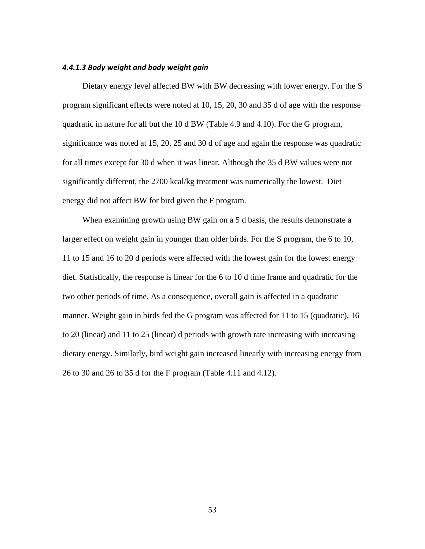#### *4.4.1.3 Body weight and body weight gain*

Dietary energy level affected BW with BW decreasing with lower energy. For the S program significant effects were noted at 10, 15, 20, 30 and 35 d of age with the response quadratic in nature for all but the 10 d BW (Table 4.9 and 4.10). For the G program, significance was noted at 15, 20, 25 and 30 d of age and again the response was quadratic for all times except for 30 d when it was linear. Although the 35 d BW values were not significantly different, the 2700 kcal/kg treatment was numerically the lowest. Diet energy did not affect BW for bird given the F program.

When examining growth using BW gain on a 5 d basis, the results demonstrate a larger effect on weight gain in younger than older birds. For the S program, the 6 to 10, 11 to 15 and 16 to 20 d periods were affected with the lowest gain for the lowest energy diet. Statistically, the response is linear for the 6 to 10 d time frame and quadratic for the two other periods of time. As a consequence, overall gain is affected in a quadratic manner. Weight gain in birds fed the G program was affected for 11 to 15 (quadratic), 16 to 20 (linear) and 11 to 25 (linear) d periods with growth rate increasing with increasing dietary energy. Similarly, bird weight gain increased linearly with increasing energy from 26 to 30 and 26 to 35 d for the F program (Table 4.11 and 4.12).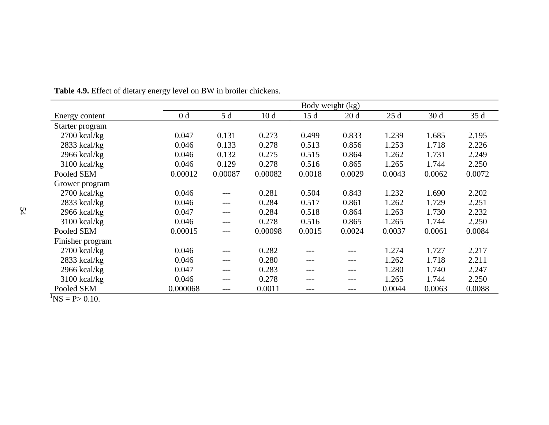|                         | Body weight (kg) |         |         |        |        |        |        |        |  |  |  |
|-------------------------|------------------|---------|---------|--------|--------|--------|--------|--------|--|--|--|
| Energy content          | 0 <sub>d</sub>   | 5 d     | 10d     | 15d    | 20d    | 25d    | 30d    | 35 d   |  |  |  |
| Starter program         |                  |         |         |        |        |        |        |        |  |  |  |
| $2700$ kcal/kg          | 0.047            | 0.131   | 0.273   | 0.499  | 0.833  | 1.239  | 1.685  | 2.195  |  |  |  |
| $2833$ kcal/kg          | 0.046            | 0.133   | 0.278   | 0.513  | 0.856  | 1.253  | 1.718  | 2.226  |  |  |  |
| $2966$ kcal/kg          | 0.046            | 0.132   | 0.275   | 0.515  | 0.864  | 1.262  | 1.731  | 2.249  |  |  |  |
| $3100$ kcal/kg          | 0.046            | 0.129   | 0.278   | 0.516  | 0.865  | 1.265  | 1.744  | 2.250  |  |  |  |
| Pooled SEM              | 0.00012          | 0.00087 | 0.00082 | 0.0018 | 0.0029 | 0.0043 | 0.0062 | 0.0072 |  |  |  |
| Grower program          |                  |         |         |        |        |        |        |        |  |  |  |
| $2700$ kcal/kg          | 0.046            | ---     | 0.281   | 0.504  | 0.843  | 1.232  | 1.690  | 2.202  |  |  |  |
| $2833$ kcal/kg          | 0.046            | ---     | 0.284   | 0.517  | 0.861  | 1.262  | 1.729  | 2.251  |  |  |  |
| $2966$ kcal/kg          | 0.047            | ---     | 0.284   | 0.518  | 0.864  | 1.263  | 1.730  | 2.232  |  |  |  |
| $3100$ kcal/kg          | 0.046            | $---$   | 0.278   | 0.516  | 0.865  | 1.265  | 1.744  | 2.250  |  |  |  |
| Pooled SEM              | 0.00015          | ---     | 0.00098 | 0.0015 | 0.0024 | 0.0037 | 0.0061 | 0.0084 |  |  |  |
| Finisher program        |                  |         |         |        |        |        |        |        |  |  |  |
| 2700 kcal/kg            | 0.046            | ---     | 0.282   | ---    | ---    | 1.274  | 1.727  | 2.217  |  |  |  |
| $2833$ kcal/kg          | 0.046            | ---     | 0.280   | ---    | ---    | 1.262  | 1.718  | 2.211  |  |  |  |
| 2966 kcal/kg            | 0.047            | ---     | 0.283   | ---    | ---    | 1.280  | 1.740  | 2.247  |  |  |  |
| $3100$ kcal/kg          | 0.046            | ---     | 0.278   | ---    | ---    | 1.265  | 1.744  | 2.250  |  |  |  |
| Pooled SEM<br>$\sim$ 10 | 0.000068         | ---     | 0.0011  | ---    | ---    | 0.0044 | 0.0063 | 0.0088 |  |  |  |

**Table 4.9.** Effect of dietary energy level on BW in broiler chickens.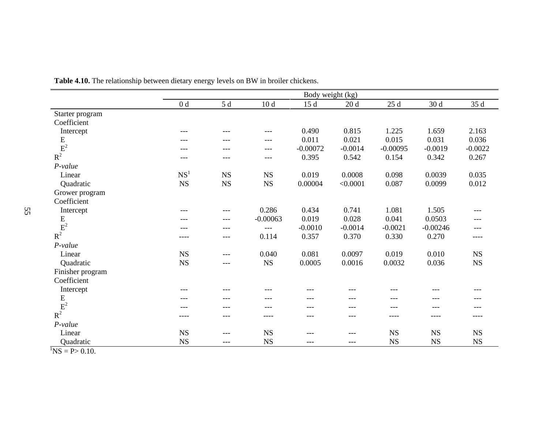|                                    | Body weight (kg) |                 |             |            |           |              |             |             |  |  |
|------------------------------------|------------------|-----------------|-------------|------------|-----------|--------------|-------------|-------------|--|--|
|                                    | 0 <sub>d</sub>   | $5\,\mathrm{d}$ | 10d         | 15d        | 20d       | $25\;\rm{d}$ | 30d         | 35 d        |  |  |
| Starter program                    |                  |                 |             |            |           |              |             |             |  |  |
| Coefficient                        |                  |                 |             |            |           |              |             |             |  |  |
| Intercept                          | ---              | ---             | $---$       | 0.490      | 0.815     | 1.225        | 1.659       | 2.163       |  |  |
| ${\bf E}$                          | ---              | ---             | ---         | 0.011      | 0.021     | 0.015        | 0.031       | 0.036       |  |  |
| $\overline{E}^2$<br>R <sup>2</sup> | ---              | ---             | ---         | $-0.00072$ | $-0.0014$ | $-0.00095$   | $-0.0019$   | $-0.0022$   |  |  |
|                                    | ---              | $---$           | ---         | 0.395      | 0.542     | 0.154        | 0.342       | 0.267       |  |  |
| $P-value$                          |                  |                 |             |            |           |              |             |             |  |  |
| Linear                             | NS <sup>1</sup>  | <b>NS</b>       | <b>NS</b>   | 0.019      | 0.0008    | 0.098        | 0.0039      | 0.035       |  |  |
| Quadratic                          | $_{\rm NS}$      | $_{\rm NS}$     | $_{\rm NS}$ | 0.00004    | < 0.0001  | 0.087        | 0.0099      | 0.012       |  |  |
| Grower program                     |                  |                 |             |            |           |              |             |             |  |  |
| Coefficient                        |                  |                 |             |            |           |              |             |             |  |  |
| Intercept                          | ---              | $---$           | 0.286       | 0.434      | 0.741     | 1.081        | 1.505       | ---         |  |  |
| ${\bf E}$                          | ---              | $---$           | $-0.00063$  | 0.019      | 0.028     | 0.041        | 0.0503      | ---         |  |  |
| $\mbox{E}^2$                       | ---              | ---             | $---$       | $-0.0010$  | $-0.0014$ | $-0.0021$    | $-0.00246$  | ---         |  |  |
| $R^2$                              | ----             | ---             | 0.114       | 0.357      | 0.370     | 0.330        | 0.270       | ----        |  |  |
| $P-value$                          |                  |                 |             |            |           |              |             |             |  |  |
| Linear                             | $_{\rm NS}$      | ---             | 0.040       | 0.081      | 0.0097    | 0.019        | 0.010       | $_{\rm NS}$ |  |  |
| Quadratic                          | <b>NS</b>        | ---             | $_{\rm NS}$ | 0.0005     | 0.0016    | 0.0032       | 0.036       | $_{\rm NS}$ |  |  |
| Finisher program                   |                  |                 |             |            |           |              |             |             |  |  |
| Coefficient                        |                  |                 |             |            |           |              |             |             |  |  |
| Intercept                          | ---              | $---$           | $---$       | ---        | ---       | ---          | ---         | ---         |  |  |
|                                    | ---              | ---             | $---$       | $---$      | $---$     | ---          | $---$       |             |  |  |
| $\frac{\text{E}}{\text{E}^2}$      | ---              | ---             | ---         | ---        | ---       | ---          | ---         |             |  |  |
| $R^2$                              | ----             | ---             | ----        | $---$      | $---$     | ----         | ----        | ----        |  |  |
| P-value                            |                  |                 |             |            |           |              |             |             |  |  |
| Linear                             | <b>NS</b>        | $---$           | $_{\rm NS}$ | $---$      | $---$     | $_{\rm NS}$  | NS          | <b>NS</b>   |  |  |
| Quadratic                          | $_{\rm NS}$      | ---             | $_{\rm NS}$ | ---        | ---       | $_{\rm NS}$  | $_{\rm NS}$ | $_{\rm NS}$ |  |  |
|                                    |                  |                 |             |            |           |              |             |             |  |  |

**Table 4.10.** The relationship between dietary energy levels on BW in broiler chickens.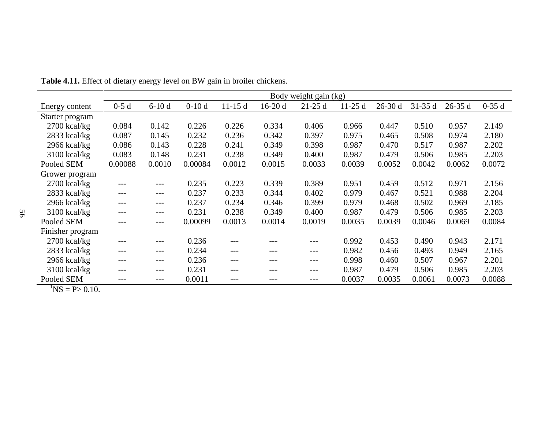|                  | Body weight gain (kg) |         |         |          |          |          |          |          |            |          |         |
|------------------|-----------------------|---------|---------|----------|----------|----------|----------|----------|------------|----------|---------|
| Energy content   | $0-5d$                | $6-10d$ | $0-10d$ | $11-15d$ | $16-20d$ | $21-25d$ | $11-25d$ | $26-30d$ | $31 - 35d$ | $26-35d$ | $0-35d$ |
| Starter program  |                       |         |         |          |          |          |          |          |            |          |         |
| $2700$ kcal/kg   | 0.084                 | 0.142   | 0.226   | 0.226    | 0.334    | 0.406    | 0.966    | 0.447    | 0.510      | 0.957    | 2.149   |
| $2833$ kcal/kg   | 0.087                 | 0.145   | 0.232   | 0.236    | 0.342    | 0.397    | 0.975    | 0.465    | 0.508      | 0.974    | 2.180   |
| $2966$ kcal/kg   | 0.086                 | 0.143   | 0.228   | 0.241    | 0.349    | 0.398    | 0.987    | 0.470    | 0.517      | 0.987    | 2.202   |
| $3100$ kcal/kg   | 0.083                 | 0.148   | 0.231   | 0.238    | 0.349    | 0.400    | 0.987    | 0.479    | 0.506      | 0.985    | 2.203   |
| Pooled SEM       | 0.00088               | 0.0010  | 0.00084 | 0.0012   | 0.0015   | 0.0033   | 0.0039   | 0.0052   | 0.0042     | 0.0062   | 0.0072  |
| Grower program   |                       |         |         |          |          |          |          |          |            |          |         |
| $2700$ kcal/kg   | ---                   | ---     | 0.235   | 0.223    | 0.339    | 0.389    | 0.951    | 0.459    | 0.512      | 0.971    | 2.156   |
| $2833$ kcal/kg   | $---$                 | $---$   | 0.237   | 0.233    | 0.344    | 0.402    | 0.979    | 0.467    | 0.521      | 0.988    | 2.204   |
| $2966$ kcal/kg   | $---$                 | $---$   | 0.237   | 0.234    | 0.346    | 0.399    | 0.979    | 0.468    | 0.502      | 0.969    | 2.185   |
| $3100$ kcal/kg   | $---$                 | $---$   | 0.231   | 0.238    | 0.349    | 0.400    | 0.987    | 0.479    | 0.506      | 0.985    | 2.203   |
| Pooled SEM       | ---                   | $---$   | 0.00099 | 0.0013   | 0.0014   | 0.0019   | 0.0035   | 0.0039   | 0.0046     | 0.0069   | 0.0084  |
| Finisher program |                       |         |         |          |          |          |          |          |            |          |         |
| $2700$ kcal/kg   | ---                   | ---     | 0.236   | ---      |          | ---      | 0.992    | 0.453    | 0.490      | 0.943    | 2.171   |
| $2833$ kcal/kg   | $---$                 | $---$   | 0.234   | $---$    | ---      | ---      | 0.982    | 0.456    | 0.493      | 0.949    | 2.165   |
| $2966$ kcal/kg   | ---                   | $---$   | 0.236   | $---$    | ---      | ---      | 0.998    | 0.460    | 0.507      | 0.967    | 2.201   |
| $3100$ kcal/kg   | $---$                 | $---$   | 0.231   | $---$    | ---      | ---      | 0.987    | 0.479    | 0.506      | 0.985    | 2.203   |
| Pooled SEM       | ---                   | $---$   | 0.0011  | $---$    |          | ---      | 0.0037   | 0.0035   | 0.0061     | 0.0073   | 0.0088  |

**Table 4.11.** Effect of dietary energy level on BW gain in broiler chickens.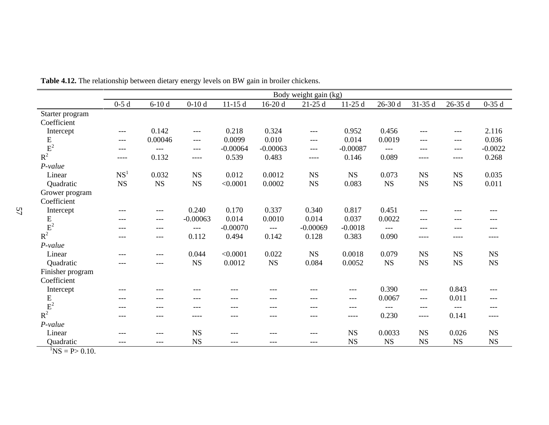|                  |                 |         |             |            |             | Body weight gain (kg) |             |             |             |             |             |
|------------------|-----------------|---------|-------------|------------|-------------|-----------------------|-------------|-------------|-------------|-------------|-------------|
|                  | $0-5d$          | $6-10d$ | $0-10d$     | $11-15d$   | $16-20d$    | $21-25d$              | $11-25d$    | $26 - 30$ d | 31-35 d     | $26 - 35d$  | $0-35d$     |
| Starter program  |                 |         |             |            |             |                       |             |             |             |             |             |
| Coefficient      |                 |         |             |            |             |                       |             |             |             |             |             |
| Intercept        | $---$           | 0.142   | $---$       | 0.218      | 0.324       | $---$                 | 0.952       | 0.456       | $---$       | $---$       | 2.116       |
| ${\bf E}$        | $---$           | 0.00046 | $---$       | 0.0099     | 0.010       | $---$                 | 0.014       | 0.0019      | $---$       | ---         | 0.036       |
| $E^2$            | $---$           | $---$   | $---$       | $-0.00064$ | $-0.00063$  | $---$                 | $-0.00087$  | $---$       | ---         | ---         | $-0.0022$   |
| $R^2$            | ----            | 0.132   | ----        | 0.539      | 0.483       | ----                  | 0.146       | 0.089       | ----        | ----        | 0.268       |
| $P-value$        |                 |         |             |            |             |                       |             |             |             |             |             |
| Linear           | NS <sup>1</sup> | 0.032   | $_{\rm NS}$ | 0.012      | 0.0012      | $_{\rm NS}$           | <b>NS</b>   | 0.073       | <b>NS</b>   | $_{\rm NS}$ | 0.035       |
| Quadratic        | <b>NS</b>       | NS      | $_{\rm NS}$ | < 0.0001   | 0.0002      | $_{\rm NS}$           | 0.083       | <b>NS</b>   | $_{\rm NS}$ | $_{\rm NS}$ | 0.011       |
| Grower program   |                 |         |             |            |             |                       |             |             |             |             |             |
| Coefficient      |                 |         |             |            |             |                       |             |             |             |             |             |
| Intercept        | ---             | $---$   | 0.240       | 0.170      | 0.337       | 0.340                 | 0.817       | 0.451       | $---$       | ---         | ---         |
| ${\bf E}$        | ---             | $---$   | $-0.00063$  | 0.014      | 0.0010      | 0.014                 | 0.037       | 0.0022      | ---         | ---         | ---         |
|                  | ---             | $---$   | ---         | $-0.00070$ | $---$       | $-0.00069$            | $-0.0018$   | $---$       | ---         | ---         | ---         |
| $R^2$            | ---             | $---$   | 0.112       | 0.494      | 0.142       | 0.128                 | 0.383       | 0.090       | ----        | ----        | ----        |
| P-value          |                 |         |             |            |             |                       |             |             |             |             |             |
| Linear           | $---$           | $---$   | 0.044       | < 0.0001   | 0.022       | $_{\rm NS}$           | 0.0018      | 0.079       | $_{\rm NS}$ | $_{\rm NS}$ | $_{\rm NS}$ |
| Quadratic        | $---$           | $---$   | $_{\rm NS}$ | 0.0012     | $_{\rm NS}$ | 0.084                 | 0.0052      | $_{\rm NS}$ | $_{\rm NS}$ | $_{\rm NS}$ | $_{\rm NS}$ |
| Finisher program |                 |         |             |            |             |                       |             |             |             |             |             |
| Coefficient      |                 |         |             |            |             |                       |             |             |             |             |             |
| Intercept        | ---             | ---     | ---         | ---        | ---         | ---                   | $---$       | 0.390       | $---$       | 0.843       | $---$       |
| ${\bf E}$        | ---             | $---$   | ---         | ---        | ---         | ---                   | $---$       | 0.0067      | $---$       | 0.011       | $---$       |
| $\mbox{E}^2$     | ---             | ---     | ---         | ---        | ---         | ---                   | ---         | $---$       | ---         | $---$       | ---         |
| $R^2$            | ---             | ---     | ----        | ---        | ---         | ---                   | ----        | 0.230       | ----        | 0.141       | ----        |
| $P-value$        |                 |         |             |            |             |                       |             |             |             |             |             |
| Linear           | ---             | ---     | $_{\rm NS}$ | ---        | ---         | ---                   | $_{\rm NS}$ | 0.0033      | <b>NS</b>   | 0.026       | $_{\rm NS}$ |
| Quadratic        | $---$           | $---$   | <b>NS</b>   | ---        | ---         | $---$                 | <b>NS</b>   | $_{\rm NS}$ | <b>NS</b>   | $_{\rm NS}$ | $_{\rm NS}$ |

**Table 4.12.** The relationship between dietary energy levels on BW gain in broiler chickens.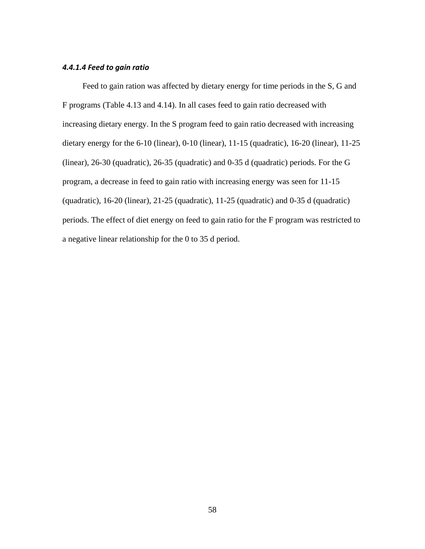# *4.4.1.4 Feed to gain ratio*

Feed to gain ration was affected by dietary energy for time periods in the S, G and F programs (Table 4.13 and 4.14). In all cases feed to gain ratio decreased with increasing dietary energy. In the S program feed to gain ratio decreased with increasing dietary energy for the 6-10 (linear), 0-10 (linear), 11-15 (quadratic), 16-20 (linear), 11-25 (linear), 26-30 (quadratic), 26-35 (quadratic) and 0-35 d (quadratic) periods. For the G program, a decrease in feed to gain ratio with increasing energy was seen for 11-15 (quadratic), 16-20 (linear), 21-25 (quadratic), 11-25 (quadratic) and 0-35 d (quadratic) periods. The effect of diet energy on feed to gain ratio for the F program was restricted to a negative linear relationship for the 0 to 35 d period.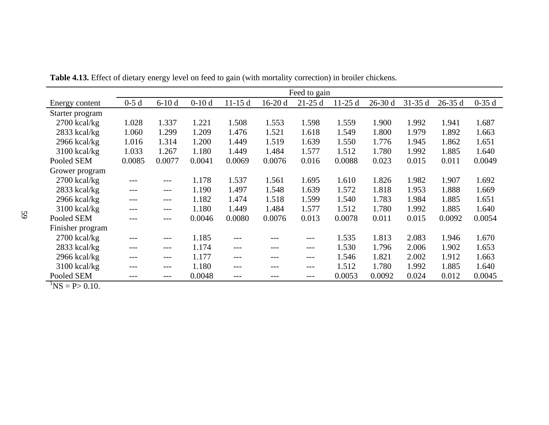|                  |        |         |         |          |          | Feed to gain |          |          |          |            |         |
|------------------|--------|---------|---------|----------|----------|--------------|----------|----------|----------|------------|---------|
| Energy content   | $0-5d$ | $6-10d$ | $0-10d$ | $11-15d$ | $16-20d$ | $21-25d$     | $11-25d$ | $26-30d$ | $31-35d$ | $26 - 35d$ | $0-35d$ |
| Starter program  |        |         |         |          |          |              |          |          |          |            |         |
| $2700$ kcal/kg   | 1.028  | 1.337   | 1.221   | 1.508    | 1.553    | 1.598        | 1.559    | 1.900    | 1.992    | 1.941      | 1.687   |
| 2833 kcal/kg     | 1.060  | 1.299   | 1.209   | 1.476    | 1.521    | 1.618        | 1.549    | 1.800    | 1.979    | 1.892      | 1.663   |
| $2966$ kcal/kg   | 1.016  | 1.314   | 1.200   | 1.449    | 1.519    | 1.639        | 1.550    | 1.776    | 1.945    | 1.862      | 1.651   |
| $3100$ kcal/kg   | 1.033  | 1.267   | 1.180   | 1.449    | 1.484    | 1.577        | 1.512    | 1.780    | 1.992    | 1.885      | 1.640   |
| Pooled SEM       | 0.0085 | 0.0077  | 0.0041  | 0.0069   | 0.0076   | 0.016        | 0.0088   | 0.023    | 0.015    | 0.011      | 0.0049  |
| Grower program   |        |         |         |          |          |              |          |          |          |            |         |
| $2700$ kcal/kg   | $---$  | ---     | 1.178   | 1.537    | 1.561    | 1.695        | 1.610    | 1.826    | 1.982    | 1.907      | 1.692   |
| 2833 kcal/kg     | $---$  |         | 1.190   | 1.497    | 1.548    | 1.639        | 1.572    | 1.818    | 1.953    | 1.888      | 1.669   |
| $2966$ kcal/kg   | ---    | ---     | 1.182   | 1.474    | 1.518    | 1.599        | 1.540    | 1.783    | 1.984    | 1.885      | 1.651   |
| 3100 kcal/kg     | $---$  | ---     | 1.180   | 1.449    | 1.484    | 1.577        | 1.512    | 1.780    | 1.992    | 1.885      | 1.640   |
| Pooled SEM       | $---$  | ---     | 0.0046  | 0.0080   | 0.0076   | 0.013        | 0.0078   | 0.011    | 0.015    | 0.0092     | 0.0054  |
| Finisher program |        |         |         |          |          |              |          |          |          |            |         |
| $2700$ kcal/kg   | $---$  | ---     | 1.185   |          |          | ---          | 1.535    | 1.813    | 2.083    | 1.946      | 1.670   |
| 2833 kcal/kg     | ---    | ---     | 1.174   | ---      | ---      | ---          | 1.530    | 1.796    | 2.006    | 1.902      | 1.653   |
| $2966$ kcal/kg   | $---$  | ---     | 1.177   | ---      | ---      | ---          | 1.546    | 1.821    | 2.002    | 1.912      | 1.663   |
| $3100$ kcal/kg   | $---$  |         | 1.180   | ---      | ---      | ---          | 1.512    | 1.780    | 1.992    | 1.885      | 1.640   |
| Pooled SEM       | ---    | ---     | 0.0048  | ---      |          | ---          | 0.0053   | 0.0092   | 0.024    | 0.012      | 0.0045  |

**Table 4.13.** Effect of dietary energy level on feed to gain (with mortality correction) in broiler chickens.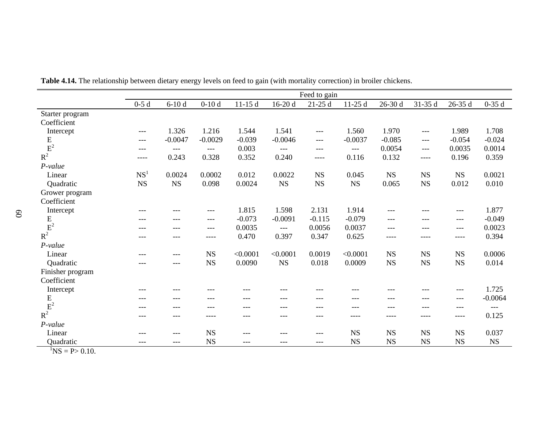|                  |                 |           |             |          |           | Feed to gain |             |             |             |            |           |
|------------------|-----------------|-----------|-------------|----------|-----------|--------------|-------------|-------------|-------------|------------|-----------|
|                  | $0-5d$          | $6-10d$   | $0-10d$     | $11-15d$ | $16-20d$  | $21-25d$     | $11-25d$    | $26-30d$    | 31-35 d     | $26 - 35d$ | $0-35d$   |
| Starter program  |                 |           |             |          |           |              |             |             |             |            |           |
| Coefficient      |                 |           |             |          |           |              |             |             |             |            |           |
| Intercept        | $---$           | 1.326     | 1.216       | 1.544    | 1.541     | $---$        | 1.560       | 1.970       | ---         | 1.989      | 1.708     |
| ${\bf E}$        | ---             | $-0.0047$ | $-0.0029$   | $-0.039$ | $-0.0046$ | ---          | $-0.0037$   | $-0.085$    | ---         | $-0.054$   | $-0.024$  |
|                  | ---             | $---$     | $---$       | 0.003    | $---$     | ---          | $---$       | 0.0054      | ---         | 0.0035     | 0.0014    |
| $R^2$            | ----            | 0.243     | 0.328       | 0.352    | 0.240     | ----         | 0.116       | 0.132       | $---$       | 0.196      | 0.359     |
| P-value          |                 |           |             |          |           |              |             |             |             |            |           |
| Linear           | NS <sup>1</sup> | 0.0024    | 0.0002      | 0.012    | 0.0022    | <b>NS</b>    | 0.045       | <b>NS</b>   | <b>NS</b>   | <b>NS</b>  | 0.0021    |
| Quadratic        | <b>NS</b>       | <b>NS</b> | 0.098       | 0.0024   | <b>NS</b> | $_{\rm NS}$  | $_{\rm NS}$ | 0.065       | $_{\rm NS}$ | 0.012      | 0.010     |
| Grower program   |                 |           |             |          |           |              |             |             |             |            |           |
| Coefficient      |                 |           |             |          |           |              |             |             |             |            |           |
| Intercept        | ---             | ---       | $---$       | 1.815    | 1.598     | 2.131        | 1.914       | ---         | ---         | $---$      | 1.877     |
| ${\bf E}$        | ---             | ---       | $---$       | $-0.073$ | $-0.0091$ | $-0.115$     | $-0.079$    | $---$       | ---         | $---$      | $-0.049$  |
|                  |                 | ---       | $---$       | 0.0035   | $---$     | 0.0056       | 0.0037      | $---$       | ---         | ---        | 0.0023    |
| $R^2$            |                 | ---       | ----        | 0.470    | 0.397     | 0.347        | 0.625       | ----        | ----        | ----       | 0.394     |
| P-value          |                 |           |             |          |           |              |             |             |             |            |           |
| Linear           | $- - -$         | ---       | <b>NS</b>   | < 0.0001 | < 0.0001  | 0.0019       | < 0.0001    | $_{\rm NS}$ | $_{\rm NS}$ | <b>NS</b>  | 0.0006    |
| Quadratic        | $---$           | ---       | <b>NS</b>   | 0.0090   | <b>NS</b> | 0.018        | 0.0009      | <b>NS</b>   | $_{\rm NS}$ | <b>NS</b>  | 0.014     |
| Finisher program |                 |           |             |          |           |              |             |             |             |            |           |
| Coefficient      |                 |           |             |          |           |              |             |             |             |            |           |
| Intercept        | ---             | ---       | ---         | ---      | ---       | ---          | ---         | ---         | ---         | $---$      | 1.725     |
| ${\bf E}$        | ---             | ---       | $---$       | ---      | ---       | ---          | $---$       | ---         | ---         | $---$      | $-0.0064$ |
| $E^2$            |                 | ---       | ---         | ---      | ---       | ---          | $---$       | ---         | ---         | ---        | $---$     |
| $R^2$            |                 | ---       | ----        |          | ---       | ---          | ----        | ----        | ----        | ----       | 0.125     |
| $P-value$        |                 |           |             |          |           |              |             |             |             |            |           |
| Linear           | ---             | ---       | $_{\rm NS}$ | ---      | ---       | ---          | <b>NS</b>   | $_{\rm NS}$ | <b>NS</b>   | <b>NS</b>  | 0.037     |
| Quadratic        | $---$           | ---       | <b>NS</b>   | ---      | ---       | $---$        | <b>NS</b>   | <b>NS</b>   | <b>NS</b>   | <b>NS</b>  | NS        |
| $\sqrt{117}$     |                 |           |             |          |           |              |             |             |             |            |           |

**Table 4.14.** The relationship between dietary energy levels on feed to gain (with mortality correction) in broiler chickens.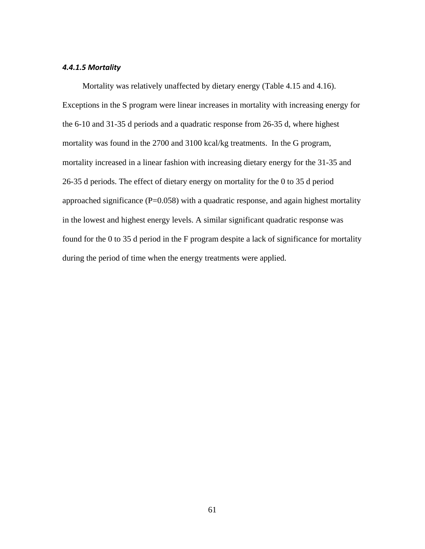#### *4.4.1.5 Mortality*

Mortality was relatively unaffected by dietary energy (Table 4.15 and 4.16). Exceptions in the S program were linear increases in mortality with increasing energy for the 6-10 and 31-35 d periods and a quadratic response from 26-35 d, where highest mortality was found in the 2700 and 3100 kcal/kg treatments. In the G program, mortality increased in a linear fashion with increasing dietary energy for the 31-35 and 26-35 d periods. The effect of dietary energy on mortality for the 0 to 35 d period approached significance (P=0.058) with a quadratic response, and again highest mortality in the lowest and highest energy levels. A similar significant quadratic response was found for the 0 to 35 d period in the F program despite a lack of significance for mortality during the period of time when the energy treatments were applied.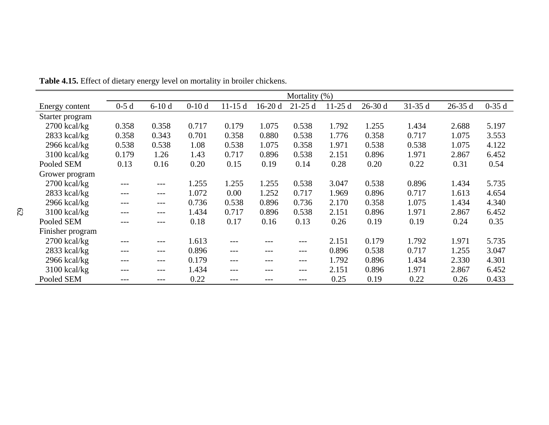|                  |        |         |         |          |          | Mortality (%) |          |          |          |          |         |
|------------------|--------|---------|---------|----------|----------|---------------|----------|----------|----------|----------|---------|
| Energy content   | $0-5d$ | $6-10d$ | $0-10d$ | $11-15d$ | $16-20d$ | $21-25d$      | $11-25d$ | $26-30d$ | $31-35d$ | $26-35d$ | $0-35d$ |
| Starter program  |        |         |         |          |          |               |          |          |          |          |         |
| $2700$ kcal/kg   | 0.358  | 0.358   | 0.717   | 0.179    | 1.075    | 0.538         | 1.792    | 1.255    | 1.434    | 2.688    | 5.197   |
| $2833$ kcal/kg   | 0.358  | 0.343   | 0.701   | 0.358    | 0.880    | 0.538         | 1.776    | 0.358    | 0.717    | 1.075    | 3.553   |
| 2966 kcal/kg     | 0.538  | 0.538   | 1.08    | 0.538    | 1.075    | 0.358         | 1.971    | 0.538    | 0.538    | 1.075    | 4.122   |
| $3100$ kcal/kg   | 0.179  | 1.26    | 1.43    | 0.717    | 0.896    | 0.538         | 2.151    | 0.896    | 1.971    | 2.867    | 6.452   |
| Pooled SEM       | 0.13   | 0.16    | 0.20    | 0.15     | 0.19     | 0.14          | 0.28     | 0.20     | 0.22     | 0.31     | 0.54    |
| Grower program   |        |         |         |          |          |               |          |          |          |          |         |
| $2700$ kcal/kg   | ---    | $---$   | 1.255   | 1.255    | 1.255    | 0.538         | 3.047    | 0.538    | 0.896    | 1.434    | 5.735   |
| $2833$ kcal/kg   | ---    | $---$   | 1.072   | 0.00     | 1.252    | 0.717         | 1.969    | 0.896    | 0.717    | 1.613    | 4.654   |
| $2966$ kcal/kg   | ---    | $---$   | 0.736   | 0.538    | 0.896    | 0.736         | 2.170    | 0.358    | 1.075    | 1.434    | 4.340   |
| $3100$ kcal/kg   | ---    | $---$   | 1.434   | 0.717    | 0.896    | 0.538         | 2.151    | 0.896    | 1.971    | 2.867    | 6.452   |
| Pooled SEM       | ---    | $---$   | 0.18    | 0.17     | 0.16     | 0.13          | 0.26     | 0.19     | 0.19     | 0.24     | 0.35    |
| Finisher program |        |         |         |          |          |               |          |          |          |          |         |
| $2700$ kcal/kg   | ---    | $---$   | 1.613   |          | ---      | ---           | 2.151    | 0.179    | 1.792    | 1.971    | 5.735   |
| $2833$ kcal/kg   | ---    | $---$   | 0.896   |          | $---$    | $---$         | 0.896    | 0.538    | 0.717    | 1.255    | 3.047   |
| $2966$ kcal/kg   | ---    | $---$   | 0.179   | $---$    | ---      | $---$         | 1.792    | 0.896    | 1.434    | 2.330    | 4.301   |
| $3100$ kcal/kg   | ---    | $---$   | 1.434   |          | ---      | $---$         | 2.151    | 0.896    | 1.971    | 2.867    | 6.452   |
| Pooled SEM       |        | $---$   | 0.22    |          |          | ---           | 0.25     | 0.19     | 0.22     | 0.26     | 0.433   |

**Table 4.15.** Effect of dietary energy level on mortality in broiler chickens.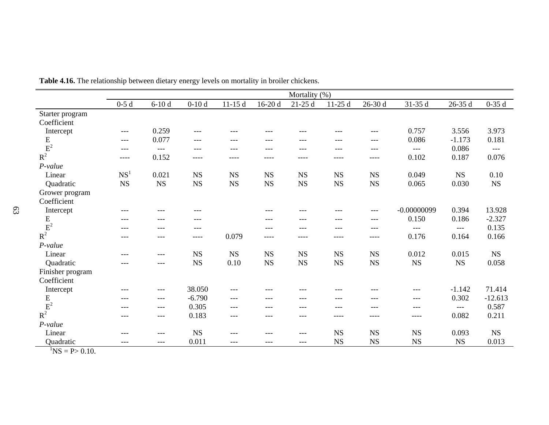|                                                                           |                 |             |             |           |           | Mortality (%) |             |             |               |           |           |
|---------------------------------------------------------------------------|-----------------|-------------|-------------|-----------|-----------|---------------|-------------|-------------|---------------|-----------|-----------|
|                                                                           | $0-5d$          | $6-10d$     | $0-10d$     | $11-15d$  | $16-20d$  | $21-25d$      | $11-25d$    | $26-30d$    | 31-35 d       | 26-35 d   | $0-35d$   |
| Starter program                                                           |                 |             |             |           |           |               |             |             |               |           |           |
| Coefficient                                                               |                 |             |             |           |           |               |             |             |               |           |           |
| Intercept                                                                 | $---$           | 0.259       | $---$       | $---$     | ---       | $---$         | ---         | ---         | 0.757         | 3.556     | 3.973     |
| $\frac{E}{E^2}$                                                           | $---$           | 0.077       | $---$       | $---$     | ---       | $---$         | ---         | $---$       | 0.086         | $-1.173$  | 0.181     |
|                                                                           | ---             | $---$       | $---$       | $---$     | ---       | $---$         | $---$       | $---$       | $---$         | 0.086     | $---$     |
| $R^2$                                                                     | $- - - -$       | 0.152       | $--- -$     | ----      | ----      | ----          | ----        | ----        | 0.102         | 0.187     | 0.076     |
| P-value                                                                   |                 |             |             |           |           |               |             |             |               |           |           |
| Linear                                                                    | NS <sup>1</sup> | 0.021       | $_{\rm NS}$ | <b>NS</b> | <b>NS</b> | $_{\rm NS}$   | NS          | <b>NS</b>   | 0.049         | <b>NS</b> | 0.10      |
| Quadratic                                                                 | NS              | $_{\rm NS}$ | <b>NS</b>   | <b>NS</b> | <b>NS</b> | $_{\rm NS}$   | $_{\rm NS}$ | $_{\rm NS}$ | 0.065         | 0.030     | <b>NS</b> |
| Grower program                                                            |                 |             |             |           |           |               |             |             |               |           |           |
| Coefficient                                                               |                 |             |             |           |           |               |             |             |               |           |           |
| Intercept                                                                 | ---             | $---$       | ---         |           | ---       | ---           | ---         | $---$       | $-0.00000099$ | 0.394     | 13.928    |
| $\begin{array}{c} \mathbf{E} \\ \mathbf{E}^2 \\ \mathbf{R}^2 \end{array}$ | ---             | $---$       | $---$       |           | ---       | ---           | $---$       | $---$       | 0.150         | 0.186     | $-2.327$  |
|                                                                           | ---             | $---$       | ---         |           | ---       | $---$         | ---         | $---$       | $---$         | $---$     | 0.135     |
|                                                                           | ---             | $---$       | ----        | 0.079     | $- - - -$ | ----          | ----        | $- - - -$   | 0.176         | 0.164     | 0.166     |
| P-value                                                                   |                 |             |             |           |           |               |             |             |               |           |           |
| Linear                                                                    | ---             | $---$       | NS          | <b>NS</b> | <b>NS</b> | NS            | <b>NS</b>   | $_{\rm NS}$ | 0.012         | 0.015     | <b>NS</b> |
| Quadratic                                                                 | ---             | $---$       | <b>NS</b>   | 0.10      | <b>NS</b> | <b>NS</b>     | NS          | <b>NS</b>   | <b>NS</b>     | NS        | 0.058     |
| Finisher program                                                          |                 |             |             |           |           |               |             |             |               |           |           |
| Coefficient                                                               |                 |             |             |           |           |               |             |             |               |           |           |
| Intercept                                                                 | ---             | $---$       | 38.050      | $---$     | ---       |               |             |             | ---           | $-1.142$  | 71.414    |
|                                                                           | $---$           | $---$       | $-6.790$    | $---$     | ---       | $---$         | ---         | ---         | $---$         | 0.302     | $-12.613$ |
| $\frac{E}{E^2}$                                                           | ---             | $---$       | 0.305       | $---$     | $- - -$   | $---$         | ---         | ---         | $---$         | $---$     | 0.587     |
| $R^2$                                                                     | $---$           | $---$       | 0.183       | $---$     | ---       | $---$         | ----        | $- - - -$   | ----          | 0.082     | 0.211     |
| P-value                                                                   |                 |             |             |           |           |               |             |             |               |           |           |
| Linear                                                                    | $---$           | $---$       | NS          | $---$     | ---       | $---$         | <b>NS</b>   | $_{\rm NS}$ | $_{\rm NS}$   | 0.093     | <b>NS</b> |
| Quadratic                                                                 | ---             | $---$       | 0.011       | ---       | ---       | $---$         | NS          | <b>NS</b>   | $_{\rm NS}$   | <b>NS</b> | 0.013     |

**Table 4.16.** The relationship between dietary energy levels on mortality in broiler chickens.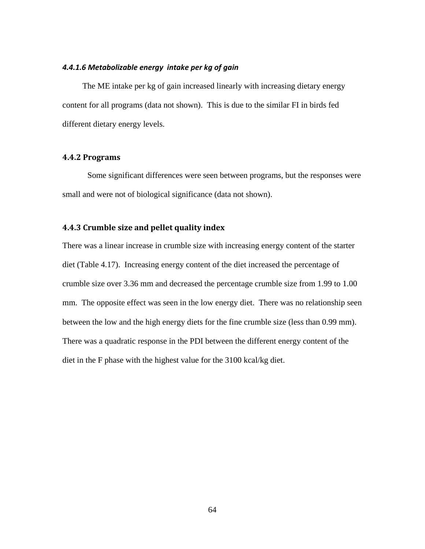# *4.4.1.6 Metabolizable energy intake per kg of gain*

The ME intake per kg of gain increased linearly with increasing dietary energy content for all programs (data not shown). This is due to the similar FI in birds fed different dietary energy levels.

## **4.4.2 Programs**

Some significant differences were seen between programs, but the responses were small and were not of biological significance (data not shown).

# **4.4.3 Crumble size and pellet quality index**

There was a linear increase in crumble size with increasing energy content of the starter diet (Table 4.17). Increasing energy content of the diet increased the percentage of crumble size over 3.36 mm and decreased the percentage crumble size from 1.99 to 1.00 mm. The opposite effect was seen in the low energy diet. There was no relationship seen between the low and the high energy diets for the fine crumble size (less than 0.99 mm). There was a quadratic response in the PDI between the different energy content of the diet in the F phase with the highest value for the 3100 kcal/kg diet.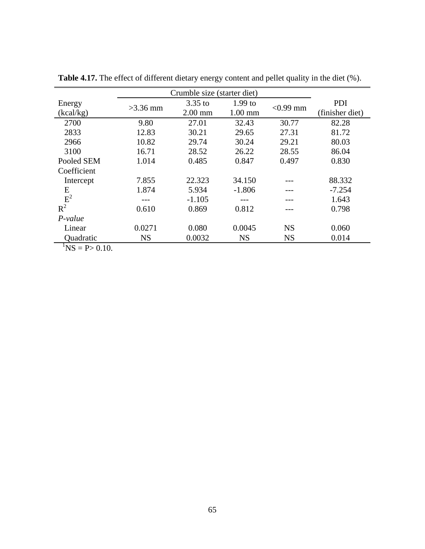|                                                     |            | Crumble size (starter diet) |           |             |                 |
|-----------------------------------------------------|------------|-----------------------------|-----------|-------------|-----------------|
| Energy                                              |            | $3.35$ to                   | $1.99$ to |             | PDI             |
| (kcal/kg)                                           | $>3.36$ mm | $2.00$ mm                   | $1.00$ mm | $< 0.99$ mm | (finisher diet) |
| 2700                                                | 9.80       | 27.01                       | 32.43     | 30.77       | 82.28           |
| 2833                                                | 12.83      | 30.21                       | 29.65     | 27.31       | 81.72           |
| 2966                                                | 10.82      | 29.74                       | 30.24     | 29.21       | 80.03           |
| 3100                                                | 16.71      | 28.52                       | 26.22     | 28.55       | 86.04           |
| Pooled SEM                                          | 1.014      | 0.485                       | 0.847     | 0.497       | 0.830           |
| Coefficient                                         |            |                             |           |             |                 |
| Intercept                                           | 7.855      | 22.323                      | 34.150    |             | 88.332          |
| E                                                   | 1.874      | 5.934                       | $-1.806$  | ---         | $-7.254$        |
| $R^2$                                               |            | $-1.105$                    |           |             | 1.643           |
|                                                     | 0.610      | 0.869                       | 0.812     |             | 0.798           |
| $P-value$                                           |            |                             |           |             |                 |
| Linear                                              | 0.0271     | 0.080                       | 0.0045    | <b>NS</b>   | 0.060           |
| Quadratic                                           | <b>NS</b>  | 0.0032                      | <b>NS</b> | <b>NS</b>   | 0.014           |
| $\mathbf{M}$ $\mathbf{D}$ $\mathbf{A}$ $\mathbf{A}$ |            |                             |           |             |                 |

**Table 4.17.** The effect of different dietary energy content and pellet quality in the diet (%).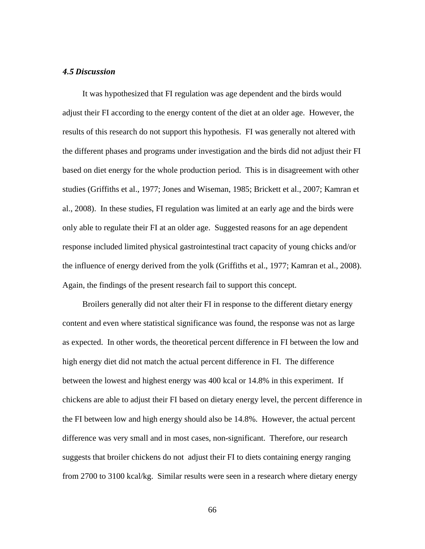#### *4.5 Discussion*

It was hypothesized that FI regulation was age dependent and the birds would adjust their FI according to the energy content of the diet at an older age. However, the results of this research do not support this hypothesis. FI was generally not altered with the different phases and programs under investigation and the birds did not adjust their FI based on diet energy for the whole production period. This is in disagreement with other studies (Griffiths et al., 1977; Jones and Wiseman, 1985; Brickett et al., 2007; Kamran et al., 2008). In these studies, FI regulation was limited at an early age and the birds were only able to regulate their FI at an older age. Suggested reasons for an age dependent response included limited physical gastrointestinal tract capacity of young chicks and/or the influence of energy derived from the yolk (Griffiths et al., 1977; Kamran et al., 2008). Again, the findings of the present research fail to support this concept.

Broilers generally did not alter their FI in response to the different dietary energy content and even where statistical significance was found, the response was not as large as expected. In other words, the theoretical percent difference in FI between the low and high energy diet did not match the actual percent difference in FI. The difference between the lowest and highest energy was 400 kcal or 14.8% in this experiment. If chickens are able to adjust their FI based on dietary energy level, the percent difference in the FI between low and high energy should also be 14.8%. However, the actual percent difference was very small and in most cases, non-significant. Therefore, our research suggests that broiler chickens do not adjust their FI to diets containing energy ranging from 2700 to 3100 kcal/kg. Similar results were seen in a research where dietary energy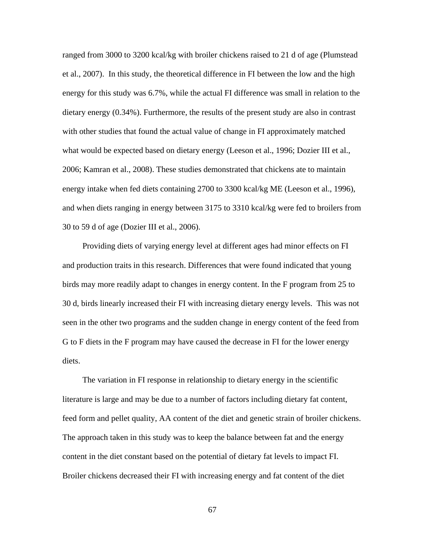ranged from 3000 to 3200 kcal/kg with broiler chickens raised to 21 d of age (Plumstead et al., 2007). In this study, the theoretical difference in FI between the low and the high energy for this study was 6.7%, while the actual FI difference was small in relation to the dietary energy (0.34%). Furthermore, the results of the present study are also in contrast with other studies that found the actual value of change in FI approximately matched what would be expected based on dietary energy (Leeson et al., 1996; Dozier III et al., 2006; Kamran et al., 2008). These studies demonstrated that chickens ate to maintain energy intake when fed diets containing 2700 to 3300 kcal/kg ME (Leeson et al., 1996), and when diets ranging in energy between 3175 to 3310 kcal/kg were fed to broilers from 30 to 59 d of age (Dozier III et al., 2006).

Providing diets of varying energy level at different ages had minor effects on FI and production traits in this research. Differences that were found indicated that young birds may more readily adapt to changes in energy content. In the F program from 25 to 30 d, birds linearly increased their FI with increasing dietary energy levels. This was not seen in the other two programs and the sudden change in energy content of the feed from G to F diets in the F program may have caused the decrease in FI for the lower energy diets.

The variation in FI response in relationship to dietary energy in the scientific literature is large and may be due to a number of factors including dietary fat content, feed form and pellet quality, AA content of the diet and genetic strain of broiler chickens. The approach taken in this study was to keep the balance between fat and the energy content in the diet constant based on the potential of dietary fat levels to impact FI. Broiler chickens decreased their FI with increasing energy and fat content of the diet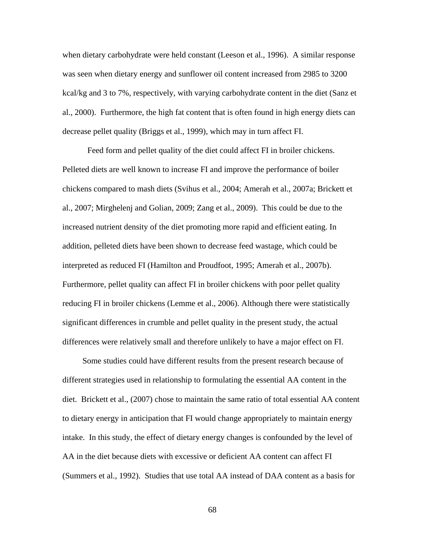when dietary carbohydrate were held constant (Leeson et al., 1996). A similar response was seen when dietary energy and sunflower oil content increased from 2985 to 3200 kcal/kg and 3 to 7%, respectively, with varying carbohydrate content in the diet (Sanz et al., 2000). Furthermore, the high fat content that is often found in high energy diets can decrease pellet quality (Briggs et al., 1999), which may in turn affect FI.

Feed form and pellet quality of the diet could affect FI in broiler chickens. Pelleted diets are well known to increase FI and improve the performance of boiler chickens compared to mash diets (Svihus et al., 2004; Amerah et al., 2007a; Brickett et al., 2007; Mirghelenj and Golian, 2009; Zang et al., 2009). This could be due to the increased nutrient density of the diet promoting more rapid and efficient eating. In addition, pelleted diets have been shown to decrease feed wastage, which could be interpreted as reduced FI (Hamilton and Proudfoot, 1995; Amerah et al., 2007b). Furthermore, pellet quality can affect FI in broiler chickens with poor pellet quality reducing FI in broiler chickens (Lemme et al., 2006). Although there were statistically significant differences in crumble and pellet quality in the present study, the actual differences were relatively small and therefore unlikely to have a major effect on FI.

Some studies could have different results from the present research because of different strategies used in relationship to formulating the essential AA content in the diet. Brickett et al., (2007) chose to maintain the same ratio of total essential AA content to dietary energy in anticipation that FI would change appropriately to maintain energy intake. In this study, the effect of dietary energy changes is confounded by the level of AA in the diet because diets with excessive or deficient AA content can affect FI (Summers et al., 1992). Studies that use total AA instead of DAA content as a basis for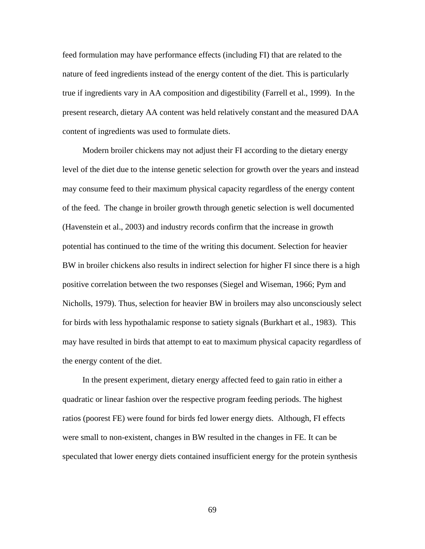feed formulation may have performance effects (including FI) that are related to the nature of feed ingredients instead of the energy content of the diet. This is particularly true if ingredients vary in AA composition and digestibility (Farrell et al., 1999). In the present research, dietary AA content was held relatively constant and the measured DAA content of ingredients was used to formulate diets.

Modern broiler chickens may not adjust their FI according to the dietary energy level of the diet due to the intense genetic selection for growth over the years and instead may consume feed to their maximum physical capacity regardless of the energy content of the feed. The change in broiler growth through genetic selection is well documented (Havenstein et al., 2003) and industry records confirm that the increase in growth potential has continued to the time of the writing this document. Selection for heavier BW in broiler chickens also results in indirect selection for higher FI since there is a high positive correlation between the two responses (Siegel and Wiseman, 1966; Pym and Nicholls, 1979). Thus, selection for heavier BW in broilers may also unconsciously select for birds with less hypothalamic response to satiety signals (Burkhart et al., 1983). This may have resulted in birds that attempt to eat to maximum physical capacity regardless of the energy content of the diet.

In the present experiment, dietary energy affected feed to gain ratio in either a quadratic or linear fashion over the respective program feeding periods. The highest ratios (poorest FE) were found for birds fed lower energy diets. Although, FI effects were small to non-existent, changes in BW resulted in the changes in FE. It can be speculated that lower energy diets contained insufficient energy for the protein synthesis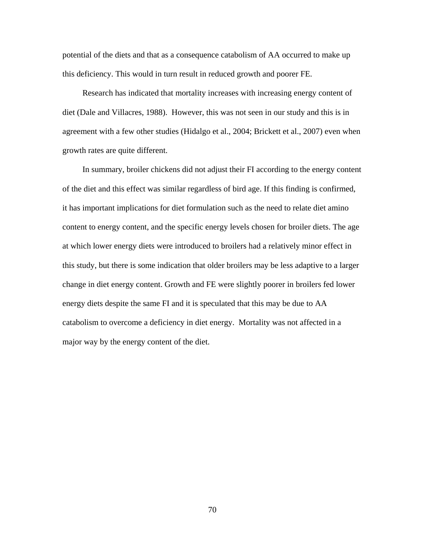potential of the diets and that as a consequence catabolism of AA occurred to make up this deficiency. This would in turn result in reduced growth and poorer FE.

Research has indicated that mortality increases with increasing energy content of diet (Dale and Villacres, 1988). However, this was not seen in our study and this is in agreement with a few other studies (Hidalgo et al., 2004; Brickett et al., 2007) even when growth rates are quite different.

In summary, broiler chickens did not adjust their FI according to the energy content of the diet and this effect was similar regardless of bird age. If this finding is confirmed, it has important implications for diet formulation such as the need to relate diet amino content to energy content, and the specific energy levels chosen for broiler diets. The age at which lower energy diets were introduced to broilers had a relatively minor effect in this study, but there is some indication that older broilers may be less adaptive to a larger change in diet energy content. Growth and FE were slightly poorer in broilers fed lower energy diets despite the same FI and it is speculated that this may be due to AA catabolism to overcome a deficiency in diet energy. Mortality was not affected in a major way by the energy content of the diet.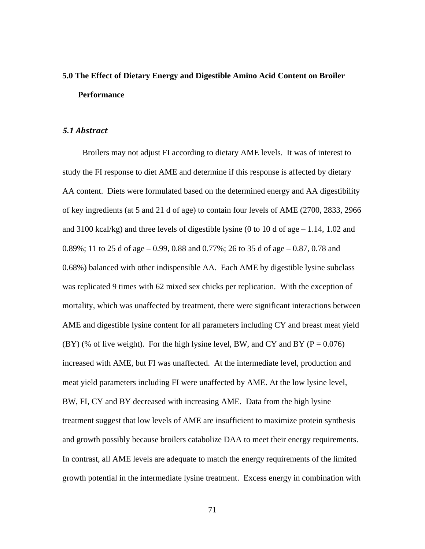# **5.0 The Effect of Dietary Energy and Digestible Amino Acid Content on Broiler Performance**

#### *5.1 Abstract*

Broilers may not adjust FI according to dietary AME levels. It was of interest to study the FI response to diet AME and determine if this response is affected by dietary AA content. Diets were formulated based on the determined energy and AA digestibility of key ingredients (at 5 and 21 d of age) to contain four levels of AME (2700, 2833, 2966 and 3100 kcal/kg) and three levels of digestible lysine (0 to 10 d of age – 1.14, 1.02 and 0.89%; 11 to 25 d of age – 0.99, 0.88 and 0.77%; 26 to 35 d of age – 0.87, 0.78 and 0.68%) balanced with other indispensible AA. Each AME by digestible lysine subclass was replicated 9 times with 62 mixed sex chicks per replication. With the exception of mortality, which was unaffected by treatment, there were significant interactions between AME and digestible lysine content for all parameters including CY and breast meat yield (BY) (% of live weight). For the high lysine level, BW, and CY and BY ( $P = 0.076$ ) increased with AME, but FI was unaffected. At the intermediate level, production and meat yield parameters including FI were unaffected by AME. At the low lysine level, BW, FI, CY and BY decreased with increasing AME. Data from the high lysine treatment suggest that low levels of AME are insufficient to maximize protein synthesis and growth possibly because broilers catabolize DAA to meet their energy requirements. In contrast, all AME levels are adequate to match the energy requirements of the limited growth potential in the intermediate lysine treatment. Excess energy in combination with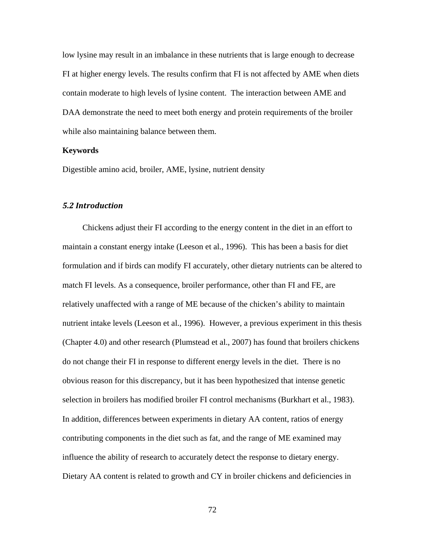low lysine may result in an imbalance in these nutrients that is large enough to decrease FI at higher energy levels. The results confirm that FI is not affected by AME when diets contain moderate to high levels of lysine content. The interaction between AME and DAA demonstrate the need to meet both energy and protein requirements of the broiler while also maintaining balance between them.

## **Keywords**

Digestible amino acid, broiler, AME, lysine, nutrient density

## *5.2 Introduction*

Chickens adjust their FI according to the energy content in the diet in an effort to maintain a constant energy intake (Leeson et al., 1996). This has been a basis for diet formulation and if birds can modify FI accurately, other dietary nutrients can be altered to match FI levels. As a consequence, broiler performance, other than FI and FE, are relatively unaffected with a range of ME because of the chicken's ability to maintain nutrient intake levels (Leeson et al., 1996). However, a previous experiment in this thesis (Chapter 4.0) and other research (Plumstead et al., 2007) has found that broilers chickens do not change their FI in response to different energy levels in the diet. There is no obvious reason for this discrepancy, but it has been hypothesized that intense genetic selection in broilers has modified broiler FI control mechanisms (Burkhart et al., 1983). In addition, differences between experiments in dietary AA content, ratios of energy contributing components in the diet such as fat, and the range of ME examined may influence the ability of research to accurately detect the response to dietary energy. Dietary AA content is related to growth and CY in broiler chickens and deficiencies in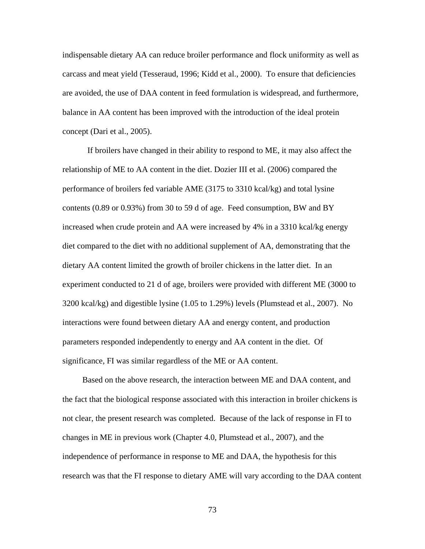indispensable dietary AA can reduce broiler performance and flock uniformity as well as carcass and meat yield (Tesseraud, 1996; Kidd et al., 2000). To ensure that deficiencies are avoided, the use of DAA content in feed formulation is widespread, and furthermore, balance in AA content has been improved with the introduction of the ideal protein concept (Dari et al., 2005).

If broilers have changed in their ability to respond to ME, it may also affect the relationship of ME to AA content in the diet. Dozier III et al. (2006) compared the performance of broilers fed variable AME (3175 to 3310 kcal/kg) and total lysine contents (0.89 or 0.93%) from 30 to 59 d of age. Feed consumption, BW and BY increased when crude protein and AA were increased by 4% in a 3310 kcal/kg energy diet compared to the diet with no additional supplement of AA, demonstrating that the dietary AA content limited the growth of broiler chickens in the latter diet. In an experiment conducted to 21 d of age, broilers were provided with different ME (3000 to 3200 kcal/kg) and digestible lysine (1.05 to 1.29%) levels (Plumstead et al., 2007). No interactions were found between dietary AA and energy content, and production parameters responded independently to energy and AA content in the diet. Of significance, FI was similar regardless of the ME or AA content.

Based on the above research, the interaction between ME and DAA content, and the fact that the biological response associated with this interaction in broiler chickens is not clear, the present research was completed. Because of the lack of response in FI to changes in ME in previous work (Chapter 4.0, Plumstead et al., 2007), and the independence of performance in response to ME and DAA, the hypothesis for this research was that the FI response to dietary AME will vary according to the DAA content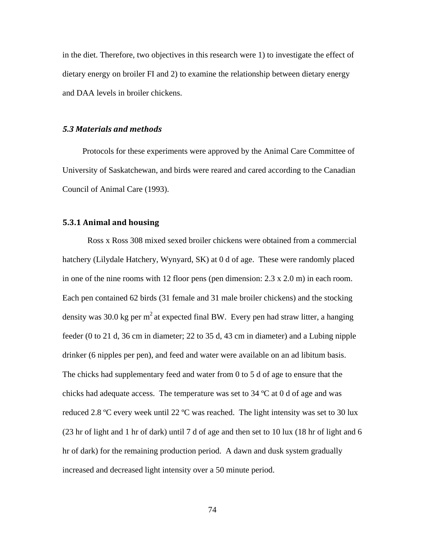in the diet. Therefore, two objectives in this research were 1) to investigate the effect of dietary energy on broiler FI and 2) to examine the relationship between dietary energy and DAA levels in broiler chickens.

#### *5.3 Materials and methods*

Protocols for these experiments were approved by the Animal Care Committee of University of Saskatchewan, and birds were reared and cared according to the Canadian Council of Animal Care (1993).

# **5.3.1 Animal and housing**

Ross x Ross 308 mixed sexed broiler chickens were obtained from a commercial hatchery (Lilydale Hatchery, Wynyard, SK) at 0 d of age. These were randomly placed in one of the nine rooms with 12 floor pens (pen dimension: 2.3 x 2.0 m) in each room. Each pen contained 62 birds (31 female and 31 male broiler chickens) and the stocking density was 30.0 kg per  $m^2$  at expected final BW. Every pen had straw litter, a hanging feeder (0 to 21 d, 36 cm in diameter; 22 to 35 d, 43 cm in diameter) and a Lubing nipple drinker (6 nipples per pen), and feed and water were available on an ad libitum basis. The chicks had supplementary feed and water from 0 to 5 d of age to ensure that the chicks had adequate access. The temperature was set to  $34^{\circ}$ C at 0 d of age and was reduced 2.8 °C every week until 22 °C was reached. The light intensity was set to 30 lux (23 hr of light and 1 hr of dark) until 7 d of age and then set to 10 lux (18 hr of light and 6 hr of dark) for the remaining production period. A dawn and dusk system gradually increased and decreased light intensity over a 50 minute period.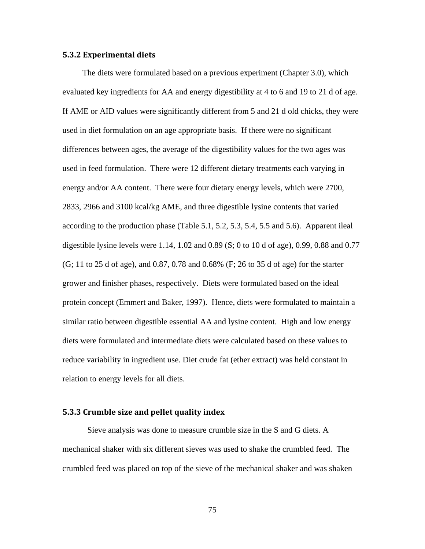#### **5.3.2 Experimental diets**

The diets were formulated based on a previous experiment (Chapter 3.0), which evaluated key ingredients for AA and energy digestibility at 4 to 6 and 19 to 21 d of age. If AME or AID values were significantly different from 5 and 21 d old chicks, they were used in diet formulation on an age appropriate basis. If there were no significant differences between ages, the average of the digestibility values for the two ages was used in feed formulation. There were 12 different dietary treatments each varying in energy and/or AA content. There were four dietary energy levels, which were 2700, 2833, 2966 and 3100 kcal/kg AME, and three digestible lysine contents that varied according to the production phase (Table 5.1, 5.2, 5.3, 5.4, 5.5 and 5.6). Apparent ileal digestible lysine levels were  $1.14$ ,  $1.02$  and  $0.89$  (S; 0 to 10 d of age), 0.99, 0.88 and 0.77 (G; 11 to 25 d of age), and 0.87, 0.78 and 0.68% (F; 26 to 35 d of age) for the starter grower and finisher phases, respectively. Diets were formulated based on the ideal protein concept (Emmert and Baker, 1997). Hence, diets were formulated to maintain a similar ratio between digestible essential AA and lysine content. High and low energy diets were formulated and intermediate diets were calculated based on these values to reduce variability in ingredient use. Diet crude fat (ether extract) was held constant in relation to energy levels for all diets.

## **5.3.3 Crumble size and pellet quality index**

Sieve analysis was done to measure crumble size in the S and G diets. A mechanical shaker with six different sieves was used to shake the crumbled feed. The crumbled feed was placed on top of the sieve of the mechanical shaker and was shaken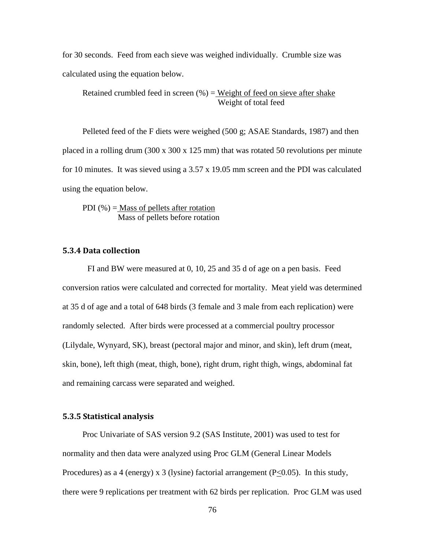for 30 seconds. Feed from each sieve was weighed individually. Crumble size was calculated using the equation below.

Retained crumbled feed in screen  $(\%)$  = Weight of feed on sieve after shake Weight of total feed

Pelleted feed of the F diets were weighed (500 g; ASAE Standards, 1987) and then placed in a rolling drum (300 x 300 x 125 mm) that was rotated 50 revolutions per minute for 10 minutes. It was sieved using a 3.57 x 19.05 mm screen and the PDI was calculated using the equation below.

PDI  $(\%)$  = Mass of pellets after rotation Mass of pellets before rotation

# **5.3.4 Data collection**

FI and BW were measured at 0, 10, 25 and 35 d of age on a pen basis. Feed conversion ratios were calculated and corrected for mortality. Meat yield was determined at 35 d of age and a total of 648 birds (3 female and 3 male from each replication) were randomly selected. After birds were processed at a commercial poultry processor (Lilydale, Wynyard, SK), breast (pectoral major and minor, and skin), left drum (meat, skin, bone), left thigh (meat, thigh, bone), right drum, right thigh, wings, abdominal fat and remaining carcass were separated and weighed.

#### **5.3.5 Statistical analysis**

Proc Univariate of SAS version 9.2 (SAS Institute, 2001) was used to test for normality and then data were analyzed using Proc GLM (General Linear Models Procedures) as a 4 (energy) x 3 (lysine) factorial arrangement  $(P<0.05)$ . In this study, there were 9 replications per treatment with 62 birds per replication. Proc GLM was used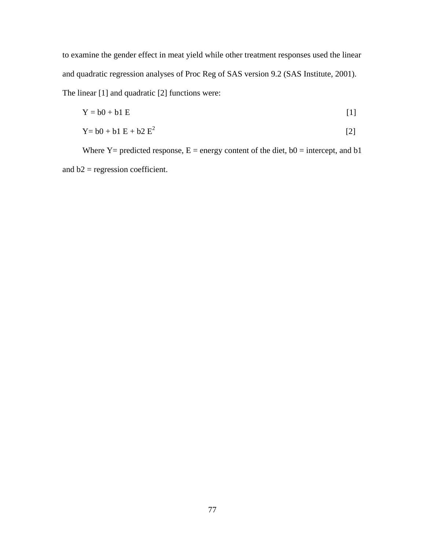to examine the gender effect in meat yield while other treatment responses used the linear and quadratic regression analyses of Proc Reg of SAS version 9.2 (SAS Institute, 2001). The linear [1] and quadratic [2] functions were:

$$
Y = b0 + b1 E \tag{1}
$$

$$
Y = b0 + b1 E + b2 E2
$$
 [2]

Where  $Y =$  predicted response,  $E =$  energy content of the diet,  $b0 =$  intercept, and  $b1$ and b2 = regression coefficient.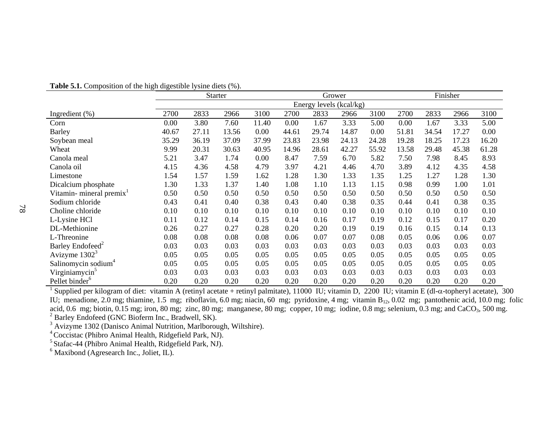|                                      |       |       | <b>Starter</b> |       |       | Grower                  |       |       |       |       | Finisher |       |
|--------------------------------------|-------|-------|----------------|-------|-------|-------------------------|-------|-------|-------|-------|----------|-------|
|                                      |       |       |                |       |       | Energy levels (kcal/kg) |       |       |       |       |          |       |
| Ingredient $(\%)$                    | 2700  | 2833  | 2966           | 3100  | 2700  | 2833                    | 2966  | 3100  | 2700  | 2833  | 2966     | 3100  |
| Corn                                 | 0.00  | 3.80  | 7.60           | 11.40 | 0.00  | 1.67                    | 3.33  | 5.00  | 0.00  | 1.67  | 3.33     | 5.00  |
| <b>Barley</b>                        | 40.67 | 27.11 | 13.56          | 0.00  | 44.61 | 29.74                   | 14.87 | 0.00  | 51.81 | 34.54 | 17.27    | 0.00  |
| Soybean meal                         | 35.29 | 36.19 | 37.09          | 37.99 | 23.83 | 23.98                   | 24.13 | 24.28 | 19.28 | 18.25 | 17.23    | 16.20 |
| Wheat                                | 9.99  | 20.31 | 30.63          | 40.95 | 14.96 | 28.61                   | 42.27 | 55.92 | 13.58 | 29.48 | 45.38    | 61.28 |
| Canola meal                          | 5.21  | 3.47  | 1.74           | 0.00  | 8.47  | 7.59                    | 6.70  | 5.82  | 7.50  | 7.98  | 8.45     | 8.93  |
| Canola oil                           | 4.15  | 4.36  | 4.58           | 4.79  | 3.97  | 4.21                    | 4.46  | 4.70  | 3.89  | 4.12  | 4.35     | 4.58  |
| Limestone                            | 1.54  | 1.57  | 1.59           | 1.62  | 1.28  | 1.30                    | 1.33  | 1.35  | 1.25  | 1.27  | 1.28     | 1.30  |
| Dicalcium phosphate                  | 1.30  | 1.33  | 1.37           | 1.40  | 1.08  | 1.10                    | 1.13  | 1.15  | 0.98  | 0.99  | 1.00     | 1.01  |
| Vitamin- mineral premix <sup>1</sup> | 0.50  | 0.50  | 0.50           | 0.50  | 0.50  | 0.50                    | 0.50  | 0.50  | 0.50  | 0.50  | 0.50     | 0.50  |
| Sodium chloride                      | 0.43  | 0.41  | 0.40           | 0.38  | 0.43  | 0.40                    | 0.38  | 0.35  | 0.44  | 0.41  | 0.38     | 0.35  |
| Choline chloride                     | 0.10  | 0.10  | 0.10           | 0.10  | 0.10  | 0.10                    | 0.10  | 0.10  | 0.10  | 0.10  | 0.10     | 0.10  |
| L-Lysine HCl                         | 0.11  | 0.12  | 0.14           | 0.15  | 0.14  | 0.16                    | 0.17  | 0.19  | 0.12  | 0.15  | 0.17     | 0.20  |
| DL-Methionine                        | 0.26  | 0.27  | 0.27           | 0.28  | 0.20  | 0.20                    | 0.19  | 0.19  | 0.16  | 0.15  | 0.14     | 0.13  |
| L-Threonine                          | 0.08  | 0.08  | 0.08           | 0.08  | 0.06  | 0.07                    | 0.07  | 0.08  | 0.05  | 0.06  | 0.06     | 0.07  |
| Barley Endofeed <sup>2</sup>         | 0.03  | 0.03  | 0.03           | 0.03  | 0.03  | 0.03                    | 0.03  | 0.03  | 0.03  | 0.03  | 0.03     | 0.03  |
| Avizyme $13023$                      | 0.05  | 0.05  | 0.05           | 0.05  | 0.05  | 0.05                    | 0.05  | 0.05  | 0.05  | 0.05  | 0.05     | 0.05  |
| Salinomycin sodium <sup>4</sup>      | 0.05  | 0.05  | 0.05           | 0.05  | 0.05  | 0.05                    | 0.05  | 0.05  | 0.05  | 0.05  | 0.05     | 0.05  |
| Virginiamycin <sup>5</sup>           | 0.03  | 0.03  | 0.03           | 0.03  | 0.03  | 0.03                    | 0.03  | 0.03  | 0.03  | 0.03  | 0.03     | 0.03  |
| Pellet binder <sup>6</sup>           | 0.20  | 0.20  | 0.20           | 0.20  | 0.20  | 0.20                    | 0.20  | 0.20  | 0.20  | 0.20  | 0.20     | 0.20  |

**Table 5.1.** Composition of the high digestible lysine diets (%).

<sup>1</sup> Supplied per kilogram of diet: vitamin A (retinyl acetate + retinyl palmitate), 11000 IU; vitamin D, 2200 IU; vitamin E (dl- $\alpha$ -topheryl acetate), 300 IU; menadione, 2.0 mg; thiamine, 1.5 mg; riboflavin, 6.0 mg; niacin, 60 mg; pyridoxine, 4 mg; vitamin B<sub>12</sub>, 0.02 mg; pantothenic acid, 10.0 mg; folic acid, 0.6 mg; biotin, 0.15 mg; iron, 80 mg; zinc, 80 mg; manganese, 80 mg; copper, 10 mg; iodine, 0.8 mg; selenium, 0.3 mg; and CaCO<sub>3</sub>, 500 mg. <sup>2</sup> Barley Endofeed (GNC Bioferm Inc., Bradwell, SK).

<sup>3</sup> Avizyme 1302 (Danisco Animal Nutrition, Marlborough, Wiltshire).

4 Coccistac (Phibro Animal Health, Ridgefield Park, NJ).

<sup>5</sup> Stafac-44 (Phibro Animal Health, Ridgefield Park, NJ).

 $6$  Maxibond (Agresearch Inc., Joliet, IL).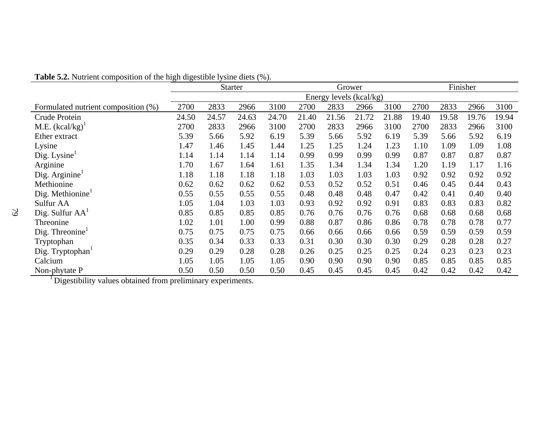|                                      |       | <b>Starter</b> |       |       |       | Grower |                         |       |       | Finisher |       |       |
|--------------------------------------|-------|----------------|-------|-------|-------|--------|-------------------------|-------|-------|----------|-------|-------|
|                                      |       |                |       |       |       |        | Energy levels (kcal/kg) |       |       |          |       |       |
| Formulated nutrient composition (%)  | 2700  | 2833           | 2966  | 3100  | 2700  | 2833   | 2966                    | 3100  | 2700  | 2833     | 2966  | 3100  |
| Crude Protein                        | 24.50 | 24.57          | 24.63 | 24.70 | 21.40 | 21.56  | 21.72                   | 21.88 | 19.40 | 19.58    | 19.76 | 19.94 |
| M.E. $(kcal/kg)^{1}$                 | 2700  | 2833           | 2966  | 3100  | 2700  | 2833   | 2966                    | 3100  | 2700  | 2833     | 2966  | 3100  |
| Ether extract                        | 5.39  | 5.66           | 5.92  | 6.19  | 5.39  | 5.66   | 5.92                    | 6.19  | 5.39  | 5.66     | 5.92  | 6.19  |
| Lysine                               | 1.47  | 1.46           | 1.45  | 1.44  | 1.25  | 1.25   | 1.24                    | 1.23  | 1.10  | 1.09     | 1.09  | 1.08  |
| Dig. Lysine                          | 1.14  | 1.14           | 1.14  | 1.14  | 0.99  | 0.99   | 0.99                    | 0.99  | 0.87  | 0.87     | 0.87  | 0.87  |
| Arginine                             | 1.70  | 1.67           | 1.64  | 1.61  | 1.35  | 1.34   | 1.34                    | 1.34  | 1.20  | 1.19     | 1.17  | 1.16  |
| Dig. Arginine $1$                    | 1.18  | 1.18           | 1.18  | 1.18  | 1.03  | 1.03   | 1.03                    | 1.03  | 0.92  | 0.92     | 0.92  | 0.92  |
| Methionine                           | 0.62  | 0.62           | 0.62  | 0.62  | 0.53  | 0.52   | 0.52                    | 0.51  | 0.46  | 0.45     | 0.44  | 0.43  |
| Dig. Methionine $1$                  | 0.55  | 0.55           | 0.55  | 0.55  | 0.48  | 0.48   | 0.48                    | 0.47  | 0.42  | 0.41     | 0.40  | 0.40  |
| Sulfur AA                            | 1.05  | 1.04           | 1.03  | 1.03  | 0.93  | 0.92   | 0.92                    | 0.91  | 0.83  | 0.83     | 0.83  | 0.82  |
| Dig. Sulfur $AA^1$                   | 0.85  | 0.85           | 0.85  | 0.85  | 0.76  | 0.76   | 0.76                    | 0.76  | 0.68  | 0.68     | 0.68  | 0.68  |
| Threonine                            | 1.02  | 1.01           | 1.00  | 0.99  | 0.88  | 0.87   | 0.86                    | 0.86  | 0.78  | 0.78     | 0.78  | 0.77  |
| $\text{Dig.}$ Threonine <sup>1</sup> | 0.75  | 0.75           | 0.75  | 0.75  | 0.66  | 0.66   | 0.66                    | 0.66  | 0.59  | 0.59     | 0.59  | 0.59  |
| Tryptophan                           | 0.35  | 0.34           | 0.33  | 0.33  | 0.31  | 0.30   | 0.30                    | 0.30  | 0.29  | 0.28     | 0.28  | 0.27  |
| Dig. Tryptophan1                     | 0.29  | 0.29           | 0.28  | 0.28  | 0.26  | 0.25   | 0.25                    | 0.25  | 0.24  | 0.23     | 0.23  | 0.23  |
| Calcium                              | 1.05  | 1.05           | 1.05  | 1.05  | 0.90  | 0.90   | 0.90                    | 0.90  | 0.85  | 0.85     | 0.85  | 0.85  |
| Non-phytate P                        | 0.50  | 0.50           | 0.50  | 0.50  | 0.45  | 0.45   | 0.45                    | 0.45  | 0.42  | 0.42     | 0.42  | 0.42  |

**Table 5.2.** Nutrient composition of the high digestible lysine diets (%).

<sup>1</sup> Digestibility values obtained from preliminary experiments.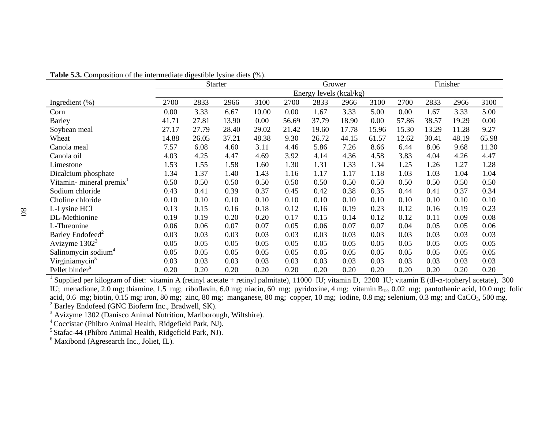|                                     |       |       | <b>Starter</b> |       |       | Grower                  |       |       |       |       | Finisher |       |
|-------------------------------------|-------|-------|----------------|-------|-------|-------------------------|-------|-------|-------|-------|----------|-------|
|                                     |       |       |                |       |       | Energy levels (kcal/kg) |       |       |       |       |          |       |
| Ingredient $(\%)$                   | 2700  | 2833  | 2966           | 3100  | 2700  | 2833                    | 2966  | 3100  | 2700  | 2833  | 2966     | 3100  |
| Corn                                | 0.00  | 3.33  | 6.67           | 10.00 | 0.00  | 1.67                    | 3.33  | 5.00  | 0.00  | 1.67  | 3.33     | 5.00  |
| <b>Barley</b>                       | 41.71 | 27.81 | 13.90          | 0.00  | 56.69 | 37.79                   | 18.90 | 0.00  | 57.86 | 38.57 | 19.29    | 0.00  |
| Soybean meal                        | 27.17 | 27.79 | 28.40          | 29.02 | 21.42 | 19.60                   | 17.78 | 15.96 | 15.30 | 13.29 | 11.28    | 9.27  |
| Wheat                               | 14.88 | 26.05 | 37.21          | 48.38 | 9.30  | 26.72                   | 44.15 | 61.57 | 12.62 | 30.41 | 48.19    | 65.98 |
| Canola meal                         | 7.57  | 6.08  | 4.60           | 3.11  | 4.46  | 5.86                    | 7.26  | 8.66  | 6.44  | 8.06  | 9.68     | 11.30 |
| Canola oil                          | 4.03  | 4.25  | 4.47           | 4.69  | 3.92  | 4.14                    | 4.36  | 4.58  | 3.83  | 4.04  | 4.26     | 4.47  |
| Limestone                           | 1.53  | 1.55  | 1.58           | 1.60  | 1.30  | 1.31                    | 1.33  | 1.34  | 1.25  | 1.26  | 1.27     | 1.28  |
| Dicalcium phosphate                 | 1.34  | 1.37  | 1.40           | 1.43  | 1.16  | 1.17                    | 1.17  | 1.18  | 1.03  | 1.03  | 1.04     | 1.04  |
| Vitamin-mineral premix <sup>1</sup> | 0.50  | 0.50  | 0.50           | 0.50  | 0.50  | 0.50                    | 0.50  | 0.50  | 0.50  | 0.50  | 0.50     | 0.50  |
| Sodium chloride                     | 0.43  | 0.41  | 0.39           | 0.37  | 0.45  | 0.42                    | 0.38  | 0.35  | 0.44  | 0.41  | 0.37     | 0.34  |
| Choline chloride                    | 0.10  | 0.10  | 0.10           | 0.10  | 0.10  | 0.10                    | 0.10  | 0.10  | 0.10  | 0.10  | 0.10     | 0.10  |
| L-Lysine HCl                        | 0.13  | 0.15  | 0.16           | 0.18  | 0.12  | 0.16                    | 0.19  | 0.23  | 0.12  | 0.16  | 0.19     | 0.23  |
| DL-Methionine                       | 0.19  | 0.19  | 0.20           | 0.20  | 0.17  | 0.15                    | 0.14  | 0.12  | 0.12  | 0.11  | 0.09     | 0.08  |
| L-Threonine                         | 0.06  | 0.06  | 0.07           | 0.07  | 0.05  | 0.06                    | 0.07  | 0.07  | 0.04  | 0.05  | 0.05     | 0.06  |
| Barley Endofeed <sup>2</sup>        | 0.03  | 0.03  | 0.03           | 0.03  | 0.03  | 0.03                    | 0.03  | 0.03  | 0.03  | 0.03  | 0.03     | 0.03  |
| Avizyme $13023$                     | 0.05  | 0.05  | 0.05           | 0.05  | 0.05  | 0.05                    | 0.05  | 0.05  | 0.05  | 0.05  | 0.05     | 0.05  |
| Salinomycin sodium <sup>4</sup>     | 0.05  | 0.05  | 0.05           | 0.05  | 0.05  | 0.05                    | 0.05  | 0.05  | 0.05  | 0.05  | 0.05     | 0.05  |
| Virginiamycin <sup>5</sup>          | 0.03  | 0.03  | 0.03           | 0.03  | 0.03  | 0.03                    | 0.03  | 0.03  | 0.03  | 0.03  | 0.03     | 0.03  |
| Pellet binder <sup>6</sup>          | 0.20  | 0.20  | 0.20           | 0.20  | 0.20  | 0.20                    | 0.20  | 0.20  | 0.20  | 0.20  | 0.20     | 0.20  |

**Table 5.3.** Composition of the intermediate digestible lysine diets (%).

<sup>1</sup> Supplied per kilogram of diet: vitamin A (retinyl acetate + retinyl palmitate), 11000 IU; vitamin D, 2200 IU; vitamin E (dl- $\alpha$ -topheryl acetate), 300 IU; menadione, 2.0 mg; thiamine, 1.5 mg; riboflavin, 6.0 mg; niacin, 60 mg; pyridoxine, 4 mg; vitamin B<sub>12</sub>, 0.02 mg; pantothenic acid, 10.0 mg; folic acid, 0.6 mg; biotin, 0.15 mg; iron, 80 mg; zinc, 80 mg; manganese, 80 mg; copper, 10 mg; iodine, 0.8 mg; selenium, 0.3 mg; and CaCO<sub>3</sub>, 500 mg. <sup>2</sup> Barley Endofeed (GNC Bioferm Inc., Bradwell, SK).

<sup>3</sup> Avizyme 1302 (Danisco Animal Nutrition, Marlborough, Wiltshire).

4 Coccistac (Phibro Animal Health, Ridgefield Park, NJ).

5 Stafac-44 (Phibro Animal Health, Ridgefield Park, NJ).

 $6$  Maxibond (Agresearch Inc., Joliet, IL).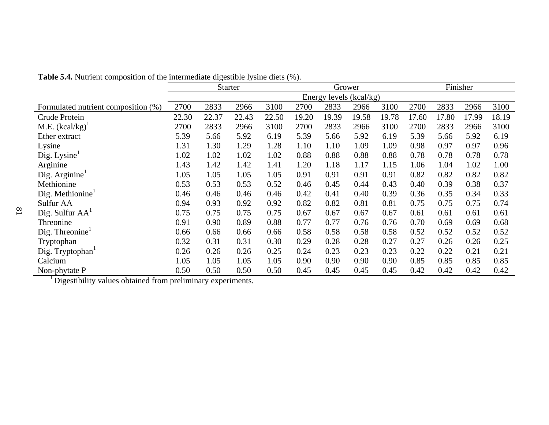|                                     |       | <b>Starter</b> |       |       |       | Grower                  |       |       |       | Finisher |       |       |
|-------------------------------------|-------|----------------|-------|-------|-------|-------------------------|-------|-------|-------|----------|-------|-------|
|                                     |       |                |       |       |       | Energy levels (kcal/kg) |       |       |       |          |       |       |
| Formulated nutrient composition (%) | 2700  | 2833           | 2966  | 3100  | 2700  | 2833                    | 2966  | 3100  | 2700  | 2833     | 2966  | 3100  |
| Crude Protein                       | 22.30 | 22.37          | 22.43 | 22.50 | 19.20 | 19.39                   | 19.58 | 19.78 | 17.60 | 17.80    | 17.99 | 18.19 |
| M.E. $(kcal/kg)^{1}$                | 2700  | 2833           | 2966  | 3100  | 2700  | 2833                    | 2966  | 3100  | 2700  | 2833     | 2966  | 3100  |
| Ether extract                       | 5.39  | 5.66           | 5.92  | 6.19  | 5.39  | 5.66                    | 5.92  | 6.19  | 5.39  | 5.66     | 5.92  | 6.19  |
| Lysine                              | 1.31  | 1.30           | 1.29  | 1.28  | 1.10  | 1.10                    | 1.09  | 1.09  | 0.98  | 0.97     | 0.97  | 0.96  |
| $\text{Dig. Lysine}^1$              | 1.02  | 1.02           | 1.02  | 1.02  | 0.88  | 0.88                    | 0.88  | 0.88  | 0.78  | 0.78     | 0.78  | 0.78  |
| Arginine                            | 1.43  | 1.42           | 1.42  | 1.41  | 1.20  | 1.18                    | 1.17  | 1.15  | 1.06  | 1.04     | 1.02  | 1.00  |
| Dig. $Arginine1$                    | 1.05  | 1.05           | 1.05  | 1.05  | 0.91  | 0.91                    | 0.91  | 0.91  | 0.82  | 0.82     | 0.82  | 0.82  |
| Methionine                          | 0.53  | 0.53           | 0.53  | 0.52  | 0.46  | 0.45                    | 0.44  | 0.43  | 0.40  | 0.39     | 0.38  | 0.37  |
| Dig. Methionine $1$                 | 0.46  | 0.46           | 0.46  | 0.46  | 0.42  | 0.41                    | 0.40  | 0.39  | 0.36  | 0.35     | 0.34  | 0.33  |
| Sulfur AA                           | 0.94  | 0.93           | 0.92  | 0.92  | 0.82  | 0.82                    | 0.81  | 0.81  | 0.75  | 0.75     | 0.75  | 0.74  |
| Dig. Sulfur $AA^1$                  | 0.75  | 0.75           | 0.75  | 0.75  | 0.67  | 0.67                    | 0.67  | 0.67  | 0.61  | 0.61     | 0.61  | 0.61  |
| Threonine                           | 0.91  | 0.90           | 0.89  | 0.88  | 0.77  | 0.77                    | 0.76  | 0.76  | 0.70  | 0.69     | 0.69  | 0.68  |
| Dig. Threonine $1$                  | 0.66  | 0.66           | 0.66  | 0.66  | 0.58  | 0.58                    | 0.58  | 0.58  | 0.52  | 0.52     | 0.52  | 0.52  |
| Tryptophan                          | 0.32  | 0.31           | 0.31  | 0.30  | 0.29  | 0.28                    | 0.28  | 0.27  | 0.27  | 0.26     | 0.26  | 0.25  |
| Dig. Tryptophan1                    | 0.26  | 0.26           | 0.26  | 0.25  | 0.24  | 0.23                    | 0.23  | 0.23  | 0.22  | 0.22     | 0.21  | 0.21  |
| Calcium                             | 1.05  | 1.05           | 1.05  | 1.05  | 0.90  | 0.90                    | 0.90  | 0.90  | 0.85  | 0.85     | 0.85  | 0.85  |
| Non-phytate P                       | 0.50  | 0.50           | 0.50  | 0.50  | 0.45  | 0.45                    | 0.45  | 0.45  | 0.42  | 0.42     | 0.42  | 0.42  |

**Table 5.4.** Nutrient composition of the intermediate digestible lysine diets (%).

<sup>1</sup> Digestibility values obtained from preliminary experiments.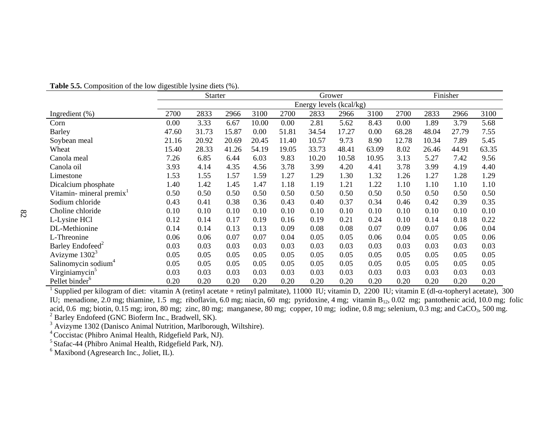|                                      |       | <b>Starter</b> |       |       |       | Grower                  |       |       |       | Finisher |       |       |
|--------------------------------------|-------|----------------|-------|-------|-------|-------------------------|-------|-------|-------|----------|-------|-------|
|                                      |       |                |       |       |       | Energy levels (kcal/kg) |       |       |       |          |       |       |
| Ingredient $(\%)$                    | 2700  | 2833           | 2966  | 3100  | 2700  | 2833                    | 2966  | 3100  | 2700  | 2833     | 2966  | 3100  |
| Corn                                 | 0.00  | 3.33           | 6.67  | 10.00 | 0.00  | 2.81                    | 5.62  | 8.43  | 0.00  | 1.89     | 3.79  | 5.68  |
| <b>Barley</b>                        | 47.60 | 31.73          | 15.87 | 0.00  | 51.81 | 34.54                   | 17.27 | 0.00  | 68.28 | 48.04    | 27.79 | 7.55  |
| Soybean meal                         | 21.16 | 20.92          | 20.69 | 20.45 | 11.40 | 10.57                   | 9.73  | 8.90  | 12.78 | 10.34    | 7.89  | 5.45  |
| Wheat                                | 15.40 | 28.33          | 41.26 | 54.19 | 19.05 | 33.73                   | 48.41 | 63.09 | 8.02  | 26.46    | 44.91 | 63.35 |
| Canola meal                          | 7.26  | 6.85           | 6.44  | 6.03  | 9.83  | 10.20                   | 10.58 | 10.95 | 3.13  | 5.27     | 7.42  | 9.56  |
| Canola oil                           | 3.93  | 4.14           | 4.35  | 4.56  | 3.78  | 3.99                    | 4.20  | 4.41  | 3.78  | 3.99     | 4.19  | 4.40  |
| Limestone                            | 1.53  | 1.55           | 1.57  | 1.59  | 1.27  | 1.29                    | 1.30  | 1.32  | 1.26  | 1.27     | 1.28  | 1.29  |
| Dicalcium phosphate                  | 1.40  | 1.42           | 1.45  | 1.47  | 1.18  | 1.19                    | 1.21  | 1.22  | 1.10  | 1.10     | 1.10  | 1.10  |
| Vitamin- mineral premix <sup>1</sup> | 0.50  | 0.50           | 0.50  | 0.50  | 0.50  | 0.50                    | 0.50  | 0.50  | 0.50  | 0.50     | 0.50  | 0.50  |
| Sodium chloride                      | 0.43  | 0.41           | 0.38  | 0.36  | 0.43  | 0.40                    | 0.37  | 0.34  | 0.46  | 0.42     | 0.39  | 0.35  |
| Choline chloride                     | 0.10  | 0.10           | 0.10  | 0.10  | 0.10  | 0.10                    | 0.10  | 0.10  | 0.10  | 0.10     | 0.10  | 0.10  |
| L-Lysine HCl                         | 0.12  | 0.14           | 0.17  | 0.19  | 0.16  | 0.19                    | 0.21  | 0.24  | 0.10  | 0.14     | 0.18  | 0.22  |
| DL-Methionine                        | 0.14  | 0.14           | 0.13  | 0.13  | 0.09  | 0.08                    | 0.08  | 0.07  | 0.09  | 0.07     | 0.06  | 0.04  |
| L-Threonine                          | 0.06  | 0.06           | 0.07  | 0.07  | 0.04  | 0.05                    | 0.05  | 0.06  | 0.04  | 0.05     | 0.05  | 0.06  |
| Barley Endofeed <sup>2</sup>         | 0.03  | 0.03           | 0.03  | 0.03  | 0.03  | 0.03                    | 0.03  | 0.03  | 0.03  | 0.03     | 0.03  | 0.03  |
| Avizyme $13023$                      | 0.05  | 0.05           | 0.05  | 0.05  | 0.05  | 0.05                    | 0.05  | 0.05  | 0.05  | 0.05     | 0.05  | 0.05  |
| Salinomycin sodium <sup>4</sup>      | 0.05  | 0.05           | 0.05  | 0.05  | 0.05  | 0.05                    | 0.05  | 0.05  | 0.05  | 0.05     | 0.05  | 0.05  |
| Virginiamycin <sup>5</sup>           | 0.03  | 0.03           | 0.03  | 0.03  | 0.03  | 0.03                    | 0.03  | 0.03  | 0.03  | 0.03     | 0.03  | 0.03  |
| Pellet binder <sup>6</sup>           | 0.20  | 0.20           | 0.20  | 0.20  | 0.20  | 0.20                    | 0.20  | 0.20  | 0.20  | 0.20     | 0.20  | 0.20  |

**Table 5.5.** Composition of the low digestible lysine diets (%).

<sup>1</sup> Supplied per kilogram of diet: vitamin A (retinyl acetate + retinyl palmitate), 11000 IU; vitamin D, 2200 IU; vitamin E (dl- $\alpha$ -topheryl acetate), 300 IU; menadione, 2.0 mg; thiamine, 1.5 mg; riboflavin, 6.0 mg; niacin, 60 mg; pyridoxine, 4 mg; vitamin B<sub>12</sub>, 0.02 mg; pantothenic acid, 10.0 mg; folic acid, 0.6 mg; biotin, 0.15 mg; iron, 80 mg; zinc, 80 mg; manganese, 80 mg; copper, 10 mg; iodine, 0.8 mg; selenium, 0.3 mg; and CaCO<sub>3</sub>, 500 mg. <sup>2</sup> Barley Endofeed (GNC Bioferm Inc., Bradwell, SK).

<sup>3</sup> Avizyme 1302 (Danisco Animal Nutrition, Marlborough, Wiltshire).

4 Coccistac (Phibro Animal Health, Ridgefield Park, NJ).

<sup>5</sup> Stafac-44 (Phibro Animal Health, Ridgefield Park, NJ).

 $6$  Maxibond (Agresearch Inc., Joliet, IL).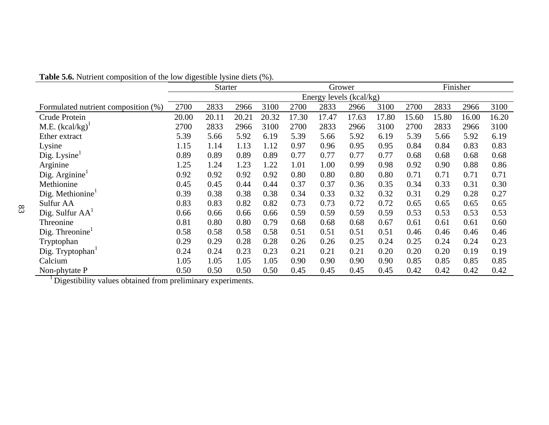| <b>Table 5.6.</b> Nutrient composition of the low digestible lysine diets (%). |  |  |
|--------------------------------------------------------------------------------|--|--|
|--------------------------------------------------------------------------------|--|--|

|                                      | <b>Starter</b>          |       |       |       | Grower |       |       | Finisher |       |       |       |       |
|--------------------------------------|-------------------------|-------|-------|-------|--------|-------|-------|----------|-------|-------|-------|-------|
|                                      | Energy levels (kcal/kg) |       |       |       |        |       |       |          |       |       |       |       |
| Formulated nutrient composition (%)  | 2700                    | 2833  | 2966  | 3100  | 2700   | 2833  | 2966  | 3100     | 2700  | 2833  | 2966  | 3100  |
| Crude Protein                        | 20.00                   | 20.11 | 20.21 | 20.32 | 17.30  | 17.47 | 17.63 | 17.80    | 15.60 | 15.80 | 16.00 | 16.20 |
| M.E. $(kcal/kg)^T$                   | 2700                    | 2833  | 2966  | 3100  | 2700   | 2833  | 2966  | 3100     | 2700  | 2833  | 2966  | 3100  |
| Ether extract                        | 5.39                    | 5.66  | 5.92  | 6.19  | 5.39   | 5.66  | 5.92  | 6.19     | 5.39  | 5.66  | 5.92  | 6.19  |
| Lysine                               | 1.15                    | 1.14  | 1.13  | 1.12  | 0.97   | 0.96  | 0.95  | 0.95     | 0.84  | 0.84  | 0.83  | 0.83  |
| $\text{Dig. Lysine}^1$               | 0.89                    | 0.89  | 0.89  | 0.89  | 0.77   | 0.77  | 0.77  | 0.77     | 0.68  | 0.68  | 0.68  | 0.68  |
| Arginine                             | 1.25                    | 1.24  | 1.23  | 1.22  | 1.01   | 1.00  | 0.99  | 0.98     | 0.92  | 0.90  | 0.88  | 0.86  |
| Dig. Arginine <sup>1</sup>           | 0.92                    | 0.92  | 0.92  | 0.92  | 0.80   | 0.80  | 0.80  | 0.80     | 0.71  | 0.71  | 0.71  | 0.71  |
| Methionine                           | 0.45                    | 0.45  | 0.44  | 0.44  | 0.37   | 0.37  | 0.36  | 0.35     | 0.34  | 0.33  | 0.31  | 0.30  |
| Dig. Methionine $1$                  | 0.39                    | 0.38  | 0.38  | 0.38  | 0.34   | 0.33  | 0.32  | 0.32     | 0.31  | 0.29  | 0.28  | 0.27  |
| Sulfur AA                            | 0.83                    | 0.83  | 0.82  | 0.82  | 0.73   | 0.73  | 0.72  | 0.72     | 0.65  | 0.65  | 0.65  | 0.65  |
| Dig. Sulfur $AA^1$                   | 0.66                    | 0.66  | 0.66  | 0.66  | 0.59   | 0.59  | 0.59  | 0.59     | 0.53  | 0.53  | 0.53  | 0.53  |
| Threonine                            | 0.81                    | 0.80  | 0.80  | 0.79  | 0.68   | 0.68  | 0.68  | 0.67     | 0.61  | 0.61  | 0.61  | 0.60  |
| $\text{Dig.}$ Threonine <sup>1</sup> | 0.58                    | 0.58  | 0.58  | 0.58  | 0.51   | 0.51  | 0.51  | 0.51     | 0.46  | 0.46  | 0.46  | 0.46  |
| Tryptophan                           | 0.29                    | 0.29  | 0.28  | 0.28  | 0.26   | 0.26  | 0.25  | 0.24     | 0.25  | 0.24  | 0.24  | 0.23  |
| Dig. Tryptophan1                     | 0.24                    | 0.24  | 0.23  | 0.23  | 0.21   | 0.21  | 0.21  | 0.20     | 0.20  | 0.20  | 0.19  | 0.19  |
| Calcium                              | 1.05                    | 1.05  | 1.05  | 1.05  | 0.90   | 0.90  | 0.90  | 0.90     | 0.85  | 0.85  | 0.85  | 0.85  |
| Non-phytate P                        | 0.50                    | 0.50  | 0.50  | 0.50  | 0.45   | 0.45  | 0.45  | 0.45     | 0.42  | 0.42  | 0.42  | 0.42  |

<sup>1</sup> Digestibility values obtained from preliminary experiments.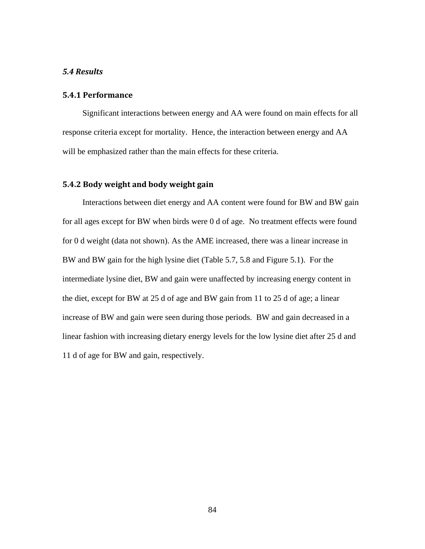## *5.4 Results*

# **5.4.1 Performance**

Significant interactions between energy and AA were found on main effects for all response criteria except for mortality. Hence, the interaction between energy and AA will be emphasized rather than the main effects for these criteria.

# **5.4.2 Body weight and body weight gain**

Interactions between diet energy and AA content were found for BW and BW gain for all ages except for BW when birds were 0 d of age. No treatment effects were found for 0 d weight (data not shown). As the AME increased, there was a linear increase in BW and BW gain for the high lysine diet (Table 5.7, 5.8 and Figure 5.1). For the intermediate lysine diet, BW and gain were unaffected by increasing energy content in the diet, except for BW at 25 d of age and BW gain from 11 to 25 d of age; a linear increase of BW and gain were seen during those periods. BW and gain decreased in a linear fashion with increasing dietary energy levels for the low lysine diet after 25 d and 11 d of age for BW and gain, respectively.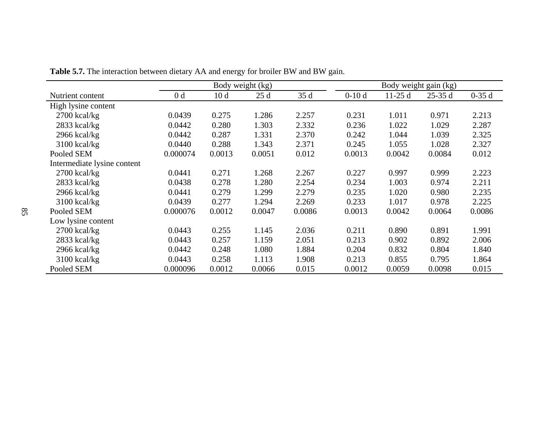|                             |                | Body weight gain (kg) |        |        |         |          |          |         |
|-----------------------------|----------------|-----------------------|--------|--------|---------|----------|----------|---------|
| Nutrient content            | 0 <sub>d</sub> | 10 <sub>d</sub>       | 25d    | 35d    | $0-10d$ | $11-25d$ | $25-35d$ | $0-35d$ |
| High lysine content         |                |                       |        |        |         |          |          |         |
| $2700$ kcal/kg              | 0.0439         | 0.275                 | 1.286  | 2.257  | 0.231   | 1.011    | 0.971    | 2.213   |
| 2833 kcal/kg                | 0.0442         | 0.280                 | 1.303  | 2.332  | 0.236   | 1.022    | 1.029    | 2.287   |
| 2966 kcal/kg                | 0.0442         | 0.287                 | 1.331  | 2.370  | 0.242   | 1.044    | 1.039    | 2.325   |
| 3100 kcal/kg                | 0.0440         | 0.288                 | 1.343  | 2.371  | 0.245   | 1.055    | 1.028    | 2.327   |
| Pooled SEM                  | 0.000074       | 0.0013                | 0.0051 | 0.012  | 0.0013  | 0.0042   | 0.0084   | 0.012   |
| Intermediate lysine content |                |                       |        |        |         |          |          |         |
| $2700$ kcal/kg              | 0.0441         | 0.271                 | 1.268  | 2.267  | 0.227   | 0.997    | 0.999    | 2.223   |
| 2833 kcal/kg                | 0.0438         | 0.278                 | 1.280  | 2.254  | 0.234   | 1.003    | 0.974    | 2.211   |
| $2966$ kcal/kg              | 0.0441         | 0.279                 | 1.299  | 2.279  | 0.235   | 1.020    | 0.980    | 2.235   |
| $3100$ kcal/kg              | 0.0439         | 0.277                 | 1.294  | 2.269  | 0.233   | 1.017    | 0.978    | 2.225   |
| Pooled SEM                  | 0.000076       | 0.0012                | 0.0047 | 0.0086 | 0.0013  | 0.0042   | 0.0064   | 0.0086  |
| Low lysine content          |                |                       |        |        |         |          |          |         |
| 2700 kcal/kg                | 0.0443         | 0.255                 | 1.145  | 2.036  | 0.211   | 0.890    | 0.891    | 1.991   |
| 2833 kcal/kg                | 0.0443         | 0.257                 | 1.159  | 2.051  | 0.213   | 0.902    | 0.892    | 2.006   |
| 2966 kcal/kg                | 0.0442         | 0.248                 | 1.080  | 1.884  | 0.204   | 0.832    | 0.804    | 1.840   |
| 3100 kcal/kg                | 0.0443         | 0.258                 | 1.113  | 1.908  | 0.213   | 0.855    | 0.795    | 1.864   |
| Pooled SEM                  | 0.000096       | 0.0012                | 0.0066 | 0.015  | 0.0012  | 0.0059   | 0.0098   | 0.015   |

**Table 5.7.** The interaction between dietary AA and energy for broiler BW and BW gain.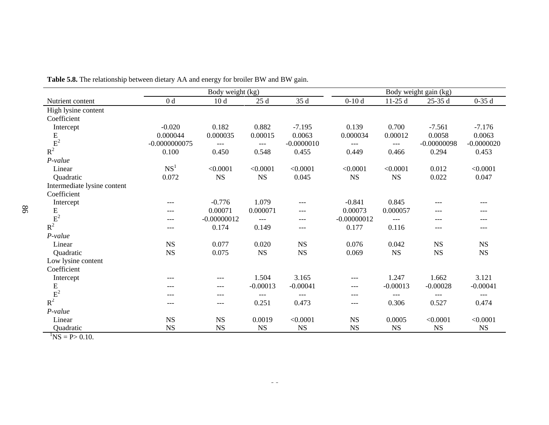|                             | Body weight (kg) |               |             |              |               |             | Body weight gain (kg) |              |
|-----------------------------|------------------|---------------|-------------|--------------|---------------|-------------|-----------------------|--------------|
| Nutrient content            | 0 <sub>d</sub>   | 10d           | 25d         | 35 d         | $0-10d$       | $11-25d$    | $25-35d$              | $0-35d$      |
| High lysine content         |                  |               |             |              |               |             |                       |              |
| Coefficient                 |                  |               |             |              |               |             |                       |              |
| Intercept                   | $-0.020$         | 0.182         | 0.882       | $-7.195$     | 0.139         | 0.700       | $-7.561$              | $-7.176$     |
|                             | 0.000044         | 0.000035      | 0.00015     | 0.0063       | 0.000034      | 0.00012     | 0.0058                | 0.0063       |
|                             | $-0.0000000075$  | $---$         | $---$       | $-0.0000010$ | $---$         | $---$       | $-0.00000098$         | $-0.0000020$ |
| $\frac{E}{R^2}$             | 0.100            | 0.450         | 0.548       | 0.455        | 0.449         | 0.466       | 0.294                 | 0.453        |
| P-value                     |                  |               |             |              |               |             |                       |              |
| Linear                      | NS <sup>1</sup>  | < 0.0001      | < 0.0001    | < 0.0001     | < 0.0001      | < 0.0001    | 0.012                 | < 0.0001     |
| Quadratic                   | 0.072            | <b>NS</b>     | <b>NS</b>   | 0.045        | $_{\rm NS}$   | $_{\rm NS}$ | 0.022                 | 0.047        |
| Intermediate lysine content |                  |               |             |              |               |             |                       |              |
| Coefficient                 |                  |               |             |              |               |             |                       |              |
| Intercept                   | ---              | $-0.776$      | 1.079       | ---          | $-0.841$      | 0.845       | ---                   | ---          |
|                             | ---              | 0.00071       | 0.000071    | ---          | 0.00073       | 0.000057    | $---$                 | ---          |
|                             | $---$            | $-0.00000012$ | $---$       | $---$        | $-0.00000012$ | $---$       | $---$                 | ---          |
| $\frac{E}{R^2}$             | ---              | 0.174         | 0.149       | ---          | 0.177         | 0.116       | $---$                 |              |
| P-value                     |                  |               |             |              |               |             |                       |              |
| Linear                      | $_{\rm NS}$      | 0.077         | 0.020       | $_{\rm NS}$  | 0.076         | 0.042       | $_{\rm NS}$           | NS           |
| Quadratic                   | $_{\rm NS}$      | 0.075         | <b>NS</b>   | $_{\rm NS}$  | 0.069         | <b>NS</b>   | $_{\rm NS}$           | NS           |
| Low lysine content          |                  |               |             |              |               |             |                       |              |
| Coefficient                 |                  |               |             |              |               |             |                       |              |
| Intercept                   | $---$            | $---$         | 1.504       | 3.165        | ---           | 1.247       | 1.662                 | 3.121        |
| ${\bf E}$                   | ---              | ---           | $-0.00013$  | $-0.00041$   | $---$         | $-0.00013$  | $-0.00028$            | $-0.00041$   |
|                             | ---              | $---$         | $---$       | $---$        | $---$         | $---$       | ---                   | $---$        |
| $\bar{\textbf{E}}^2$        | ---              | $---$         | 0.251       | 0.473        | $---$         | 0.306       | 0.527                 | 0.474        |
| P-value                     |                  |               |             |              |               |             |                       |              |
| Linear                      | $_{\rm NS}$      | $_{\rm NS}$   | 0.0019      | < 0.0001     | $_{\rm NS}$   | 0.0005      | < 0.0001              | < 0.0001     |
| Quadratic                   | <b>NS</b>        | $_{\rm NS}$   | $_{\rm NS}$ | $_{\rm NS}$  | $_{\rm NS}$   | $_{\rm NS}$ | $_{\rm NS}$           | NS           |

**Table 5.8.** The relationship between dietary AA and energy for broiler BW and BW gain.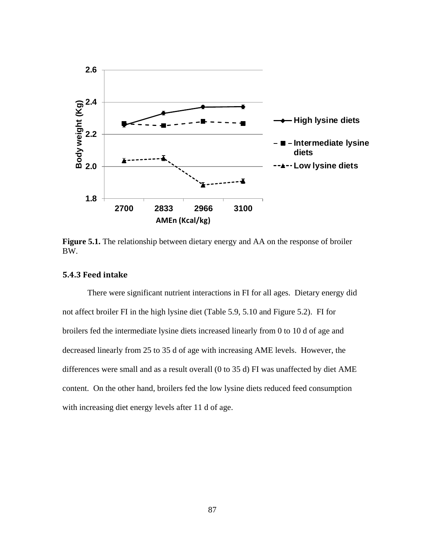

**Figure 5.1.** The relationship between dietary energy and AA on the response of broiler BW.

# **5.4.3 Feed intake**

There were significant nutrient interactions in FI for all ages. Dietary energy did not affect broiler FI in the high lysine diet (Table 5.9, 5.10 and Figure 5.2). FI for broilers fed the intermediate lysine diets increased linearly from 0 to 10 d of age and decreased linearly from 25 to 35 d of age with increasing AME levels. However, the differences were small and as a result overall (0 to 35 d) FI was unaffected by diet AME content. On the other hand, broilers fed the low lysine diets reduced feed consumption with increasing diet energy levels after 11 d of age.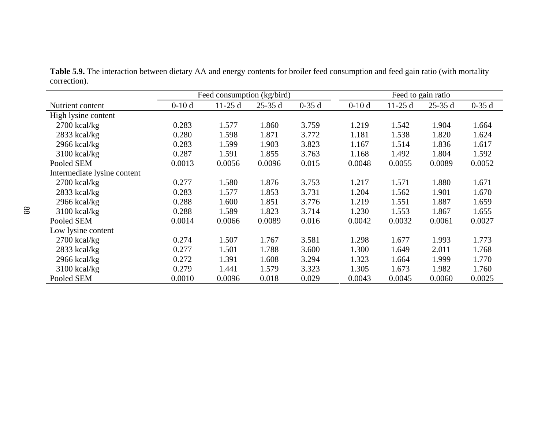|                             | Feed consumption (kg/bird) |          |          |         | Feed to gain ratio |          |          |         |
|-----------------------------|----------------------------|----------|----------|---------|--------------------|----------|----------|---------|
| Nutrient content            | $0-10d$                    | $11-25d$ | $25-35d$ | $0-35d$ | $0-10d$            | $11-25d$ | $25-35d$ | $0-35d$ |
| High lysine content         |                            |          |          |         |                    |          |          |         |
| $2700$ kcal/kg              | 0.283                      | 1.577    | 1.860    | 3.759   | 1.219              | 1.542    | 1.904    | 1.664   |
| 2833 kcal/kg                | 0.280                      | 1.598    | 1.871    | 3.772   | 1.181              | 1.538    | 1.820    | 1.624   |
| $2966$ kcal/kg              | 0.283                      | 1.599    | 1.903    | 3.823   | 1.167              | 1.514    | 1.836    | 1.617   |
| 3100 kcal/kg                | 0.287                      | 1.591    | 1.855    | 3.763   | 1.168              | 1.492    | 1.804    | 1.592   |
| Pooled SEM                  | 0.0013                     | 0.0056   | 0.0096   | 0.015   | 0.0048             | 0.0055   | 0.0089   | 0.0052  |
| Intermediate lysine content |                            |          |          |         |                    |          |          |         |
| $2700$ kcal/kg              | 0.277                      | 1.580    | 1.876    | 3.753   | 1.217              | 1.571    | 1.880    | 1.671   |
| $2833$ kcal/kg              | 0.283                      | 1.577    | 1.853    | 3.731   | 1.204              | 1.562    | 1.901    | 1.670   |
| $2966$ kcal/kg              | 0.288                      | 1.600    | 1.851    | 3.776   | 1.219              | 1.551    | 1.887    | 1.659   |
| 3100 kcal/kg                | 0.288                      | 1.589    | 1.823    | 3.714   | 1.230              | 1.553    | 1.867    | 1.655   |
| Pooled SEM                  | 0.0014                     | 0.0066   | 0.0089   | 0.016   | 0.0042             | 0.0032   | 0.0061   | 0.0027  |
| Low lysine content          |                            |          |          |         |                    |          |          |         |
| $2700$ kcal/kg              | 0.274                      | 1.507    | 1.767    | 3.581   | 1.298              | 1.677    | 1.993    | 1.773   |
| $2833$ kcal/kg              | 0.277                      | 1.501    | 1.788    | 3.600   | 1.300              | 1.649    | 2.011    | 1.768   |
| $2966$ kcal/kg              | 0.272                      | 1.391    | 1.608    | 3.294   | 1.323              | 1.664    | 1.999    | 1.770   |
| $3100$ kcal/kg              | 0.279                      | 1.441    | 1.579    | 3.323   | 1.305              | 1.673    | 1.982    | 1.760   |
| Pooled SEM                  | 0.0010                     | 0.0096   | 0.018    | 0.029   | 0.0043             | 0.0045   | 0.0060   | 0.0025  |

**Table 5.9.** The interaction between dietary AA and energy contents for broiler feed consumption and feed gain ratio (with mortality correction).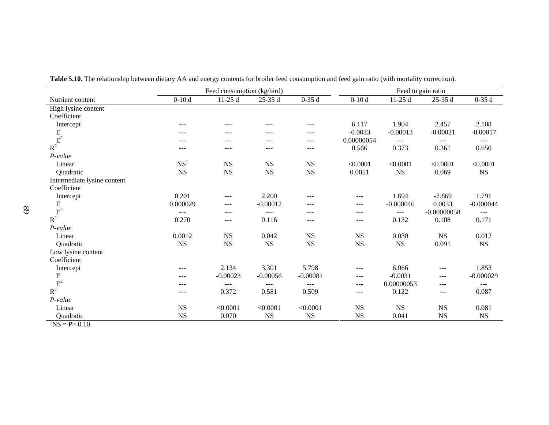|                             |                 | Feed consumption (kg/bird) |             |             | Feed to gain ratio |                     |               |             |  |
|-----------------------------|-----------------|----------------------------|-------------|-------------|--------------------|---------------------|---------------|-------------|--|
| Nutrient content            | $0-10d$         | $11-25d$                   | $25-35d$    | $0-35d$     | $0-10d$            | $11-25d$            | $25-35d$      | $0-35d$     |  |
| High lysine content         |                 |                            |             |             |                    |                     |               |             |  |
| Coefficient                 |                 |                            |             |             |                    |                     |               |             |  |
| Intercept                   | ---             | ---                        | ---         | ---         | 6.117              | 1.904               | 2.457         | 2.108       |  |
|                             | ---             | ---                        | ---         | ---         | $-0.0033$          | $-0.00013$          | $-0.00021$    | $-0.00017$  |  |
| $\frac{E}{R^2}$             | ---             | $---$                      | ---         | ---         | 0.00000054         | $---$               | $---$         | $\cdots$    |  |
|                             | ---             | ---                        | $---$       | ---         | 0.566              | 0.373               | 0.361         | 0.650       |  |
| $P-value$                   |                 |                            |             |             |                    |                     |               |             |  |
| Linear                      | NS <sup>1</sup> | <b>NS</b>                  | <b>NS</b>   | <b>NS</b>   | < 0.0001           | < 0.0001            | < 0.0001      | < 0.0001    |  |
| Quadratic                   | $_{\rm NS}$     | $_{\rm NS}$                | $_{\rm NS}$ | $_{\rm NS}$ | 0.0051             | $_{\rm NS}$         | 0.069         | $_{\rm NS}$ |  |
| Intermediate lysine content |                 |                            |             |             |                    |                     |               |             |  |
| Coefficient                 |                 |                            |             |             |                    |                     |               |             |  |
| Intercept                   | 0.201           | ---                        | 2.200       | ---         | ---                | 1.694               | $-2.869$      | 1.791       |  |
| $\frac{E}{E^2}$             | 0.000029        | ---                        | $-0.00012$  | ---         | ---                | $-0.000046$         | 0.0033        | $-0.000044$ |  |
|                             | ---             | ---                        | $---$       | ---         | ---                | $\qquad \qquad - -$ | $-0.00000058$ | $---$       |  |
| $R^2$                       | 0.270           | ---                        | 0.116       | ---         | ---                | 0.132               | 0.108         | 0.171       |  |
| P-value                     |                 |                            |             |             |                    |                     |               |             |  |
| Linear                      | 0.0012          | $_{\rm NS}$                | 0.042       | <b>NS</b>   | $_{\rm NS}$        | 0.030               | $_{\rm NS}$   | 0.012       |  |
| Quadratic                   | $_{\rm NS}$     | $_{\rm NS}$                | $_{\rm NS}$ | $_{\rm NS}$ | $_{\rm NS}$        | $_{\rm NS}$         | 0.091         | $_{\rm NS}$ |  |
| Low lysine content          |                 |                            |             |             |                    |                     |               |             |  |
| Coefficient                 |                 |                            |             |             |                    |                     |               |             |  |
| Intercept                   | ---             | 2.134                      | 3.301       | 5.798       | ---                | 6.066               | $---$         | 1.853       |  |
| $\frac{E}{E^2}$             | ---             | $-0.00023$                 | $-0.00056$  | $-0.00081$  | $---$              | $-0.0031$           | $---$         | $-0.000029$ |  |
|                             | ---             | ---                        | $---$       | ---         | ---                | 0.00000053          | $---$         | $---$       |  |
| $R^2$                       | ---             | 0.372                      | 0.581       | 0.509       | ---                | 0.122               | $---$         | 0.087       |  |
| $P-value$                   |                 |                            |             |             |                    |                     |               |             |  |
| Linear                      | $_{\rm NS}$     | < 0.0001                   | < 0.0001    | < 0.0001    | $_{\rm NS}$        | $_{\rm NS}$         | $_{\rm NS}$   | 0.081       |  |
| Quadratic                   | <b>NS</b>       | 0.070                      | $_{\rm NS}$ | <b>NS</b>   | $_{\rm NS}$        | 0.041               | <b>NS</b>     | $_{\rm NS}$ |  |

**Table 5.10.** The relationship between dietary AA and energy contents for broiler feed consumption and feed gain ratio (with mortality correction).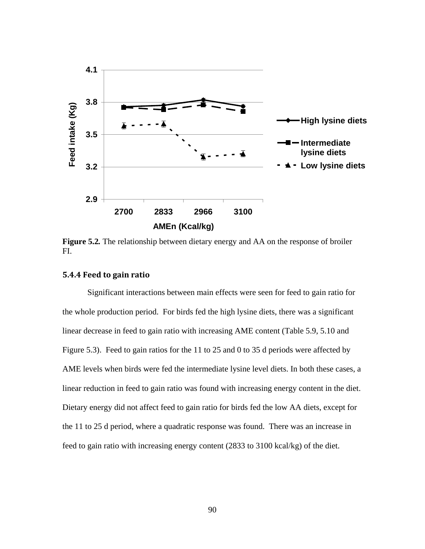

**Figure 5.2***.* The relationship between dietary energy and AA on the response of broiler FI.

# **5.4.4 Feed to gain ratio**

Significant interactions between main effects were seen for feed to gain ratio for the whole production period. For birds fed the high lysine diets, there was a significant linear decrease in feed to gain ratio with increasing AME content (Table 5.9, 5.10 and Figure 5.3). Feed to gain ratios for the 11 to 25 and 0 to 35 d periods were affected by AME levels when birds were fed the intermediate lysine level diets. In both these cases, a linear reduction in feed to gain ratio was found with increasing energy content in the diet. Dietary energy did not affect feed to gain ratio for birds fed the low AA diets, except for the 11 to 25 d period, where a quadratic response was found. There was an increase in feed to gain ratio with increasing energy content (2833 to 3100 kcal/kg) of the diet.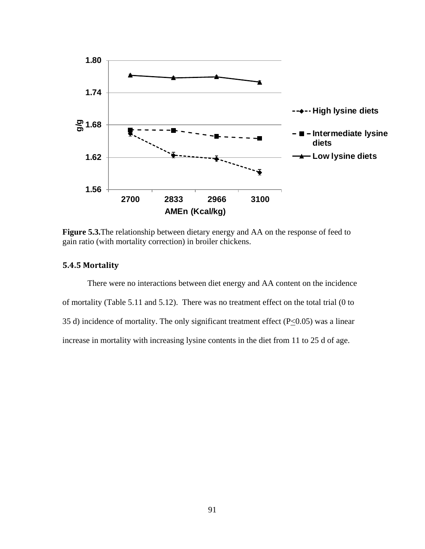

**Figure 5.3.**The relationship between dietary energy and AA on the response of feed to gain ratio (with mortality correction) in broiler chickens.

# **5.4.5 Mortality**

There were no interactions between diet energy and AA content on the incidence of mortality (Table 5.11 and 5.12). There was no treatment effect on the total trial (0 to 35 d) incidence of mortality. The only significant treatment effect ( $P \le 0.05$ ) was a linear increase in mortality with increasing lysine contents in the diet from 11 to 25 d of age.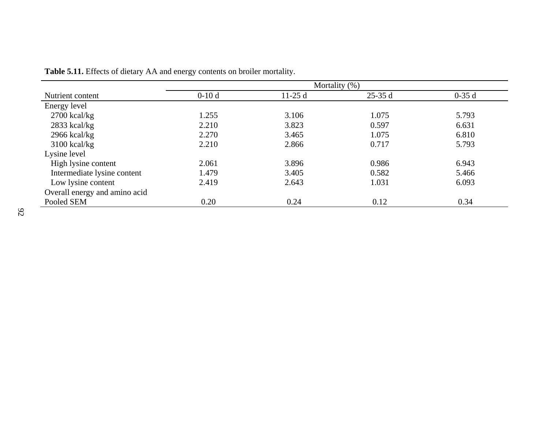|                               | Mortality $(\%)$ |          |          |         |  |  |  |  |  |
|-------------------------------|------------------|----------|----------|---------|--|--|--|--|--|
| Nutrient content              | $0-10d$          | $11-25d$ | $25-35d$ | $0-35d$ |  |  |  |  |  |
| Energy level                  |                  |          |          |         |  |  |  |  |  |
| $2700$ kcal/kg                | 1.255            | 3.106    | 1.075    | 5.793   |  |  |  |  |  |
| $2833$ kcal/kg                | 2.210            | 3.823    | 0.597    | 6.631   |  |  |  |  |  |
| $2966$ kcal/kg                | 2.270            | 3.465    | 1.075    | 6.810   |  |  |  |  |  |
| $3100$ kcal/kg                | 2.210            | 2.866    | 0.717    | 5.793   |  |  |  |  |  |
| Lysine level                  |                  |          |          |         |  |  |  |  |  |
| High lysine content           | 2.061            | 3.896    | 0.986    | 6.943   |  |  |  |  |  |
| Intermediate lysine content   | 1.479            | 3.405    | 0.582    | 5.466   |  |  |  |  |  |
| Low lysine content            | 2.419            | 2.643    | 1.031    | 6.093   |  |  |  |  |  |
| Overall energy and amino acid |                  |          |          |         |  |  |  |  |  |
| Pooled SEM                    | 0.20             | 0.24     | 0.12     | 0.34    |  |  |  |  |  |

**Table 5.11.** Effects of dietary AA and energy contents on broiler mortality.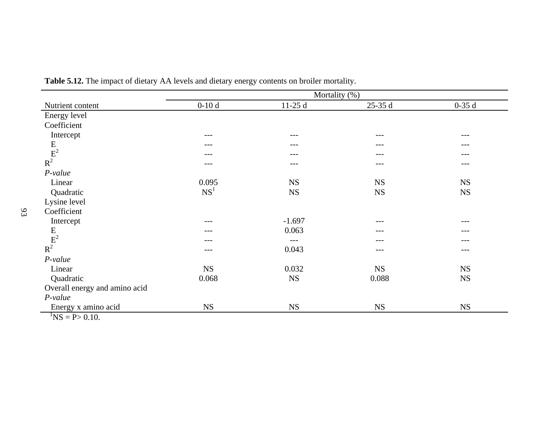|                                                                           |                 | Mortality (%) |           |           |
|---------------------------------------------------------------------------|-----------------|---------------|-----------|-----------|
| Nutrient content                                                          | $0-10d$         | $11-25d$      | $25-35d$  | $0-35d$   |
| Energy level                                                              |                 |               |           |           |
| Coefficient                                                               |                 |               |           |           |
| Intercept                                                                 | ---             | $---$         | $---$     | ---       |
|                                                                           | ---             | $---$         | $---$     | ---       |
|                                                                           | ---             | ---           | $---$     | ---       |
| $\begin{array}{c} \mathbf{E} \\ \mathbf{E}^2 \\ \mathbf{R}^2 \end{array}$ | ---             | $---$         | $---$     | ---       |
| $P-value$                                                                 |                 |               |           |           |
| Linear                                                                    | 0.095           | <b>NS</b>     | NS        | <b>NS</b> |
| Quadratic                                                                 | NS <sup>1</sup> | <b>NS</b>     | <b>NS</b> | <b>NS</b> |
| Lysine level                                                              |                 |               |           |           |
| Coefficient                                                               |                 |               |           |           |
| Intercept                                                                 | ---             | $-1.697$      | $- - -$   | ---       |
| $\begin{array}{c} \mathbf{E} \\ \mathbf{E}^2 \end{array}$ R <sup>2</sup>  | ---             | 0.063         | ---       |           |
|                                                                           | ---             | $---$         | ---       | ---       |
|                                                                           | ---             | 0.043         | $---$     | ---       |
| $P-value$                                                                 |                 |               |           |           |
| Linear                                                                    | <b>NS</b>       | 0.032         | <b>NS</b> | <b>NS</b> |
| Quadratic                                                                 | 0.068           | <b>NS</b>     | 0.088     | <b>NS</b> |
| Overall energy and amino acid                                             |                 |               |           |           |
| $P-value$                                                                 |                 |               |           |           |
| Energy x amino acid                                                       | <b>NS</b>       | <b>NS</b>     | <b>NS</b> | <b>NS</b> |
| $\text{NS} = \text{P} > 0.10.$                                            |                 |               |           |           |

**Table 5.12.** The impact of dietary AA levels and dietary energy contents on broiler mortality.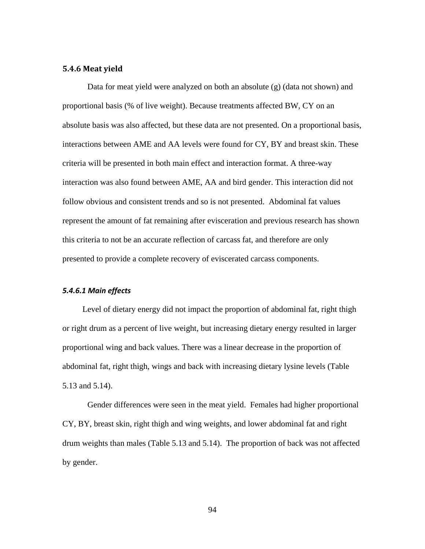# **5.4.6 Meat yield**

Data for meat yield were analyzed on both an absolute (g) (data not shown) and proportional basis (% of live weight). Because treatments affected BW, CY on an absolute basis was also affected, but these data are not presented. On a proportional basis, interactions between AME and AA levels were found for CY, BY and breast skin. These criteria will be presented in both main effect and interaction format. A three-way interaction was also found between AME, AA and bird gender. This interaction did not follow obvious and consistent trends and so is not presented. Abdominal fat values represent the amount of fat remaining after evisceration and previous research has shown this criteria to not be an accurate reflection of carcass fat, and therefore are only presented to provide a complete recovery of eviscerated carcass components.

## *5.4.6.1 Main effects*

Level of dietary energy did not impact the proportion of abdominal fat, right thigh or right drum as a percent of live weight, but increasing dietary energy resulted in larger proportional wing and back values. There was a linear decrease in the proportion of abdominal fat, right thigh, wings and back with increasing dietary lysine levels (Table 5.13 and 5.14).

Gender differences were seen in the meat yield. Females had higher proportional CY, BY, breast skin, right thigh and wing weights, and lower abdominal fat and right drum weights than males (Table 5.13 and 5.14). The proportion of back was not affected by gender.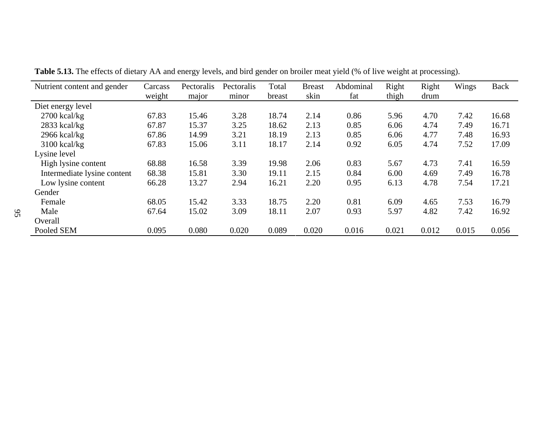| Nutrient content and gender | Carcass | Pectoralis | Pectoralis | Total  | <b>Breast</b> | Abdominal | Right | Right | Wings | <b>Back</b> |
|-----------------------------|---------|------------|------------|--------|---------------|-----------|-------|-------|-------|-------------|
|                             | weight  | major      | minor      | breast | skin          | fat       | thigh | drum  |       |             |
| Diet energy level           |         |            |            |        |               |           |       |       |       |             |
| $2700$ kcal/kg              | 67.83   | 15.46      | 3.28       | 18.74  | 2.14          | 0.86      | 5.96  | 4.70  | 7.42  | 16.68       |
| $2833$ kcal/kg              | 67.87   | 15.37      | 3.25       | 18.62  | 2.13          | 0.85      | 6.06  | 4.74  | 7.49  | 16.71       |
| $2966$ kcal/kg              | 67.86   | 14.99      | 3.21       | 18.19  | 2.13          | 0.85      | 6.06  | 4.77  | 7.48  | 16.93       |
| $3100$ kcal/kg              | 67.83   | 15.06      | 3.11       | 18.17  | 2.14          | 0.92      | 6.05  | 4.74  | 7.52  | 17.09       |
| Lysine level                |         |            |            |        |               |           |       |       |       |             |
| High lysine content         | 68.88   | 16.58      | 3.39       | 19.98  | 2.06          | 0.83      | 5.67  | 4.73  | 7.41  | 16.59       |
| Intermediate lysine content | 68.38   | 15.81      | 3.30       | 19.11  | 2.15          | 0.84      | 6.00  | 4.69  | 7.49  | 16.78       |
| Low lysine content          | 66.28   | 13.27      | 2.94       | 16.21  | 2.20          | 0.95      | 6.13  | 4.78  | 7.54  | 17.21       |
| Gender                      |         |            |            |        |               |           |       |       |       |             |
| Female                      | 68.05   | 15.42      | 3.33       | 18.75  | 2.20          | 0.81      | 6.09  | 4.65  | 7.53  | 16.79       |
| Male                        | 67.64   | 15.02      | 3.09       | 18.11  | 2.07          | 0.93      | 5.97  | 4.82  | 7.42  | 16.92       |
| Overall                     |         |            |            |        |               |           |       |       |       |             |
| Pooled SEM                  | 0.095   | 0.080      | 0.020      | 0.089  | 0.020         | 0.016     | 0.021 | 0.012 | 0.015 | 0.056       |

**Table 5.13.** The effects of dietary AA and energy levels, and bird gender on broiler meat yield (% of live weight at processing).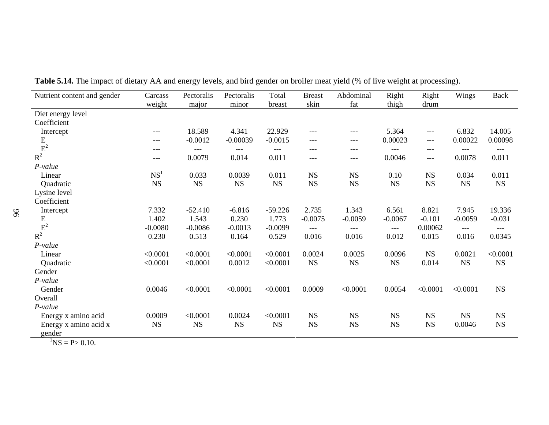| Nutrient content and gender            | Carcass         | Pectoralis  | Pectoralis  | Total       | <b>Breast</b> | Abdominal   | Right       | Right     | Wings     | <b>Back</b> |
|----------------------------------------|-----------------|-------------|-------------|-------------|---------------|-------------|-------------|-----------|-----------|-------------|
|                                        | weight          | major       | minor       | breast      | skin          | fat         | thigh       | drum      |           |             |
| Diet energy level                      |                 |             |             |             |               |             |             |           |           |             |
| Coefficient                            |                 |             |             |             |               |             |             |           |           |             |
| Intercept                              | $---$           | 18.589      | 4.341       | 22.929      | ---           | $---$       | 5.364       | ---       | 6.832     | 14.005      |
|                                        | $---$           | $-0.0012$   | $-0.00039$  | $-0.0015$   | ---           | $---$       | 0.00023     | $---$     | 0.00022   | 0.00098     |
| $\frac{E}{R^2}$                        | $---$           | $---$       | $---$       | $---$       | ---           | $---$       | $---$       | ---       | $---$     | $---$       |
|                                        | $---$           | 0.0079      | 0.014       | 0.011       | ---           | $---$       | 0.0046      | $---$     | 0.0078    | 0.011       |
| P-value                                |                 |             |             |             |               |             |             |           |           |             |
| Linear                                 | NS <sup>1</sup> | 0.033       | 0.0039      | 0.011       | <b>NS</b>     | <b>NS</b>   | 0.10        | <b>NS</b> | 0.034     | 0.011       |
| Quadratic                              | <b>NS</b>       | $_{\rm NS}$ | $_{\rm NS}$ | $_{\rm NS}$ | $_{\rm NS}$   | $_{\rm NS}$ | $_{\rm NS}$ | <b>NS</b> | <b>NS</b> | $_{\rm NS}$ |
| Lysine level                           |                 |             |             |             |               |             |             |           |           |             |
| Coefficient                            |                 |             |             |             |               |             |             |           |           |             |
| Intercept                              | 7.332           | $-52.410$   | $-6.816$    | $-59.226$   | 2.735         | 1.343       | 6.561       | 8.821     | 7.945     | 19.336      |
|                                        | 1.402           | 1.543       | 0.230       | 1.773       | $-0.0075$     | $-0.0059$   | $-0.0067$   | $-0.101$  | $-0.0059$ | $-0.031$    |
| $\frac{E}{E^2}$                        | $-0.0080$       | $-0.0086$   | $-0.0013$   | $-0.0099$   | $---$         | $---$       | $---$       | 0.00062   | $---$     | $---$       |
| $R^2$                                  | 0.230           | 0.513       | 0.164       | 0.529       | 0.016         | 0.016       | 0.012       | 0.015     | 0.016     | 0.0345      |
| $P-value$                              |                 |             |             |             |               |             |             |           |           |             |
| Linear                                 | < 0.0001        | < 0.0001    | < 0.0001    | < 0.0001    | 0.0024        | 0.0025      | 0.0096      | <b>NS</b> | 0.0021    | < 0.0001    |
| Quadratic                              | < 0.0001        | < 0.0001    | 0.0012      | < 0.0001    | $_{\rm NS}$   | $_{\rm NS}$ | <b>NS</b>   | 0.014     | NS        | <b>NS</b>   |
| Gender                                 |                 |             |             |             |               |             |             |           |           |             |
| P-value                                |                 |             |             |             |               |             |             |           |           |             |
| Gender                                 | 0.0046          | < 0.0001    | < 0.0001    | < 0.0001    | 0.0009        | < 0.0001    | 0.0054      | < 0.0001  | < 0.0001  | $_{\rm NS}$ |
| Overall                                |                 |             |             |             |               |             |             |           |           |             |
| P-value                                |                 |             |             |             |               |             |             |           |           |             |
| Energy x amino acid                    | 0.0009          | < 0.0001    | 0.0024      | < 0.0001    | <b>NS</b>     | <b>NS</b>   | $_{\rm NS}$ | <b>NS</b> | <b>NS</b> | $_{\rm NS}$ |
| Energy x amino acid x                  | <b>NS</b>       | <b>NS</b>   | <b>NS</b>   | <b>NS</b>   | <b>NS</b>     | <b>NS</b>   | <b>NS</b>   | <b>NS</b> | 0.0046    | <b>NS</b>   |
| gender                                 |                 |             |             |             |               |             |             |           |           |             |
| $\mathrm{^{1}NS} = \mathrm{P} > 0.10.$ |                 |             |             |             |               |             |             |           |           |             |

**Table 5.14.** The impact of dietary AA and energy levels, and bird gender on broiler meat yield (% of live weight at processing).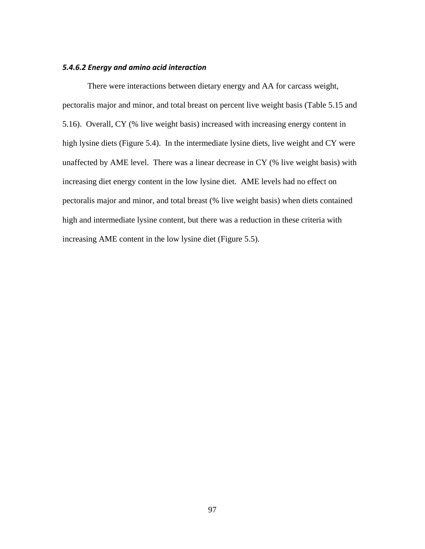# *5.4.6.2 Energy and amino acid interaction*

There were interactions between dietary energy and AA for carcass weight, pectoralis major and minor, and total breast on percent live weight basis (Table 5.15 and 5.16). Overall, CY (% live weight basis) increased with increasing energy content in high lysine diets (Figure 5.4). In the intermediate lysine diets, live weight and CY were unaffected by AME level. There was a linear decrease in CY (% live weight basis) with increasing diet energy content in the low lysine diet. AME levels had no effect on pectoralis major and minor, and total breast (% live weight basis) when diets contained high and intermediate lysine content, but there was a reduction in these criteria with increasing AME content in the low lysine diet (Figure 5.5).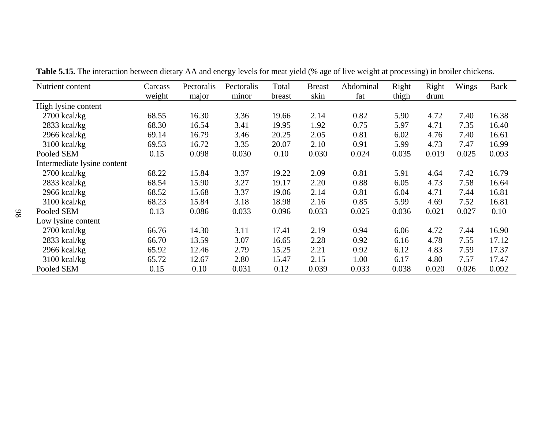| Nutrient content            | Carcass | Pectoralis | Pectoralis | Total  | <b>Breast</b> | Abdominal | Right | Right | Wings | <b>Back</b> |
|-----------------------------|---------|------------|------------|--------|---------------|-----------|-------|-------|-------|-------------|
|                             | weight  | major      | minor      | breast | skin          | fat       | thigh | drum  |       |             |
| High lysine content         |         |            |            |        |               |           |       |       |       |             |
| $2700$ kcal/kg              | 68.55   | 16.30      | 3.36       | 19.66  | 2.14          | 0.82      | 5.90  | 4.72  | 7.40  | 16.38       |
| $2833$ kcal/kg              | 68.30   | 16.54      | 3.41       | 19.95  | 1.92          | 0.75      | 5.97  | 4.71  | 7.35  | 16.40       |
| $2966$ kcal/kg              | 69.14   | 16.79      | 3.46       | 20.25  | 2.05          | 0.81      | 6.02  | 4.76  | 7.40  | 16.61       |
| $3100$ kcal/kg              | 69.53   | 16.72      | 3.35       | 20.07  | 2.10          | 0.91      | 5.99  | 4.73  | 7.47  | 16.99       |
| Pooled SEM                  | 0.15    | 0.098      | 0.030      | 0.10   | 0.030         | 0.024     | 0.035 | 0.019 | 0.025 | 0.093       |
| Intermediate lysine content |         |            |            |        |               |           |       |       |       |             |
| $2700$ kcal/kg              | 68.22   | 15.84      | 3.37       | 19.22  | 2.09          | 0.81      | 5.91  | 4.64  | 7.42  | 16.79       |
| $2833$ kcal/kg              | 68.54   | 15.90      | 3.27       | 19.17  | 2.20          | 0.88      | 6.05  | 4.73  | 7.58  | 16.64       |
| $2966$ kcal/kg              | 68.52   | 15.68      | 3.37       | 19.06  | 2.14          | 0.81      | 6.04  | 4.71  | 7.44  | 16.81       |
| 3100 kcal/kg                | 68.23   | 15.84      | 3.18       | 18.98  | 2.16          | 0.85      | 5.99  | 4.69  | 7.52  | 16.81       |
| Pooled SEM                  | 0.13    | 0.086      | 0.033      | 0.096  | 0.033         | 0.025     | 0.036 | 0.021 | 0.027 | 0.10        |
| Low lysine content          |         |            |            |        |               |           |       |       |       |             |
| $2700$ kcal/kg              | 66.76   | 14.30      | 3.11       | 17.41  | 2.19          | 0.94      | 6.06  | 4.72  | 7.44  | 16.90       |
| 2833 kcal/kg                | 66.70   | 13.59      | 3.07       | 16.65  | 2.28          | 0.92      | 6.16  | 4.78  | 7.55  | 17.12       |
| $2966$ kcal/kg              | 65.92   | 12.46      | 2.79       | 15.25  | 2.21          | 0.92      | 6.12  | 4.83  | 7.59  | 17.37       |
| 3100 kcal/kg                | 65.72   | 12.67      | 2.80       | 15.47  | 2.15          | 1.00      | 6.17  | 4.80  | 7.57  | 17.47       |
| Pooled SEM                  | 0.15    | 0.10       | 0.031      | 0.12   | 0.039         | 0.033     | 0.038 | 0.020 | 0.026 | 0.092       |

**Table 5.15.** The interaction between dietary AA and energy levels for meat yield (% age of live weight at processing) in broiler chickens.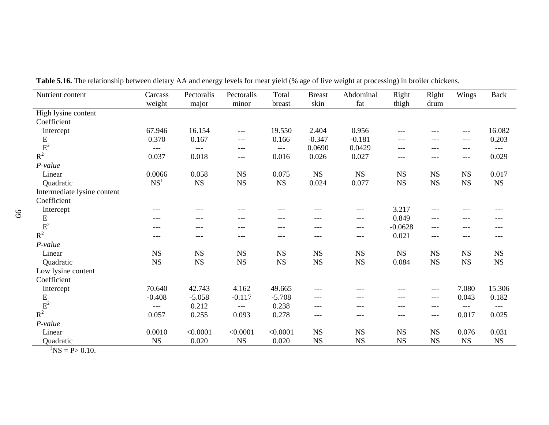| High lysine content<br>Coefficient<br>16.154<br>67.946<br>19.550<br>2.404<br>0.956<br>Intercept<br>$---$<br>$- - -$<br>$---$<br>---<br>$\frac{E}{R^2}$<br>0.370<br>0.167<br>$-0.347$<br>$-0.181$<br>0.203<br>0.166<br>---<br>$---$<br>$---$<br>---<br>0.0690<br>0.0429<br>$---$<br>---<br>---<br>$---$<br>---<br>$---$<br>---<br>---<br>0.037<br>0.016<br>0.026<br>0.018<br>0.027<br>$---$<br>$---$<br>---<br>---<br>P-value<br>0.0066<br>0.058<br>$_{\rm NS}$<br>0.075<br>$_{\rm NS}$<br>$_{\rm NS}$<br>$_{\rm NS}$<br>$_{\rm NS}$<br>Linear<br>NS<br>NS <sup>1</sup><br>$_{\rm NS}$<br>$_{\rm NS}$<br>$_{\rm NS}$<br>0.024<br><b>NS</b><br>$_{\rm NS}$<br>$_{\rm NS}$<br>$_{\rm NS}$<br>0.077<br>Quadratic<br>Intermediate lysine content<br>Coefficient<br>3.217<br>Intercept<br>---<br>---<br>---<br>---<br>---<br>---<br>---<br>---<br>---<br>$\frac{E}{E^2}$<br>0.849<br>$---$<br>$---$<br>$---$<br>---<br>---<br>---<br>---<br>---<br>---<br>$-0.0628$<br>$---$<br>$---$<br>---<br>$- - -$<br>$---$<br>---<br>---<br>---<br>$- - -$<br>$R^2$<br>0.021<br>---<br>---<br>$---$<br>---<br>---<br>---<br>---<br>---<br>---<br>P-value<br>Linear<br>$_{\rm NS}$<br>NS<br>$_{\rm NS}$<br>NS<br>$_{\rm NS}$<br><b>NS</b><br>NS<br><b>NS</b><br>NS<br><b>NS</b><br>$_{\rm NS}$<br>$_{\rm NS}$<br>$_{\rm NS}$<br><b>NS</b><br>$_{\rm NS}$<br>$_{\rm NS}$<br>$_{\rm NS}$<br>$_{\rm NS}$<br>$_{\rm NS}$<br>0.084<br>Quadratic<br>Low lysine content<br>Coefficient<br>42.743<br>4.162<br>49.665<br>7.080<br>70.640<br>Intercept<br>$---$<br>---<br>---<br>$---$<br>${\bf E}$<br>$-0.408$<br>$-5.058$<br>$-0.117$<br>$-5.708$<br>0.043<br>$---$<br>---<br>---<br>$---$<br>$R^2$<br>0.212<br>0.238<br>---<br>$---$<br>$---$<br>$---$<br>$---$<br>---<br>$---$<br>---<br>0.278<br>0.057<br>0.255<br>0.093<br>0.017<br>0.025<br>$---$<br>---<br>---<br>$---$<br>P-value | Nutrient content | Carcass | Pectoralis | Pectoralis | Total    | <b>Breast</b> | Abdominal   | Right       | Right       | Wings | <b>Back</b> |
|-----------------------------------------------------------------------------------------------------------------------------------------------------------------------------------------------------------------------------------------------------------------------------------------------------------------------------------------------------------------------------------------------------------------------------------------------------------------------------------------------------------------------------------------------------------------------------------------------------------------------------------------------------------------------------------------------------------------------------------------------------------------------------------------------------------------------------------------------------------------------------------------------------------------------------------------------------------------------------------------------------------------------------------------------------------------------------------------------------------------------------------------------------------------------------------------------------------------------------------------------------------------------------------------------------------------------------------------------------------------------------------------------------------------------------------------------------------------------------------------------------------------------------------------------------------------------------------------------------------------------------------------------------------------------------------------------------------------------------------------------------------------------------------------------------------------------------------------------------------------|------------------|---------|------------|------------|----------|---------------|-------------|-------------|-------------|-------|-------------|
|                                                                                                                                                                                                                                                                                                                                                                                                                                                                                                                                                                                                                                                                                                                                                                                                                                                                                                                                                                                                                                                                                                                                                                                                                                                                                                                                                                                                                                                                                                                                                                                                                                                                                                                                                                                                                                                                 |                  | weight  | major      | minor      | breast   | skin          | fat         | thigh       | drum        |       |             |
|                                                                                                                                                                                                                                                                                                                                                                                                                                                                                                                                                                                                                                                                                                                                                                                                                                                                                                                                                                                                                                                                                                                                                                                                                                                                                                                                                                                                                                                                                                                                                                                                                                                                                                                                                                                                                                                                 |                  |         |            |            |          |               |             |             |             |       |             |
|                                                                                                                                                                                                                                                                                                                                                                                                                                                                                                                                                                                                                                                                                                                                                                                                                                                                                                                                                                                                                                                                                                                                                                                                                                                                                                                                                                                                                                                                                                                                                                                                                                                                                                                                                                                                                                                                 |                  |         |            |            |          |               |             |             |             |       |             |
|                                                                                                                                                                                                                                                                                                                                                                                                                                                                                                                                                                                                                                                                                                                                                                                                                                                                                                                                                                                                                                                                                                                                                                                                                                                                                                                                                                                                                                                                                                                                                                                                                                                                                                                                                                                                                                                                 |                  |         |            |            |          |               |             |             |             |       | 16.082      |
|                                                                                                                                                                                                                                                                                                                                                                                                                                                                                                                                                                                                                                                                                                                                                                                                                                                                                                                                                                                                                                                                                                                                                                                                                                                                                                                                                                                                                                                                                                                                                                                                                                                                                                                                                                                                                                                                 |                  |         |            |            |          |               |             |             |             |       |             |
|                                                                                                                                                                                                                                                                                                                                                                                                                                                                                                                                                                                                                                                                                                                                                                                                                                                                                                                                                                                                                                                                                                                                                                                                                                                                                                                                                                                                                                                                                                                                                                                                                                                                                                                                                                                                                                                                 |                  |         |            |            |          |               |             |             |             |       |             |
|                                                                                                                                                                                                                                                                                                                                                                                                                                                                                                                                                                                                                                                                                                                                                                                                                                                                                                                                                                                                                                                                                                                                                                                                                                                                                                                                                                                                                                                                                                                                                                                                                                                                                                                                                                                                                                                                 |                  |         |            |            |          |               |             |             |             |       | 0.029       |
|                                                                                                                                                                                                                                                                                                                                                                                                                                                                                                                                                                                                                                                                                                                                                                                                                                                                                                                                                                                                                                                                                                                                                                                                                                                                                                                                                                                                                                                                                                                                                                                                                                                                                                                                                                                                                                                                 |                  |         |            |            |          |               |             |             |             |       |             |
|                                                                                                                                                                                                                                                                                                                                                                                                                                                                                                                                                                                                                                                                                                                                                                                                                                                                                                                                                                                                                                                                                                                                                                                                                                                                                                                                                                                                                                                                                                                                                                                                                                                                                                                                                                                                                                                                 |                  |         |            |            |          |               |             |             |             |       | 0.017       |
|                                                                                                                                                                                                                                                                                                                                                                                                                                                                                                                                                                                                                                                                                                                                                                                                                                                                                                                                                                                                                                                                                                                                                                                                                                                                                                                                                                                                                                                                                                                                                                                                                                                                                                                                                                                                                                                                 |                  |         |            |            |          |               |             |             |             |       |             |
|                                                                                                                                                                                                                                                                                                                                                                                                                                                                                                                                                                                                                                                                                                                                                                                                                                                                                                                                                                                                                                                                                                                                                                                                                                                                                                                                                                                                                                                                                                                                                                                                                                                                                                                                                                                                                                                                 |                  |         |            |            |          |               |             |             |             |       |             |
|                                                                                                                                                                                                                                                                                                                                                                                                                                                                                                                                                                                                                                                                                                                                                                                                                                                                                                                                                                                                                                                                                                                                                                                                                                                                                                                                                                                                                                                                                                                                                                                                                                                                                                                                                                                                                                                                 |                  |         |            |            |          |               |             |             |             |       |             |
|                                                                                                                                                                                                                                                                                                                                                                                                                                                                                                                                                                                                                                                                                                                                                                                                                                                                                                                                                                                                                                                                                                                                                                                                                                                                                                                                                                                                                                                                                                                                                                                                                                                                                                                                                                                                                                                                 |                  |         |            |            |          |               |             |             |             |       |             |
|                                                                                                                                                                                                                                                                                                                                                                                                                                                                                                                                                                                                                                                                                                                                                                                                                                                                                                                                                                                                                                                                                                                                                                                                                                                                                                                                                                                                                                                                                                                                                                                                                                                                                                                                                                                                                                                                 |                  |         |            |            |          |               |             |             |             |       |             |
|                                                                                                                                                                                                                                                                                                                                                                                                                                                                                                                                                                                                                                                                                                                                                                                                                                                                                                                                                                                                                                                                                                                                                                                                                                                                                                                                                                                                                                                                                                                                                                                                                                                                                                                                                                                                                                                                 |                  |         |            |            |          |               |             |             |             |       |             |
|                                                                                                                                                                                                                                                                                                                                                                                                                                                                                                                                                                                                                                                                                                                                                                                                                                                                                                                                                                                                                                                                                                                                                                                                                                                                                                                                                                                                                                                                                                                                                                                                                                                                                                                                                                                                                                                                 |                  |         |            |            |          |               |             |             |             |       |             |
|                                                                                                                                                                                                                                                                                                                                                                                                                                                                                                                                                                                                                                                                                                                                                                                                                                                                                                                                                                                                                                                                                                                                                                                                                                                                                                                                                                                                                                                                                                                                                                                                                                                                                                                                                                                                                                                                 |                  |         |            |            |          |               |             |             |             |       |             |
|                                                                                                                                                                                                                                                                                                                                                                                                                                                                                                                                                                                                                                                                                                                                                                                                                                                                                                                                                                                                                                                                                                                                                                                                                                                                                                                                                                                                                                                                                                                                                                                                                                                                                                                                                                                                                                                                 |                  |         |            |            |          |               |             |             |             |       |             |
|                                                                                                                                                                                                                                                                                                                                                                                                                                                                                                                                                                                                                                                                                                                                                                                                                                                                                                                                                                                                                                                                                                                                                                                                                                                                                                                                                                                                                                                                                                                                                                                                                                                                                                                                                                                                                                                                 |                  |         |            |            |          |               |             |             |             |       |             |
|                                                                                                                                                                                                                                                                                                                                                                                                                                                                                                                                                                                                                                                                                                                                                                                                                                                                                                                                                                                                                                                                                                                                                                                                                                                                                                                                                                                                                                                                                                                                                                                                                                                                                                                                                                                                                                                                 |                  |         |            |            |          |               |             |             |             |       |             |
|                                                                                                                                                                                                                                                                                                                                                                                                                                                                                                                                                                                                                                                                                                                                                                                                                                                                                                                                                                                                                                                                                                                                                                                                                                                                                                                                                                                                                                                                                                                                                                                                                                                                                                                                                                                                                                                                 |                  |         |            |            |          |               |             |             |             |       |             |
|                                                                                                                                                                                                                                                                                                                                                                                                                                                                                                                                                                                                                                                                                                                                                                                                                                                                                                                                                                                                                                                                                                                                                                                                                                                                                                                                                                                                                                                                                                                                                                                                                                                                                                                                                                                                                                                                 |                  |         |            |            |          |               |             |             |             |       | 15.306      |
|                                                                                                                                                                                                                                                                                                                                                                                                                                                                                                                                                                                                                                                                                                                                                                                                                                                                                                                                                                                                                                                                                                                                                                                                                                                                                                                                                                                                                                                                                                                                                                                                                                                                                                                                                                                                                                                                 |                  |         |            |            |          |               |             |             |             |       | 0.182       |
|                                                                                                                                                                                                                                                                                                                                                                                                                                                                                                                                                                                                                                                                                                                                                                                                                                                                                                                                                                                                                                                                                                                                                                                                                                                                                                                                                                                                                                                                                                                                                                                                                                                                                                                                                                                                                                                                 |                  |         |            |            |          |               |             |             |             |       |             |
|                                                                                                                                                                                                                                                                                                                                                                                                                                                                                                                                                                                                                                                                                                                                                                                                                                                                                                                                                                                                                                                                                                                                                                                                                                                                                                                                                                                                                                                                                                                                                                                                                                                                                                                                                                                                                                                                 |                  |         |            |            |          |               |             |             |             |       |             |
|                                                                                                                                                                                                                                                                                                                                                                                                                                                                                                                                                                                                                                                                                                                                                                                                                                                                                                                                                                                                                                                                                                                                                                                                                                                                                                                                                                                                                                                                                                                                                                                                                                                                                                                                                                                                                                                                 |                  |         |            |            |          |               |             |             |             |       |             |
|                                                                                                                                                                                                                                                                                                                                                                                                                                                                                                                                                                                                                                                                                                                                                                                                                                                                                                                                                                                                                                                                                                                                                                                                                                                                                                                                                                                                                                                                                                                                                                                                                                                                                                                                                                                                                                                                 | Linear           | 0.0010  | < 0.0001   | < 0.0001   | < 0.0001 | $_{\rm NS}$   | $_{\rm NS}$ | $_{\rm NS}$ | $_{\rm NS}$ | 0.076 | 0.031       |
| $_{\rm NS}$<br>$_{\rm NS}$<br><b>NS</b><br>0.020<br>NS<br>0.020<br><b>NS</b><br><b>NS</b><br>NS<br><b>NS</b><br>Quadratic                                                                                                                                                                                                                                                                                                                                                                                                                                                                                                                                                                                                                                                                                                                                                                                                                                                                                                                                                                                                                                                                                                                                                                                                                                                                                                                                                                                                                                                                                                                                                                                                                                                                                                                                       |                  |         |            |            |          |               |             |             |             |       |             |

**Table 5.16.** The relationship between dietary AA and energy levels for meat yield (% age of live weight at processing) in broiler chickens.

 ${}^{1}NS = P > 0.10$ .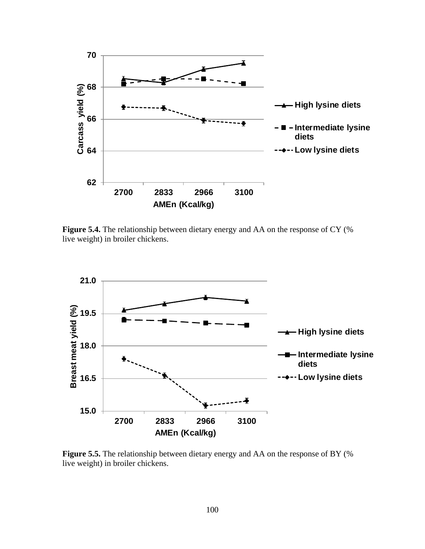

**Figure 5.4.** The relationship between dietary energy and AA on the response of CY (% live weight) in broiler chickens.



**Figure 5.5.** The relationship between dietary energy and AA on the response of BY (% live weight) in broiler chickens.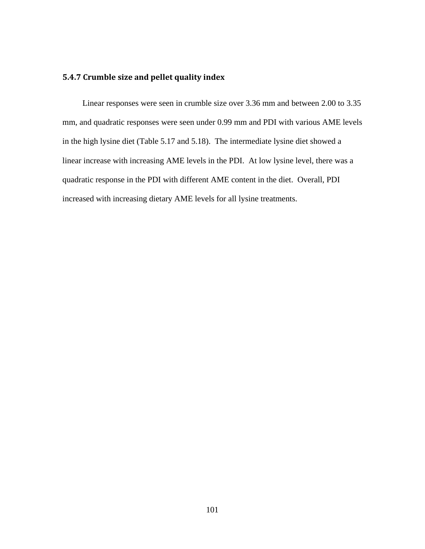# **5.4.7 Crumble size and pellet quality index**

Linear responses were seen in crumble size over 3.36 mm and between 2.00 to 3.35 mm, and quadratic responses were seen under 0.99 mm and PDI with various AME levels in the high lysine diet (Table 5.17 and 5.18). The intermediate lysine diet showed a linear increase with increasing AME levels in the PDI. At low lysine level, there was a quadratic response in the PDI with different AME content in the diet. Overall, PDI increased with increasing dietary AME levels for all lysine treatments.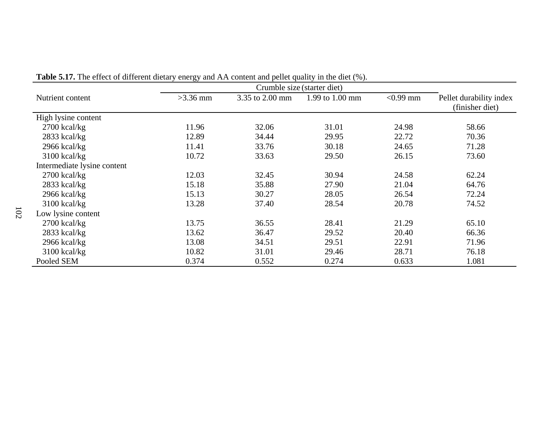|                             | Crumble size (starter diet) |                 |                 |             |                                            |  |  |  |  |  |
|-----------------------------|-----------------------------|-----------------|-----------------|-------------|--------------------------------------------|--|--|--|--|--|
| Nutrient content            | $>3.36$ mm                  | 3.35 to 2.00 mm | 1.99 to 1.00 mm | $< 0.99$ mm | Pellet durability index<br>(finisher diet) |  |  |  |  |  |
| High lysine content         |                             |                 |                 |             |                                            |  |  |  |  |  |
| $2700$ kcal/kg              | 11.96                       | 32.06           | 31.01           | 24.98       | 58.66                                      |  |  |  |  |  |
| $2833$ kcal/kg              | 12.89                       | 34.44           | 29.95           | 22.72       | 70.36                                      |  |  |  |  |  |
| $2966$ kcal/kg              | 11.41                       | 33.76           | 30.18           | 24.65       | 71.28                                      |  |  |  |  |  |
| $3100$ kcal/kg              | 10.72                       | 33.63           | 29.50           | 26.15       | 73.60                                      |  |  |  |  |  |
| Intermediate lysine content |                             |                 |                 |             |                                            |  |  |  |  |  |
| $2700$ kcal/kg              | 12.03                       | 32.45           | 30.94           | 24.58       | 62.24                                      |  |  |  |  |  |
| $2833$ kcal/kg              | 15.18                       | 35.88           | 27.90           | 21.04       | 64.76                                      |  |  |  |  |  |
| $2966$ kcal/kg              | 15.13                       | 30.27           | 28.05           | 26.54       | 72.24                                      |  |  |  |  |  |
| $3100$ kcal/kg              | 13.28                       | 37.40           | 28.54           | 20.78       | 74.52                                      |  |  |  |  |  |
| Low lysine content          |                             |                 |                 |             |                                            |  |  |  |  |  |
| $2700$ kcal/kg              | 13.75                       | 36.55           | 28.41           | 21.29       | 65.10                                      |  |  |  |  |  |
| 2833 kcal/kg                | 13.62                       | 36.47           | 29.52           | 20.40       | 66.36                                      |  |  |  |  |  |
| $2966$ kcal/kg              | 13.08                       | 34.51           | 29.51           | 22.91       | 71.96                                      |  |  |  |  |  |
| $3100$ kcal/kg              | 10.82                       | 31.01           | 29.46           | 28.71       | 76.18                                      |  |  |  |  |  |
| Pooled SEM                  | 0.374                       | 0.552           | 0.274           | 0.633       | 1.081                                      |  |  |  |  |  |

**Table 5.17.** The effect of different dietary energy and AA content and pellet quality in the diet (%).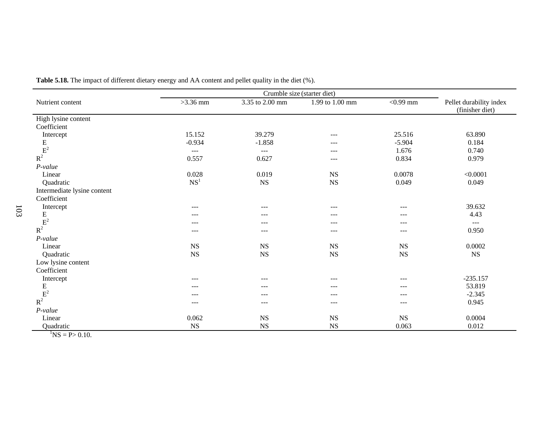| Nutrient content            | $>3.36$ mm                             | 3.35 to 2.00 mm      | 1.99 to 1.00 mm   | $\overline{0.99}$ mm | Pellet durability index<br>(finisher diet) |
|-----------------------------|----------------------------------------|----------------------|-------------------|----------------------|--------------------------------------------|
| High lysine content         |                                        |                      |                   |                      |                                            |
| Coefficient                 |                                        |                      |                   |                      |                                            |
| Intercept                   | 15.152                                 | 39.279               | $---$             | 25.516               | 63.890                                     |
|                             | $-0.934$                               | $-1.858$             | $---$             | $-5.904$             | 0.184                                      |
|                             | $\scriptstyle\cdots\scriptstyle\cdots$ | $\sim$ $\sim$ $\sim$ | $---$             | 1.676                | 0.740                                      |
| $\frac{E}{R^2}$             | 0.557                                  | 0.627                | $---$             | 0.834                | 0.979                                      |
| P-value                     |                                        |                      |                   |                      |                                            |
| Linear                      | 0.028                                  | 0.019                | <b>NS</b>         | 0.0078               | < 0.0001                                   |
| Quadratic                   | NS <sup>1</sup>                        | $_{\rm NS}$          | <b>NS</b>         | 0.049                | 0.049                                      |
| Intermediate lysine content |                                        |                      |                   |                      |                                            |
| Coefficient                 |                                        |                      |                   |                      |                                            |
| Intercept                   | $---$                                  | ---                  | $---$             | ---                  | 39.632                                     |
|                             | $---$                                  | ---                  | $---$             | $--$                 | 4.43                                       |
| $\frac{E}{R^2}$             | ---                                    | ---                  | $\qquad \qquad -$ | ---                  | $\sim$ $\sim$ $\sim$                       |
|                             | ---                                    | ---                  | $---$             | $---$                | 0.950                                      |
| $P$ -value                  |                                        |                      |                   |                      |                                            |
| Linear                      | $_{\rm NS}$                            | <b>NS</b>            | <b>NS</b>         | <b>NS</b>            | 0.0002                                     |
| Quadratic                   | <b>NS</b>                              | <b>NS</b>            | <b>NS</b>         | <b>NS</b>            | $_{\rm NS}$                                |
| Low lysine content          |                                        |                      |                   |                      |                                            |
| Coefficient                 |                                        |                      |                   |                      |                                            |
| Intercept                   | $---$                                  | ---                  | $---$             | ---                  | $-235.157$                                 |
|                             | $---$                                  | $---$                | $---$             | $---$                | 53.819                                     |
| $\frac{E}{R^2}$             | $---$                                  | $---$                | $---$             | $---$                | $-2.345$                                   |
|                             | $---$                                  | $---$                | $---$             | $---$                | 0.945                                      |
| $P$ -value                  |                                        |                      |                   |                      |                                            |
| Linear                      | 0.062                                  | <b>NS</b>            | <b>NS</b>         | <b>NS</b>            | 0.0004                                     |
| Quadratic                   | $_{\rm NS}$                            | <b>NS</b>            | <b>NS</b>         | 0.063                | 0.012                                      |

**Table 5.18.** The impact of different dietary energy and AA content and pellet quality in the diet (%).

 ${}^{1}NS = P > 0.10.$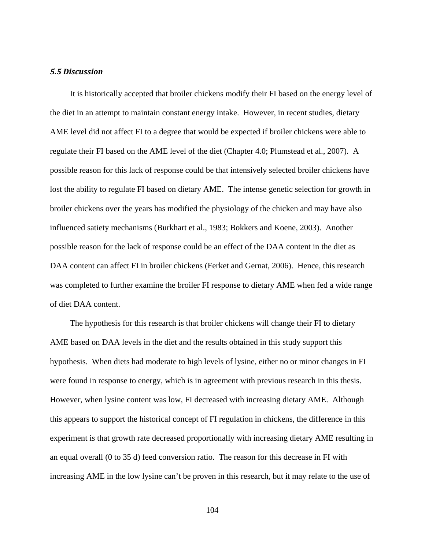### *5.5 Discussion*

It is historically accepted that broiler chickens modify their FI based on the energy level of the diet in an attempt to maintain constant energy intake. However, in recent studies, dietary AME level did not affect FI to a degree that would be expected if broiler chickens were able to regulate their FI based on the AME level of the diet (Chapter 4.0; Plumstead et al., 2007). A possible reason for this lack of response could be that intensively selected broiler chickens have lost the ability to regulate FI based on dietary AME. The intense genetic selection for growth in broiler chickens over the years has modified the physiology of the chicken and may have also influenced satiety mechanisms (Burkhart et al., 1983; Bokkers and Koene, 2003). Another possible reason for the lack of response could be an effect of the DAA content in the diet as DAA content can affect FI in broiler chickens (Ferket and Gernat, 2006). Hence, this research was completed to further examine the broiler FI response to dietary AME when fed a wide range of diet DAA content.

The hypothesis for this research is that broiler chickens will change their FI to dietary AME based on DAA levels in the diet and the results obtained in this study support this hypothesis. When diets had moderate to high levels of lysine, either no or minor changes in FI were found in response to energy, which is in agreement with previous research in this thesis. However, when lysine content was low, FI decreased with increasing dietary AME. Although this appears to support the historical concept of FI regulation in chickens, the difference in this experiment is that growth rate decreased proportionally with increasing dietary AME resulting in an equal overall (0 to 35 d) feed conversion ratio. The reason for this decrease in FI with increasing AME in the low lysine can't be proven in this research, but it may relate to the use of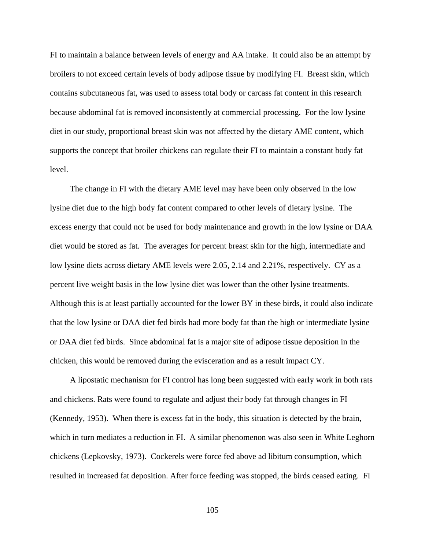FI to maintain a balance between levels of energy and AA intake. It could also be an attempt by broilers to not exceed certain levels of body adipose tissue by modifying FI. Breast skin, which contains subcutaneous fat, was used to assess total body or carcass fat content in this research because abdominal fat is removed inconsistently at commercial processing. For the low lysine diet in our study, proportional breast skin was not affected by the dietary AME content, which supports the concept that broiler chickens can regulate their FI to maintain a constant body fat level.

The change in FI with the dietary AME level may have been only observed in the low lysine diet due to the high body fat content compared to other levels of dietary lysine. The excess energy that could not be used for body maintenance and growth in the low lysine or DAA diet would be stored as fat. The averages for percent breast skin for the high, intermediate and low lysine diets across dietary AME levels were 2.05, 2.14 and 2.21%, respectively. CY as a percent live weight basis in the low lysine diet was lower than the other lysine treatments. Although this is at least partially accounted for the lower BY in these birds, it could also indicate that the low lysine or DAA diet fed birds had more body fat than the high or intermediate lysine or DAA diet fed birds. Since abdominal fat is a major site of adipose tissue deposition in the chicken, this would be removed during the evisceration and as a result impact CY.

A lipostatic mechanism for FI control has long been suggested with early work in both rats and chickens. Rats were found to regulate and adjust their body fat through changes in FI (Kennedy, 1953). When there is excess fat in the body, this situation is detected by the brain, which in turn mediates a reduction in FI. A similar phenomenon was also seen in White Leghorn chickens (Lepkovsky, 1973). Cockerels were force fed above ad libitum consumption, which resulted in increased fat deposition. After force feeding was stopped, the birds ceased eating. FI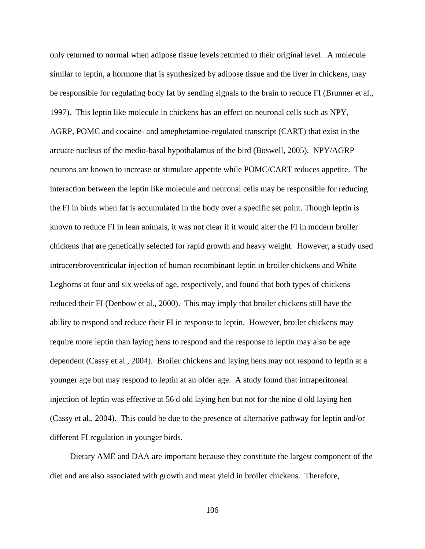only returned to normal when adipose tissue levels returned to their original level. A molecule similar to leptin, a hormone that is synthesized by adipose tissue and the liver in chickens, may be responsible for regulating body fat by sending signals to the brain to reduce FI (Brunner et al., 1997). This leptin like molecule in chickens has an effect on neuronal cells such as NPY, AGRP, POMC and cocaine- and amephetamine-regulated transcript (CART) that exist in the arcuate nucleus of the medio-basal hypothalamus of the bird (Boswell, 2005). NPY/AGRP neurons are known to increase or stimulate appetite while POMC/CART reduces appetite. The interaction between the leptin like molecule and neuronal cells may be responsible for reducing the FI in birds when fat is accumulated in the body over a specific set point. Though leptin is known to reduce FI in lean animals, it was not clear if it would alter the FI in modern broiler chickens that are genetically selected for rapid growth and heavy weight. However, a study used intracerebroventricular injection of human recombinant leptin in broiler chickens and White Leghorns at four and six weeks of age, respectively, and found that both types of chickens reduced their FI (Denbow et al., 2000). This may imply that broiler chickens still have the ability to respond and reduce their FI in response to leptin. However, broiler chickens may require more leptin than laying hens to respond and the response to leptin may also be age dependent (Cassy et al., 2004). Broiler chickens and laying hens may not respond to leptin at a younger age but may respond to leptin at an older age. A study found that intraperitoneal injection of leptin was effective at 56 d old laying hen but not for the nine d old laying hen (Cassy et al., 2004). This could be due to the presence of alternative pathway for leptin and/or different FI regulation in younger birds.

Dietary AME and DAA are important because they constitute the largest component of the diet and are also associated with growth and meat yield in broiler chickens. Therefore,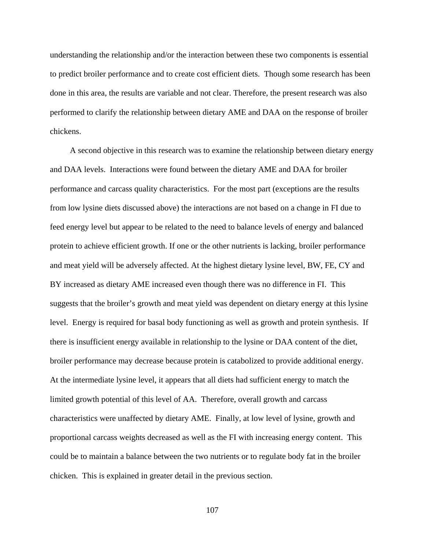understanding the relationship and/or the interaction between these two components is essential to predict broiler performance and to create cost efficient diets. Though some research has been done in this area, the results are variable and not clear. Therefore, the present research was also performed to clarify the relationship between dietary AME and DAA on the response of broiler chickens.

A second objective in this research was to examine the relationship between dietary energy and DAA levels. Interactions were found between the dietary AME and DAA for broiler performance and carcass quality characteristics. For the most part (exceptions are the results from low lysine diets discussed above) the interactions are not based on a change in FI due to feed energy level but appear to be related to the need to balance levels of energy and balanced protein to achieve efficient growth. If one or the other nutrients is lacking, broiler performance and meat yield will be adversely affected. At the highest dietary lysine level, BW, FE, CY and BY increased as dietary AME increased even though there was no difference in FI. This suggests that the broiler's growth and meat yield was dependent on dietary energy at this lysine level. Energy is required for basal body functioning as well as growth and protein synthesis. If there is insufficient energy available in relationship to the lysine or DAA content of the diet, broiler performance may decrease because protein is catabolized to provide additional energy. At the intermediate lysine level, it appears that all diets had sufficient energy to match the limited growth potential of this level of AA. Therefore, overall growth and carcass characteristics were unaffected by dietary AME. Finally, at low level of lysine, growth and proportional carcass weights decreased as well as the FI with increasing energy content. This could be to maintain a balance between the two nutrients or to regulate body fat in the broiler chicken. This is explained in greater detail in the previous section.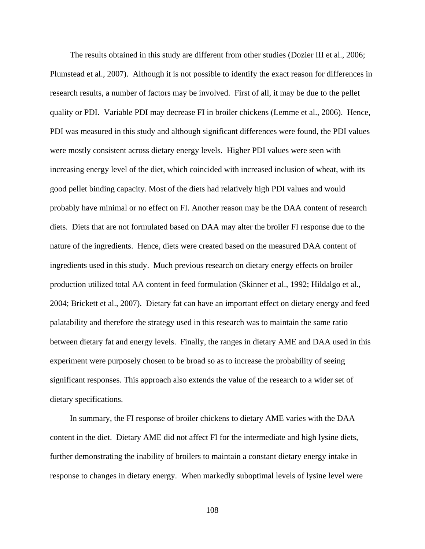The results obtained in this study are different from other studies (Dozier III et al., 2006; Plumstead et al., 2007). Although it is not possible to identify the exact reason for differences in research results, a number of factors may be involved. First of all, it may be due to the pellet quality or PDI. Variable PDI may decrease FI in broiler chickens (Lemme et al., 2006). Hence, PDI was measured in this study and although significant differences were found, the PDI values were mostly consistent across dietary energy levels. Higher PDI values were seen with increasing energy level of the diet, which coincided with increased inclusion of wheat, with its good pellet binding capacity. Most of the diets had relatively high PDI values and would probably have minimal or no effect on FI. Another reason may be the DAA content of research diets. Diets that are not formulated based on DAA may alter the broiler FI response due to the nature of the ingredients. Hence, diets were created based on the measured DAA content of ingredients used in this study. Much previous research on dietary energy effects on broiler production utilized total AA content in feed formulation (Skinner et al., 1992; Hildalgo et al., 2004; Brickett et al., 2007). Dietary fat can have an important effect on dietary energy and feed palatability and therefore the strategy used in this research was to maintain the same ratio between dietary fat and energy levels. Finally, the ranges in dietary AME and DAA used in this experiment were purposely chosen to be broad so as to increase the probability of seeing significant responses. This approach also extends the value of the research to a wider set of dietary specifications.

In summary, the FI response of broiler chickens to dietary AME varies with the DAA content in the diet. Dietary AME did not affect FI for the intermediate and high lysine diets, further demonstrating the inability of broilers to maintain a constant dietary energy intake in response to changes in dietary energy. When markedly suboptimal levels of lysine level were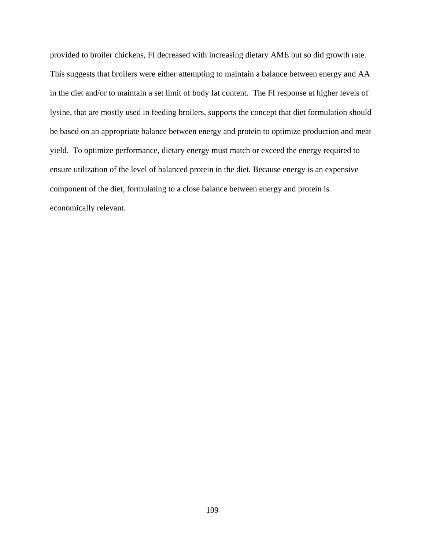provided to broiler chickens, FI decreased with increasing dietary AME but so did growth rate. This suggests that broilers were either attempting to maintain a balance between energy and AA in the diet and/or to maintain a set limit of body fat content. The FI response at higher levels of lysine, that are mostly used in feeding broilers, supports the concept that diet formulation should be based on an appropriate balance between energy and protein to optimize production and meat yield. To optimize performance, dietary energy must match or exceed the energy required to ensure utilization of the level of balanced protein in the diet. Because energy is an expensive component of the diet, formulating to a close balance between energy and protein is economically relevant.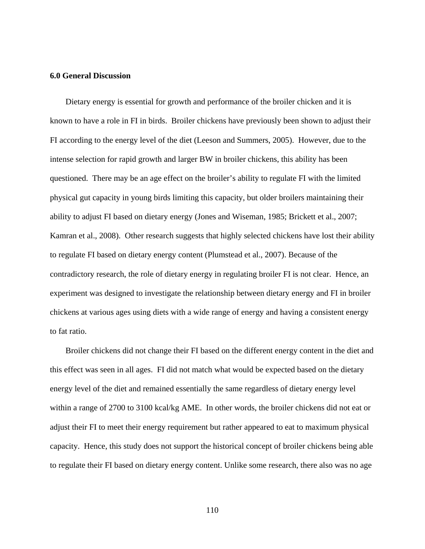### **6.0 General Discussion**

Dietary energy is essential for growth and performance of the broiler chicken and it is known to have a role in FI in birds. Broiler chickens have previously been shown to adjust their FI according to the energy level of the diet (Leeson and Summers, 2005). However, due to the intense selection for rapid growth and larger BW in broiler chickens, this ability has been questioned. There may be an age effect on the broiler's ability to regulate FI with the limited physical gut capacity in young birds limiting this capacity, but older broilers maintaining their ability to adjust FI based on dietary energy (Jones and Wiseman, 1985; Brickett et al., 2007; Kamran et al., 2008). Other research suggests that highly selected chickens have lost their ability to regulate FI based on dietary energy content (Plumstead et al., 2007). Because of the contradictory research, the role of dietary energy in regulating broiler FI is not clear. Hence, an experiment was designed to investigate the relationship between dietary energy and FI in broiler chickens at various ages using diets with a wide range of energy and having a consistent energy to fat ratio.

Broiler chickens did not change their FI based on the different energy content in the diet and this effect was seen in all ages. FI did not match what would be expected based on the dietary energy level of the diet and remained essentially the same regardless of dietary energy level within a range of 2700 to 3100 kcal/kg AME. In other words, the broiler chickens did not eat or adjust their FI to meet their energy requirement but rather appeared to eat to maximum physical capacity. Hence, this study does not support the historical concept of broiler chickens being able to regulate their FI based on dietary energy content. Unlike some research, there also was no age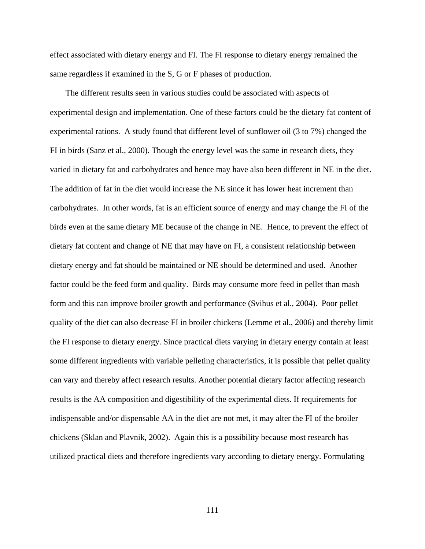effect associated with dietary energy and FI. The FI response to dietary energy remained the same regardless if examined in the S, G or F phases of production.

The different results seen in various studies could be associated with aspects of experimental design and implementation. One of these factors could be the dietary fat content of experimental rations. A study found that different level of sunflower oil (3 to 7%) changed the FI in birds (Sanz et al., 2000). Though the energy level was the same in research diets, they varied in dietary fat and carbohydrates and hence may have also been different in NE in the diet. The addition of fat in the diet would increase the NE since it has lower heat increment than carbohydrates. In other words, fat is an efficient source of energy and may change the FI of the birds even at the same dietary ME because of the change in NE. Hence, to prevent the effect of dietary fat content and change of NE that may have on FI, a consistent relationship between dietary energy and fat should be maintained or NE should be determined and used. Another factor could be the feed form and quality. Birds may consume more feed in pellet than mash form and this can improve broiler growth and performance (Svihus et al., 2004). Poor pellet quality of the diet can also decrease FI in broiler chickens (Lemme et al., 2006) and thereby limit the FI response to dietary energy. Since practical diets varying in dietary energy contain at least some different ingredients with variable pelleting characteristics, it is possible that pellet quality can vary and thereby affect research results. Another potential dietary factor affecting research results is the AA composition and digestibility of the experimental diets. If requirements for indispensable and/or dispensable AA in the diet are not met, it may alter the FI of the broiler chickens (Sklan and Plavnik, 2002). Again this is a possibility because most research has utilized practical diets and therefore ingredients vary according to dietary energy. Formulating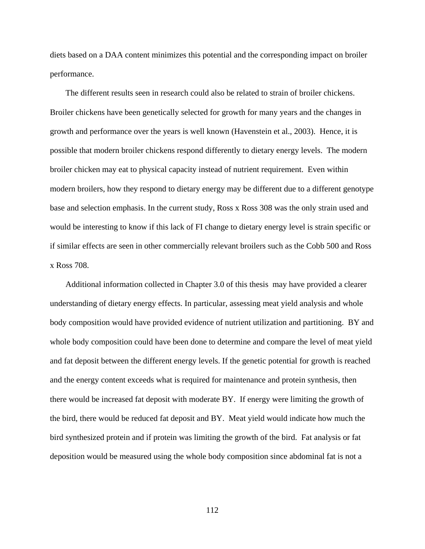diets based on a DAA content minimizes this potential and the corresponding impact on broiler performance.

The different results seen in research could also be related to strain of broiler chickens. Broiler chickens have been genetically selected for growth for many years and the changes in growth and performance over the years is well known (Havenstein et al., 2003). Hence, it is possible that modern broiler chickens respond differently to dietary energy levels. The modern broiler chicken may eat to physical capacity instead of nutrient requirement. Even within modern broilers, how they respond to dietary energy may be different due to a different genotype base and selection emphasis. In the current study, Ross x Ross 308 was the only strain used and would be interesting to know if this lack of FI change to dietary energy level is strain specific or if similar effects are seen in other commercially relevant broilers such as the Cobb 500 and Ross x Ross 708.

Additional information collected in Chapter 3.0 of this thesis may have provided a clearer understanding of dietary energy effects. In particular, assessing meat yield analysis and whole body composition would have provided evidence of nutrient utilization and partitioning. BY and whole body composition could have been done to determine and compare the level of meat yield and fat deposit between the different energy levels. If the genetic potential for growth is reached and the energy content exceeds what is required for maintenance and protein synthesis, then there would be increased fat deposit with moderate BY. If energy were limiting the growth of the bird, there would be reduced fat deposit and BY. Meat yield would indicate how much the bird synthesized protein and if protein was limiting the growth of the bird. Fat analysis or fat deposition would be measured using the whole body composition since abdominal fat is not a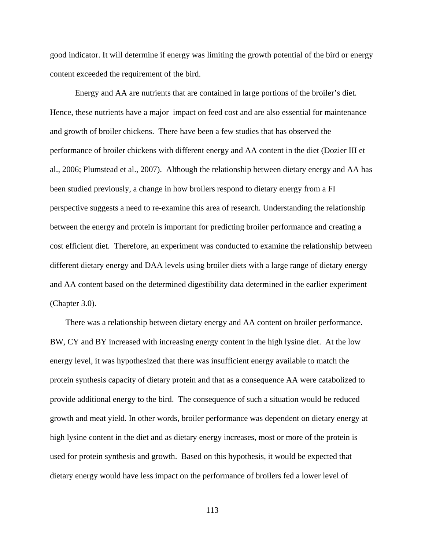good indicator. It will determine if energy was limiting the growth potential of the bird or energy content exceeded the requirement of the bird.

Energy and AA are nutrients that are contained in large portions of the broiler's diet. Hence, these nutrients have a major impact on feed cost and are also essential for maintenance and growth of broiler chickens. There have been a few studies that has observed the performance of broiler chickens with different energy and AA content in the diet (Dozier III et al., 2006; Plumstead et al., 2007). Although the relationship between dietary energy and AA has been studied previously, a change in how broilers respond to dietary energy from a FI perspective suggests a need to re-examine this area of research. Understanding the relationship between the energy and protein is important for predicting broiler performance and creating a cost efficient diet. Therefore, an experiment was conducted to examine the relationship between different dietary energy and DAA levels using broiler diets with a large range of dietary energy and AA content based on the determined digestibility data determined in the earlier experiment (Chapter 3.0).

There was a relationship between dietary energy and AA content on broiler performance. BW, CY and BY increased with increasing energy content in the high lysine diet. At the low energy level, it was hypothesized that there was insufficient energy available to match the protein synthesis capacity of dietary protein and that as a consequence AA were catabolized to provide additional energy to the bird. The consequence of such a situation would be reduced growth and meat yield. In other words, broiler performance was dependent on dietary energy at high lysine content in the diet and as dietary energy increases, most or more of the protein is used for protein synthesis and growth. Based on this hypothesis, it would be expected that dietary energy would have less impact on the performance of broilers fed a lower level of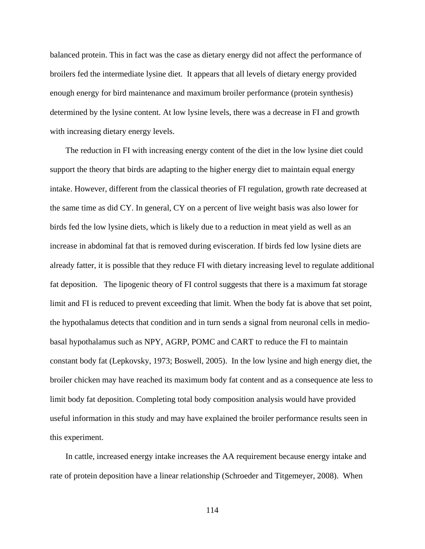balanced protein. This in fact was the case as dietary energy did not affect the performance of broilers fed the intermediate lysine diet. It appears that all levels of dietary energy provided enough energy for bird maintenance and maximum broiler performance (protein synthesis) determined by the lysine content. At low lysine levels, there was a decrease in FI and growth with increasing dietary energy levels.

The reduction in FI with increasing energy content of the diet in the low lysine diet could support the theory that birds are adapting to the higher energy diet to maintain equal energy intake. However, different from the classical theories of FI regulation, growth rate decreased at the same time as did CY. In general, CY on a percent of live weight basis was also lower for birds fed the low lysine diets, which is likely due to a reduction in meat yield as well as an increase in abdominal fat that is removed during evisceration. If birds fed low lysine diets are already fatter, it is possible that they reduce FI with dietary increasing level to regulate additional fat deposition. The lipogenic theory of FI control suggests that there is a maximum fat storage limit and FI is reduced to prevent exceeding that limit. When the body fat is above that set point, the hypothalamus detects that condition and in turn sends a signal from neuronal cells in mediobasal hypothalamus such as NPY, AGRP, POMC and CART to reduce the FI to maintain constant body fat (Lepkovsky, 1973; Boswell, 2005). In the low lysine and high energy diet, the broiler chicken may have reached its maximum body fat content and as a consequence ate less to limit body fat deposition. Completing total body composition analysis would have provided useful information in this study and may have explained the broiler performance results seen in this experiment.

In cattle, increased energy intake increases the AA requirement because energy intake and rate of protein deposition have a linear relationship (Schroeder and Titgemeyer, 2008). When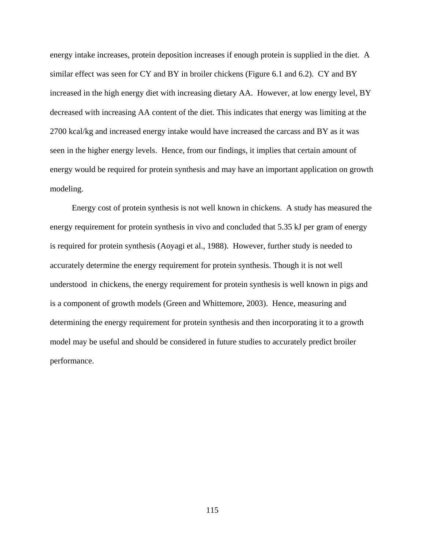energy intake increases, protein deposition increases if enough protein is supplied in the diet. A similar effect was seen for CY and BY in broiler chickens (Figure 6.1 and 6.2). CY and BY increased in the high energy diet with increasing dietary AA. However, at low energy level, BY decreased with increasing AA content of the diet. This indicates that energy was limiting at the 2700 kcal/kg and increased energy intake would have increased the carcass and BY as it was seen in the higher energy levels. Hence, from our findings, it implies that certain amount of energy would be required for protein synthesis and may have an important application on growth modeling.

 Energy cost of protein synthesis is not well known in chickens. A study has measured the energy requirement for protein synthesis in vivo and concluded that 5.35 kJ per gram of energy is required for protein synthesis (Aoyagi et al., 1988). However, further study is needed to accurately determine the energy requirement for protein synthesis. Though it is not well understood in chickens, the energy requirement for protein synthesis is well known in pigs and is a component of growth models (Green and Whittemore, 2003). Hence, measuring and determining the energy requirement for protein synthesis and then incorporating it to a growth model may be useful and should be considered in future studies to accurately predict broiler performance.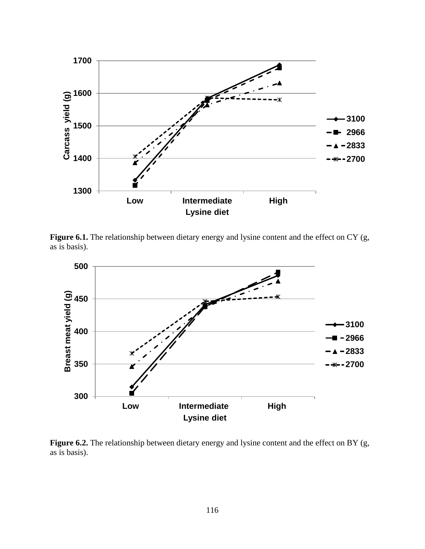

Figure 6.1. The relationship between dietary energy and lysine content and the effect on CY (g, as is basis).



Figure 6.2. The relationship between dietary energy and lysine content and the effect on BY (g, as is basis).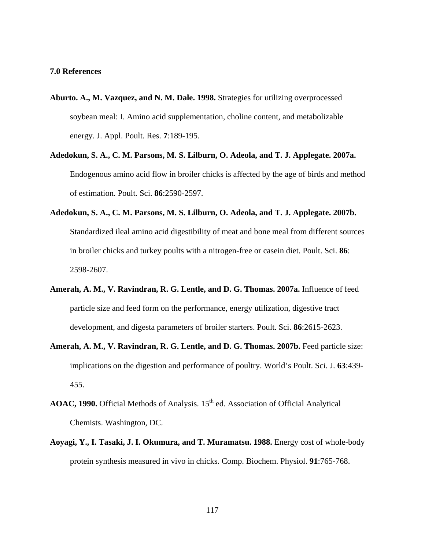#### **7.0 References**

- **Aburto. A., M. Vazquez, and N. M. Dale. 1998.** Strategies for utilizing overprocessed soybean meal: I. Amino acid supplementation, choline content, and metabolizable energy. J. Appl. Poult. Res. **7**:189-195.
- **Adedokun, S. A., C. M. Parsons, M. S. Lilburn, O. Adeola, and T. J. Applegate. 2007a.** Endogenous amino acid flow in broiler chicks is affected by the age of birds and method of estimation. Poult. Sci. **86**:2590-2597.
- **Adedokun, S. A., C. M. Parsons, M. S. Lilburn, O. Adeola, and T. J. Applegate. 2007b.**  Standardized ileal amino acid digestibility of meat and bone meal from different sources in broiler chicks and turkey poults with a nitrogen-free or casein diet. Poult. Sci. **86**: 2598-2607.
- **Amerah, A. M., V. Ravindran, R. G. Lentle, and D. G. Thomas. 2007a.** Influence of feed particle size and feed form on the performance, energy utilization, digestive tract development, and digesta parameters of broiler starters. Poult. Sci. **86**:2615-2623.
- **Amerah, A. M., V. Ravindran, R. G. Lentle, and D. G. Thomas. 2007b.** Feed particle size: implications on the digestion and performance of poultry. World's Poult. Sci. J. **63**:439- 455.
- AOAC, 1990. Official Methods of Analysis. 15<sup>th</sup> ed. Association of Official Analytical Chemists. Washington, DC.
- **Aoyagi, Y., I. Tasaki, J. I. Okumura, and T. Muramatsu. 1988.** Energy cost of whole-body protein synthesis measured in vivo in chicks. Comp. Biochem. Physiol. **91**:765-768.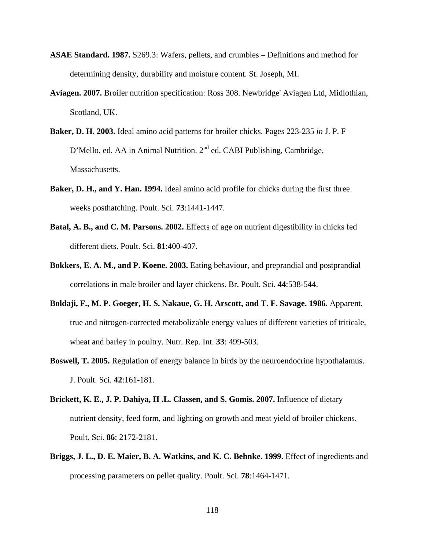- **ASAE Standard. 1987.** S269.3: Wafers, pellets, and crumbles Definitions and method for determining density, durability and moisture content. St. Joseph, MI.
- **[Aviagen. 2007.](http://www.sciencedirect.com/science?_ob=ArticleURL&_udi=B7XNX-5172KP1-2&_user=1069128&_coverDate=10%2F12%2F2010&_rdoc=1&_fmt=high&_orig=search&_origin=search&_sort=d&_docanchor=&view=c&_searchStrId=1538863860&_rerunOrigin=google&_acct=C000051260&_version=1&_urlVersion=0&_userid=1069128&md5=8d1e9ba1e63227ce30f50b5f25ba25a4&searchtype=a#bbb0010)** Broiler nutrition specification: Ross 308. Newbridge' Aviagen Ltd, Midlothian, Scotland, UK.
- **Baker, D. H. 2003.** Ideal amino acid patterns for broiler chicks. Pages 223-235 *in* J. P. F D'Mello, ed. AA in Animal Nutrition. 2<sup>nd</sup> ed. CABI Publishing, Cambridge, Massachusetts.
- **Baker, D. H., and Y. Han. 1994.** Ideal amino acid profile for chicks during the first three weeks posthatching. Poult. Sci. **73**:1441-1447.
- **Batal, A. B., and C. M. Parsons. 2002.** Effects of age on nutrient digestibility in chicks fed different diets. Poult. Sci. **81**:400-407.
- **Bokkers, E. A. M., and P. Koene. 2003.** Eating behaviour, and preprandial and postprandial correlations in male broiler and layer chickens. Br. Poult. Sci. **44**:538-544.
- **Boldaji, F., M. P. Goeger, H. S. Nakaue, G. H. Arscott, and T. F. Savage. 1986.** Apparent, true and nitrogen-corrected metabolizable energy values of different varieties of triticale, wheat and barley in poultry. Nutr. Rep. Int. **33**: 499-503.
- **Boswell, T. 2005.** Regulation of energy balance in birds by the neuroendocrine hypothalamus. J. Poult. Sci. **42**:161-181.
- **Brickett, K. E., J. P. Dahiya, H .L. Classen, and S. Gomis. 2007.** Influence of dietary nutrient density, feed form, and lighting on growth and meat yield of broiler chickens. Poult. Sci. **86**: 2172-2181.
- **Briggs, J. L., D. E. Maier, B. A. Watkins, and K. C. Behnke. 1999.** Effect of ingredients and processing parameters on pellet quality. Poult. Sci. **78**:1464-1471.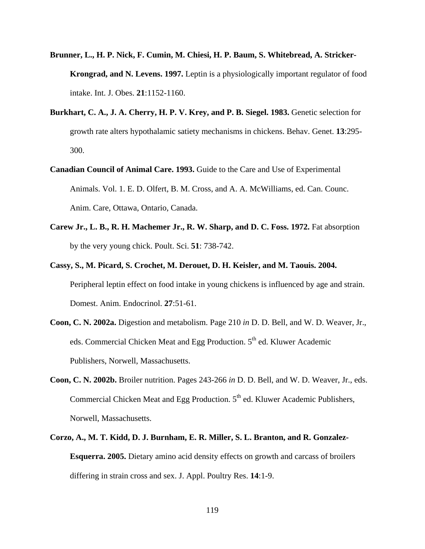- **Brunner, L., H. P. Nick, F. Cumin, M. Chiesi, H. P. Baum, S. Whitebread, A. Stricker-Krongrad, and N. Levens. 1997.** Leptin is a physiologically important regulator of food intake. Int. J. Obes. **21**:1152-1160.
- **Burkhart, C. A., J. A. Cherry, H. P. V. Krey, and P. B. Siegel. 1983.** Genetic selection for growth rate alters hypothalamic satiety mechanisms in chickens. Behav. Genet. **13**:295- 300.
- **Canadian Council of Animal Care. 1993.** Guide to the Care and Use of Experimental Animals. Vol. 1. E. D. Olfert, B. M. Cross, and A. A. McWilliams, ed. Can. Counc. Anim. Care, Ottawa, Ontario, Canada.
- **Carew Jr., L. B., R. H. Machemer Jr., R. W. Sharp, and D. C. Foss. 1972.** Fat absorption by the very young chick. Poult. Sci. **51**: 738-742.
- **Cassy, S., M. Picard, S. Crochet, M. Derouet, D. H. Keisler, and M. Taouis. 2004.** Peripheral leptin effect on food intake in young chickens is influenced by age and strain. Domest. Anim. Endocrinol. **27**:51-61.
- **Coon, C. N. 2002a.** Digestion and metabolism. Page 210 *in* D. D. Bell, and W. D. Weaver, Jr., eds. Commercial Chicken Meat and Egg Production. 5<sup>th</sup> ed. Kluwer Academic Publishers, Norwell, Massachusetts.
- **Coon, C. N. 2002b.** Broiler nutrition. Pages 243-266 *in* D. D. Bell, and W. D. Weaver, Jr., eds. Commercial Chicken Meat and Egg Production.  $5<sup>th</sup>$  ed. Kluwer Academic Publishers, Norwell, Massachusetts.
- **Corzo, A., M. T. Kidd, D. J. Burnham, E. R. Miller, S. L. Branton, and R. Gonzalez-Esquerra. 2005.** Dietary amino acid density effects on growth and carcass of broilers differing in strain cross and sex. J. Appl. Poultry Res. **14**:1-9.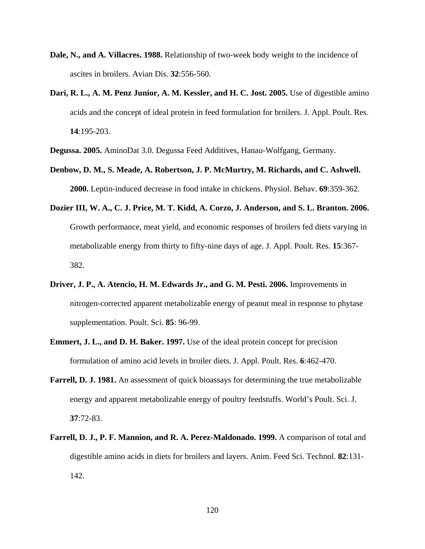- **Dale, N., and A. Villacres. 1988.** Relationship of two-week body weight to the incidence of ascites in broilers. Avian Dis. **32**:556-560.
- **Dari, R. L., A. M. Penz Junior, A. M. Kessler, and H. C. Jost. 2005.** Use of digestible amino acids and the concept of ideal protein in feed formulation for broilers. J. Appl. Poult. Res. **14**:195-203.

**Degussa. 2005.** AminoDat 3.0. Degussa Feed Additives, Hanau-Wolfgang, Germany.

- **Denbow, D. M., S. Meade, A. Robertson, J. P. McMurtry, M. Richards, and C. Ashwell. 2000.** Leptin-induced decrease in food intake in chickens. Physiol. Behav. **69**:359-362.
- **Dozier III, W. A., C. J. Price, M. T. Kidd, A. Corzo, J. Anderson, and S. L. Branton. 2006.** Growth performance, meat yield, and economic responses of broilers fed diets varying in metabolizable energy from thirty to fifty-nine days of age. J. Appl. Poult. Res. **15**:367- 382.
- **Driver, J. P., A. Atencio, H. M. Edwards Jr., and G. M. Pesti. 2006.** Improvements in nitrogen-corrected apparent metabolizable energy of peanut meal in response to phytase supplementation. Poult. Sci. **85**: 96-99.
- **Emmert, J. L., and D. H. Baker. 1997.** Use of the ideal protein concept for precision formulation of amino acid levels in broiler diets. J. Appl. Poult. Res. **6**:462-470.
- **Farrell, D. J. 1981.** An assessment of quick bioassays for determining the true metabolizable energy and apparent metabolizable energy of poultry feedstuffs. World's Poult. Sci. J. **37**:72-83.
- **Farrell, D. J., P. F. Mannion, and R. A. Perez-Maldonado. 1999.** A comparison of total and digestible amino acids in diets for broilers and layers. Anim. Feed Sci. Technol. **82**:131- 142.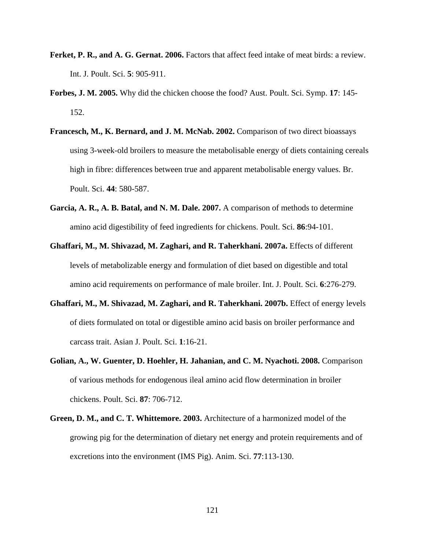- **Ferket, P. R., and A. G. Gernat. 2006.** Factors that affect feed intake of meat birds: a review. Int. J. Poult. Sci. **5**: 905-911.
- **Forbes, J. M. 2005.** Why did the chicken choose the food? Aust. Poult. Sci. Symp. **17**: 145- 152.
- **Francesch, M., K. Bernard, and J. M. McNab. 2002.** Comparison of two direct bioassays using 3-week-old broilers to measure the metabolisable energy of diets containing cereals high in fibre: differences between true and apparent metabolisable energy values. Br. Poult. Sci. **44**: 580-587.
- **Garcia, A. R., A. B. Batal, and N. M. Dale. 2007.** A comparison of methods to determine amino acid digestibility of feed ingredients for chickens. Poult. Sci. **86**:94-101.
- **Ghaffari, M., M. Shivazad, M. Zaghari, and R. Taherkhani. 2007a.** Effects of different levels of metabolizable energy and formulation of diet based on digestible and total amino acid requirements on performance of male broiler. Int. J. Poult. Sci. **6**:276-279.
- **Ghaffari, M., M. Shivazad, M. Zaghari, and R. Taherkhani. 2007b.** Effect of energy levels of diets formulated on total or digestible amino acid basis on broiler performance and carcass trait. Asian J. Poult. Sci. **1**:16-21.
- **Golian, A., W. Guenter, D. Hoehler, H. Jahanian, and C. M. Nyachoti. 2008.** Comparison of various methods for endogenous ileal amino acid flow determination in broiler chickens. Poult. Sci. **87**: 706-712.
- **Green, D. M., and C. T. Whittemore. 2003.** Architecture of a harmonized model of the growing pig for the determination of dietary net energy and protein requirements and of excretions into the environment (IMS Pig). Anim. Sci. **77**:113-130.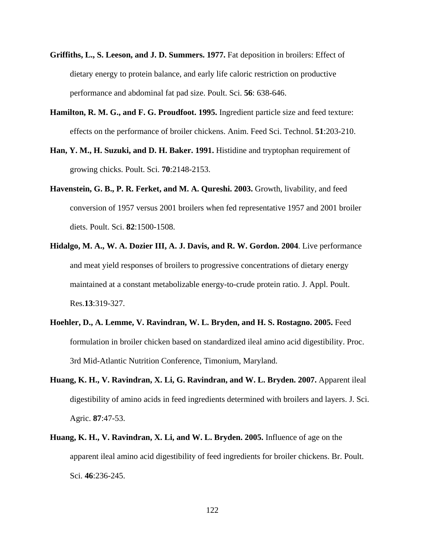- **Griffiths, L., S. Leeson, and J. D. Summers. 1977.** Fat deposition in broilers: Effect of dietary energy to protein balance, and early life caloric restriction on productive performance and abdominal fat pad size. Poult. Sci. **56**: 638-646.
- **Hamilton, R. M. G., and F. G. Proudfoot. 1995.** Ingredient particle size and feed texture: effects on the performance of broiler chickens. Anim. Feed Sci. Technol. **51**:203-210.
- **Han, Y. M., H. Suzuki, and D. H. Baker. 1991.** Histidine and tryptophan requirement of growing chicks. Poult. Sci. **70**:2148-2153.
- **Havenstein, G. B., P. R. Ferket, and M. A. Qureshi. 2003.** Growth, livability, and feed conversion of 1957 versus 2001 broilers when fed representative 1957 and 2001 broiler diets. Poult. Sci. **82**:1500-1508.
- **Hidalgo, M. A., W. A. Dozier III, A. J. Davis, and R. W. Gordon. 2004**. Live performance and meat yield responses of broilers to progressive concentrations of dietary energy maintained at a constant metabolizable energy-to-crude protein ratio. J. Appl. Poult. Res.**13**:319-327.
- **Hoehler, D., A. Lemme, V. Ravindran, W. L. Bryden, and H. S. Rostagno. 2005.** Feed formulation in broiler chicken based on standardized ileal amino acid digestibility. Proc. 3rd Mid-Atlantic Nutrition Conference, Timonium, Maryland.
- **Huang, K. H., V. Ravindran, X. Li, G. Ravindran, and W. L. Bryden. 2007.** Apparent ileal digestibility of amino acids in feed ingredients determined with broilers and layers. J. Sci. Agric. **87**:47-53.
- **Huang, K. H., V. Ravindran, X. Li, and W. L. Bryden. 2005.** Influence of age on the apparent ileal amino acid digestibility of feed ingredients for broiler chickens. Br. Poult. Sci. **46**:236-245.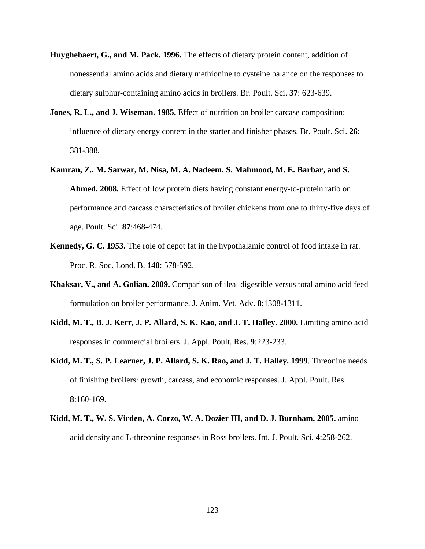- **Huyghebaert, G., and M. Pack. 1996.** The effects of dietary protein content, addition of nonessential amino acids and dietary methionine to cysteine balance on the responses to dietary sulphur-containing amino acids in broilers. Br. Poult. Sci. **37**: 623-639.
- **Jones, R. L., and J. Wiseman. 1985.** Effect of nutrition on broiler carcase composition: influence of dietary energy content in the starter and finisher phases. Br. Poult. Sci. **26**: 381-388.
- **Kamran, Z., M. Sarwar, M. Nisa, M. A. Nadeem, S. Mahmood, M. E. Barbar, and S. Ahmed. 2008.** Effect of low protein diets having constant energy-to-protein ratio on performance and carcass characteristics of broiler chickens from one to thirty-five days of age. Poult. Sci. **87**:468-474.
- **Kennedy, G. C. 1953.** The role of depot fat in the hypothalamic control of food intake in rat. Proc. R. Soc. Lond. B. **140**: 578-592.
- **Khaksar, V., and A. Golian. 2009.** Comparison of ileal digestible versus total amino acid feed formulation on broiler performance. J. Anim. Vet. Adv. **8**:1308-1311.
- **Kidd, M. T., B. J. Kerr, J. P. Allard, S. K. Rao, and J. T. Halley. 2000.** Limiting amino acid responses in commercial broilers. J. Appl. Poult. Res. **9**:223-233.
- **Kidd, M. T., S. P. Learner, J. P. Allard, S. K. Rao, and J. T. Halley. 1999**. Threonine needs of finishing broilers: growth, carcass, and economic responses. J. Appl. Poult. Res. **8**:160-169.
- **Kidd, M. T., W. S. Virden, A. Corzo, W. A. Dozier III, and D. J. Burnham. 2005.** amino acid density and L-threonine responses in Ross broilers. Int. J. Poult. Sci. **4**:258-262.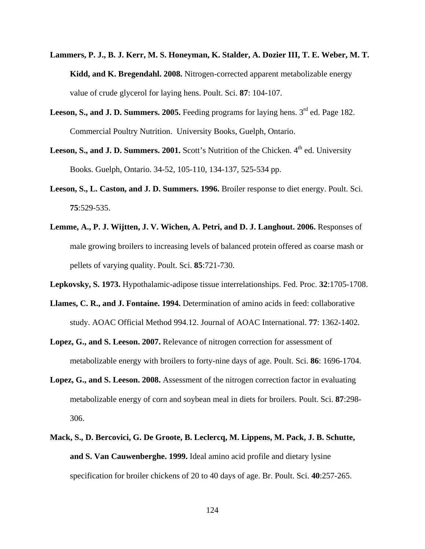- **Lammers, P. J., B. J. Kerr, M. S. Honeyman, K. Stalder, A. Dozier III, T. E. Weber, M. T. Kidd, and K. Bregendahl. 2008.** Nitrogen-corrected apparent metabolizable energy value of crude glycerol for laying hens. Poult. Sci. **87**: 104-107.
- Leeson, S., and J. D. Summers. 2005. Feeding programs for laying hens. 3<sup>rd</sup> ed. Page 182. Commercial Poultry Nutrition. University Books, Guelph, Ontario.
- Leeson, S., and J. D. Summers. 2001. Scott's Nutrition of the Chicken. 4<sup>th</sup> ed. University Books. Guelph, Ontario. 34-52, 105-110, 134-137, 525-534 pp.
- **Leeson, S., L. Caston, and J. D. Summers. 1996.** Broiler response to diet energy. Poult. Sci. **75**:529-535.
- **Lemme, A., P. J. Wijtten, J. V. Wichen, A. Petri, and D. J. Langhout. 2006.** Responses of male growing broilers to increasing levels of balanced protein offered as coarse mash or pellets of varying quality. Poult. Sci. **85**:721-730.
- **Lepkovsky, S. 1973.** Hypothalamic-adipose tissue interrelationships. Fed. Proc. **32**:1705-1708.
- **Llames, C. R., and J. Fontaine. 1994.** Determination of amino acids in feed: collaborative study. AOAC Official Method 994.12. Journal of AOAC International. **77**: 1362-1402.
- **Lopez, G., and S. Leeson. 2007.** Relevance of nitrogen correction for assessment of metabolizable energy with broilers to forty-nine days of age. Poult. Sci. **86**: 1696-1704.
- **Lopez, G., and S. Leeson. 2008.** Assessment of the nitrogen correction factor in evaluating metabolizable energy of corn and soybean meal in diets for broilers. Poult. Sci. **87**:298- 306.
- **Mack, S., D. Bercovici, G. De Groote, B. Leclercq, M. Lippens, M. Pack, J. B. Schutte, and S. Van Cauwenberghe. 1999.** Ideal amino acid profile and dietary lysine specification for broiler chickens of 20 to 40 days of age. Br. Poult. Sci. **40**:257-265.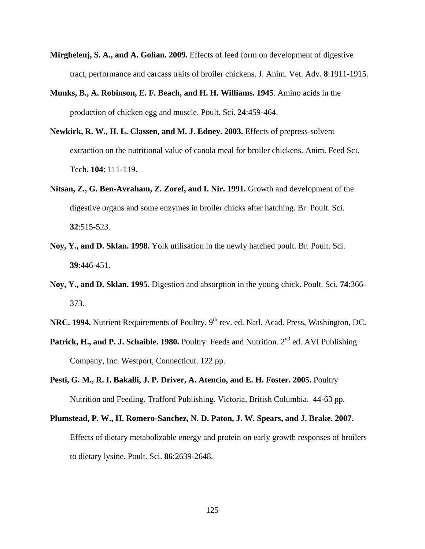- **Mirghelenj, S. A., and A. Golian. 2009.** Effects of feed form on development of digestive tract, performance and carcass traits of broiler chickens. J. Anim. Vet. Adv. **8**:1911-1915.
- **Munks, B., A. Robinson, E. F. Beach, and H. H. Williams. 1945**. Amino acids in the production of chicken egg and muscle. Poult. Sci. **24**:459-464.
- **Newkirk, R. W., H. L. Classen, and M. J. Edney. 2003.** Effects of prepress-solvent extraction on the nutritional value of canola meal for broiler chickens. Anim. Feed Sci. Tech. **104**: 111-119.
- **Nitsan, Z., G. Ben-Avraham, Z. Zoref, and I. Nir. 1991.** Growth and development of the digestive organs and some enzymes in broiler chicks after hatching. Br. Poult. Sci. **32**:515-523.
- **Noy, Y., and D. Sklan. 1998.** Yolk utilisation in the newly hatched poult. Br. Poult. Sci. **39**:446-451.
- **Noy, Y., and D. Sklan. 1995.** Digestion and absorption in the young chick. Poult. Sci. **74**:366- 373.
- **NRC. 1994.** Nutrient Requirements of Poultry. 9<sup>th</sup> rev. ed. Natl. Acad. Press, Washington, DC.
- Patrick, H., and P. J. Schaible. 1980. Poultry: Feeds and Nutrition. 2<sup>nd</sup> ed. AVI Publishing Company, Inc. Westport, Connecticut. 122 pp.
- **Pesti, G. M., R. I. Bakalli, J. P. Driver, A. Atencio, and E. H. Foster. 2005.** Poultry Nutrition and Feeding. Trafford Publishing. Victoria, British Columbia. 44-63 pp.
- **Plumstead, P. W., H. Romero-Sanchez, N. D. Paton, J. W. Spears, and J. Brake. 2007.** Effects of dietary metabolizable energy and protein on early growth responses of broilers to dietary lysine. Poult. Sci. **86**:2639-2648.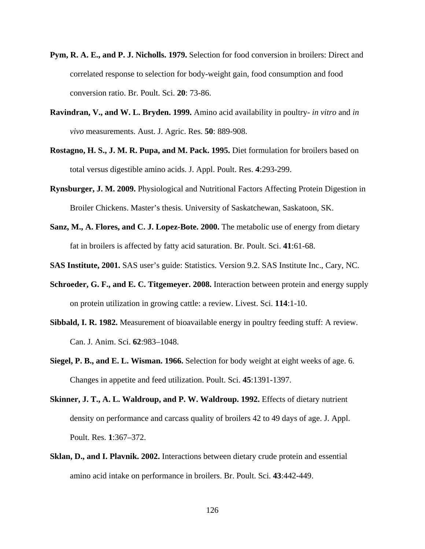- **Pym, R. A. E., and P. J. Nicholls. 1979.** Selection for food conversion in broilers: Direct and correlated response to selection for body-weight gain, food consumption and food conversion ratio. Br. Poult. Sci. **20**: 73-86.
- **Ravindran, V., and W. L. Bryden. 1999.** Amino acid availability in poultry- *in vitro* and *in vivo* measurements. Aust. J. Agric. Res. **50**: 889-908.
- **Rostagno, H. S., J. M. R. Pupa, and M. Pack. 1995.** Diet formulation for broilers based on total versus digestible amino acids. J. Appl. Poult. Res. **4**:293-299.
- **Rynsburger, J. M. 2009.** Physiological and Nutritional Factors Affecting Protein Digestion in Broiler Chickens. Master's thesis. University of Saskatchewan, Saskatoon, SK.
- **Sanz, M., A. Flores, and C. J. Lopez-Bote. 2000.** The metabolic use of energy from dietary fat in broilers is affected by fatty acid saturation. Br. Poult. Sci. **41**:61-68.
- **SAS Institute, 2001.** SAS user's guide: Statistics. Version 9.2. SAS Institute Inc., Cary, NC.
- **Schroeder, G. F., and E. C. Titgemeyer. 2008.** Interaction between protein and energy supply on protein utilization in growing cattle: a review. Livest. Sci. **114**:1-10.
- **Sibbald, I. R. 1982.** Measurement of bioavailable energy in poultry feeding stuff: A review. Can. J. Anim. Sci. **62**:983–1048.
- **Siegel, P. B., and E. L. Wisman. 1966.** Selection for body weight at eight weeks of age. 6. Changes in appetite and feed utilization. Poult. Sci. **45**:1391-1397.
- **Skinner, J. T., A. L. Waldroup, and P. W. Waldroup. 1992.** Effects of dietary nutrient density on performance and carcass quality of broilers 42 to 49 days of age. J. Appl. Poult. Res. **1**:367–372.
- **Sklan, D., and I. Plavnik. 2002.** Interactions between dietary crude protein and essential amino acid intake on performance in broilers. Br. Poult. Sci. **43**:442-449.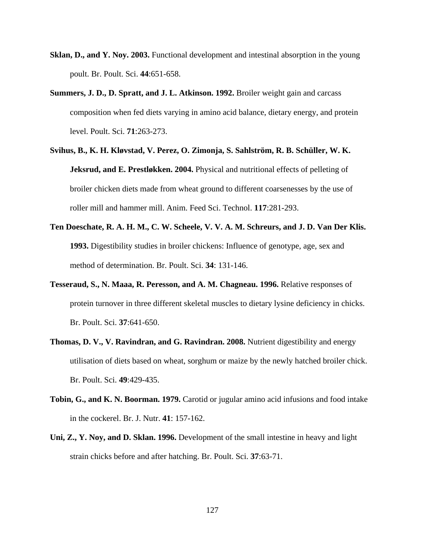- **Sklan, D., and Y. Noy. 2003.** Functional development and intestinal absorption in the young poult. Br. Poult. Sci. **44**:651-658.
- **Summers, J. D., D. Spratt, and J. L. Atkinson. 1992.** Broiler weight gain and carcass composition when fed diets varying in amino acid balance, dietary energy, and protein level. Poult. Sci. **71**:263-273.
- **Svihus, B., K. H. Kløvstad, V. Perez, O. Zimonja, S. Sahlström, R. B. Schüller, W. K. Jeksrud, and E. Prestløkken. 2004.** Physical and nutritional effects of pelleting of broiler chicken diets made from wheat ground to different coarsenesses by the use of roller mill and hammer mill. Anim. Feed Sci. Technol. **117**:281-293.
- **Ten Doeschate, R. A. H. M., C. W. Scheele, V. V. A. M. Schreurs, and J. D. Van Der Klis. 1993.** Digestibility studies in broiler chickens: Influence of genotype, age, sex and method of determination. Br. Poult. Sci. **34**: 131-146.
- **Tesseraud, S., N. Maaa, R. Peresson, and A. M. Chagneau. 1996.** Relative responses of protein turnover in three different skeletal muscles to dietary lysine deficiency in chicks. Br. Poult. Sci. **37**:641-650.
- **Thomas, D. V., V. Ravindran, and G. Ravindran. 2008.** Nutrient digestibility and energy utilisation of diets based on wheat, sorghum or maize by the newly hatched broiler chick. Br. Poult. Sci. **49**:429-435.
- **Tobin, G., and K. N. Boorman. 1979.** Carotid or jugular amino acid infusions and food intake in the cockerel. Br. J. Nutr. **41**: 157-162.
- **Uni, Z., Y. Noy, and D. Sklan. 1996.** Development of the small intestine in heavy and light strain chicks before and after hatching. Br. Poult. Sci. **37**:63-71.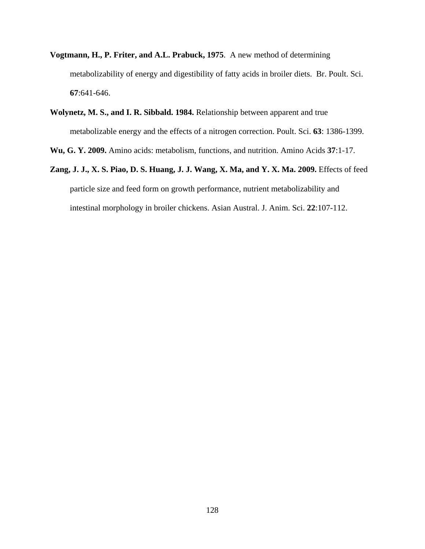- **Vogtmann, H., P. Friter, and A.L. Prabuck, 1975**. A new method of determining metabolizability of energy and digestibility of fatty acids in broiler diets. Br. Poult. Sci. **67**:641-646.
- **Wolynetz, M. S., and I. R. Sibbald. 1984.** Relationship between apparent and true metabolizable energy and the effects of a nitrogen correction. Poult. Sci. **63**: 1386-1399.

**Wu, G. Y. 2009.** Amino acids: metabolism, functions, and nutrition. Amino Acids **37**:1-17.

**Zang, J. J., X. S. Piao, D. S. Huang, J. J. Wang, X. Ma, and Y. X. Ma. 2009.** Effects of feed particle size and feed form on growth performance, nutrient metabolizability and intestinal morphology in broiler chickens. Asian Austral. J. Anim. Sci. **22**:107-112.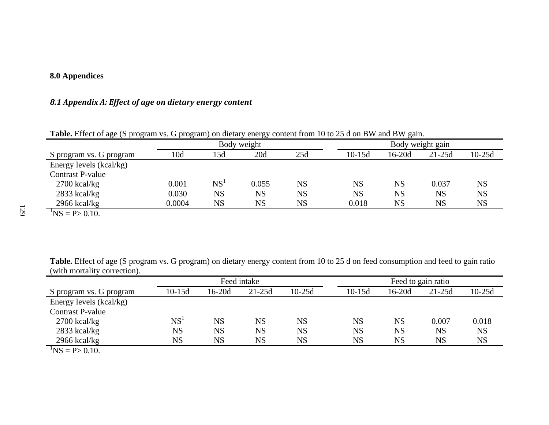## **8.0 Appendices**

## *8.1 Appendix A: Effect of age on dietary energy content*

| <b>Table.</b> Effect of age (5) program vs. O program) on dictary chergy content from To to 25 a on D w and D w gam.                                                                                                                                                                                                               |        |                  |             |           |           |           |           |           |
|------------------------------------------------------------------------------------------------------------------------------------------------------------------------------------------------------------------------------------------------------------------------------------------------------------------------------------|--------|------------------|-------------|-----------|-----------|-----------|-----------|-----------|
|                                                                                                                                                                                                                                                                                                                                    |        | Body weight gain |             |           |           |           |           |           |
| S program vs. G program                                                                                                                                                                                                                                                                                                            | 10d    | l 5d             | 20d         | 25d       | $10-15d$  | $16-20d$  | $21-25d$  | $10-25d$  |
| Energy levels (kcal/kg)                                                                                                                                                                                                                                                                                                            |        |                  |             |           |           |           |           |           |
| Contrast P-value                                                                                                                                                                                                                                                                                                                   |        |                  |             |           |           |           |           |           |
| $2700$ kcal/kg                                                                                                                                                                                                                                                                                                                     | 0.001  | NS <sup>1</sup>  | 0.055       | <b>NS</b> | <b>NS</b> | <b>NS</b> | 0.037     | NS        |
| $2833$ kcal/kg                                                                                                                                                                                                                                                                                                                     | 0.030  | <b>NS</b>        | $_{\rm NS}$ | <b>NS</b> | <b>NS</b> | <b>NS</b> | <b>NS</b> | <b>NS</b> |
| $2966$ kcal/kg                                                                                                                                                                                                                                                                                                                     | 0.0004 | NS               | NS          | NS        | 0.018     | <b>NS</b> | <b>NS</b> | NS        |
| $\mathbf{h}$ $\mathbf{r}$ $\mathbf{r}$ $\mathbf{r}$ $\mathbf{r}$ $\mathbf{r}$ $\mathbf{r}$ $\mathbf{r}$ $\mathbf{r}$ $\mathbf{r}$ $\mathbf{r}$ $\mathbf{r}$ $\mathbf{r}$ $\mathbf{r}$ $\mathbf{r}$ $\mathbf{r}$ $\mathbf{r}$ $\mathbf{r}$ $\mathbf{r}$ $\mathbf{r}$ $\mathbf{r}$ $\mathbf{r}$ $\mathbf{r}$ $\mathbf{r}$ $\mathbf{$ |        |                  |             |           |           |           |           |           |

**Table.** Effect of age (S program vs. G program) on dietary energy content from 10 to 25 d on BW and BW gain.

**Table.** Effect of age (S program vs. G program) on dietary energy content from 10 to 25 d on feed consumption and feed to gain ratio (with mortality correction).

| $\ldots$                        |                 |           |             |             |                    |           |           |           |  |
|---------------------------------|-----------------|-----------|-------------|-------------|--------------------|-----------|-----------|-----------|--|
|                                 |                 |           | Feed intake |             | Feed to gain ratio |           |           |           |  |
| S program vs. G program         | $10-15d$        | 16-20d    | $21-25d$    | $10-25d$    | $10-15d$           | $16-20d$  | $21-25d$  | $10-25d$  |  |
| Energy levels (kcal/kg)         |                 |           |             |             |                    |           |           |           |  |
| <b>Contrast P-value</b>         |                 |           |             |             |                    |           |           |           |  |
| $2700$ kcal/kg                  | NS <sup>1</sup> | <b>NS</b> | <b>NS</b>   | <b>NS</b>   | <b>NS</b>          | <b>NS</b> | 0.007     | 0.018     |  |
| $2833$ kcal/kg                  | <b>NS</b>       | <b>NS</b> | <b>NS</b>   | <b>NS</b>   | <b>NS</b>          | <b>NS</b> | <b>NS</b> | <b>NS</b> |  |
| $2966$ kcal/kg                  | <b>NS</b>       | <b>NS</b> | <b>NS</b>   | $_{\rm NS}$ | <b>NS</b>          | <b>NS</b> | <b>NS</b> | <b>NS</b> |  |
| $\text{NS} = \text{P} > 0.10$ . |                 |           |             |             |                    |           |           |           |  |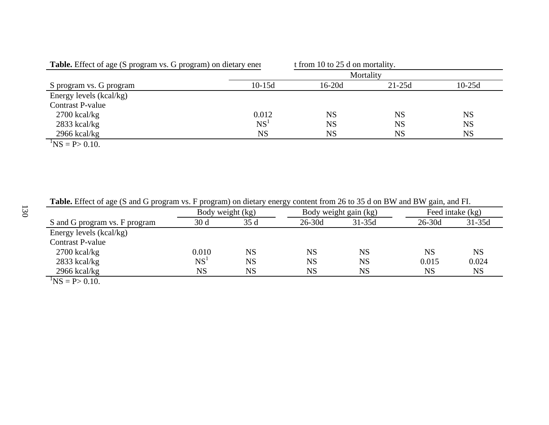| <b>Table.</b> Effect of age (S program vs. G program) on dietary ener |                 | t from 10 to 25 d on mortality. |           |           |  |  |  |  |  |  |
|-----------------------------------------------------------------------|-----------------|---------------------------------|-----------|-----------|--|--|--|--|--|--|
|                                                                       | Mortality       |                                 |           |           |  |  |  |  |  |  |
| S program vs. G program                                               | $10-15d$        | $16-20d$                        | $21-25d$  | $10-25d$  |  |  |  |  |  |  |
| Energy levels (kcal/kg)                                               |                 |                                 |           |           |  |  |  |  |  |  |
| <b>Contrast P-value</b>                                               |                 |                                 |           |           |  |  |  |  |  |  |
| $2700$ kcal/kg                                                        | 0.012           | <b>NS</b>                       | <b>NS</b> | <b>NS</b> |  |  |  |  |  |  |
| $2833$ kcal/kg                                                        | NS <sup>1</sup> | <b>NS</b>                       | <b>NS</b> | <b>NS</b> |  |  |  |  |  |  |
| $2966$ kcal/kg                                                        | <b>NS</b>       | <b>NS</b>                       | <b>NS</b> | <b>NS</b> |  |  |  |  |  |  |
| $1\text{N}$ C – D, 0.10                                               |                 |                                 |           |           |  |  |  |  |  |  |

**Table.** Effect of age (S and G program vs. F program) on dietary energy content from 26 to 35 d on BW and BW gain, and FI.

|                                 | Body weight (kg) |           |            | Body weight gain (kg) |            | Feed intake (kg) |
|---------------------------------|------------------|-----------|------------|-----------------------|------------|------------------|
| S and G program vs. F program   | 30 <sub>d</sub>  | 35d       | $26 - 30d$ | $31 - 35d$            | $26 - 30d$ | $31-35d$         |
| Energy levels (kcal/kg)         |                  |           |            |                       |            |                  |
| <b>Contrast P-value</b>         |                  |           |            |                       |            |                  |
| $2700$ kcal/kg                  | 0.010            | NS        | <b>NS</b>  | NS                    | <b>NS</b>  | <b>NS</b>        |
| $2833$ kcal/kg                  | NS <sup>1</sup>  | <b>NS</b> | <b>NS</b>  | <b>NS</b>             | 0.015      | 0.024            |
| $2966$ kcal/kg                  | <b>NS</b>        | <b>NS</b> | <b>NS</b>  | NS                    | <b>NS</b>  | <b>NS</b>        |
| $\text{NS} = \text{P} > 0.10$ . |                  |           |            |                       |            |                  |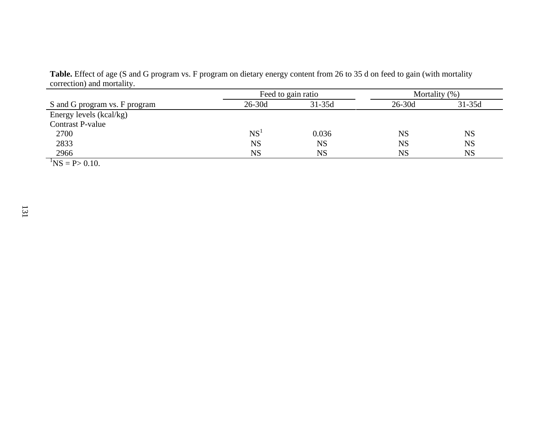**Table.** Effect of age (S and G program vs. F program on dietary energy content from 26 to 35 d on feed to gain (with mortality correction) and mortality.

|                                 |                 | Feed to gain ratio | Mortality (%) |            |  |
|---------------------------------|-----------------|--------------------|---------------|------------|--|
| S and G program vs. F program   | $26-30d$        | $31 - 35d$         | $26-30d$      | $31 - 35d$ |  |
| Energy levels (kcal/kg)         |                 |                    |               |            |  |
| Contrast P-value                |                 |                    |               |            |  |
| 2700                            | NS <sup>1</sup> | 0.036              | <b>NS</b>     | <b>NS</b>  |  |
| 2833                            | <b>NS</b>       | <b>NS</b>          | <b>NS</b>     | <b>NS</b>  |  |
| 2966                            | <b>NS</b>       | <b>NS</b>          | <b>NS</b>     | NS         |  |
| $\text{NS} = \text{P} > 0.10$ . |                 |                    |               |            |  |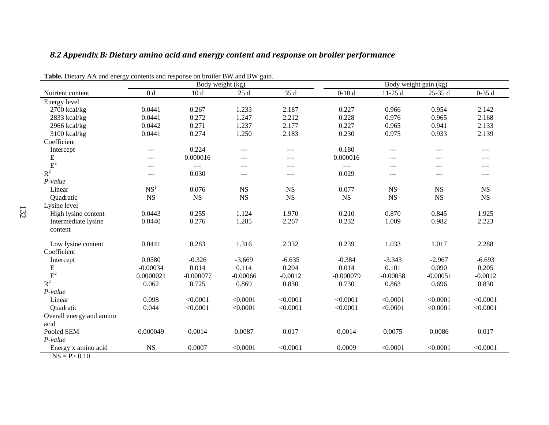## *8.2 Appendix B: Dietary amino acid and energy content and response on broiler performance*

| <b>Table.</b> Dictally AA and cliengly contents and response on broner D w and D w gain. |                 |                  |            |             |             |            |                       |           |
|------------------------------------------------------------------------------------------|-----------------|------------------|------------|-------------|-------------|------------|-----------------------|-----------|
|                                                                                          |                 | Body weight (kg) |            |             |             |            | Body weight gain (kg) |           |
| Nutrient content                                                                         | 0 <sub>d</sub>  | 10d              | 25d        | 35 d        | $0-10d$     | $11-25d$   | 25-35 d               | $0-35d$   |
| Energy level                                                                             |                 |                  |            |             |             |            |                       |           |
| $2700$ kcal/kg                                                                           | 0.0441          | 0.267            | 1.233      | 2.187       | 0.227       | 0.966      | 0.954                 | 2.142     |
| 2833 kcal/kg                                                                             | 0.0441          | 0.272            | 1.247      | 2.212       | 0.228       | 0.976      | 0.965                 | 2.168     |
| 2966 kcal/kg                                                                             | 0.0442          | 0.271            | 1.237      | 2.177       | 0.227       | 0.965      | 0.941                 | 2.133     |
| 3100 kcal/kg                                                                             | 0.0441          | 0.274            | 1.250      | 2.183       | 0.230       | 0.975      | 0.933                 | 2.139     |
| Coefficient                                                                              |                 |                  |            |             |             |            |                       |           |
| Intercept                                                                                | $---$           | 0.224            | ---        | $---$       | 0.180       | $---$      | $---$                 | $\cdots$  |
|                                                                                          | ---             | 0.000016         | $---$      | ---         | 0.000016    | ---        | $---$                 | ---       |
|                                                                                          | ---             | $---$            | ---        | ---         | $---$       | ---        | $---$                 | ---       |
| $\frac{E}{R^2}$                                                                          | ---             | 0.030            | $---$      | $---$       | 0.029       | $---$      | $---$                 | ---       |
| $P-value$                                                                                |                 |                  |            |             |             |            |                       |           |
| Linear                                                                                   | NS <sup>1</sup> | 0.076            | <b>NS</b>  | $_{\rm NS}$ | 0.077       | <b>NS</b>  | NS                    | NS        |
| Quadratic                                                                                | <b>NS</b>       | <b>NS</b>        | <b>NS</b>  | NS          | <b>NS</b>   | <b>NS</b>  | <b>NS</b>             | NS        |
| Lysine level                                                                             |                 |                  |            |             |             |            |                       |           |
| High lysine content                                                                      | 0.0443          | 0.255            | 1.124      | 1.970       | 0.210       | 0.870      | 0.845                 | 1.925     |
| Intermediate lysine                                                                      | 0.0440          | 0.276            | 1.285      | 2.267       | 0.232       | 1.009      | 0.982                 | 2.223     |
| content                                                                                  |                 |                  |            |             |             |            |                       |           |
|                                                                                          |                 |                  |            |             |             |            |                       |           |
| Low lysine content                                                                       | 0.0441          | 0.283            | 1.316      | 2.332       | 0.239       | 1.033      | 1.017                 | 2.288     |
| Coefficient                                                                              |                 |                  |            |             |             |            |                       |           |
| Intercept                                                                                | 0.0580          | $-0.326$         | $-3.669$   | $-6.635$    | $-0.384$    | $-3.343$   | $-2.967$              | $-6.693$  |
| E                                                                                        | $-0.00034$      | 0.014            | 0.114      | 0.204       | 0.014       | 0.101      | 0.090                 | 0.205     |
| $\overline{E}^2$                                                                         | 0.0000021       | $-0.000077$      | $-0.00066$ | $-0.0012$   | $-0.000079$ | $-0.00058$ | $-0.00051$            | $-0.0012$ |
|                                                                                          | 0.062           | 0.725            | 0.869      | 0.830       | 0.730       | 0.863      | 0.696                 | 0.830     |
| $P-value$                                                                                |                 |                  |            |             |             |            |                       |           |
| Linear                                                                                   | 0.098           | < 0.0001         | < 0.0001   | < 0.0001    | < 0.0001    | < 0.0001   | < 0.0001              | < 0.0001  |
| Quadratic                                                                                | 0.044           | < 0.0001         | < 0.0001   | < 0.0001    | < 0.0001    | < 0.0001   | < 0.0001              | < 0.0001  |
| Overall energy and amino                                                                 |                 |                  |            |             |             |            |                       |           |
| acid                                                                                     |                 |                  |            |             |             |            |                       |           |
| Pooled SEM                                                                               | 0.000049        | 0.0014           | 0.0087     | 0.017       | 0.0014      | 0.0075     | 0.0086                | 0.017     |
| $P-value$                                                                                |                 |                  |            |             |             |            |                       |           |
| Energy x amino acid                                                                      | <b>NS</b>       | 0.0007           | < 0.0001   | < 0.0001    | 0.0009      | < 0.0001   | < 0.0001              | < 0.0001  |
| $\overline{N}S = P > 0.10.$                                                              |                 |                  |            |             |             |            |                       |           |

**Table.** Dietary AA and energy contents and response on broiler BW and BW gain.

132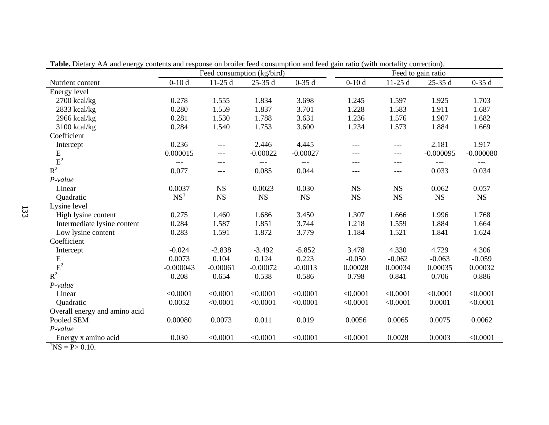|                                        | Table. Dictary TVIX and chergy contents and response on broner reca consumption and reca gain ratio (with mortanty correction).<br>Feed consumption (kg/bird) |            |            |            |           |           |                               |             |
|----------------------------------------|---------------------------------------------------------------------------------------------------------------------------------------------------------------|------------|------------|------------|-----------|-----------|-------------------------------|-------------|
| Nutrient content                       | $0-10d$                                                                                                                                                       | $11-25d$   | $25-35d$   | $0-35d$    | $0-10d$   | $11-25d$  | Feed to gain ratio<br>25-35 d | $0-35d$     |
| Energy level                           |                                                                                                                                                               |            |            |            |           |           |                               |             |
| $2700$ kcal/kg                         | 0.278                                                                                                                                                         | 1.555      | 1.834      | 3.698      | 1.245     | 1.597     | 1.925                         | 1.703       |
| 2833 kcal/kg                           | 0.280                                                                                                                                                         | 1.559      | 1.837      | 3.701      | 1.228     | 1.583     | 1.911                         | 1.687       |
| $2966$ kcal/kg                         | 0.281                                                                                                                                                         | 1.530      | 1.788      | 3.631      | 1.236     | 1.576     | 1.907                         | 1.682       |
| 3100 kcal/kg                           | 0.284                                                                                                                                                         | 1.540      | 1.753      | 3.600      | 1.234     | 1.573     | 1.884                         | 1.669       |
| Coefficient                            |                                                                                                                                                               |            |            |            |           |           |                               |             |
| Intercept                              | 0.236                                                                                                                                                         | $---$      | 2.446      | 4.445      | $---$     | $---$     | 2.181                         | 1.917       |
| E                                      | 0.000015                                                                                                                                                      | ---        | $-0.00022$ | $-0.00027$ |           | $---$     | $-0.000095$                   | $-0.000080$ |
| $E^2$                                  | $---$                                                                                                                                                         | $---$      |            | $---$      | $---$     | $---$     | $---$                         |             |
| $R^2$                                  | 0.077                                                                                                                                                         | $---$      | 0.085      | 0.044      | $---$     | $---$     | 0.033                         | 0.034       |
| $P-value$                              |                                                                                                                                                               |            |            |            |           |           |                               |             |
| Linear                                 | 0.0037                                                                                                                                                        | <b>NS</b>  | 0.0023     | 0.030      | <b>NS</b> | <b>NS</b> | 0.062                         | 0.057       |
| Quadratic                              | NS <sup>1</sup>                                                                                                                                               | <b>NS</b>  | <b>NS</b>  | <b>NS</b>  | <b>NS</b> | <b>NS</b> | <b>NS</b>                     | <b>NS</b>   |
| Lysine level                           |                                                                                                                                                               |            |            |            |           |           |                               |             |
| High lysine content                    | 0.275                                                                                                                                                         | 1.460      | 1.686      | 3.450      | 1.307     | 1.666     | 1.996                         | 1.768       |
| Intermediate lysine content            | 0.284                                                                                                                                                         | 1.587      | 1.851      | 3.744      | 1.218     | 1.559     | 1.884                         | 1.664       |
| Low lysine content                     | 0.283                                                                                                                                                         | 1.591      | 1.872      | 3.779      | 1.184     | 1.521     | 1.841                         | 1.624       |
| Coefficient                            |                                                                                                                                                               |            |            |            |           |           |                               |             |
| Intercept                              | $-0.024$                                                                                                                                                      | $-2.838$   | $-3.492$   | $-5.852$   | 3.478     | 4.330     | 4.729                         | 4.306       |
| $\frac{E}{E^2}$                        | 0.0073                                                                                                                                                        | 0.104      | 0.124      | 0.223      | $-0.050$  | $-0.062$  | $-0.063$                      | $-0.059$    |
|                                        | $-0.000043$                                                                                                                                                   | $-0.00061$ | $-0.00072$ | $-0.0013$  | 0.00028   | 0.00034   | 0.00035                       | 0.00032     |
| $R^2$                                  | 0.208                                                                                                                                                         | 0.654      | 0.538      | 0.586      | 0.798     | 0.841     | 0.706                         | 0.886       |
| P-value                                |                                                                                                                                                               |            |            |            |           |           |                               |             |
| Linear                                 | < 0.0001                                                                                                                                                      | < 0.0001   | < 0.0001   | < 0.0001   | < 0.0001  | < 0.0001  | < 0.0001                      | < 0.0001    |
| Quadratic                              | 0.0052                                                                                                                                                        | < 0.0001   | < 0.0001   | < 0.0001   | < 0.0001  | < 0.0001  | 0.0001                        | < 0.0001    |
| Overall energy and amino acid          |                                                                                                                                                               |            |            |            |           |           |                               |             |
| Pooled SEM                             | 0.00080                                                                                                                                                       | 0.0073     | 0.011      | 0.019      | 0.0056    | 0.0065    | 0.0075                        | 0.0062      |
| P-value                                |                                                                                                                                                               |            |            |            |           |           |                               |             |
| Energy x amino acid                    | 0.030                                                                                                                                                         | < 0.0001   | < 0.0001   | < 0.0001   | < 0.0001  | 0.0028    | 0.0003                        | < 0.0001    |
| $\mathrm{^{1}NS} = \mathrm{P} > 0.10.$ |                                                                                                                                                               |            |            |            |           |           |                               |             |

**Table.** Dietary AA and energy contents and response on broiler feed consumption and feed gain ratio (with mortality correction).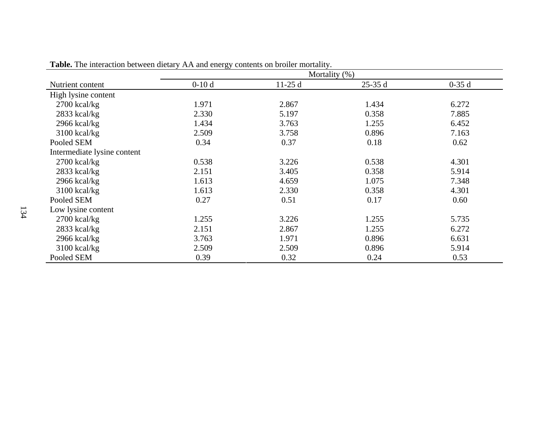|                             |         | Mortality (%) |          |         |
|-----------------------------|---------|---------------|----------|---------|
| Nutrient content            | $0-10d$ | $11-25d$      | $25-35d$ | $0-35d$ |
| High lysine content         |         |               |          |         |
| $2700$ kcal/kg              | 1.971   | 2.867         | 1.434    | 6.272   |
| 2833 kcal/kg                | 2.330   | 5.197         | 0.358    | 7.885   |
| $2966$ kcal/kg              | 1.434   | 3.763         | 1.255    | 6.452   |
| $3100$ kcal/kg              | 2.509   | 3.758         | 0.896    | 7.163   |
| Pooled SEM                  | 0.34    | 0.37          | 0.18     | 0.62    |
| Intermediate lysine content |         |               |          |         |
| $2700$ kcal/kg              | 0.538   | 3.226         | 0.538    | 4.301   |
| $2833$ kcal/kg              | 2.151   | 3.405         | 0.358    | 5.914   |
| 2966 kcal/kg                | 1.613   | 4.659         | 1.075    | 7.348   |
| $3100$ kcal/kg              | 1.613   | 2.330         | 0.358    | 4.301   |
| Pooled SEM                  | 0.27    | 0.51          | 0.17     | 0.60    |
| Low lysine content          |         |               |          |         |
| $2700$ kcal/kg              | 1.255   | 3.226         | 1.255    | 5.735   |
| $2833$ kcal/kg              | 2.151   | 2.867         | 1.255    | 6.272   |
| $2966$ kcal/kg              | 3.763   | 1.971         | 0.896    | 6.631   |
| $3100$ kcal/kg              | 2.509   | 2.509         | 0.896    | 5.914   |
| Pooled SEM                  | 0.39    | 0.32          | 0.24     | 0.53    |

**Table.** The interaction between dietary AA and energy contents on broiler mortality.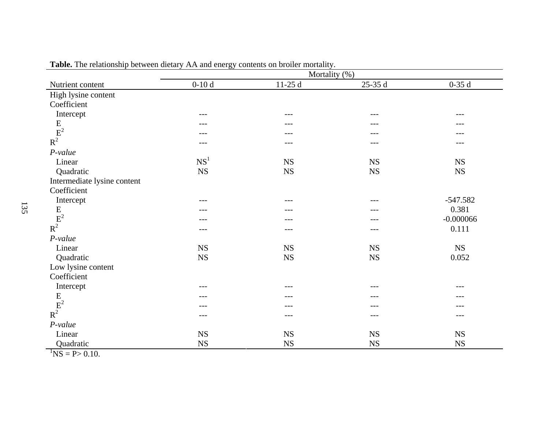|                                                                           |                 | Mortality (%) |             |             |
|---------------------------------------------------------------------------|-----------------|---------------|-------------|-------------|
| Nutrient content                                                          | $0-10d$         | $11-25d$      | $25-35d$    | $0-35d$     |
| High lysine content                                                       |                 |               |             |             |
| Coefficient                                                               |                 |               |             |             |
| Intercept                                                                 | $---$           | $---$         | ---         | $---$       |
|                                                                           | ---             | ---           |             |             |
|                                                                           | ---             | ---           |             |             |
| $\begin{array}{c} \mathbf{E} \\ \mathbf{E}^2 \\ \mathbf{R}^2 \end{array}$ | ---             | ---           | ---         |             |
| $P-value$                                                                 |                 |               |             |             |
| Linear                                                                    | NS <sup>1</sup> | NS            | <b>NS</b>   | <b>NS</b>   |
| Quadratic                                                                 | ${\rm NS}$      | ${\rm NS}$    | ${\rm NS}$  | ${\rm NS}$  |
| Intermediate lysine content                                               |                 |               |             |             |
| Coefficient                                                               |                 |               |             |             |
| Intercept                                                                 | $---$           | ---           | ---         | $-547.582$  |
|                                                                           |                 |               |             | 0.381       |
|                                                                           |                 |               |             | $-0.000066$ |
| $\begin{array}{c} \mathbf{E} \\ \mathbf{E}^2 \\ \mathbf{R}^2 \end{array}$ | $---$           | $---$         | ---         | 0.111       |
| $P-value$                                                                 |                 |               |             |             |
| Linear                                                                    | <b>NS</b>       | <b>NS</b>     | <b>NS</b>   | NS          |
| Quadratic                                                                 | ${\rm NS}$      | ${\rm NS}$    | $_{\rm NS}$ | 0.052       |
| Low lysine content                                                        |                 |               |             |             |
| Coefficient                                                               |                 |               |             |             |
| Intercept                                                                 | $---$           | ---           |             |             |
|                                                                           | ---             | ---           |             |             |
|                                                                           | ---             | ---           | ---         | ---         |
| $\begin{array}{c} \mathbf{E} \\ \mathbf{E}^2 \\ \mathbf{R}^2 \end{array}$ | $---$           | ---           | ---         | ---         |
| $P-value$                                                                 |                 |               |             |             |
| Linear                                                                    | $_{\rm NS}$     | NS            | NS          | ${\rm NS}$  |
| Quadratic                                                                 | $_{\rm NS}$     | $_{\rm NS}$   | <b>NS</b>   | ${\rm NS}$  |
| $\ln 6$ D. 0.10                                                           |                 |               |             |             |

**Table.** The relationship between dietary AA and energy contents on broiler mortality.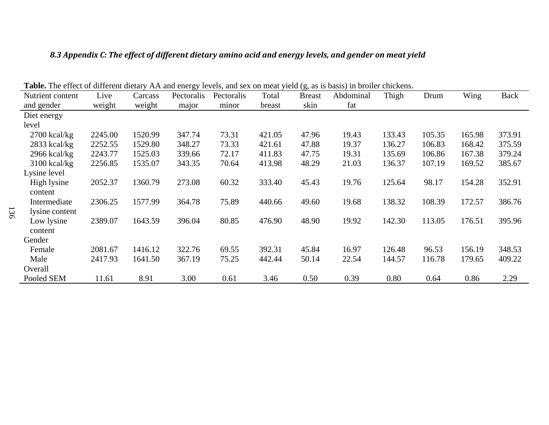| Table. The effect of different dietary AA and energy levels, and sex on meat yield (g, as is basis) in broiler chickens. |         |         |            |            |        |               |           |        |        |        |             |
|--------------------------------------------------------------------------------------------------------------------------|---------|---------|------------|------------|--------|---------------|-----------|--------|--------|--------|-------------|
| Nutrient content                                                                                                         | Live    | Carcass | Pectoralis | Pectoralis | Total  | <b>Breast</b> | Abdominal | Thigh  | Drum   | Wing   | <b>Back</b> |
| and gender                                                                                                               | weight  | weight  | major      | minor      | breast | skin          | fat       |        |        |        |             |
| Diet energy                                                                                                              |         |         |            |            |        |               |           |        |        |        |             |
| level                                                                                                                    |         |         |            |            |        |               |           |        |        |        |             |
| $2700$ kcal/kg                                                                                                           | 2245.00 | 1520.99 | 347.74     | 73.31      | 421.05 | 47.96         | 19.43     | 133.43 | 105.35 | 165.98 | 373.91      |
| $2833$ kcal/kg                                                                                                           | 2252.55 | 1529.80 | 348.27     | 73.33      | 421.61 | 47.88         | 19.37     | 136.27 | 106.83 | 168.42 | 375.59      |
| $2966$ kcal/kg                                                                                                           | 2243.77 | 1525.03 | 339.66     | 72.17      | 411.83 | 47.75         | 19.31     | 135.69 | 106.86 | 167.38 | 379.24      |
| $3100 \text{ kcal/kg}$                                                                                                   | 2256.85 | 1535.07 | 343.35     | 70.64      | 413.98 | 48.29         | 21.03     | 136.37 | 107.19 | 169.52 | 385.67      |
| Lysine level                                                                                                             |         |         |            |            |        |               |           |        |        |        |             |
| High lysine                                                                                                              | 2052.37 | 1360.79 | 273.08     | 60.32      | 333.40 | 45.43         | 19.76     | 125.64 | 98.17  | 154.28 | 352.91      |
| content                                                                                                                  |         |         |            |            |        |               |           |        |        |        |             |
| Intermediate                                                                                                             | 2306.25 | 1577.99 | 364.78     | 75.89      | 440.66 | 49.60         | 19.68     | 138.32 | 108.39 | 172.57 | 386.76      |
| lysine content                                                                                                           |         |         |            |            |        |               |           |        |        |        |             |
| Low lysine                                                                                                               | 2389.07 | 1643.59 | 396.04     | 80.85      | 476.90 | 48.90         | 19.92     | 142.30 | 113.05 | 176.51 | 395.96      |
| content                                                                                                                  |         |         |            |            |        |               |           |        |        |        |             |
| Gender                                                                                                                   |         |         |            |            |        |               |           |        |        |        |             |
| Female                                                                                                                   | 2081.67 | 1416.12 | 322.76     | 69.55      | 392.31 | 45.84         | 16.97     | 126.48 | 96.53  | 156.19 | 348.53      |
| Male                                                                                                                     | 2417.93 | 1641.50 | 367.19     | 75.25      | 442.44 | 50.14         | 22.54     | 144.57 | 116.78 | 179.65 | 409.22      |
| Overall                                                                                                                  |         |         |            |            |        |               |           |        |        |        |             |
| Pooled SEM                                                                                                               | 11.61   | 8.91    | 3.00       | 0.61       | 3.46   | 0.50          | 0.39      | 0.80   | 0.64   | 0.86   | 2.29        |

## *8.3 Appendix C: The effect of different dietary amino acid and energy levels, and gender on meat yield*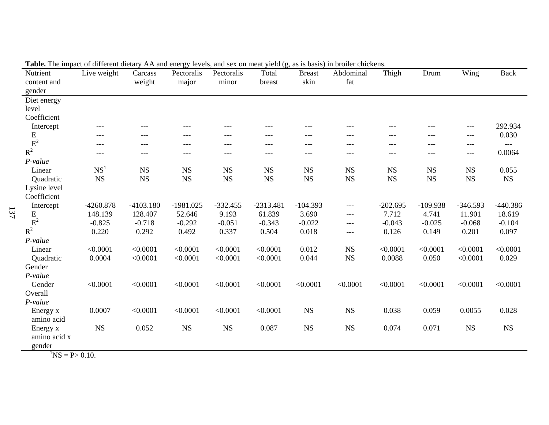| Nutrient                    | Live weight     | Carcass     | Pectoralis  | Pectoralis | Total       | <b>Breast</b> | Abdominal   | Thigh      | Drum        | Wing       | <b>Back</b> |
|-----------------------------|-----------------|-------------|-------------|------------|-------------|---------------|-------------|------------|-------------|------------|-------------|
| content and                 |                 | weight      | major       | minor      | breast      | skin          | fat         |            |             |            |             |
| gender                      |                 |             |             |            |             |               |             |            |             |            |             |
| Diet energy                 |                 |             |             |            |             |               |             |            |             |            |             |
| level                       |                 |             |             |            |             |               |             |            |             |            |             |
| Coefficient                 |                 |             |             |            |             |               |             |            |             |            |             |
| Intercept                   | $---$           | $---$       | $---$       | $---$      | ---         | ---           | ---         | $---$      | ---         | $---$      | 292.934     |
| E                           | $---$           | ---         |             |            |             | ---           | ---         | ---        | ---         | $---$      | 0.030       |
|                             | $---$           | $---$       | ---         | ---        | ---         | ---           | ---         | ---        | ---         | $---$      | $---$       |
| $R^2$                       | ---             | ---         | ---         | ---        | ---         | ---           | ---         | ---        | ---         | ---        | 0.0064      |
| P-value                     |                 |             |             |            |             |               |             |            |             |            |             |
| Linear                      | NS <sup>1</sup> | $_{\rm NS}$ | NS          | NS         | <b>NS</b>   | NS            | <b>NS</b>   | <b>NS</b>  | $_{\rm NS}$ | <b>NS</b>  | 0.055       |
| Quadratic                   | <b>NS</b>       | <b>NS</b>   | <b>NS</b>   | <b>NS</b>  | <b>NS</b>   | <b>NS</b>     | <b>NS</b>   | <b>NS</b>  | NS          | <b>NS</b>  | $_{\rm NS}$ |
| Lysine level                |                 |             |             |            |             |               |             |            |             |            |             |
| Coefficient                 |                 |             |             |            |             |               |             |            |             |            |             |
| Intercept                   | $-4260.878$     | $-4103.180$ | $-1981.025$ | $-332.455$ | $-2313.481$ | $-104.393$    | $---$       | $-202.695$ | $-109.938$  | $-346.593$ | $-440.386$  |
| E                           | 148.139         | 128.407     | 52.646      | 9.193      | 61.839      | 3.690         | ---         | 7.712      | 4.741       | 11.901     | 18.619      |
| $\mbox{E}^2$                | $-0.825$        | $-0.718$    | $-0.292$    | $-0.051$   | $-0.343$    | $-0.022$      | $---$       | $-0.043$   | $-0.025$    | $-0.068$   | $-0.104$    |
| $R^2$                       | 0.220           | 0.292       | 0.492       | 0.337      | 0.504       | 0.018         | $---$       | 0.126      | 0.149       | 0.201      | 0.097       |
| P-value                     |                 |             |             |            |             |               |             |            |             |            |             |
| Linear                      | < 0.0001        | < 0.0001    | < 0.0001    | < 0.0001   | < 0.0001    | 0.012         | $_{\rm NS}$ | < 0.0001   | < 0.0001    | < 0.0001   | < 0.0001    |
| Quadratic                   | 0.0004          | < 0.0001    | < 0.0001    | < 0.0001   | < 0.0001    | 0.044         | <b>NS</b>   | 0.0088     | 0.050       | < 0.0001   | 0.029       |
| Gender                      |                 |             |             |            |             |               |             |            |             |            |             |
| P-value                     |                 |             |             |            |             |               |             |            |             |            |             |
| Gender                      | < 0.0001        | < 0.0001    | < 0.0001    | < 0.0001   | < 0.0001    | < 0.0001      | < 0.0001    | < 0.0001   | < 0.0001    | < 0.0001   | < 0.0001    |
| Overall                     |                 |             |             |            |             |               |             |            |             |            |             |
| $P-value$                   |                 |             |             |            |             |               |             |            |             |            |             |
| Energy x                    | 0.0007          | < 0.0001    | < 0.0001    | < 0.0001   | < 0.0001    | NS            | <b>NS</b>   | 0.038      | 0.059       | 0.0055     | 0.028       |
| amino acid                  |                 |             |             |            |             |               |             |            |             |            |             |
| Energy x                    | $_{\rm NS}$     | 0.052       | <b>NS</b>   | <b>NS</b>  | 0.087       | $_{\rm NS}$   | <b>NS</b>   | 0.074      | 0.071       | <b>NS</b>  | $_{\rm NS}$ |
| amino acid x                |                 |             |             |            |             |               |             |            |             |            |             |
| gender                      |                 |             |             |            |             |               |             |            |             |            |             |
| $\overline{N}$ S = P> 0.10. |                 |             |             |            |             |               |             |            |             |            |             |

**Table.** The impact of different dietary AA and energy levels, and sex on meat yield (g, as is basis) in broiler chickens.

137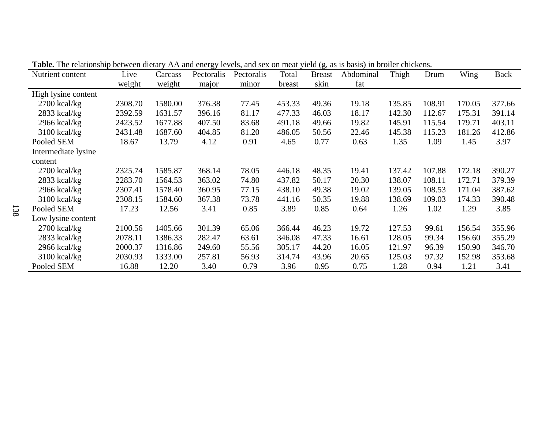| <b>THE EXAMPLE THE EXAMPLE THE CONSTRUCTED</b> TO THE CONSTRUCTED, AND SEX OF HIGH $\gamma$ for $\gamma$ is to basis) in ordinary chickens.<br>Nutrient content | Live    | Carcass | Pectoralis | Pectoralis | Total  | <b>Breast</b> | Abdominal | Thigh  | Drum   | Wing   | Back   |
|-----------------------------------------------------------------------------------------------------------------------------------------------------------------|---------|---------|------------|------------|--------|---------------|-----------|--------|--------|--------|--------|
|                                                                                                                                                                 | weight  | weight  | major      | minor      | breast | skin          | fat       |        |        |        |        |
| High lysine content                                                                                                                                             |         |         |            |            |        |               |           |        |        |        |        |
| $2700$ kcal/kg                                                                                                                                                  | 2308.70 | 1580.00 | 376.38     | 77.45      | 453.33 | 49.36         | 19.18     | 135.85 | 108.91 | 170.05 | 377.66 |
| $2833$ kcal/kg                                                                                                                                                  | 2392.59 | 1631.57 | 396.16     | 81.17      | 477.33 | 46.03         | 18.17     | 142.30 | 112.67 | 175.31 | 391.14 |
| $2966$ kcal/kg                                                                                                                                                  | 2423.52 | 1677.88 | 407.50     | 83.68      | 491.18 | 49.66         | 19.82     | 145.91 | 115.54 | 179.71 | 403.11 |
| $3100 \text{ kcal/kg}$                                                                                                                                          | 2431.48 | 1687.60 | 404.85     | 81.20      | 486.05 | 50.56         | 22.46     | 145.38 | 115.23 | 181.26 | 412.86 |
| Pooled SEM                                                                                                                                                      | 18.67   | 13.79   | 4.12       | 0.91       | 4.65   | 0.77          | 0.63      | 1.35   | 1.09   | 1.45   | 3.97   |
| Intermediate lysine                                                                                                                                             |         |         |            |            |        |               |           |        |        |        |        |
| content                                                                                                                                                         |         |         |            |            |        |               |           |        |        |        |        |
| $2700$ kcal/kg                                                                                                                                                  | 2325.74 | 1585.87 | 368.14     | 78.05      | 446.18 | 48.35         | 19.41     | 137.42 | 107.88 | 172.18 | 390.27 |
| $2833$ kcal/kg                                                                                                                                                  | 2283.70 | 1564.53 | 363.02     | 74.80      | 437.82 | 50.17         | 20.30     | 138.07 | 108.11 | 172.71 | 379.39 |
| $2966$ kcal/kg                                                                                                                                                  | 2307.41 | 1578.40 | 360.95     | 77.15      | 438.10 | 49.38         | 19.02     | 139.05 | 108.53 | 171.04 | 387.62 |
| $3100$ kcal/kg                                                                                                                                                  | 2308.15 | 1584.60 | 367.38     | 73.78      | 441.16 | 50.35         | 19.88     | 138.69 | 109.03 | 174.33 | 390.48 |
| Pooled SEM                                                                                                                                                      | 17.23   | 12.56   | 3.41       | 0.85       | 3.89   | 0.85          | 0.64      | 1.26   | 1.02   | 1.29   | 3.85   |
| Low lysine content                                                                                                                                              |         |         |            |            |        |               |           |        |        |        |        |
| $2700$ kcal/kg                                                                                                                                                  | 2100.56 | 1405.66 | 301.39     | 65.06      | 366.44 | 46.23         | 19.72     | 127.53 | 99.61  | 156.54 | 355.96 |
| $2833$ kcal/kg                                                                                                                                                  | 2078.11 | 1386.33 | 282.47     | 63.61      | 346.08 | 47.33         | 16.61     | 128.05 | 99.34  | 156.60 | 355.29 |
| $2966$ kcal/kg                                                                                                                                                  | 2000.37 | 1316.86 | 249.60     | 55.56      | 305.17 | 44.20         | 16.05     | 121.97 | 96.39  | 150.90 | 346.70 |
| $3100$ kcal/kg                                                                                                                                                  | 2030.93 | 1333.00 | 257.81     | 56.93      | 314.74 | 43.96         | 20.65     | 125.03 | 97.32  | 152.98 | 353.68 |
| Pooled SEM                                                                                                                                                      | 16.88   | 12.20   | 3.40       | 0.79       | 3.96   | 0.95          | 0.75      | 1.28   | 0.94   | 1.21   | 3.41   |

**Table.** The relationship between dietary AA and energy levels, and sex on meat yield (g, as is basis) in broiler chickens.